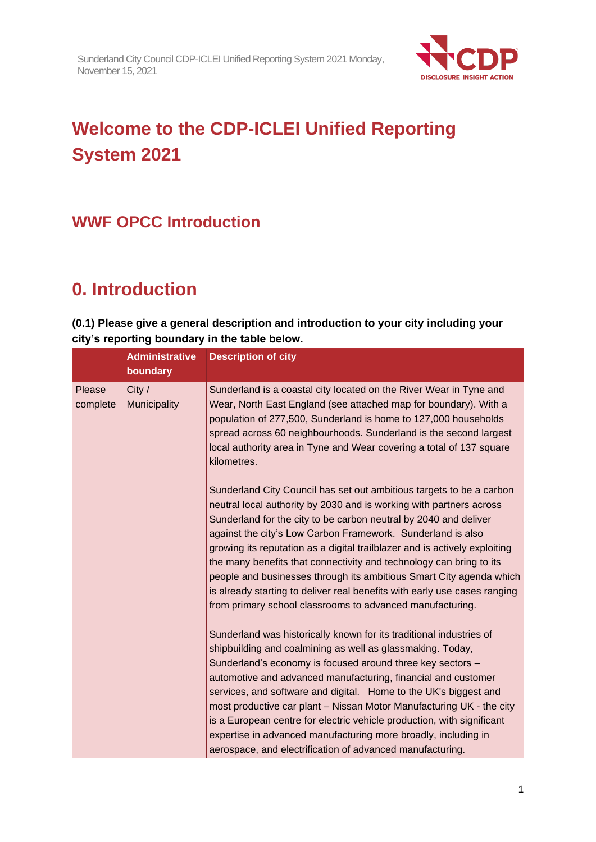

# **Welcome to the CDP-ICLEI Unified Reporting System 2021**

# **WWF OPCC Introduction**

# **0. Introduction**

**(0.1) Please give a general description and introduction to your city including your city's reporting boundary in the table below.**

|                    | <b>Administrative</b><br>boundary | <b>Description of city</b>                                                                                                                                                                                                                                                                                                                                                                                                                                                                                                                                                                                                                           |
|--------------------|-----------------------------------|------------------------------------------------------------------------------------------------------------------------------------------------------------------------------------------------------------------------------------------------------------------------------------------------------------------------------------------------------------------------------------------------------------------------------------------------------------------------------------------------------------------------------------------------------------------------------------------------------------------------------------------------------|
| Please<br>complete | City /<br>Municipality            | Sunderland is a coastal city located on the River Wear in Tyne and<br>Wear, North East England (see attached map for boundary). With a<br>population of 277,500, Sunderland is home to 127,000 households<br>spread across 60 neighbourhoods. Sunderland is the second largest<br>local authority area in Tyne and Wear covering a total of 137 square<br>kilometres.                                                                                                                                                                                                                                                                                |
|                    |                                   | Sunderland City Council has set out ambitious targets to be a carbon<br>neutral local authority by 2030 and is working with partners across<br>Sunderland for the city to be carbon neutral by 2040 and deliver<br>against the city's Low Carbon Framework. Sunderland is also<br>growing its reputation as a digital trailblazer and is actively exploiting<br>the many benefits that connectivity and technology can bring to its<br>people and businesses through its ambitious Smart City agenda which<br>is already starting to deliver real benefits with early use cases ranging<br>from primary school classrooms to advanced manufacturing. |
|                    |                                   | Sunderland was historically known for its traditional industries of<br>shipbuilding and coalmining as well as glassmaking. Today,<br>Sunderland's economy is focused around three key sectors -<br>automotive and advanced manufacturing, financial and customer<br>services, and software and digital. Home to the UK's biggest and<br>most productive car plant – Nissan Motor Manufacturing UK - the city<br>is a European centre for electric vehicle production, with significant<br>expertise in advanced manufacturing more broadly, including in<br>aerospace, and electrification of advanced manufacturing.                                |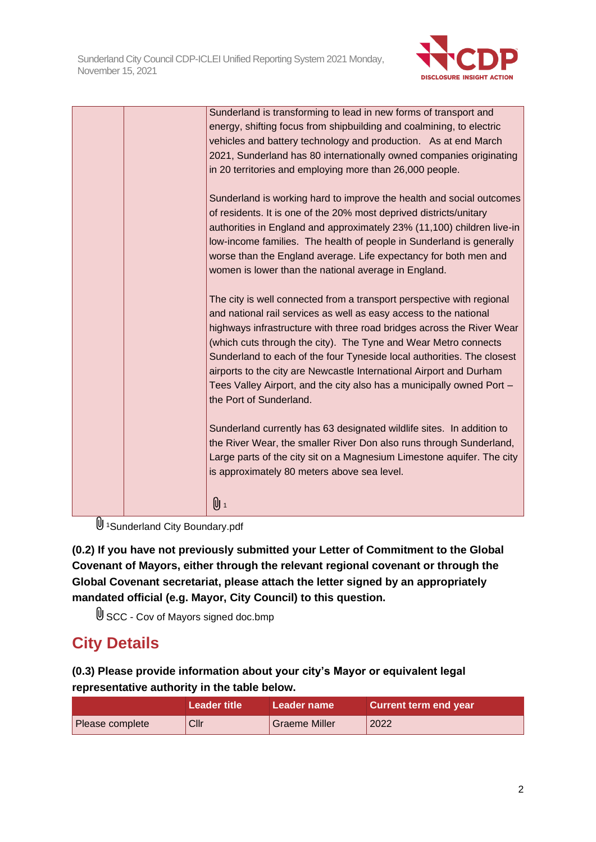

| Sunderland is transforming to lead in new forms of transport and<br>energy, shifting focus from shipbuilding and coalmining, to electric<br>vehicles and battery technology and production. As at end March<br>2021, Sunderland has 80 internationally owned companies originating<br>in 20 territories and employing more than 26,000 people.                                                                                                                                                                                              |
|---------------------------------------------------------------------------------------------------------------------------------------------------------------------------------------------------------------------------------------------------------------------------------------------------------------------------------------------------------------------------------------------------------------------------------------------------------------------------------------------------------------------------------------------|
| Sunderland is working hard to improve the health and social outcomes<br>of residents. It is one of the 20% most deprived districts/unitary<br>authorities in England and approximately 23% (11,100) children live-in<br>low-income families. The health of people in Sunderland is generally<br>worse than the England average. Life expectancy for both men and<br>women is lower than the national average in England.                                                                                                                    |
| The city is well connected from a transport perspective with regional<br>and national rail services as well as easy access to the national<br>highways infrastructure with three road bridges across the River Wear<br>(which cuts through the city). The Tyne and Wear Metro connects<br>Sunderland to each of the four Tyneside local authorities. The closest<br>airports to the city are Newcastle International Airport and Durham<br>Tees Valley Airport, and the city also has a municipally owned Port -<br>the Port of Sunderland. |
| Sunderland currently has 63 designated wildlife sites. In addition to<br>the River Wear, the smaller River Don also runs through Sunderland,<br>Large parts of the city sit on a Magnesium Limestone aquifer. The city<br>is approximately 80 meters above sea level.                                                                                                                                                                                                                                                                       |
| U 1                                                                                                                                                                                                                                                                                                                                                                                                                                                                                                                                         |

U<sup>1</sup>Sunderland City Boundary.pdf

**(0.2) If you have not previously submitted your Letter of Commitment to the Global Covenant of Mayors, either through the relevant regional covenant or through the Global Covenant secretariat, please attach the letter signed by an appropriately mandated official (e.g. Mayor, City Council) to this question.**

U SCC - Cov of Mayors signed doc.bmp

# **City Details**

**(0.3) Please provide information about your city's Mayor or equivalent legal representative authority in the table below.**

|                 | Leader title | Leader name          | <b>Current term end year</b> |
|-----------------|--------------|----------------------|------------------------------|
| Please complete | Cllr         | <b>Graeme Miller</b> | 2022                         |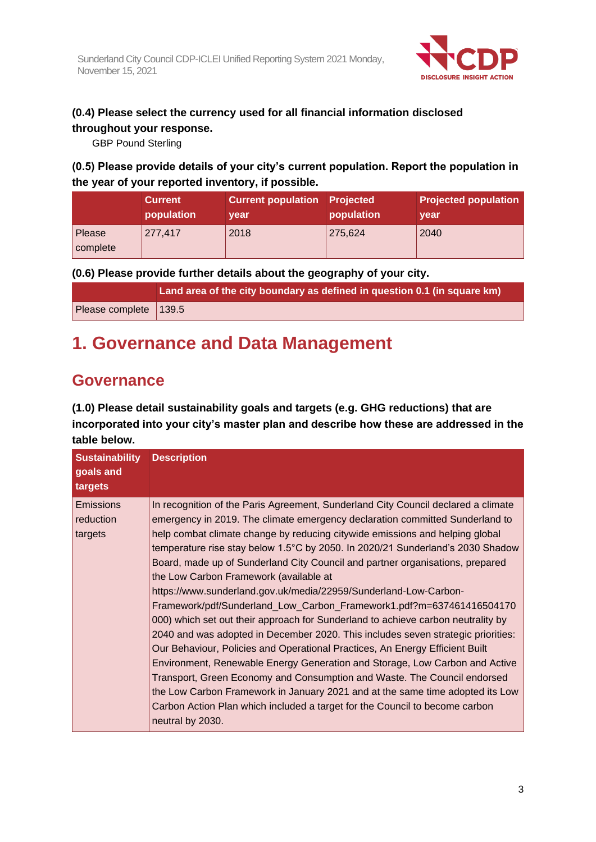

## **(0.4) Please select the currency used for all financial information disclosed throughout your response.**

GBP Pound Sterling

**(0.5) Please provide details of your city's current population. Report the population in the year of your reported inventory, if possible.**

|                    | <b>Current</b><br>population | <b>Current population Projected</b><br>vear | population | <b>Projected population</b><br>year |
|--------------------|------------------------------|---------------------------------------------|------------|-------------------------------------|
| Please<br>complete | 277,417                      | 2018                                        | 275,624    | 2040                                |

**(0.6) Please provide further details about the geography of your city.**

|                         | Land area of the city boundary as defined in question 0.1 (in square km) |
|-------------------------|--------------------------------------------------------------------------|
| Please complete   139.5 |                                                                          |

# **1. Governance and Data Management**

# **Governance**

**(1.0) Please detail sustainability goals and targets (e.g. GHG reductions) that are incorporated into your city's master plan and describe how these are addressed in the table below.**

| <b>Sustainability</b><br>goals and<br>targets | <b>Description</b>                                                                                                                                                                                                                                                                                                                                                                                                                                                                                                                                                                                                                                                                                                                                                                                                                                                                                                                                                                                                                                                                                                                                                                                                |
|-----------------------------------------------|-------------------------------------------------------------------------------------------------------------------------------------------------------------------------------------------------------------------------------------------------------------------------------------------------------------------------------------------------------------------------------------------------------------------------------------------------------------------------------------------------------------------------------------------------------------------------------------------------------------------------------------------------------------------------------------------------------------------------------------------------------------------------------------------------------------------------------------------------------------------------------------------------------------------------------------------------------------------------------------------------------------------------------------------------------------------------------------------------------------------------------------------------------------------------------------------------------------------|
| <b>Emissions</b><br>reduction<br>targets      | In recognition of the Paris Agreement, Sunderland City Council declared a climate<br>emergency in 2019. The climate emergency declaration committed Sunderland to<br>help combat climate change by reducing citywide emissions and helping global<br>temperature rise stay below 1.5°C by 2050. In 2020/21 Sunderland's 2030 Shadow<br>Board, made up of Sunderland City Council and partner organisations, prepared<br>the Low Carbon Framework (available at<br>https://www.sunderland.gov.uk/media/22959/Sunderland-Low-Carbon-<br>Framework/pdf/Sunderland_Low_Carbon_Framework1.pdf?m=637461416504170<br>000) which set out their approach for Sunderland to achieve carbon neutrality by<br>2040 and was adopted in December 2020. This includes seven strategic priorities:<br>Our Behaviour, Policies and Operational Practices, An Energy Efficient Built<br>Environment, Renewable Energy Generation and Storage, Low Carbon and Active<br>Transport, Green Economy and Consumption and Waste. The Council endorsed<br>the Low Carbon Framework in January 2021 and at the same time adopted its Low<br>Carbon Action Plan which included a target for the Council to become carbon<br>neutral by 2030. |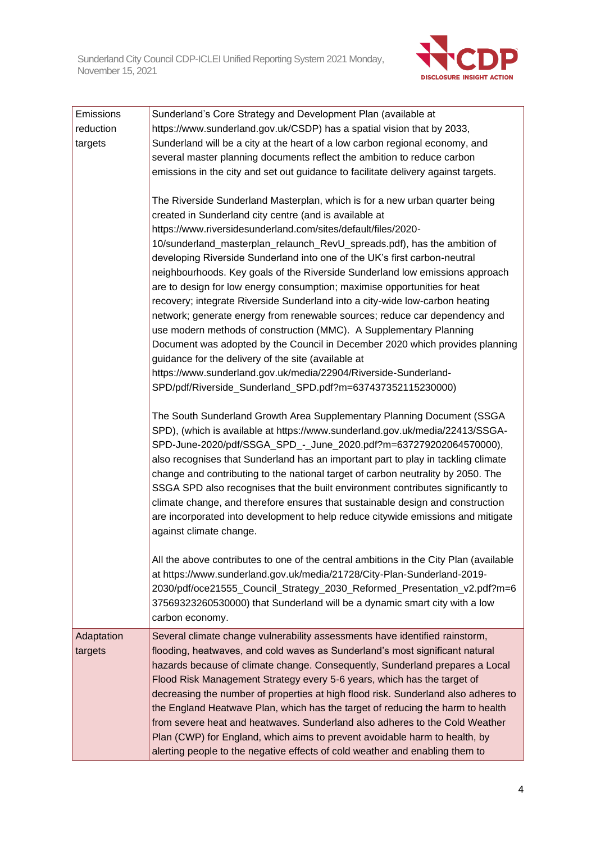

| Emissions  | Sunderland's Core Strategy and Development Plan (available at                                                                                                    |
|------------|------------------------------------------------------------------------------------------------------------------------------------------------------------------|
| reduction  | https://www.sunderland.gov.uk/CSDP) has a spatial vision that by 2033,                                                                                           |
| targets    | Sunderland will be a city at the heart of a low carbon regional economy, and                                                                                     |
|            | several master planning documents reflect the ambition to reduce carbon                                                                                          |
|            | emissions in the city and set out guidance to facilitate delivery against targets.                                                                               |
|            | The Riverside Sunderland Masterplan, which is for a new urban quarter being                                                                                      |
|            | created in Sunderland city centre (and is available at                                                                                                           |
|            | https://www.riversidesunderland.com/sites/default/files/2020-                                                                                                    |
|            | 10/sunderland_masterplan_relaunch_RevU_spreads.pdf), has the ambition of<br>developing Riverside Sunderland into one of the UK's first carbon-neutral            |
|            | neighbourhoods. Key goals of the Riverside Sunderland low emissions approach                                                                                     |
|            | are to design for low energy consumption; maximise opportunities for heat                                                                                        |
|            | recovery; integrate Riverside Sunderland into a city-wide low-carbon heating                                                                                     |
|            | network; generate energy from renewable sources; reduce car dependency and                                                                                       |
|            | use modern methods of construction (MMC). A Supplementary Planning                                                                                               |
|            | Document was adopted by the Council in December 2020 which provides planning                                                                                     |
|            | guidance for the delivery of the site (available at                                                                                                              |
|            | https://www.sunderland.gov.uk/media/22904/Riverside-Sunderland-                                                                                                  |
|            | SPD/pdf/Riverside_Sunderland_SPD.pdf?m=637437352115230000)                                                                                                       |
|            | The South Sunderland Growth Area Supplementary Planning Document (SSGA                                                                                           |
|            | SPD), (which is available at https://www.sunderland.gov.uk/media/22413/SSGA-                                                                                     |
|            | SPD-June-2020/pdf/SSGA_SPD_-_June_2020.pdf?m=637279202064570000),                                                                                                |
|            | also recognises that Sunderland has an important part to play in tackling climate                                                                                |
|            | change and contributing to the national target of carbon neutrality by 2050. The                                                                                 |
|            | SSGA SPD also recognises that the built environment contributes significantly to                                                                                 |
|            | climate change, and therefore ensures that sustainable design and construction                                                                                   |
|            | are incorporated into development to help reduce citywide emissions and mitigate                                                                                 |
|            | against climate change.                                                                                                                                          |
|            |                                                                                                                                                                  |
|            | All the above contributes to one of the central ambitions in the City Plan (available<br>at https://www.sunderland.gov.uk/media/21728/City-Plan-Sunderland-2019- |
|            | 2030/pdf/oce21555_Council_Strategy_2030_Reformed_Presentation_v2.pdf?m=6                                                                                         |
|            | 37569323260530000) that Sunderland will be a dynamic smart city with a low                                                                                       |
|            | carbon economy.                                                                                                                                                  |
| Adaptation | Several climate change vulnerability assessments have identified rainstorm,                                                                                      |
| targets    | flooding, heatwaves, and cold waves as Sunderland's most significant natural                                                                                     |
|            | hazards because of climate change. Consequently, Sunderland prepares a Local                                                                                     |
|            | Flood Risk Management Strategy every 5-6 years, which has the target of                                                                                          |
|            | decreasing the number of properties at high flood risk. Sunderland also adheres to                                                                               |
|            | the England Heatwave Plan, which has the target of reducing the harm to health                                                                                   |
|            | from severe heat and heatwaves. Sunderland also adheres to the Cold Weather                                                                                      |
|            | Plan (CWP) for England, which aims to prevent avoidable harm to health, by                                                                                       |
|            | alerting people to the negative effects of cold weather and enabling them to                                                                                     |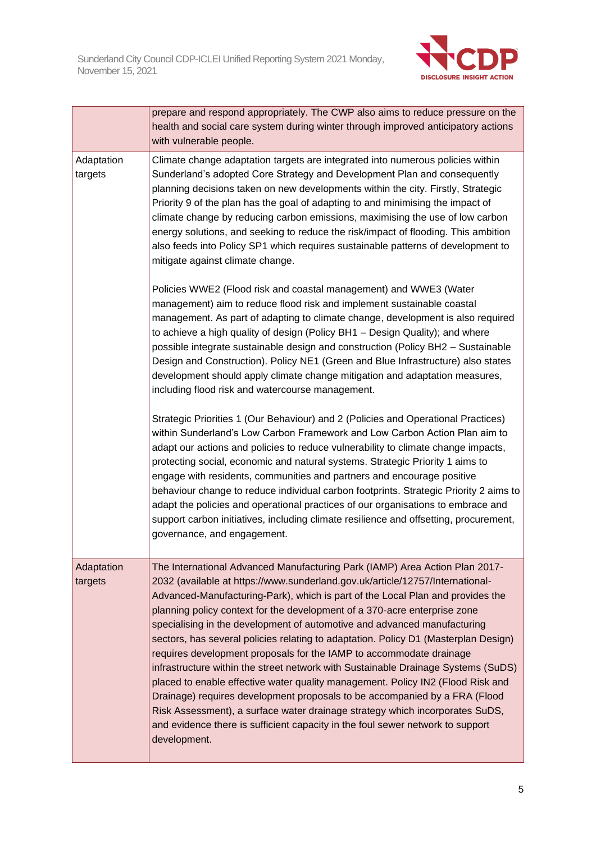

|                       | prepare and respond appropriately. The CWP also aims to reduce pressure on the<br>health and social care system during winter through improved anticipatory actions<br>with vulnerable people.                                                                                                                                                                                                                                                                                                                                                                                                                                                                                                                                                                                                                                                                                                                                                                                                                |
|-----------------------|---------------------------------------------------------------------------------------------------------------------------------------------------------------------------------------------------------------------------------------------------------------------------------------------------------------------------------------------------------------------------------------------------------------------------------------------------------------------------------------------------------------------------------------------------------------------------------------------------------------------------------------------------------------------------------------------------------------------------------------------------------------------------------------------------------------------------------------------------------------------------------------------------------------------------------------------------------------------------------------------------------------|
| Adaptation<br>targets | Climate change adaptation targets are integrated into numerous policies within<br>Sunderland's adopted Core Strategy and Development Plan and consequently<br>planning decisions taken on new developments within the city. Firstly, Strategic<br>Priority 9 of the plan has the goal of adapting to and minimising the impact of<br>climate change by reducing carbon emissions, maximising the use of low carbon<br>energy solutions, and seeking to reduce the risk/impact of flooding. This ambition<br>also feeds into Policy SP1 which requires sustainable patterns of development to<br>mitigate against climate change.                                                                                                                                                                                                                                                                                                                                                                              |
|                       | Policies WWE2 (Flood risk and coastal management) and WWE3 (Water<br>management) aim to reduce flood risk and implement sustainable coastal<br>management. As part of adapting to climate change, development is also required<br>to achieve a high quality of design (Policy BH1 - Design Quality); and where<br>possible integrate sustainable design and construction (Policy BH2 - Sustainable<br>Design and Construction). Policy NE1 (Green and Blue Infrastructure) also states<br>development should apply climate change mitigation and adaptation measures,<br>including flood risk and watercourse management.                                                                                                                                                                                                                                                                                                                                                                                     |
|                       | Strategic Priorities 1 (Our Behaviour) and 2 (Policies and Operational Practices)<br>within Sunderland's Low Carbon Framework and Low Carbon Action Plan aim to<br>adapt our actions and policies to reduce vulnerability to climate change impacts,<br>protecting social, economic and natural systems. Strategic Priority 1 aims to<br>engage with residents, communities and partners and encourage positive<br>behaviour change to reduce individual carbon footprints. Strategic Priority 2 aims to<br>adapt the policies and operational practices of our organisations to embrace and<br>support carbon initiatives, including climate resilience and offsetting, procurement,<br>governance, and engagement.                                                                                                                                                                                                                                                                                          |
| Adaptation<br>targets | The International Advanced Manufacturing Park (IAMP) Area Action Plan 2017-<br>2032 (available at https://www.sunderland.gov.uk/article/12757/International-<br>Advanced-Manufacturing-Park), which is part of the Local Plan and provides the<br>planning policy context for the development of a 370-acre enterprise zone<br>specialising in the development of automotive and advanced manufacturing<br>sectors, has several policies relating to adaptation. Policy D1 (Masterplan Design)<br>requires development proposals for the IAMP to accommodate drainage<br>infrastructure within the street network with Sustainable Drainage Systems (SuDS)<br>placed to enable effective water quality management. Policy IN2 (Flood Risk and<br>Drainage) requires development proposals to be accompanied by a FRA (Flood<br>Risk Assessment), a surface water drainage strategy which incorporates SuDS,<br>and evidence there is sufficient capacity in the foul sewer network to support<br>development. |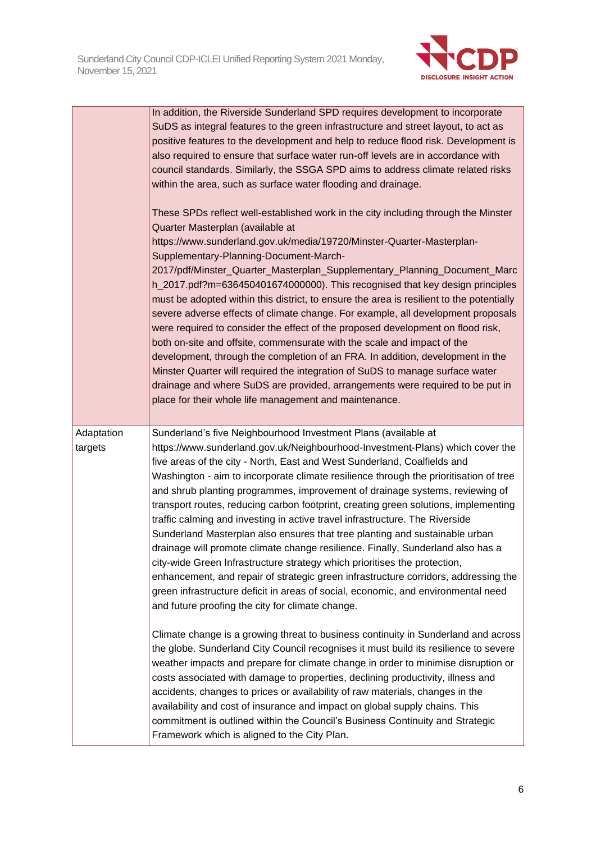

|                       | In addition, the Riverside Sunderland SPD requires development to incorporate<br>SuDS as integral features to the green infrastructure and street layout, to act as<br>positive features to the development and help to reduce flood risk. Development is<br>also required to ensure that surface water run-off levels are in accordance with<br>council standards. Similarly, the SSGA SPD aims to address climate related risks<br>within the area, such as surface water flooding and drainage.<br>These SPDs reflect well-established work in the city including through the Minster<br>Quarter Masterplan (available at<br>https://www.sunderland.gov.uk/media/19720/Minster-Quarter-Masterplan-<br>Supplementary-Planning-Document-March-<br>2017/pdf/Minster_Quarter_Masterplan_Supplementary_Planning_Document_Marc<br>h_2017.pdf?m=636450401674000000). This recognised that key design principles<br>must be adopted within this district, to ensure the area is resilient to the potentially<br>severe adverse effects of climate change. For example, all development proposals<br>were required to consider the effect of the proposed development on flood risk,<br>both on-site and offsite, commensurate with the scale and impact of the<br>development, through the completion of an FRA. In addition, development in the<br>Minster Quarter will required the integration of SuDS to manage surface water<br>drainage and where SuDS are provided, arrangements were required to be put in<br>place for their whole life management and maintenance.                                                                                                                                           |
|-----------------------|-------------------------------------------------------------------------------------------------------------------------------------------------------------------------------------------------------------------------------------------------------------------------------------------------------------------------------------------------------------------------------------------------------------------------------------------------------------------------------------------------------------------------------------------------------------------------------------------------------------------------------------------------------------------------------------------------------------------------------------------------------------------------------------------------------------------------------------------------------------------------------------------------------------------------------------------------------------------------------------------------------------------------------------------------------------------------------------------------------------------------------------------------------------------------------------------------------------------------------------------------------------------------------------------------------------------------------------------------------------------------------------------------------------------------------------------------------------------------------------------------------------------------------------------------------------------------------------------------------------------------------------------------------------------------------------------------------------------|
| Adaptation<br>targets | Sunderland's five Neighbourhood Investment Plans (available at<br>https://www.sunderland.gov.uk/Neighbourhood-Investment-Plans) which cover the<br>five areas of the city - North, East and West Sunderland, Coalfields and<br>Washington - aim to incorporate climate resilience through the prioritisation of tree<br>and shrub planting programmes, improvement of drainage systems, reviewing of<br>transport routes, reducing carbon footprint, creating green solutions, implementing<br>traffic calming and investing in active travel infrastructure. The Riverside<br>Sunderland Masterplan also ensures that tree planting and sustainable urban<br>drainage will promote climate change resilience. Finally, Sunderland also has a<br>city-wide Green Infrastructure strategy which prioritises the protection,<br>enhancement, and repair of strategic green infrastructure corridors, addressing the<br>green infrastructure deficit in areas of social, economic, and environmental need<br>and future proofing the city for climate change.<br>Climate change is a growing threat to business continuity in Sunderland and across<br>the globe. Sunderland City Council recognises it must build its resilience to severe<br>weather impacts and prepare for climate change in order to minimise disruption or<br>costs associated with damage to properties, declining productivity, illness and<br>accidents, changes to prices or availability of raw materials, changes in the<br>availability and cost of insurance and impact on global supply chains. This<br>commitment is outlined within the Council's Business Continuity and Strategic<br>Framework which is aligned to the City Plan. |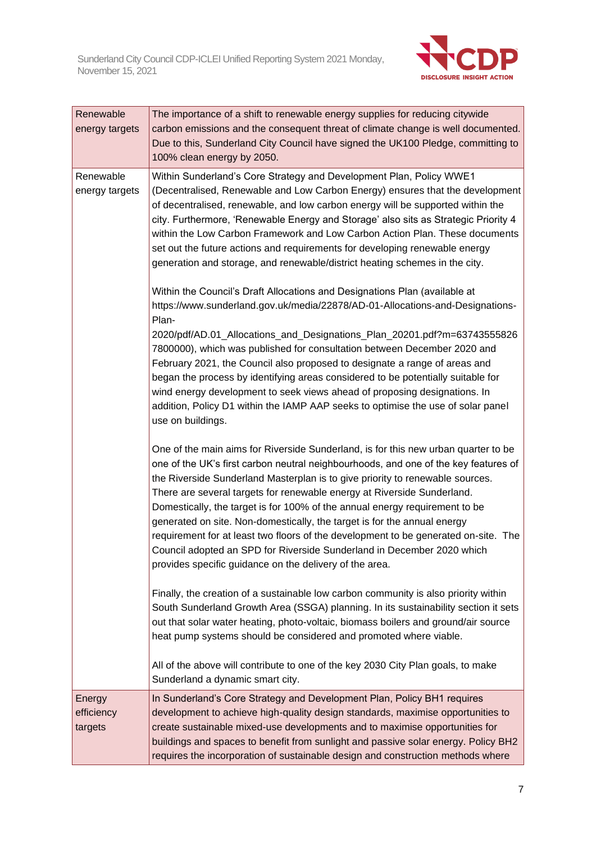

| Renewable<br>energy targets                                                                                                                                                                                                                                                                                                                                                                                                                                                                                                                                                                                                                                                                                                                                                                                                                                                                                                                                                                                                                                                                                                                                                                                                                                                                        | The importance of a shift to renewable energy supplies for reducing citywide<br>carbon emissions and the consequent threat of climate change is well documented.<br>Due to this, Sunderland City Council have signed the UK100 Pledge, committing to<br>100% clean energy by 2050.                                                                                                                                                                                                                                                                                                                                                                                                                                                                                                                                                                                                                                                                                                                                                                                                                                                                                                            |
|----------------------------------------------------------------------------------------------------------------------------------------------------------------------------------------------------------------------------------------------------------------------------------------------------------------------------------------------------------------------------------------------------------------------------------------------------------------------------------------------------------------------------------------------------------------------------------------------------------------------------------------------------------------------------------------------------------------------------------------------------------------------------------------------------------------------------------------------------------------------------------------------------------------------------------------------------------------------------------------------------------------------------------------------------------------------------------------------------------------------------------------------------------------------------------------------------------------------------------------------------------------------------------------------------|-----------------------------------------------------------------------------------------------------------------------------------------------------------------------------------------------------------------------------------------------------------------------------------------------------------------------------------------------------------------------------------------------------------------------------------------------------------------------------------------------------------------------------------------------------------------------------------------------------------------------------------------------------------------------------------------------------------------------------------------------------------------------------------------------------------------------------------------------------------------------------------------------------------------------------------------------------------------------------------------------------------------------------------------------------------------------------------------------------------------------------------------------------------------------------------------------|
| Within Sunderland's Core Strategy and Development Plan, Policy WWE1<br>Renewable<br>(Decentralised, Renewable and Low Carbon Energy) ensures that the development<br>energy targets<br>of decentralised, renewable, and low carbon energy will be supported within the<br>city. Furthermore, 'Renewable Energy and Storage' also sits as Strategic Priority 4<br>within the Low Carbon Framework and Low Carbon Action Plan. These documents<br>set out the future actions and requirements for developing renewable energy<br>generation and storage, and renewable/district heating schemes in the city.<br>Within the Council's Draft Allocations and Designations Plan (available at<br>https://www.sunderland.gov.uk/media/22878/AD-01-Allocations-and-Designations-<br>Plan-<br>2020/pdf/AD.01_Allocations_and_Designations_Plan_20201.pdf?m=63743555826<br>7800000), which was published for consultation between December 2020 and<br>February 2021, the Council also proposed to designate a range of areas and<br>began the process by identifying areas considered to be potentially suitable for<br>wind energy development to seek views ahead of proposing designations. In<br>addition, Policy D1 within the IAMP AAP seeks to optimise the use of solar panel<br>use on buildings. |                                                                                                                                                                                                                                                                                                                                                                                                                                                                                                                                                                                                                                                                                                                                                                                                                                                                                                                                                                                                                                                                                                                                                                                               |
|                                                                                                                                                                                                                                                                                                                                                                                                                                                                                                                                                                                                                                                                                                                                                                                                                                                                                                                                                                                                                                                                                                                                                                                                                                                                                                    | One of the main aims for Riverside Sunderland, is for this new urban quarter to be<br>one of the UK's first carbon neutral neighbourhoods, and one of the key features of<br>the Riverside Sunderland Masterplan is to give priority to renewable sources.<br>There are several targets for renewable energy at Riverside Sunderland.<br>Domestically, the target is for 100% of the annual energy requirement to be<br>generated on site. Non-domestically, the target is for the annual energy<br>requirement for at least two floors of the development to be generated on-site. The<br>Council adopted an SPD for Riverside Sunderland in December 2020 which<br>provides specific guidance on the delivery of the area.<br>Finally, the creation of a sustainable low carbon community is also priority within<br>South Sunderland Growth Area (SSGA) planning. In its sustainability section it sets<br>out that solar water heating, photo-voltaic, biomass boilers and ground/air source<br>heat pump systems should be considered and promoted where viable.<br>All of the above will contribute to one of the key 2030 City Plan goals, to make<br>Sunderland a dynamic smart city. |
| Energy<br>efficiency<br>targets                                                                                                                                                                                                                                                                                                                                                                                                                                                                                                                                                                                                                                                                                                                                                                                                                                                                                                                                                                                                                                                                                                                                                                                                                                                                    | In Sunderland's Core Strategy and Development Plan, Policy BH1 requires<br>development to achieve high-quality design standards, maximise opportunities to<br>create sustainable mixed-use developments and to maximise opportunities for<br>buildings and spaces to benefit from sunlight and passive solar energy. Policy BH2<br>requires the incorporation of sustainable design and construction methods where                                                                                                                                                                                                                                                                                                                                                                                                                                                                                                                                                                                                                                                                                                                                                                            |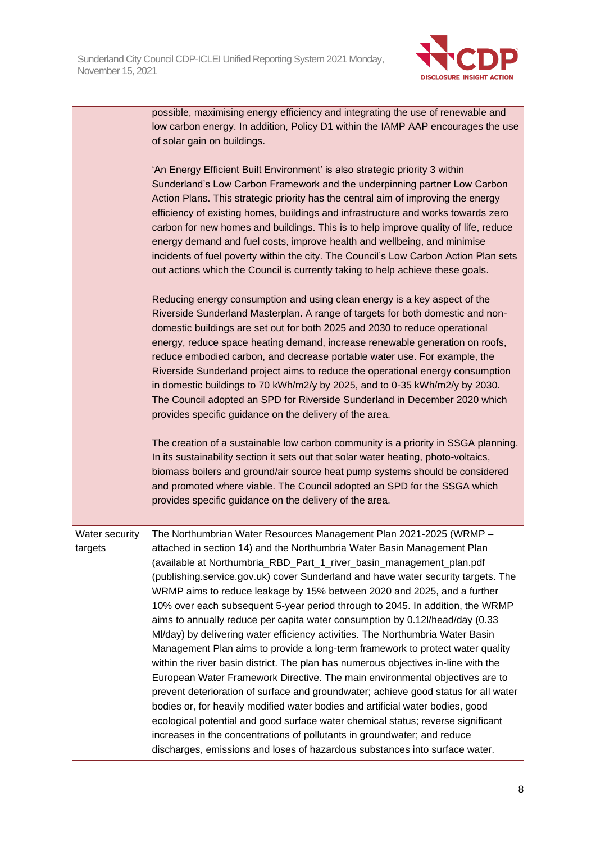

|                           | possible, maximising energy efficiency and integrating the use of renewable and<br>low carbon energy. In addition, Policy D1 within the IAMP AAP encourages the use<br>of solar gain on buildings.<br>'An Energy Efficient Built Environment' is also strategic priority 3 within<br>Sunderland's Low Carbon Framework and the underpinning partner Low Carbon<br>Action Plans. This strategic priority has the central aim of improving the energy<br>efficiency of existing homes, buildings and infrastructure and works towards zero<br>carbon for new homes and buildings. This is to help improve quality of life, reduce<br>energy demand and fuel costs, improve health and wellbeing, and minimise<br>incidents of fuel poverty within the city. The Council's Low Carbon Action Plan sets<br>out actions which the Council is currently taking to help achieve these goals.<br>Reducing energy consumption and using clean energy is a key aspect of the<br>Riverside Sunderland Masterplan. A range of targets for both domestic and non-<br>domestic buildings are set out for both 2025 and 2030 to reduce operational<br>energy, reduce space heating demand, increase renewable generation on roofs,<br>reduce embodied carbon, and decrease portable water use. For example, the<br>Riverside Sunderland project aims to reduce the operational energy consumption<br>in domestic buildings to 70 kWh/m2/y by 2025, and to 0-35 kWh/m2/y by 2030.<br>The Council adopted an SPD for Riverside Sunderland in December 2020 which<br>provides specific guidance on the delivery of the area. |
|---------------------------|------------------------------------------------------------------------------------------------------------------------------------------------------------------------------------------------------------------------------------------------------------------------------------------------------------------------------------------------------------------------------------------------------------------------------------------------------------------------------------------------------------------------------------------------------------------------------------------------------------------------------------------------------------------------------------------------------------------------------------------------------------------------------------------------------------------------------------------------------------------------------------------------------------------------------------------------------------------------------------------------------------------------------------------------------------------------------------------------------------------------------------------------------------------------------------------------------------------------------------------------------------------------------------------------------------------------------------------------------------------------------------------------------------------------------------------------------------------------------------------------------------------------------------------------------------------------------------------------------------|
|                           | The creation of a sustainable low carbon community is a priority in SSGA planning.<br>In its sustainability section it sets out that solar water heating, photo-voltaics,<br>biomass boilers and ground/air source heat pump systems should be considered<br>and promoted where viable. The Council adopted an SPD for the SSGA which<br>provides specific guidance on the delivery of the area.                                                                                                                                                                                                                                                                                                                                                                                                                                                                                                                                                                                                                                                                                                                                                                                                                                                                                                                                                                                                                                                                                                                                                                                                           |
| Water security<br>targets | The Northumbrian Water Resources Management Plan 2021-2025 (WRMP -<br>attached in section 14) and the Northumbria Water Basin Management Plan<br>(available at Northumbria_RBD_Part_1_river_basin_management_plan.pdf<br>(publishing.service.gov.uk) cover Sunderland and have water security targets. The<br>WRMP aims to reduce leakage by 15% between 2020 and 2025, and a further<br>10% over each subsequent 5-year period through to 2045. In addition, the WRMP<br>aims to annually reduce per capita water consumption by 0.12l/head/day (0.33<br>MI/day) by delivering water efficiency activities. The Northumbria Water Basin<br>Management Plan aims to provide a long-term framework to protect water quality<br>within the river basin district. The plan has numerous objectives in-line with the<br>European Water Framework Directive. The main environmental objectives are to<br>prevent deterioration of surface and groundwater; achieve good status for all water<br>bodies or, for heavily modified water bodies and artificial water bodies, good<br>ecological potential and good surface water chemical status; reverse significant<br>increases in the concentrations of pollutants in groundwater; and reduce<br>discharges, emissions and loses of hazardous substances into surface water.                                                                                                                                                                                                                                                                                   |

 $\overline{\phantom{a}}$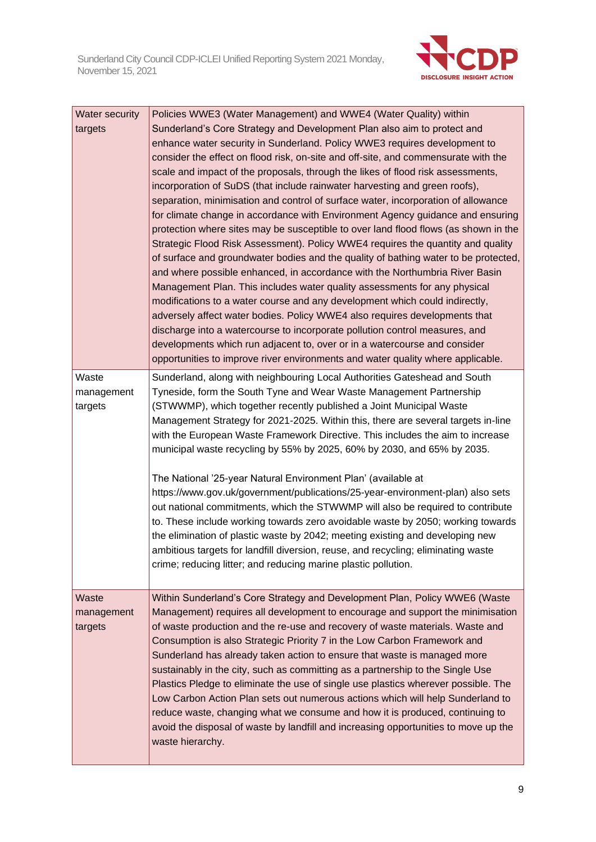

| <b>Water security</b><br>targets | Policies WWE3 (Water Management) and WWE4 (Water Quality) within<br>Sunderland's Core Strategy and Development Plan also aim to protect and<br>enhance water security in Sunderland. Policy WWE3 requires development to<br>consider the effect on flood risk, on-site and off-site, and commensurate with the<br>scale and impact of the proposals, through the likes of flood risk assessments,<br>incorporation of SuDS (that include rainwater harvesting and green roofs),<br>separation, minimisation and control of surface water, incorporation of allowance<br>for climate change in accordance with Environment Agency guidance and ensuring<br>protection where sites may be susceptible to over land flood flows (as shown in the<br>Strategic Flood Risk Assessment). Policy WWE4 requires the quantity and quality<br>of surface and groundwater bodies and the quality of bathing water to be protected,<br>and where possible enhanced, in accordance with the Northumbria River Basin<br>Management Plan. This includes water quality assessments for any physical<br>modifications to a water course and any development which could indirectly,<br>adversely affect water bodies. Policy WWE4 also requires developments that<br>discharge into a watercourse to incorporate pollution control measures, and<br>developments which run adjacent to, over or in a watercourse and consider<br>opportunities to improve river environments and water quality where applicable. |
|----------------------------------|-------------------------------------------------------------------------------------------------------------------------------------------------------------------------------------------------------------------------------------------------------------------------------------------------------------------------------------------------------------------------------------------------------------------------------------------------------------------------------------------------------------------------------------------------------------------------------------------------------------------------------------------------------------------------------------------------------------------------------------------------------------------------------------------------------------------------------------------------------------------------------------------------------------------------------------------------------------------------------------------------------------------------------------------------------------------------------------------------------------------------------------------------------------------------------------------------------------------------------------------------------------------------------------------------------------------------------------------------------------------------------------------------------------------------------------------------------------------------------------------------|
| Waste<br>management<br>targets   | Sunderland, along with neighbouring Local Authorities Gateshead and South<br>Tyneside, form the South Tyne and Wear Waste Management Partnership<br>(STWWMP), which together recently published a Joint Municipal Waste<br>Management Strategy for 2021-2025. Within this, there are several targets in-line<br>with the European Waste Framework Directive. This includes the aim to increase<br>municipal waste recycling by 55% by 2025, 60% by 2030, and 65% by 2035.<br>The National '25-year Natural Environment Plan' (available at<br>https://www.gov.uk/government/publications/25-year-environment-plan) also sets<br>out national commitments, which the STWWMP will also be required to contribute<br>to. These include working towards zero avoidable waste by 2050; working towards<br>the elimination of plastic waste by 2042; meeting existing and developing new<br>ambitious targets for landfill diversion, reuse, and recycling; eliminating waste<br>crime; reducing litter; and reducing marine plastic pollution.                                                                                                                                                                                                                                                                                                                                                                                                                                                       |
| Waste<br>management<br>targets   | Within Sunderland's Core Strategy and Development Plan, Policy WWE6 (Waste<br>Management) requires all development to encourage and support the minimisation<br>of waste production and the re-use and recovery of waste materials. Waste and<br>Consumption is also Strategic Priority 7 in the Low Carbon Framework and<br>Sunderland has already taken action to ensure that waste is managed more<br>sustainably in the city, such as committing as a partnership to the Single Use<br>Plastics Pledge to eliminate the use of single use plastics wherever possible. The<br>Low Carbon Action Plan sets out numerous actions which will help Sunderland to<br>reduce waste, changing what we consume and how it is produced, continuing to<br>avoid the disposal of waste by landfill and increasing opportunities to move up the<br>waste hierarchy.                                                                                                                                                                                                                                                                                                                                                                                                                                                                                                                                                                                                                                      |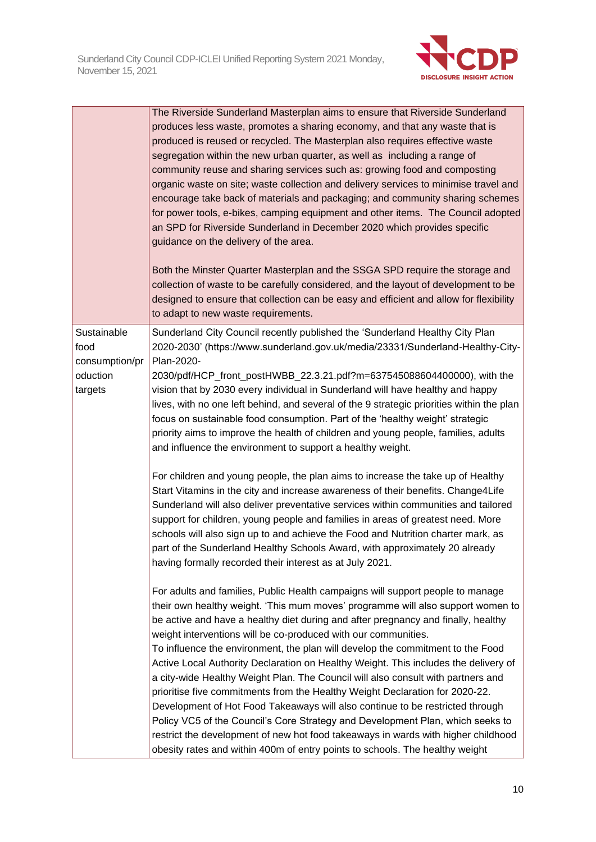

|                                       | The Riverside Sunderland Masterplan aims to ensure that Riverside Sunderland<br>produces less waste, promotes a sharing economy, and that any waste that is<br>produced is reused or recycled. The Masterplan also requires effective waste<br>segregation within the new urban quarter, as well as including a range of<br>community reuse and sharing services such as: growing food and composting<br>organic waste on site; waste collection and delivery services to minimise travel and<br>encourage take back of materials and packaging; and community sharing schemes<br>for power tools, e-bikes, camping equipment and other items. The Council adopted<br>an SPD for Riverside Sunderland in December 2020 which provides specific<br>guidance on the delivery of the area.<br>Both the Minster Quarter Masterplan and the SSGA SPD require the storage and<br>collection of waste to be carefully considered, and the layout of development to be |
|---------------------------------------|----------------------------------------------------------------------------------------------------------------------------------------------------------------------------------------------------------------------------------------------------------------------------------------------------------------------------------------------------------------------------------------------------------------------------------------------------------------------------------------------------------------------------------------------------------------------------------------------------------------------------------------------------------------------------------------------------------------------------------------------------------------------------------------------------------------------------------------------------------------------------------------------------------------------------------------------------------------|
|                                       | designed to ensure that collection can be easy and efficient and allow for flexibility<br>to adapt to new waste requirements.                                                                                                                                                                                                                                                                                                                                                                                                                                                                                                                                                                                                                                                                                                                                                                                                                                  |
| Sustainable<br>food<br>consumption/pr | Sunderland City Council recently published the 'Sunderland Healthy City Plan<br>2020-2030' (https://www.sunderland.gov.uk/media/23331/Sunderland-Healthy-City-<br>Plan-2020-                                                                                                                                                                                                                                                                                                                                                                                                                                                                                                                                                                                                                                                                                                                                                                                   |
| oduction<br>targets                   | 2030/pdf/HCP_front_postHWBB_22.3.21.pdf?m=637545088604400000), with the<br>vision that by 2030 every individual in Sunderland will have healthy and happy<br>lives, with no one left behind, and several of the 9 strategic priorities within the plan<br>focus on sustainable food consumption. Part of the 'healthy weight' strategic<br>priority aims to improve the health of children and young people, families, adults<br>and influence the environment to support a healthy weight.                                                                                                                                                                                                                                                                                                                                                                                                                                                                    |
|                                       | For children and young people, the plan aims to increase the take up of Healthy<br>Start Vitamins in the city and increase awareness of their benefits. Change4Life<br>Sunderland will also deliver preventative services within communities and tailored<br>support for children, young people and families in areas of greatest need. More<br>schools will also sign up to and achieve the Food and Nutrition charter mark, as<br>part of the Sunderland Healthy Schools Award, with approximately 20 already<br>having formally recorded their interest as at July 2021.                                                                                                                                                                                                                                                                                                                                                                                    |
|                                       | For adults and families, Public Health campaigns will support people to manage<br>their own healthy weight. 'This mum moves' programme will also support women to<br>be active and have a healthy diet during and after pregnancy and finally, healthy<br>weight interventions will be co-produced with our communities.                                                                                                                                                                                                                                                                                                                                                                                                                                                                                                                                                                                                                                       |
|                                       | To influence the environment, the plan will develop the commitment to the Food<br>Active Local Authority Declaration on Healthy Weight. This includes the delivery of<br>a city-wide Healthy Weight Plan. The Council will also consult with partners and<br>prioritise five commitments from the Healthy Weight Declaration for 2020-22.<br>Development of Hot Food Takeaways will also continue to be restricted through<br>Policy VC5 of the Council's Core Strategy and Development Plan, which seeks to<br>restrict the development of new hot food takeaways in wards with higher childhood<br>obesity rates and within 400m of entry points to schools. The healthy weight                                                                                                                                                                                                                                                                              |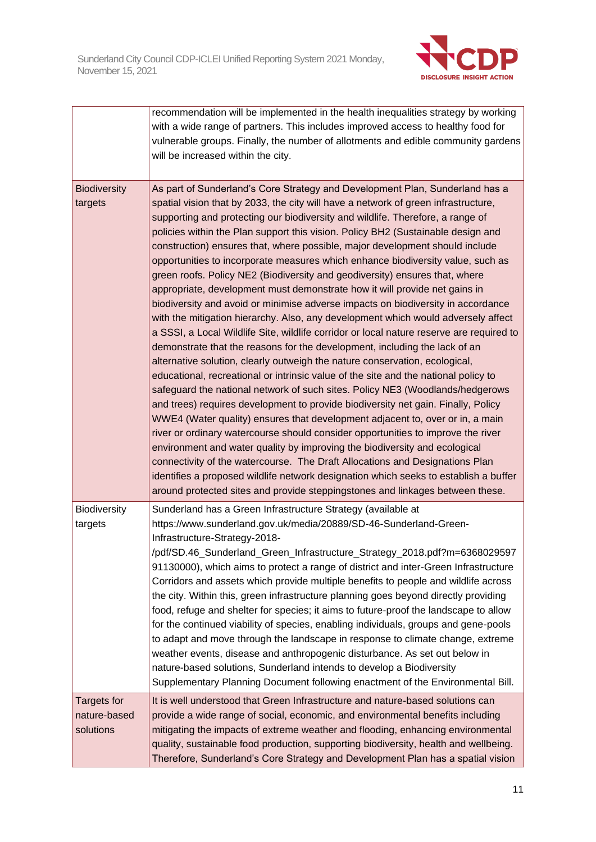

|                                          | recommendation will be implemented in the health inequalities strategy by working<br>with a wide range of partners. This includes improved access to healthy food for<br>vulnerable groups. Finally, the number of allotments and edible community gardens<br>will be increased within the city.                                                                                                                                                                                                                                                                                                                                                                                                                                                                                                                                                                                                                                                                                                                                                                                                                                                                                                                                                                                                                                                                                                                                                                                                                                                                                                                                                                                                                                                                                                                                                                                    |
|------------------------------------------|-------------------------------------------------------------------------------------------------------------------------------------------------------------------------------------------------------------------------------------------------------------------------------------------------------------------------------------------------------------------------------------------------------------------------------------------------------------------------------------------------------------------------------------------------------------------------------------------------------------------------------------------------------------------------------------------------------------------------------------------------------------------------------------------------------------------------------------------------------------------------------------------------------------------------------------------------------------------------------------------------------------------------------------------------------------------------------------------------------------------------------------------------------------------------------------------------------------------------------------------------------------------------------------------------------------------------------------------------------------------------------------------------------------------------------------------------------------------------------------------------------------------------------------------------------------------------------------------------------------------------------------------------------------------------------------------------------------------------------------------------------------------------------------------------------------------------------------------------------------------------------------|
| <b>Biodiversity</b><br>targets           | As part of Sunderland's Core Strategy and Development Plan, Sunderland has a<br>spatial vision that by 2033, the city will have a network of green infrastructure,<br>supporting and protecting our biodiversity and wildlife. Therefore, a range of<br>policies within the Plan support this vision. Policy BH2 (Sustainable design and<br>construction) ensures that, where possible, major development should include<br>opportunities to incorporate measures which enhance biodiversity value, such as<br>green roofs. Policy NE2 (Biodiversity and geodiversity) ensures that, where<br>appropriate, development must demonstrate how it will provide net gains in<br>biodiversity and avoid or minimise adverse impacts on biodiversity in accordance<br>with the mitigation hierarchy. Also, any development which would adversely affect<br>a SSSI, a Local Wildlife Site, wildlife corridor or local nature reserve are required to<br>demonstrate that the reasons for the development, including the lack of an<br>alternative solution, clearly outweigh the nature conservation, ecological,<br>educational, recreational or intrinsic value of the site and the national policy to<br>safeguard the national network of such sites. Policy NE3 (Woodlands/hedgerows<br>and trees) requires development to provide biodiversity net gain. Finally, Policy<br>WWE4 (Water quality) ensures that development adjacent to, over or in, a main<br>river or ordinary watercourse should consider opportunities to improve the river<br>environment and water quality by improving the biodiversity and ecological<br>connectivity of the watercourse. The Draft Allocations and Designations Plan<br>identifies a proposed wildlife network designation which seeks to establish a buffer<br>around protected sites and provide steppingstones and linkages between these. |
| Biodiversity<br>targets                  | Sunderland has a Green Infrastructure Strategy (available at<br>https://www.sunderland.gov.uk/media/20889/SD-46-Sunderland-Green-<br>Infrastructure-Strategy-2018-<br>/pdf/SD.46_Sunderland_Green_Infrastructure_Strategy_2018.pdf?m=6368029597<br>91130000), which aims to protect a range of district and inter-Green Infrastructure<br>Corridors and assets which provide multiple benefits to people and wildlife across<br>the city. Within this, green infrastructure planning goes beyond directly providing<br>food, refuge and shelter for species; it aims to future-proof the landscape to allow<br>for the continued viability of species, enabling individuals, groups and gene-pools<br>to adapt and move through the landscape in response to climate change, extreme<br>weather events, disease and anthropogenic disturbance. As set out below in<br>nature-based solutions, Sunderland intends to develop a Biodiversity<br>Supplementary Planning Document following enactment of the Environmental Bill.                                                                                                                                                                                                                                                                                                                                                                                                                                                                                                                                                                                                                                                                                                                                                                                                                                                        |
| Targets for<br>nature-based<br>solutions | It is well understood that Green Infrastructure and nature-based solutions can<br>provide a wide range of social, economic, and environmental benefits including<br>mitigating the impacts of extreme weather and flooding, enhancing environmental<br>quality, sustainable food production, supporting biodiversity, health and wellbeing.<br>Therefore, Sunderland's Core Strategy and Development Plan has a spatial vision                                                                                                                                                                                                                                                                                                                                                                                                                                                                                                                                                                                                                                                                                                                                                                                                                                                                                                                                                                                                                                                                                                                                                                                                                                                                                                                                                                                                                                                      |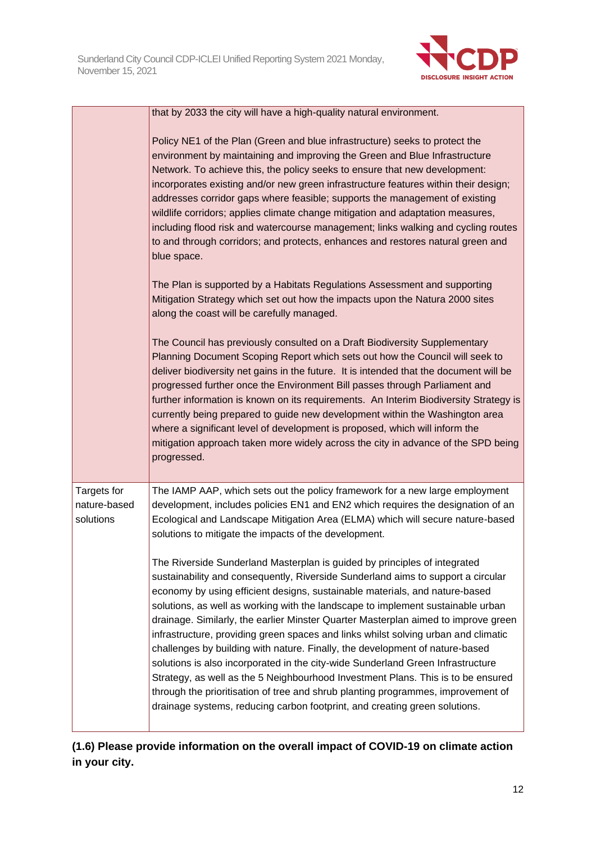

|                                          | that by 2033 the city will have a high-quality natural environment.                                                                                                                                                                                                                                                                                                                                                                                                                                                                                                                                                                                                                                                                                                                                                                                                                                                                  |
|------------------------------------------|--------------------------------------------------------------------------------------------------------------------------------------------------------------------------------------------------------------------------------------------------------------------------------------------------------------------------------------------------------------------------------------------------------------------------------------------------------------------------------------------------------------------------------------------------------------------------------------------------------------------------------------------------------------------------------------------------------------------------------------------------------------------------------------------------------------------------------------------------------------------------------------------------------------------------------------|
|                                          | Policy NE1 of the Plan (Green and blue infrastructure) seeks to protect the<br>environment by maintaining and improving the Green and Blue Infrastructure<br>Network. To achieve this, the policy seeks to ensure that new development:<br>incorporates existing and/or new green infrastructure features within their design;<br>addresses corridor gaps where feasible; supports the management of existing<br>wildlife corridors; applies climate change mitigation and adaptation measures,<br>including flood risk and watercourse management; links walking and cycling routes<br>to and through corridors; and protects, enhances and restores natural green and<br>blue space.                                                                                                                                                                                                                                               |
|                                          | The Plan is supported by a Habitats Regulations Assessment and supporting<br>Mitigation Strategy which set out how the impacts upon the Natura 2000 sites<br>along the coast will be carefully managed.                                                                                                                                                                                                                                                                                                                                                                                                                                                                                                                                                                                                                                                                                                                              |
|                                          | The Council has previously consulted on a Draft Biodiversity Supplementary<br>Planning Document Scoping Report which sets out how the Council will seek to<br>deliver biodiversity net gains in the future. It is intended that the document will be<br>progressed further once the Environment Bill passes through Parliament and<br>further information is known on its requirements. An Interim Biodiversity Strategy is<br>currently being prepared to guide new development within the Washington area<br>where a significant level of development is proposed, which will inform the<br>mitigation approach taken more widely across the city in advance of the SPD being<br>progressed.                                                                                                                                                                                                                                       |
| Targets for<br>nature-based<br>solutions | The IAMP AAP, which sets out the policy framework for a new large employment<br>development, includes policies EN1 and EN2 which requires the designation of an<br>Ecological and Landscape Mitigation Area (ELMA) which will secure nature-based<br>solutions to mitigate the impacts of the development.                                                                                                                                                                                                                                                                                                                                                                                                                                                                                                                                                                                                                           |
|                                          | The Riverside Sunderland Masterplan is guided by principles of integrated<br>sustainability and consequently, Riverside Sunderland aims to support a circular<br>economy by using efficient designs, sustainable materials, and nature-based<br>solutions, as well as working with the landscape to implement sustainable urban<br>drainage. Similarly, the earlier Minster Quarter Masterplan aimed to improve green<br>infrastructure, providing green spaces and links whilst solving urban and climatic<br>challenges by building with nature. Finally, the development of nature-based<br>solutions is also incorporated in the city-wide Sunderland Green Infrastructure<br>Strategy, as well as the 5 Neighbourhood Investment Plans. This is to be ensured<br>through the prioritisation of tree and shrub planting programmes, improvement of<br>drainage systems, reducing carbon footprint, and creating green solutions. |

**(1.6) Please provide information on the overall impact of COVID-19 on climate action in your city.**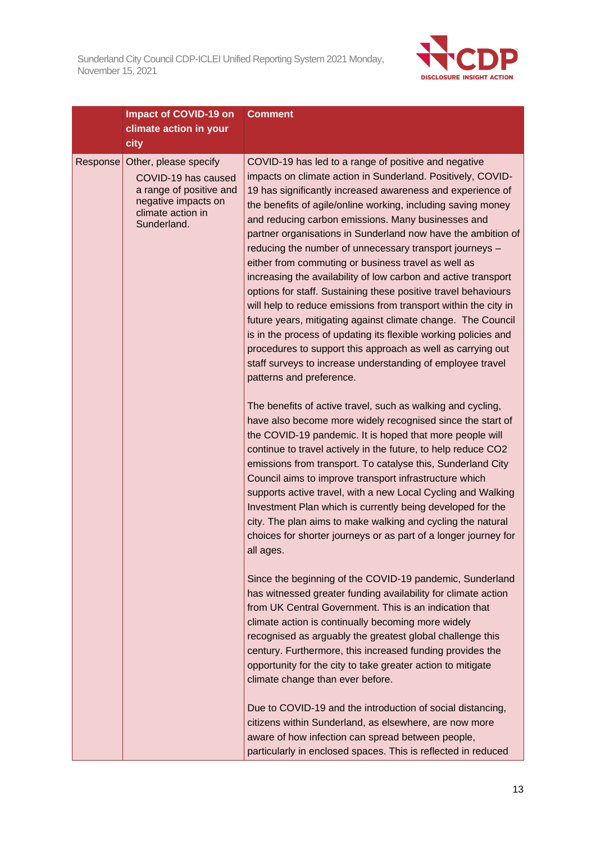

|          | <b>Impact of COVID-19 on</b>                                                                                                       | <b>Comment</b>                                                                                                                                                                                                                                                                                                                                                                                                                                                                                                                                                                                                                                                                                                                                                                                                                                                                                                                                                                               |
|----------|------------------------------------------------------------------------------------------------------------------------------------|----------------------------------------------------------------------------------------------------------------------------------------------------------------------------------------------------------------------------------------------------------------------------------------------------------------------------------------------------------------------------------------------------------------------------------------------------------------------------------------------------------------------------------------------------------------------------------------------------------------------------------------------------------------------------------------------------------------------------------------------------------------------------------------------------------------------------------------------------------------------------------------------------------------------------------------------------------------------------------------------|
|          | climate action in your                                                                                                             |                                                                                                                                                                                                                                                                                                                                                                                                                                                                                                                                                                                                                                                                                                                                                                                                                                                                                                                                                                                              |
|          | city                                                                                                                               |                                                                                                                                                                                                                                                                                                                                                                                                                                                                                                                                                                                                                                                                                                                                                                                                                                                                                                                                                                                              |
| Response | Other, please specify<br>COVID-19 has caused<br>a range of positive and<br>negative impacts on<br>climate action in<br>Sunderland. | COVID-19 has led to a range of positive and negative<br>impacts on climate action in Sunderland. Positively, COVID-<br>19 has significantly increased awareness and experience of<br>the benefits of agile/online working, including saving money<br>and reducing carbon emissions. Many businesses and<br>partner organisations in Sunderland now have the ambition of<br>reducing the number of unnecessary transport journeys -<br>either from commuting or business travel as well as<br>increasing the availability of low carbon and active transport<br>options for staff. Sustaining these positive travel behaviours<br>will help to reduce emissions from transport within the city in<br>future years, mitigating against climate change. The Council<br>is in the process of updating its flexible working policies and<br>procedures to support this approach as well as carrying out<br>staff surveys to increase understanding of employee travel<br>patterns and preference. |
|          |                                                                                                                                    | The benefits of active travel, such as walking and cycling,<br>have also become more widely recognised since the start of<br>the COVID-19 pandemic. It is hoped that more people will<br>continue to travel actively in the future, to help reduce CO2<br>emissions from transport. To catalyse this, Sunderland City<br>Council aims to improve transport infrastructure which<br>supports active travel, with a new Local Cycling and Walking<br>Investment Plan which is currently being developed for the<br>city. The plan aims to make walking and cycling the natural<br>choices for shorter journeys or as part of a longer journey for<br>all ages.                                                                                                                                                                                                                                                                                                                                 |
|          |                                                                                                                                    | Since the beginning of the COVID-19 pandemic, Sunderland<br>has witnessed greater funding availability for climate action<br>from UK Central Government. This is an indication that<br>climate action is continually becoming more widely<br>recognised as arguably the greatest global challenge this<br>century. Furthermore, this increased funding provides the<br>opportunity for the city to take greater action to mitigate<br>climate change than ever before.                                                                                                                                                                                                                                                                                                                                                                                                                                                                                                                       |
|          |                                                                                                                                    | Due to COVID-19 and the introduction of social distancing,<br>citizens within Sunderland, as elsewhere, are now more<br>aware of how infection can spread between people,<br>particularly in enclosed spaces. This is reflected in reduced                                                                                                                                                                                                                                                                                                                                                                                                                                                                                                                                                                                                                                                                                                                                                   |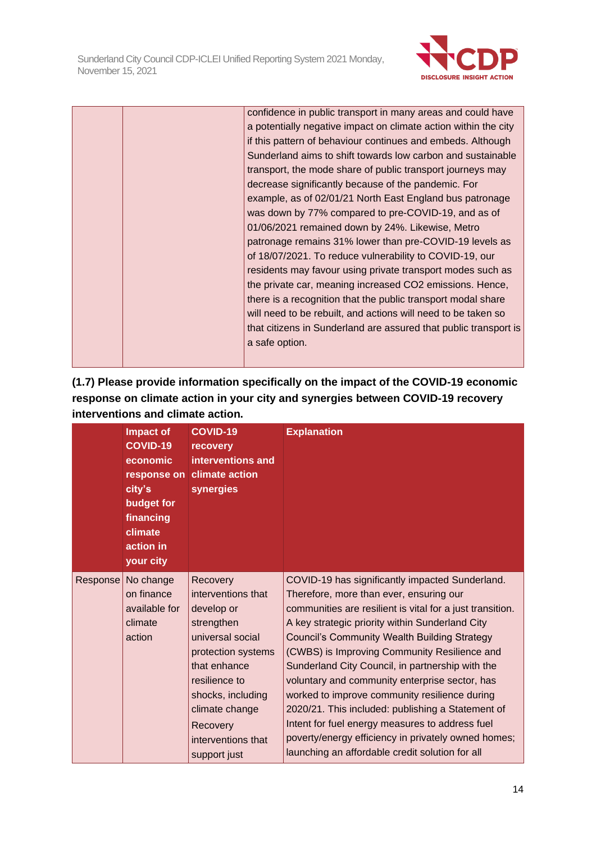

|  | confidence in public transport in many areas and could have      |
|--|------------------------------------------------------------------|
|  | a potentially negative impact on climate action within the city  |
|  | if this pattern of behaviour continues and embeds. Although      |
|  | Sunderland aims to shift towards low carbon and sustainable      |
|  | transport, the mode share of public transport journeys may       |
|  | decrease significantly because of the pandemic. For              |
|  | example, as of 02/01/21 North East England bus patronage         |
|  | was down by 77% compared to pre-COVID-19, and as of              |
|  | 01/06/2021 remained down by 24%. Likewise, Metro                 |
|  | patronage remains 31% lower than pre-COVID-19 levels as          |
|  | of 18/07/2021. To reduce vulnerability to COVID-19, our          |
|  | residents may favour using private transport modes such as       |
|  | the private car, meaning increased CO2 emissions. Hence,         |
|  | there is a recognition that the public transport modal share     |
|  | will need to be rebuilt, and actions will need to be taken so    |
|  | that citizens in Sunderland are assured that public transport is |
|  | a safe option.                                                   |
|  |                                                                  |
|  |                                                                  |

| (1.7) Please provide information specifically on the impact of the COVID-19 economic |
|--------------------------------------------------------------------------------------|
| response on climate action in your city and synergies between COVID-19 recovery      |
| interventions and climate action.                                                    |

|          | Impact of<br><b>COVID-19</b><br>economic<br>response on<br>city's<br>budget for<br>financing<br>climate<br>action in<br>your city | <b>COVID-19</b><br>recovery<br>interventions and<br>climate action<br>synergies                                                                                                                                                | <b>Explanation</b>                                                                                                                                                                                                                                                                                                                                                                                                                                                                                                                                                                                                                                                                         |
|----------|-----------------------------------------------------------------------------------------------------------------------------------|--------------------------------------------------------------------------------------------------------------------------------------------------------------------------------------------------------------------------------|--------------------------------------------------------------------------------------------------------------------------------------------------------------------------------------------------------------------------------------------------------------------------------------------------------------------------------------------------------------------------------------------------------------------------------------------------------------------------------------------------------------------------------------------------------------------------------------------------------------------------------------------------------------------------------------------|
| Response | No change<br>on finance<br>available for<br>climate<br>action                                                                     | Recovery<br>interventions that<br>develop or<br>strengthen<br>universal social<br>protection systems<br>that enhance<br>resilience to<br>shocks, including<br>climate change<br>Recovery<br>interventions that<br>support just | COVID-19 has significantly impacted Sunderland.<br>Therefore, more than ever, ensuring our<br>communities are resilient is vital for a just transition.<br>A key strategic priority within Sunderland City<br><b>Council's Community Wealth Building Strategy</b><br>(CWBS) is Improving Community Resilience and<br>Sunderland City Council, in partnership with the<br>voluntary and community enterprise sector, has<br>worked to improve community resilience during<br>2020/21. This included: publishing a Statement of<br>Intent for fuel energy measures to address fuel<br>poverty/energy efficiency in privately owned homes;<br>launching an affordable credit solution for all |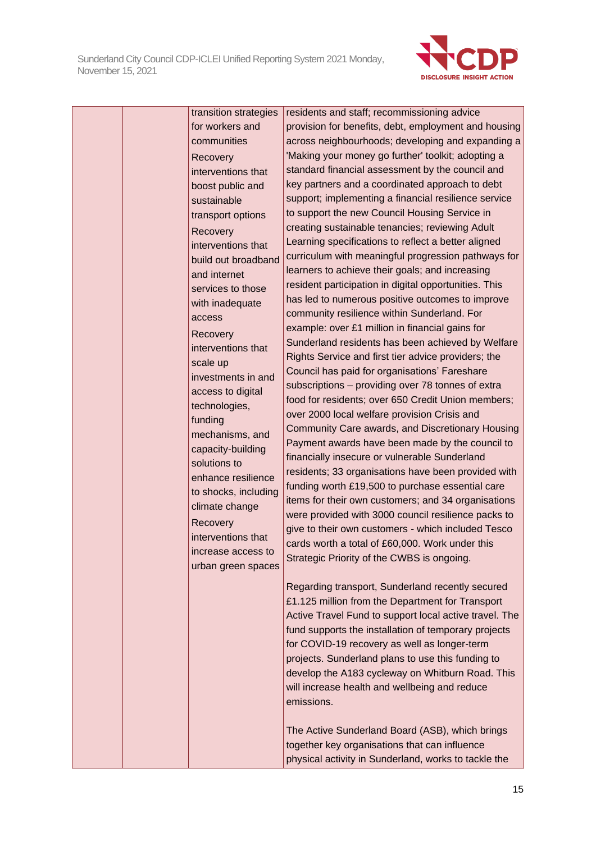

| transition strategies | residents and staff; recommissioning advice                                                                    |
|-----------------------|----------------------------------------------------------------------------------------------------------------|
| for workers and       | provision for benefits, debt, employment and housing                                                           |
| communities           | across neighbourhoods; developing and expanding a                                                              |
| Recovery              | 'Making your money go further' toolkit; adopting a                                                             |
| interventions that    | standard financial assessment by the council and                                                               |
| boost public and      | key partners and a coordinated approach to debt                                                                |
| sustainable           | support; implementing a financial resilience service                                                           |
| transport options     | to support the new Council Housing Service in                                                                  |
| Recovery              | creating sustainable tenancies; reviewing Adult                                                                |
| interventions that    | Learning specifications to reflect a better aligned                                                            |
| build out broadband   | curriculum with meaningful progression pathways for                                                            |
| and internet          | learners to achieve their goals; and increasing                                                                |
| services to those     | resident participation in digital opportunities. This                                                          |
| with inadequate       | has led to numerous positive outcomes to improve                                                               |
| access                | community resilience within Sunderland. For                                                                    |
| Recovery              | example: over £1 million in financial gains for                                                                |
| interventions that    | Sunderland residents has been achieved by Welfare                                                              |
| scale up              | Rights Service and first tier advice providers; the                                                            |
| investments in and    | Council has paid for organisations' Fareshare                                                                  |
| access to digital     | subscriptions - providing over 78 tonnes of extra                                                              |
| technologies,         | food for residents; over 650 Credit Union members;                                                             |
| funding               | over 2000 local welfare provision Crisis and                                                                   |
| mechanisms, and       | Community Care awards, and Discretionary Housing                                                               |
| capacity-building     | Payment awards have been made by the council to                                                                |
| solutions to          | financially insecure or vulnerable Sunderland                                                                  |
| enhance resilience    | residents; 33 organisations have been provided with                                                            |
| to shocks, including  | funding worth £19,500 to purchase essential care                                                               |
| climate change        | items for their own customers; and 34 organisations                                                            |
| Recovery              | were provided with 3000 council resilience packs to                                                            |
| interventions that    | give to their own customers - which included Tesco                                                             |
| increase access to    | cards worth a total of £60,000. Work under this                                                                |
| urban green spaces    | Strategic Priority of the CWBS is ongoing.                                                                     |
|                       |                                                                                                                |
|                       | Regarding transport, Sunderland recently secured                                                               |
|                       | £1.125 million from the Department for Transport                                                               |
|                       | Active Travel Fund to support local active travel. The                                                         |
|                       | fund supports the installation of temporary projects                                                           |
|                       | for COVID-19 recovery as well as longer-term                                                                   |
|                       | projects. Sunderland plans to use this funding to<br>develop the A183 cycleway on Whitburn Road. This          |
|                       |                                                                                                                |
|                       |                                                                                                                |
|                       |                                                                                                                |
|                       |                                                                                                                |
|                       | together key organisations that can influence                                                                  |
|                       | physical activity in Sunderland, works to tackle the                                                           |
|                       | will increase health and wellbeing and reduce<br>emissions.<br>The Active Sunderland Board (ASB), which brings |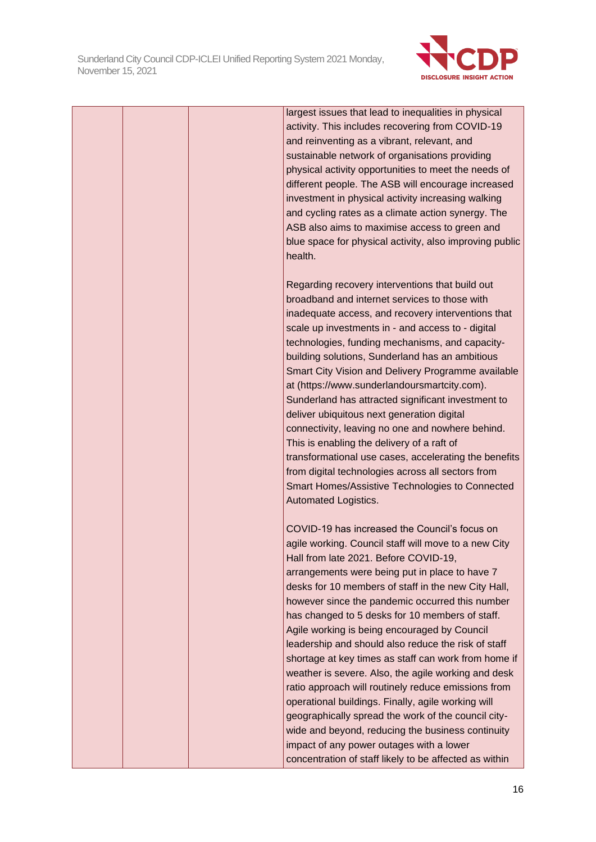

|  | largest issues that lead to inequalities in physical<br>activity. This includes recovering from COVID-19<br>and reinventing as a vibrant, relevant, and<br>sustainable network of organisations providing<br>physical activity opportunities to meet the needs of<br>different people. The ASB will encourage increased<br>investment in physical activity increasing walking<br>and cycling rates as a climate action synergy. The<br>ASB also aims to maximise access to green and<br>blue space for physical activity, also improving public<br>health.                                                                                                                                                                                                                                                                                                                                                         |
|--|--------------------------------------------------------------------------------------------------------------------------------------------------------------------------------------------------------------------------------------------------------------------------------------------------------------------------------------------------------------------------------------------------------------------------------------------------------------------------------------------------------------------------------------------------------------------------------------------------------------------------------------------------------------------------------------------------------------------------------------------------------------------------------------------------------------------------------------------------------------------------------------------------------------------|
|  | Regarding recovery interventions that build out<br>broadband and internet services to those with<br>inadequate access, and recovery interventions that<br>scale up investments in - and access to - digital<br>technologies, funding mechanisms, and capacity-<br>building solutions, Sunderland has an ambitious<br>Smart City Vision and Delivery Programme available<br>at (https://www.sunderlandoursmartcity.com).<br>Sunderland has attracted significant investment to<br>deliver ubiquitous next generation digital<br>connectivity, leaving no one and nowhere behind.<br>This is enabling the delivery of a raft of<br>transformational use cases, accelerating the benefits<br>from digital technologies across all sectors from<br>Smart Homes/Assistive Technologies to Connected<br>Automated Logistics.                                                                                             |
|  | COVID-19 has increased the Council's focus on<br>agile working. Council staff will move to a new City<br>Hall from late 2021. Before COVID-19,<br>arrangements were being put in place to have 7<br>desks for 10 members of staff in the new City Hall,<br>however since the pandemic occurred this number<br>has changed to 5 desks for 10 members of staff.<br>Agile working is being encouraged by Council<br>leadership and should also reduce the risk of staff<br>shortage at key times as staff can work from home if<br>weather is severe. Also, the agile working and desk<br>ratio approach will routinely reduce emissions from<br>operational buildings. Finally, agile working will<br>geographically spread the work of the council city-<br>wide and beyond, reducing the business continuity<br>impact of any power outages with a lower<br>concentration of staff likely to be affected as within |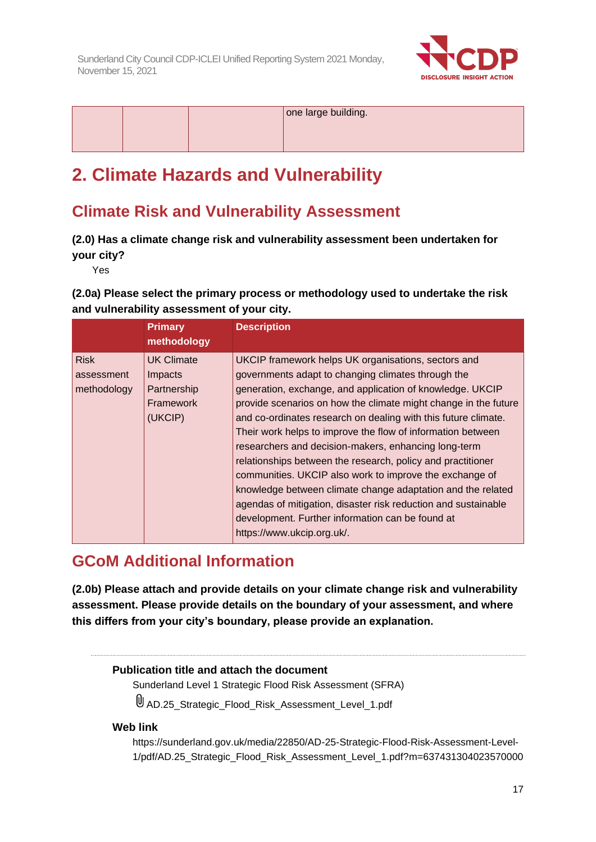

|  | one large building. |
|--|---------------------|
|  |                     |
|  |                     |

# **2. Climate Hazards and Vulnerability**

# **Climate Risk and Vulnerability Assessment**

## **(2.0) Has a climate change risk and vulnerability assessment been undertaken for your city?**

Yes

**(2.0a) Please select the primary process or methodology used to undertake the risk and vulnerability assessment of your city.**

|                                          | <b>Primary</b><br>methodology                                       | <b>Description</b>                                                                                                                                                                                                                                                                                                                                                                                                                                                                                                                                                                                                                                                                                                                                                              |
|------------------------------------------|---------------------------------------------------------------------|---------------------------------------------------------------------------------------------------------------------------------------------------------------------------------------------------------------------------------------------------------------------------------------------------------------------------------------------------------------------------------------------------------------------------------------------------------------------------------------------------------------------------------------------------------------------------------------------------------------------------------------------------------------------------------------------------------------------------------------------------------------------------------|
| <b>Risk</b><br>assessment<br>methodology | <b>UK Climate</b><br>Impacts<br>Partnership<br>Framework<br>(UKCIP) | UKCIP framework helps UK organisations, sectors and<br>governments adapt to changing climates through the<br>generation, exchange, and application of knowledge. UKCIP<br>provide scenarios on how the climate might change in the future<br>and co-ordinates research on dealing with this future climate.<br>Their work helps to improve the flow of information between<br>researchers and decision-makers, enhancing long-term<br>relationships between the research, policy and practitioner<br>communities. UKCIP also work to improve the exchange of<br>knowledge between climate change adaptation and the related<br>agendas of mitigation, disaster risk reduction and sustainable<br>development. Further information can be found at<br>https://www.ukcip.org.uk/. |

# **GCoM Additional Information**

**(2.0b) Please attach and provide details on your climate change risk and vulnerability assessment. Please provide details on the boundary of your assessment, and where this differs from your city's boundary, please provide an explanation.**

## **Publication title and attach the document**

Sunderland Level 1 Strategic Flood Risk Assessment (SFRA) AD.25\_Strategic\_Flood\_Risk\_Assessment\_Level\_1.pdf

## **Web link**

https://sunderland.gov.uk/media/22850/AD-25-Strategic-Flood-Risk-Assessment-Level-1/pdf/AD.25\_Strategic\_Flood\_Risk\_Assessment\_Level\_1.pdf?m=637431304023570000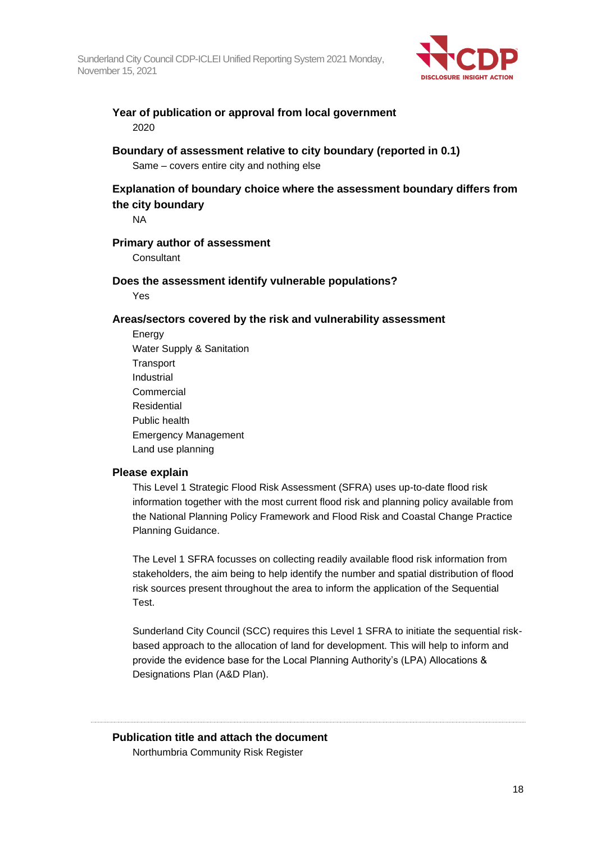

## **Year of publication or approval from local government** 2020

### **Boundary of assessment relative to city boundary (reported in 0.1)**

Same – covers entire city and nothing else

## **Explanation of boundary choice where the assessment boundary differs from the city boundary**

NA

### **Primary author of assessment**

**Consultant** 

#### **Does the assessment identify vulnerable populations?**

Yes

## **Areas/sectors covered by the risk and vulnerability assessment**

Energy Water Supply & Sanitation **Transport** Industrial Commercial Residential Public health Emergency Management Land use planning

#### **Please explain**

This Level 1 Strategic Flood Risk Assessment (SFRA) uses up-to-date flood risk information together with the most current flood risk and planning policy available from the National Planning Policy Framework and Flood Risk and Coastal Change Practice Planning Guidance.

The Level 1 SFRA focusses on collecting readily available flood risk information from stakeholders, the aim being to help identify the number and spatial distribution of flood risk sources present throughout the area to inform the application of the Sequential Test.

Sunderland City Council (SCC) requires this Level 1 SFRA to initiate the sequential riskbased approach to the allocation of land for development. This will help to inform and provide the evidence base for the Local Planning Authority's (LPA) Allocations & Designations Plan (A&D Plan).

# **Publication title and attach the document**

Northumbria Community Risk Register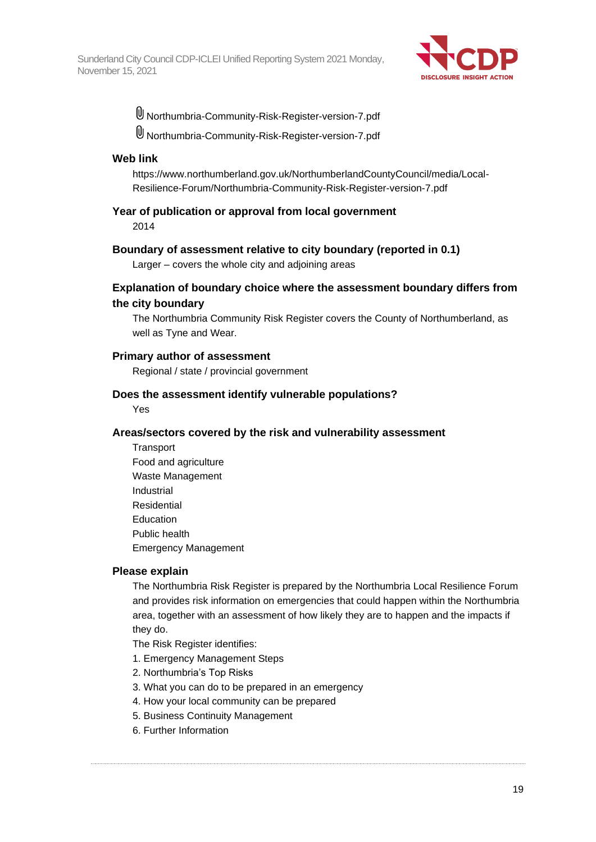

Northumbria-Community-Risk-Register-version-7.pdf

Northumbria-Community-Risk-Register-version-7.pdf

## **Web link**

https://www.northumberland.gov.uk/NorthumberlandCountyCouncil/media/Local-Resilience-Forum/Northumbria-Community-Risk-Register-version-7.pdf

### **Year of publication or approval from local government**

2014

### **Boundary of assessment relative to city boundary (reported in 0.1)**

Larger – covers the whole city and adjoining areas

## **Explanation of boundary choice where the assessment boundary differs from the city boundary**

The Northumbria Community Risk Register covers the County of Northumberland, as well as Tyne and Wear.

### **Primary author of assessment**

Regional / state / provincial government

#### **Does the assessment identify vulnerable populations?**

Yes

#### **Areas/sectors covered by the risk and vulnerability assessment**

**Transport** Food and agriculture Waste Management Industrial Residential Education Public health Emergency Management

#### **Please explain**

The Northumbria Risk Register is prepared by the Northumbria Local Resilience Forum and provides risk information on emergencies that could happen within the Northumbria area, together with an assessment of how likely they are to happen and the impacts if they do.

The Risk Register identifies:

- 1. Emergency Management Steps
- 2. Northumbria's Top Risks
- 3. What you can do to be prepared in an emergency
- 4. How your local community can be prepared
- 5. Business Continuity Management
- 6. Further Information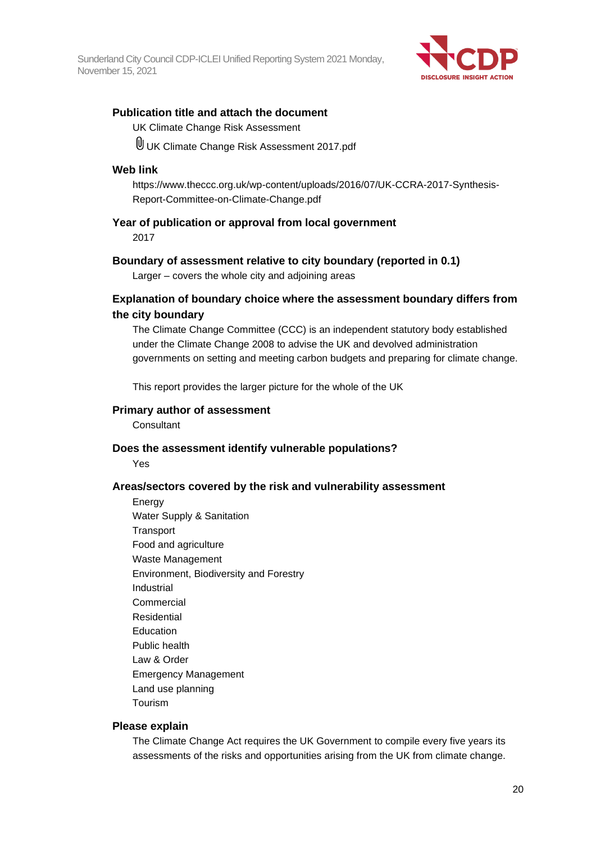

#### **Publication title and attach the document**

UK Climate Change Risk Assessment

UK Climate Change Risk Assessment 2017.pdf

## **Web link**

https://www.theccc.org.uk/wp-content/uploads/2016/07/UK-CCRA-2017-Synthesis-Report-Committee-on-Climate-Change.pdf

**Year of publication or approval from local government** 2017

### **Boundary of assessment relative to city boundary (reported in 0.1)**

Larger – covers the whole city and adjoining areas

## **Explanation of boundary choice where the assessment boundary differs from the city boundary**

The Climate Change Committee (CCC) is an independent statutory body established under the Climate Change 2008 to advise the UK and devolved administration governments on setting and meeting carbon budgets and preparing for climate change.

This report provides the larger picture for the whole of the UK

### **Primary author of assessment**

Consultant

#### **Does the assessment identify vulnerable populations?**

Yes

## **Areas/sectors covered by the risk and vulnerability assessment**

Energy Water Supply & Sanitation **Transport** Food and agriculture Waste Management Environment, Biodiversity and Forestry Industrial **Commercial** Residential Education Public health Law & Order Emergency Management Land use planning Tourism

#### **Please explain**

The Climate Change Act requires the UK Government to compile every five years its assessments of the risks and opportunities arising from the UK from climate change.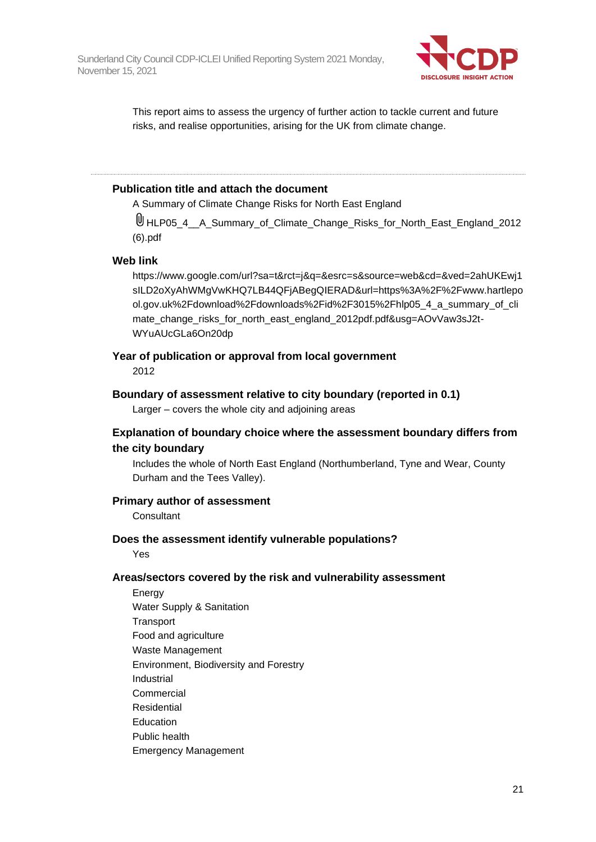

This report aims to assess the urgency of further action to tackle current and future risks, and realise opportunities, arising for the UK from climate change.

## **Publication title and attach the document**

A Summary of Climate Change Risks for North East England

UHLP05\_4 A Summary of Climate Change Risks for North East England 2012 (6).pdf

#### **Web link**

https://www.google.com/url?sa=t&rct=j&q=&esrc=s&source=web&cd=&ved=2ahUKEwj1 sILD2oXyAhWMgVwKHQ7LB44QFjABegQIERAD&url=https%3A%2F%2Fwww.hartlepo ol.gov.uk%2Fdownload%2Fdownloads%2Fid%2F3015%2Fhlp05\_4\_a\_summary\_of\_cli mate\_change\_risks\_for\_north\_east\_england\_2012pdf.pdf&usg=AOvVaw3sJ2t-WYuAUcGLa6On20dp

#### **Year of publication or approval from local government**

2012

#### **Boundary of assessment relative to city boundary (reported in 0.1)**

Larger – covers the whole city and adjoining areas

## **Explanation of boundary choice where the assessment boundary differs from the city boundary**

Includes the whole of North East England (Northumberland, Tyne and Wear, County Durham and the Tees Valley).

#### **Primary author of assessment**

**Consultant** 

#### **Does the assessment identify vulnerable populations?**

Yes

#### **Areas/sectors covered by the risk and vulnerability assessment**

Energy Water Supply & Sanitation **Transport** Food and agriculture Waste Management Environment, Biodiversity and Forestry Industrial Commercial Residential **Education** Public health Emergency Management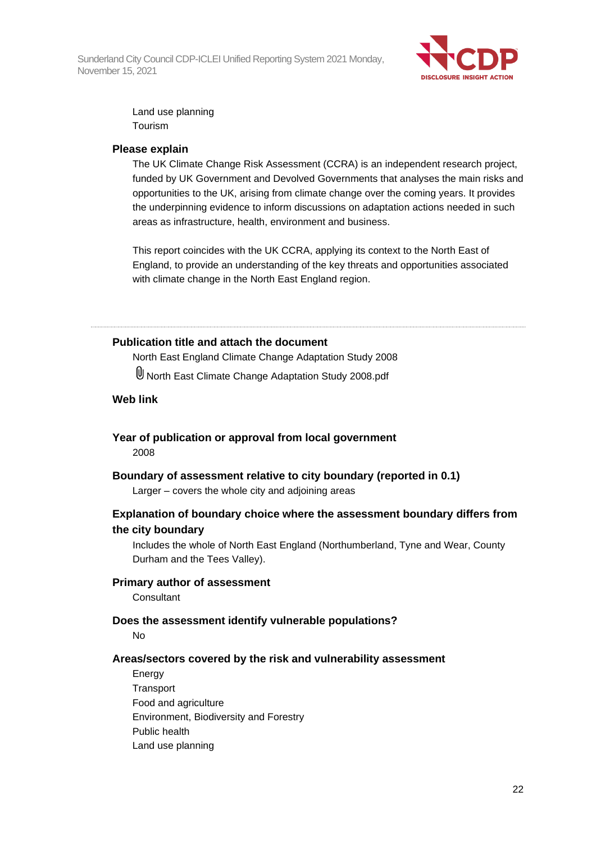

Land use planning Tourism

#### **Please explain**

The UK Climate Change Risk Assessment (CCRA) is an independent research project, funded by UK Government and Devolved Governments that analyses the main risks and opportunities to the UK, arising from climate change over the coming years. It provides the underpinning evidence to inform discussions on adaptation actions needed in such areas as infrastructure, health, environment and business.

This report coincides with the UK CCRA, applying its context to the North East of England, to provide an understanding of the key threats and opportunities associated with climate change in the North East England region.

#### **Publication title and attach the document**

North East England Climate Change Adaptation Study 2008

North East Climate Change Adaptation Study 2008.pdf

### **Web link**

## **Year of publication or approval from local government**

2008

## **Boundary of assessment relative to city boundary (reported in 0.1)**

Larger – covers the whole city and adjoining areas

## **Explanation of boundary choice where the assessment boundary differs from the city boundary**

Includes the whole of North East England (Northumberland, Tyne and Wear, County Durham and the Tees Valley).

#### **Primary author of assessment**

**Consultant** 

## **Does the assessment identify vulnerable populations?**

No

## **Areas/sectors covered by the risk and vulnerability assessment**

Energy Transport Food and agriculture Environment, Biodiversity and Forestry Public health Land use planning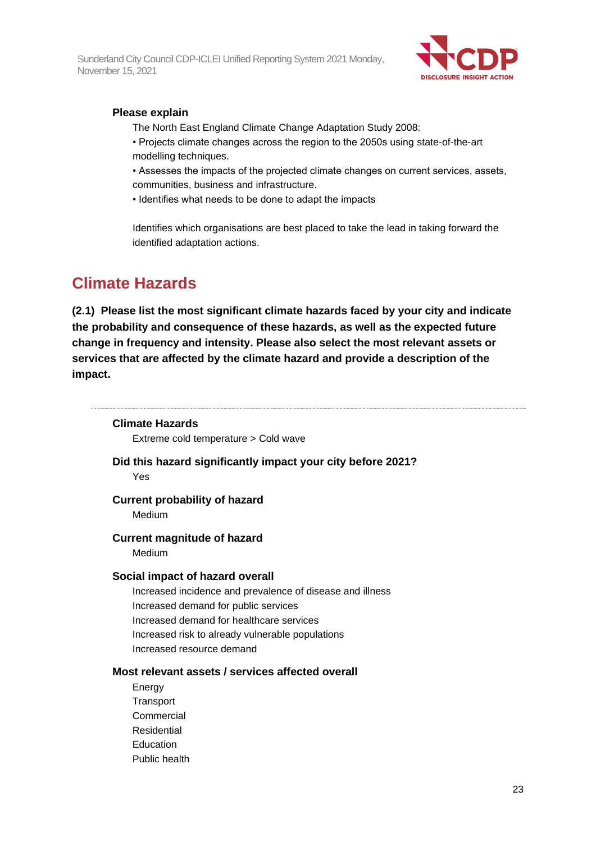

## **Please explain**

The North East England Climate Change Adaptation Study 2008:

• Projects climate changes across the region to the 2050s using state-of-the-art modelling techniques.

• Assesses the impacts of the projected climate changes on current services, assets, communities, business and infrastructure.

• Identifies what needs to be done to adapt the impacts

Identifies which organisations are best placed to take the lead in taking forward the identified adaptation actions.

## **Climate Hazards**

**(2.1) Please list the most significant climate hazards faced by your city and indicate the probability and consequence of these hazards, as well as the expected future change in frequency and intensity. Please also select the most relevant assets or services that are affected by the climate hazard and provide a description of the impact.**

#### **Climate Hazards**

Extreme cold temperature > Cold wave

# **Did this hazard significantly impact your city before 2021?**

Yes

## **Current probability of hazard**

Medium

## **Current magnitude of hazard**

Medium

#### **Social impact of hazard overall**

Increased incidence and prevalence of disease and illness Increased demand for public services Increased demand for healthcare services Increased risk to already vulnerable populations Increased resource demand

#### **Most relevant assets / services affected overall**

Energy **Transport** Commercial Residential Education Public health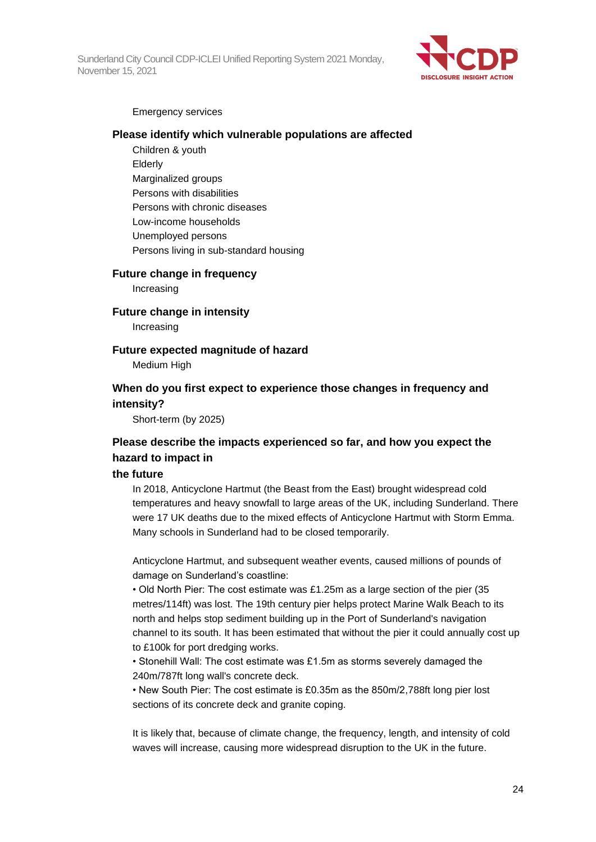

#### Emergency services

#### **Please identify which vulnerable populations are affected**

Children & youth Elderly Marginalized groups Persons with disabilities Persons with chronic diseases Low-income households Unemployed persons Persons living in sub-standard housing

#### **Future change in frequency**

Increasing

**Future change in intensity** Increasing

#### **Future expected magnitude of hazard**

Medium High

## **When do you first expect to experience those changes in frequency and intensity?**

Short-term (by 2025)

## **Please describe the impacts experienced so far, and how you expect the hazard to impact in**

#### **the future**

In 2018, Anticyclone Hartmut (the Beast from the East) brought widespread cold temperatures and heavy snowfall to large areas of the UK, including Sunderland. There were 17 UK deaths due to the mixed effects of Anticyclone Hartmut with Storm Emma. Many schools in Sunderland had to be closed temporarily.

Anticyclone Hartmut, and subsequent weather events, caused millions of pounds of damage on Sunderland's coastline:

• Old North Pier: The cost estimate was £1.25m as a large section of the pier (35 metres/114ft) was lost. The 19th century pier helps protect Marine Walk Beach to its north and helps stop sediment building up in the Port of Sunderland's navigation channel to its south. It has been estimated that without the pier it could annually cost up to £100k for port dredging works.

• Stonehill Wall: The cost estimate was £1.5m as storms severely damaged the 240m/787ft long wall's concrete deck.

• New South Pier: The cost estimate is £0.35m as the 850m/2,788ft long pier lost sections of its concrete deck and granite coping.

It is likely that, because of climate change, the frequency, length, and intensity of cold waves will increase, causing more widespread disruption to the UK in the future.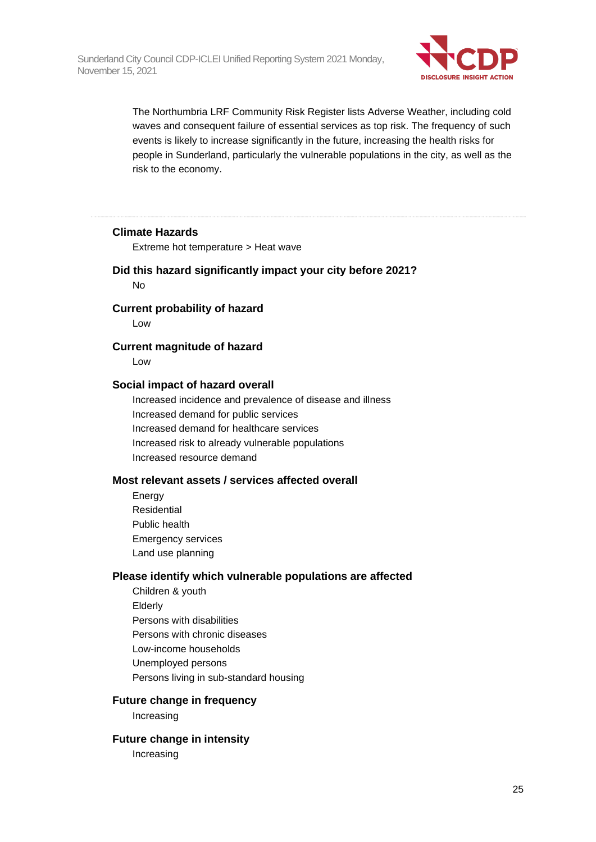

The Northumbria LRF Community Risk Register lists Adverse Weather, including cold waves and consequent failure of essential services as top risk. The frequency of such events is likely to increase significantly in the future, increasing the health risks for people in Sunderland, particularly the vulnerable populations in the city, as well as the risk to the economy.

#### **Climate Hazards**

Extreme hot temperature > Heat wave

#### **Did this hazard significantly impact your city before 2021?**

No

#### **Current probability of hazard**

Low

## **Current magnitude of hazard**

Low

#### **Social impact of hazard overall**

Increased incidence and prevalence of disease and illness Increased demand for public services Increased demand for healthcare services Increased risk to already vulnerable populations Increased resource demand

## **Most relevant assets / services affected overall**

Energy Residential Public health Emergency services Land use planning

#### **Please identify which vulnerable populations are affected**

- Children & youth Elderly Persons with disabilities Persons with chronic diseases Low-income households Unemployed persons Persons living in sub-standard housing
- 

## **Future change in frequency**

Increasing

#### **Future change in intensity**

Increasing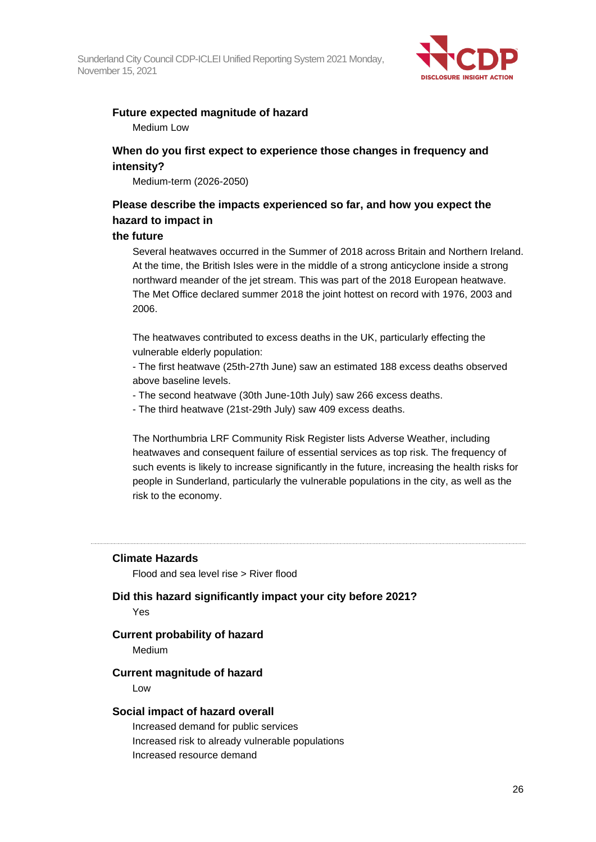

#### **Future expected magnitude of hazard** Medium Low

## **When do you first expect to experience those changes in frequency and intensity?**

Medium-term (2026-2050)

## **Please describe the impacts experienced so far, and how you expect the hazard to impact in**

### **the future**

Several heatwaves occurred in the Summer of 2018 across Britain and Northern Ireland. At the time, the British Isles were in the middle of a strong anticyclone inside a strong northward meander of the jet stream. This was part of the 2018 European heatwave. The Met Office declared summer 2018 the joint hottest on record with 1976, 2003 and 2006.

The heatwaves contributed to excess deaths in the UK, particularly effecting the vulnerable elderly population:

- The first heatwave (25th-27th June) saw an estimated 188 excess deaths observed above baseline levels.

- The second heatwave (30th June-10th July) saw 266 excess deaths.

- The third heatwave (21st-29th July) saw 409 excess deaths.

The Northumbria LRF Community Risk Register lists Adverse Weather, including heatwaves and consequent failure of essential services as top risk. The frequency of such events is likely to increase significantly in the future, increasing the health risks for people in Sunderland, particularly the vulnerable populations in the city, as well as the risk to the economy.

## **Climate Hazards**

Flood and sea level rise > River flood

## **Did this hazard significantly impact your city before 2021?**

Yes

## **Current probability of hazard**

Medium

#### **Current magnitude of hazard**

Low

#### **Social impact of hazard overall**

Increased demand for public services Increased risk to already vulnerable populations Increased resource demand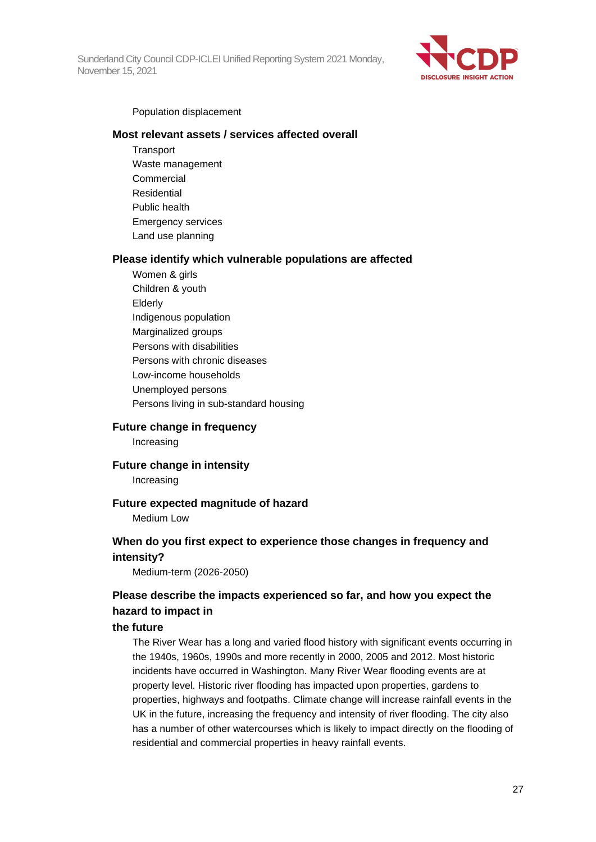

#### Population displacement

#### **Most relevant assets / services affected overall**

**Transport** Waste management **Commercial** Residential Public health Emergency services Land use planning

#### **Please identify which vulnerable populations are affected**

Women & girls Children & youth Elderly Indigenous population Marginalized groups Persons with disabilities Persons with chronic diseases Low-income households Unemployed persons Persons living in sub-standard housing

#### **Future change in frequency**

Increasing

**Future change in intensity**

Increasing

#### **Future expected magnitude of hazard**

Medium Low

## **When do you first expect to experience those changes in frequency and intensity?**

Medium-term (2026-2050)

## **Please describe the impacts experienced so far, and how you expect the hazard to impact in**

#### **the future**

The River Wear has a long and varied flood history with significant events occurring in the 1940s, 1960s, 1990s and more recently in 2000, 2005 and 2012. Most historic incidents have occurred in Washington. Many River Wear flooding events are at property level. Historic river flooding has impacted upon properties, gardens to properties, highways and footpaths. Climate change will increase rainfall events in the UK in the future, increasing the frequency and intensity of river flooding. The city also has a number of other watercourses which is likely to impact directly on the flooding of residential and commercial properties in heavy rainfall events.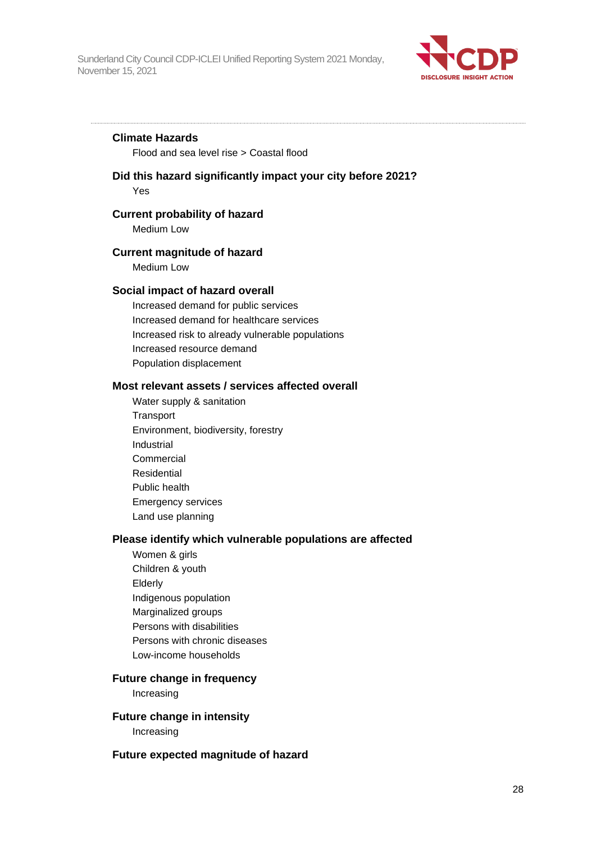

#### **Climate Hazards**

Flood and sea level rise > Coastal flood

## **Did this hazard significantly impact your city before 2021?**

Yes

## **Current probability of hazard**

Medium Low

#### **Current magnitude of hazard**

Medium Low

#### **Social impact of hazard overall**

Increased demand for public services Increased demand for healthcare services Increased risk to already vulnerable populations Increased resource demand Population displacement

#### **Most relevant assets / services affected overall**

Water supply & sanitation **Transport** Environment, biodiversity, forestry Industrial Commercial Residential Public health Emergency services Land use planning

#### **Please identify which vulnerable populations are affected**

Women & girls Children & youth Elderly Indigenous population Marginalized groups Persons with disabilities Persons with chronic diseases Low-income households

### **Future change in frequency**

Increasing

**Future change in intensity** Increasing

#### **Future expected magnitude of hazard**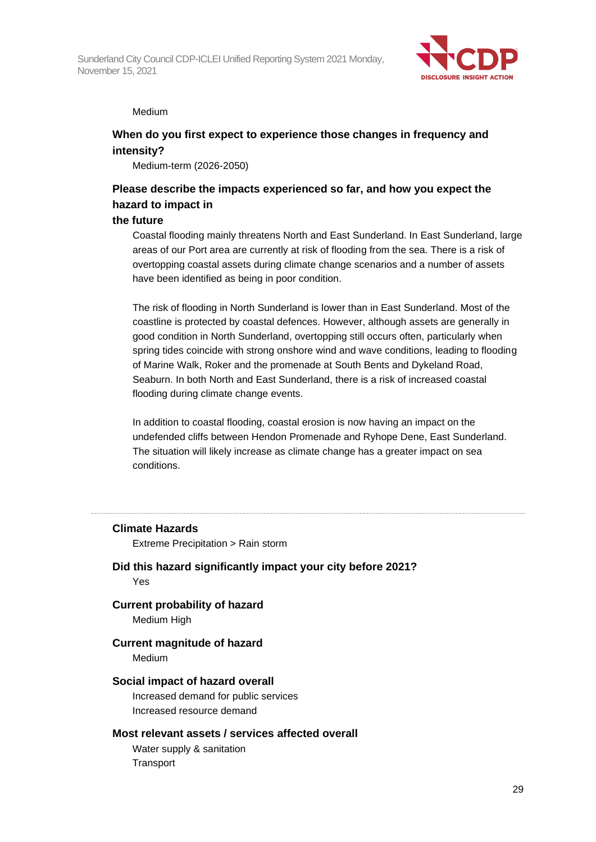

#### Medium

## **When do you first expect to experience those changes in frequency and intensity?**

Medium-term (2026-2050)

## **Please describe the impacts experienced so far, and how you expect the hazard to impact in**

#### **the future**

Coastal flooding mainly threatens North and East Sunderland. In East Sunderland, large areas of our Port area are currently at risk of flooding from the sea. There is a risk of overtopping coastal assets during climate change scenarios and a number of assets have been identified as being in poor condition.

The risk of flooding in North Sunderland is lower than in East Sunderland. Most of the coastline is protected by coastal defences. However, although assets are generally in good condition in North Sunderland, overtopping still occurs often, particularly when spring tides coincide with strong onshore wind and wave conditions, leading to flooding of Marine Walk, Roker and the promenade at South Bents and Dykeland Road, Seaburn. In both North and East Sunderland, there is a risk of increased coastal flooding during climate change events.

In addition to coastal flooding, coastal erosion is now having an impact on the undefended cliffs between Hendon Promenade and Ryhope Dene, East Sunderland. The situation will likely increase as climate change has a greater impact on sea conditions.

## **Climate Hazards**

Extreme Precipitation > Rain storm

**Did this hazard significantly impact your city before 2021?** Yes

**Current probability of hazard** Medium High

### **Current magnitude of hazard** Medium

## **Social impact of hazard overall**

Increased demand for public services Increased resource demand

## **Most relevant assets / services affected overall**

Water supply & sanitation **Transport**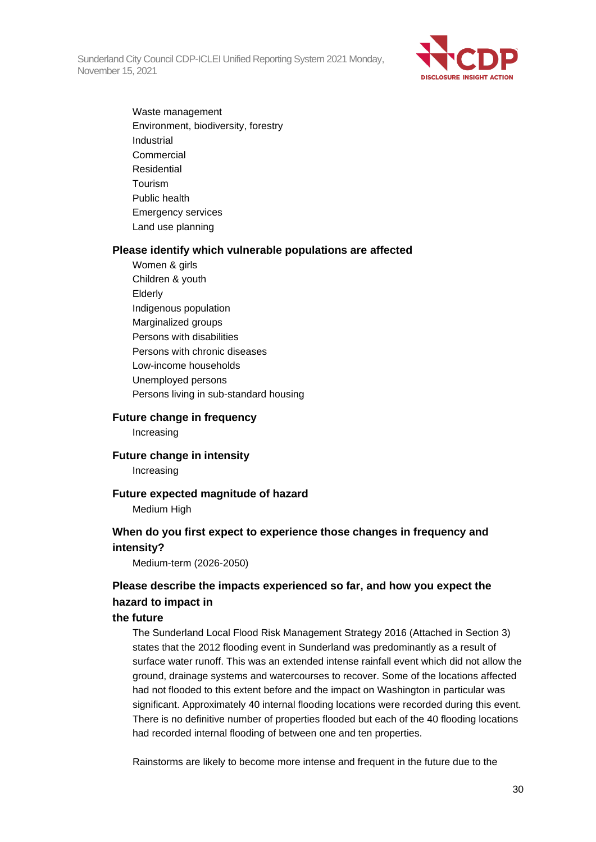

Waste management Environment, biodiversity, forestry Industrial Commercial Residential Tourism Public health Emergency services Land use planning

#### **Please identify which vulnerable populations are affected**

Women & girls Children & youth Elderly Indigenous population Marginalized groups Persons with disabilities Persons with chronic diseases Low-income households Unemployed persons Persons living in sub-standard housing

#### **Future change in frequency**

Increasing

#### **Future change in intensity**

Increasing

#### **Future expected magnitude of hazard**

Medium High

## **When do you first expect to experience those changes in frequency and intensity?**

Medium-term (2026-2050)

## **Please describe the impacts experienced so far, and how you expect the hazard to impact in**

#### **the future**

The Sunderland Local Flood Risk Management Strategy 2016 (Attached in Section 3) states that the 2012 flooding event in Sunderland was predominantly as a result of surface water runoff. This was an extended intense rainfall event which did not allow the ground, drainage systems and watercourses to recover. Some of the locations affected had not flooded to this extent before and the impact on Washington in particular was significant. Approximately 40 internal flooding locations were recorded during this event. There is no definitive number of properties flooded but each of the 40 flooding locations had recorded internal flooding of between one and ten properties.

Rainstorms are likely to become more intense and frequent in the future due to the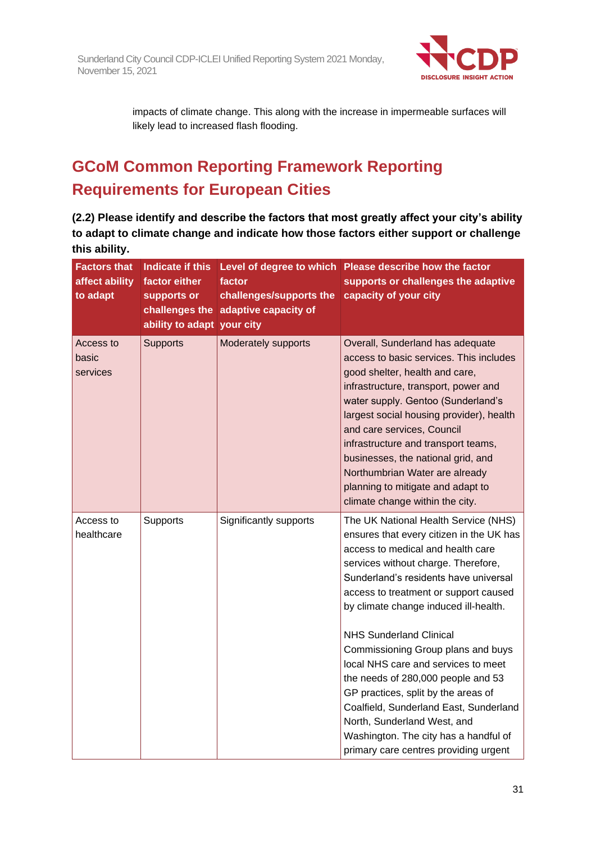

impacts of climate change. This along with the increase in impermeable surfaces will likely lead to increased flash flooding.

# **GCoM Common Reporting Framework Reporting Requirements for European Cities**

**(2.2) Please identify and describe the factors that most greatly affect your city's ability to adapt to climate change and indicate how those factors either support or challenge this ability.**

| <b>Factors that</b><br>affect ability<br>to adapt | <b>Indicate if this</b><br>factor either<br>supports or<br>ability to adapt your city | factor<br>challenges/supports the<br>challenges the adaptive capacity of | Level of degree to which Please describe how the factor<br>supports or challenges the adaptive<br>capacity of your city                                                                                                                                                                                                                                                                                                                                                                                                                                                                                                                        |
|---------------------------------------------------|---------------------------------------------------------------------------------------|--------------------------------------------------------------------------|------------------------------------------------------------------------------------------------------------------------------------------------------------------------------------------------------------------------------------------------------------------------------------------------------------------------------------------------------------------------------------------------------------------------------------------------------------------------------------------------------------------------------------------------------------------------------------------------------------------------------------------------|
| Access to<br>basic<br>services                    | <b>Supports</b>                                                                       | Moderately supports                                                      | Overall, Sunderland has adequate<br>access to basic services. This includes<br>good shelter, health and care,<br>infrastructure, transport, power and<br>water supply. Gentoo (Sunderland's<br>largest social housing provider), health<br>and care services, Council<br>infrastructure and transport teams,<br>businesses, the national grid, and<br>Northumbrian Water are already<br>planning to mitigate and adapt to<br>climate change within the city.                                                                                                                                                                                   |
| Access to<br>healthcare                           | Supports                                                                              | Significantly supports                                                   | The UK National Health Service (NHS)<br>ensures that every citizen in the UK has<br>access to medical and health care<br>services without charge. Therefore,<br>Sunderland's residents have universal<br>access to treatment or support caused<br>by climate change induced ill-health.<br><b>NHS Sunderland Clinical</b><br>Commissioning Group plans and buys<br>local NHS care and services to meet<br>the needs of 280,000 people and 53<br>GP practices, split by the areas of<br>Coalfield, Sunderland East, Sunderland<br>North, Sunderland West, and<br>Washington. The city has a handful of<br>primary care centres providing urgent |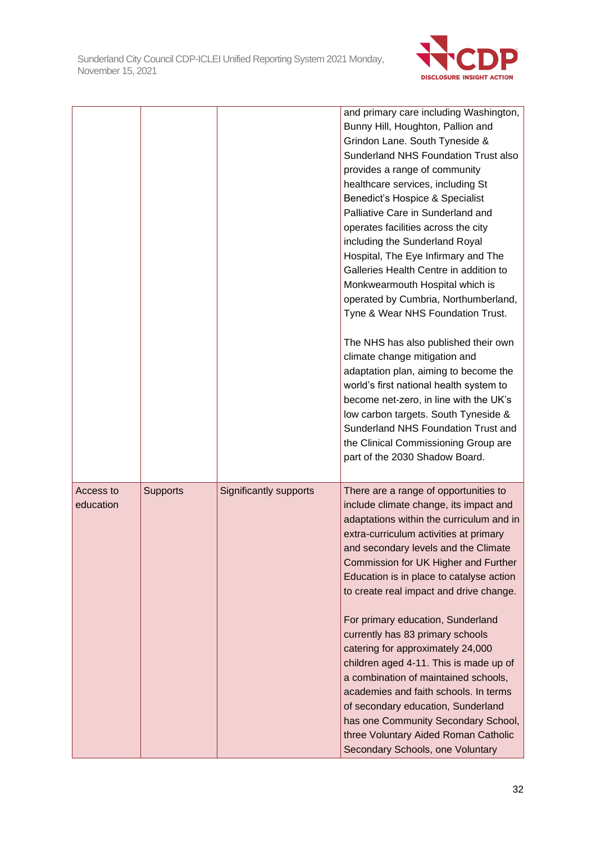

|           |                 |                        | and primary care including Washington,<br>Bunny Hill, Houghton, Pallion and<br>Grindon Lane. South Tyneside & |
|-----------|-----------------|------------------------|---------------------------------------------------------------------------------------------------------------|
|           |                 |                        | Sunderland NHS Foundation Trust also                                                                          |
|           |                 |                        | provides a range of community                                                                                 |
|           |                 |                        | healthcare services, including St                                                                             |
|           |                 |                        | Benedict's Hospice & Specialist                                                                               |
|           |                 |                        | Palliative Care in Sunderland and                                                                             |
|           |                 |                        | operates facilities across the city                                                                           |
|           |                 |                        | including the Sunderland Royal                                                                                |
|           |                 |                        | Hospital, The Eye Infirmary and The                                                                           |
|           |                 |                        | Galleries Health Centre in addition to                                                                        |
|           |                 |                        | Monkwearmouth Hospital which is                                                                               |
|           |                 |                        | operated by Cumbria, Northumberland,                                                                          |
|           |                 |                        | Tyne & Wear NHS Foundation Trust.                                                                             |
|           |                 |                        | The NHS has also published their own                                                                          |
|           |                 |                        | climate change mitigation and                                                                                 |
|           |                 |                        | adaptation plan, aiming to become the                                                                         |
|           |                 |                        | world's first national health system to                                                                       |
|           |                 |                        | become net-zero, in line with the UK's                                                                        |
|           |                 |                        | low carbon targets. South Tyneside &<br>Sunderland NHS Foundation Trust and                                   |
|           |                 |                        | the Clinical Commissioning Group are                                                                          |
|           |                 |                        | part of the 2030 Shadow Board.                                                                                |
|           |                 |                        |                                                                                                               |
| Access to | <b>Supports</b> | Significantly supports | There are a range of opportunities to                                                                         |
| education |                 |                        | include climate change, its impact and                                                                        |
|           |                 |                        | adaptations within the curriculum and in                                                                      |
|           |                 |                        | extra-curriculum activities at primary                                                                        |
|           |                 |                        | and secondary levels and the Climate                                                                          |
|           |                 |                        | Commission for UK Higher and Further                                                                          |
|           |                 |                        | Education is in place to catalyse action                                                                      |
|           |                 |                        | to create real impact and drive change.                                                                       |
|           |                 |                        | For primary education, Sunderland                                                                             |
|           |                 |                        | currently has 83 primary schools                                                                              |
|           |                 |                        | catering for approximately 24,000                                                                             |
|           |                 |                        |                                                                                                               |
|           |                 |                        | children aged 4-11. This is made up of                                                                        |
|           |                 |                        | a combination of maintained schools,                                                                          |
|           |                 |                        | academies and faith schools. In terms                                                                         |
|           |                 |                        | of secondary education, Sunderland                                                                            |
|           |                 |                        | has one Community Secondary School,                                                                           |
|           |                 |                        | three Voluntary Aided Roman Catholic<br>Secondary Schools, one Voluntary                                      |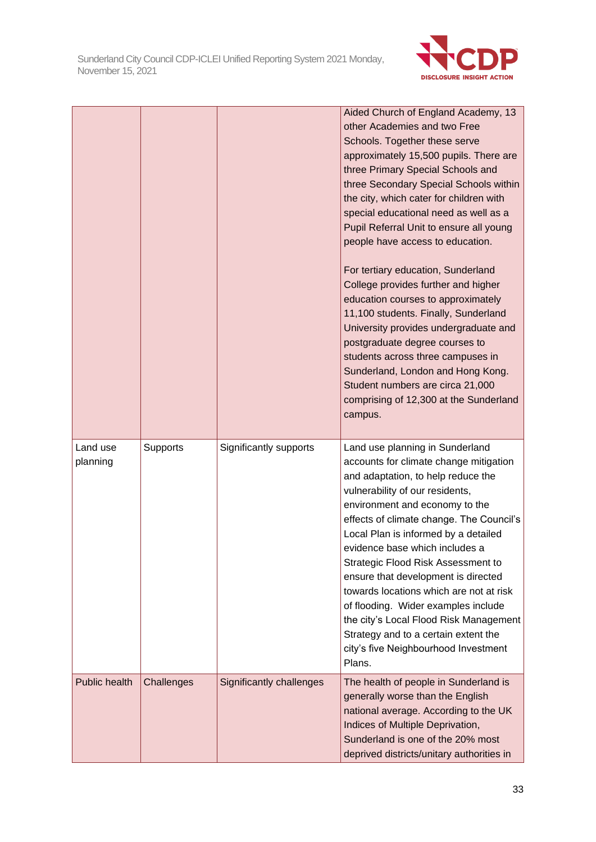

|                      |            |                          | Aided Church of England Academy, 13<br>other Academies and two Free<br>Schools. Together these serve<br>approximately 15,500 pupils. There are<br>three Primary Special Schools and<br>three Secondary Special Schools within<br>the city, which cater for children with<br>special educational need as well as a<br>Pupil Referral Unit to ensure all young<br>people have access to education.<br>For tertiary education, Sunderland<br>College provides further and higher<br>education courses to approximately<br>11,100 students. Finally, Sunderland<br>University provides undergraduate and<br>postgraduate degree courses to<br>students across three campuses in<br>Sunderland, London and Hong Kong.<br>Student numbers are circa 21,000<br>comprising of 12,300 at the Sunderland<br>campus. |
|----------------------|------------|--------------------------|-----------------------------------------------------------------------------------------------------------------------------------------------------------------------------------------------------------------------------------------------------------------------------------------------------------------------------------------------------------------------------------------------------------------------------------------------------------------------------------------------------------------------------------------------------------------------------------------------------------------------------------------------------------------------------------------------------------------------------------------------------------------------------------------------------------|
| Land use<br>planning | Supports   | Significantly supports   | Land use planning in Sunderland<br>accounts for climate change mitigation<br>and adaptation, to help reduce the<br>vulnerability of our residents,<br>environment and economy to the<br>effects of climate change. The Council's<br>Local Plan is informed by a detailed<br>evidence base which includes a<br>Strategic Flood Risk Assessment to<br>ensure that development is directed<br>towards locations which are not at risk<br>of flooding. Wider examples include<br>the city's Local Flood Risk Management<br>Strategy and to a certain extent the<br>city's five Neighbourhood Investment<br>Plans.                                                                                                                                                                                             |
| Public health        | Challenges | Significantly challenges | The health of people in Sunderland is<br>generally worse than the English<br>national average. According to the UK<br>Indices of Multiple Deprivation,<br>Sunderland is one of the 20% most<br>deprived districts/unitary authorities in                                                                                                                                                                                                                                                                                                                                                                                                                                                                                                                                                                  |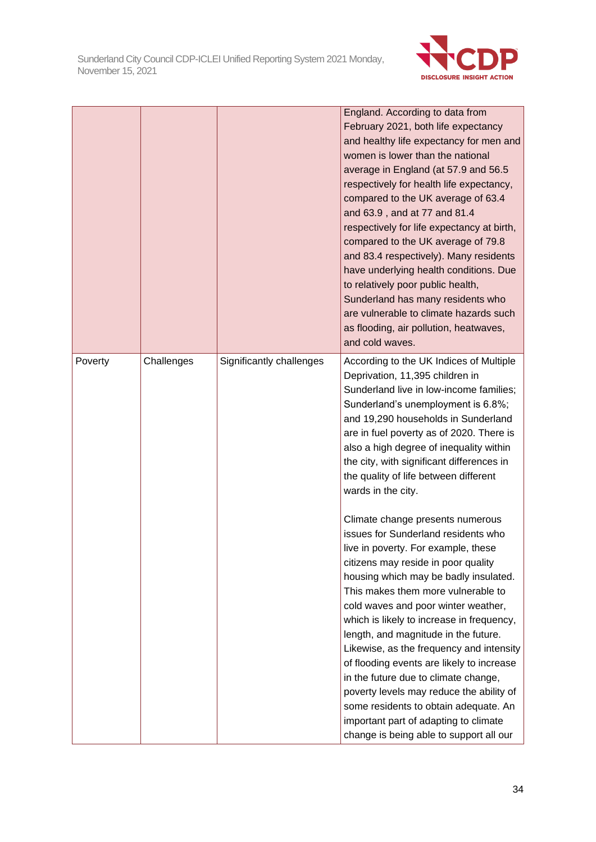

|         |            |                          | England. According to data from<br>February 2021, both life expectancy<br>and healthy life expectancy for men and<br>women is lower than the national<br>average in England (at 57.9 and 56.5<br>respectively for health life expectancy,<br>compared to the UK average of 63.4<br>and 63.9, and at 77 and 81.4<br>respectively for life expectancy at birth,<br>compared to the UK average of 79.8<br>and 83.4 respectively). Many residents<br>have underlying health conditions. Due<br>to relatively poor public health,<br>Sunderland has many residents who<br>are vulnerable to climate hazards such<br>as flooding, air pollution, heatwaves,<br>and cold waves.   |
|---------|------------|--------------------------|----------------------------------------------------------------------------------------------------------------------------------------------------------------------------------------------------------------------------------------------------------------------------------------------------------------------------------------------------------------------------------------------------------------------------------------------------------------------------------------------------------------------------------------------------------------------------------------------------------------------------------------------------------------------------|
| Poverty | Challenges | Significantly challenges | According to the UK Indices of Multiple<br>Deprivation, 11,395 children in<br>Sunderland live in low-income families;<br>Sunderland's unemployment is 6.8%;<br>and 19,290 households in Sunderland<br>are in fuel poverty as of 2020. There is<br>also a high degree of inequality within<br>the city, with significant differences in<br>the quality of life between different<br>wards in the city.                                                                                                                                                                                                                                                                      |
|         |            |                          | Climate change presents numerous<br>issues for Sunderland residents who<br>live in poverty. For example, these<br>citizens may reside in poor quality<br>housing which may be badly insulated.<br>This makes them more vulnerable to<br>cold waves and poor winter weather,<br>which is likely to increase in frequency,<br>length, and magnitude in the future.<br>Likewise, as the frequency and intensity<br>of flooding events are likely to increase<br>in the future due to climate change,<br>poverty levels may reduce the ability of<br>some residents to obtain adequate. An<br>important part of adapting to climate<br>change is being able to support all our |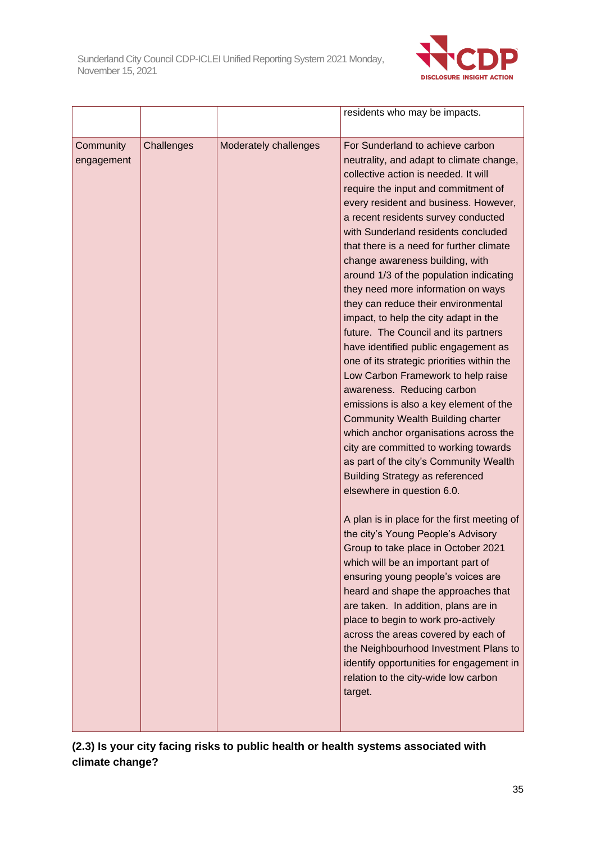

|                         |            |                       | residents who may be impacts.                                                                                                                                                                                                                                                                                                                                                                                                                                                                                                                                                                                                                                                                                                                                                                                                                                                                                                                                                                                                                                                                                                                                                                                                                                                                                                                                                                                                                                                                                                               |
|-------------------------|------------|-----------------------|---------------------------------------------------------------------------------------------------------------------------------------------------------------------------------------------------------------------------------------------------------------------------------------------------------------------------------------------------------------------------------------------------------------------------------------------------------------------------------------------------------------------------------------------------------------------------------------------------------------------------------------------------------------------------------------------------------------------------------------------------------------------------------------------------------------------------------------------------------------------------------------------------------------------------------------------------------------------------------------------------------------------------------------------------------------------------------------------------------------------------------------------------------------------------------------------------------------------------------------------------------------------------------------------------------------------------------------------------------------------------------------------------------------------------------------------------------------------------------------------------------------------------------------------|
| Community<br>engagement | Challenges | Moderately challenges | For Sunderland to achieve carbon<br>neutrality, and adapt to climate change,<br>collective action is needed. It will<br>require the input and commitment of<br>every resident and business. However,<br>a recent residents survey conducted<br>with Sunderland residents concluded<br>that there is a need for further climate<br>change awareness building, with<br>around 1/3 of the population indicating<br>they need more information on ways<br>they can reduce their environmental<br>impact, to help the city adapt in the<br>future. The Council and its partners<br>have identified public engagement as<br>one of its strategic priorities within the<br>Low Carbon Framework to help raise<br>awareness. Reducing carbon<br>emissions is also a key element of the<br><b>Community Wealth Building charter</b><br>which anchor organisations across the<br>city are committed to working towards<br>as part of the city's Community Wealth<br><b>Building Strategy as referenced</b><br>elsewhere in question 6.0.<br>A plan is in place for the first meeting of<br>the city's Young People's Advisory<br>Group to take place in October 2021<br>which will be an important part of<br>ensuring young people's voices are<br>heard and shape the approaches that<br>are taken. In addition, plans are in<br>place to begin to work pro-actively<br>across the areas covered by each of<br>the Neighbourhood Investment Plans to<br>identify opportunities for engagement in<br>relation to the city-wide low carbon<br>target. |

**(2.3) Is your city facing risks to public health or health systems associated with climate change?**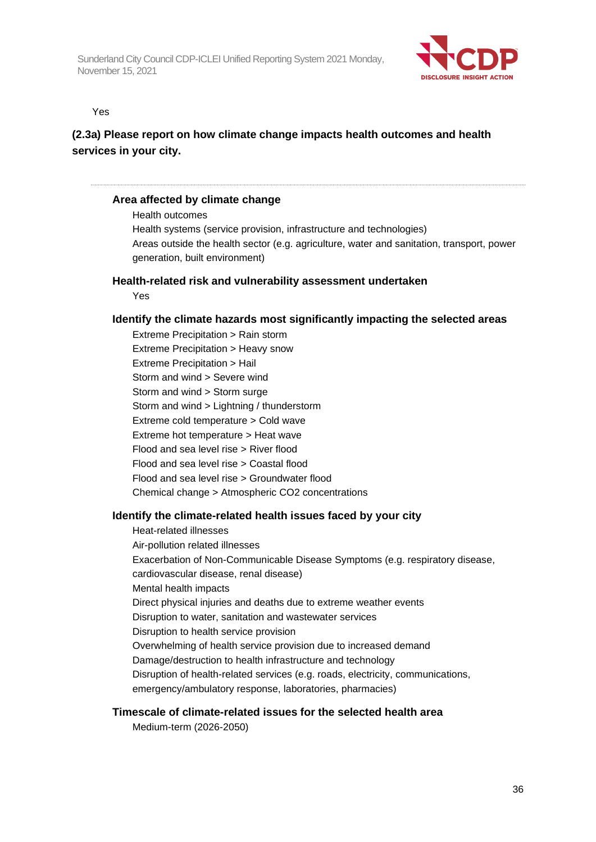

Yes

## **(2.3a) Please report on how climate change impacts health outcomes and health services in your city.**

### **Area affected by climate change**

Health outcomes

Health systems (service provision, infrastructure and technologies) Areas outside the health sector (e.g. agriculture, water and sanitation, transport, power generation, built environment)

#### **Health-related risk and vulnerability assessment undertaken**

Yes

### **Identify the climate hazards most significantly impacting the selected areas**

Extreme Precipitation > Rain storm Extreme Precipitation > Heavy snow Extreme Precipitation > Hail Storm and wind > Severe wind Storm and wind > Storm surge Storm and wind > Lightning / thunderstorm Extreme cold temperature > Cold wave Extreme hot temperature > Heat wave Flood and sea level rise > River flood Flood and sea level rise > Coastal flood Flood and sea level rise > Groundwater flood Chemical change > Atmospheric CO2 concentrations

#### **Identify the climate-related health issues faced by your city**

Heat-related illnesses Air-pollution related illnesses Exacerbation of Non-Communicable Disease Symptoms (e.g. respiratory disease, cardiovascular disease, renal disease) Mental health impacts Direct physical injuries and deaths due to extreme weather events Disruption to water, sanitation and wastewater services Disruption to health service provision Overwhelming of health service provision due to increased demand Damage/destruction to health infrastructure and technology Disruption of health-related services (e.g. roads, electricity, communications, emergency/ambulatory response, laboratories, pharmacies)

#### **Timescale of climate-related issues for the selected health area**

Medium-term (2026-2050)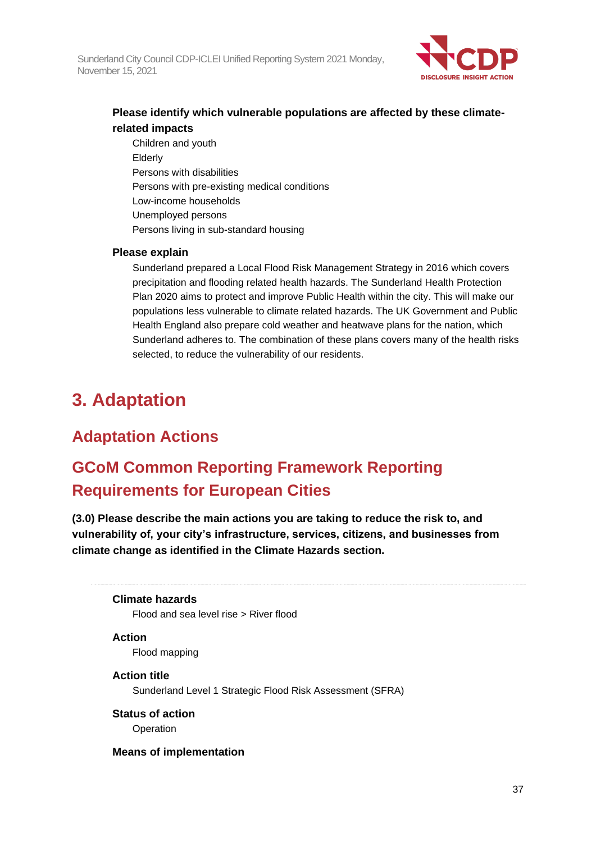

## **Please identify which vulnerable populations are affected by these climaterelated impacts**

Children and youth Elderly Persons with disabilities Persons with pre-existing medical conditions Low-income households Unemployed persons Persons living in sub-standard housing

## **Please explain**

Sunderland prepared a Local Flood Risk Management Strategy in 2016 which covers precipitation and flooding related health hazards. The Sunderland Health Protection Plan 2020 aims to protect and improve Public Health within the city. This will make our populations less vulnerable to climate related hazards. The UK Government and Public Health England also prepare cold weather and heatwave plans for the nation, which Sunderland adheres to. The combination of these plans covers many of the health risks selected, to reduce the vulnerability of our residents.

# **3. Adaptation**

## **Adaptation Actions**

# **GCoM Common Reporting Framework Reporting Requirements for European Cities**

**(3.0) Please describe the main actions you are taking to reduce the risk to, and vulnerability of, your city's infrastructure, services, citizens, and businesses from climate change as identified in the Climate Hazards section.**

## **Climate hazards**

Flood and sea level rise > River flood

## **Action**

Flood mapping

#### **Action title**

Sunderland Level 1 Strategic Flood Risk Assessment (SFRA)

## **Status of action**

Operation

## **Means of implementation**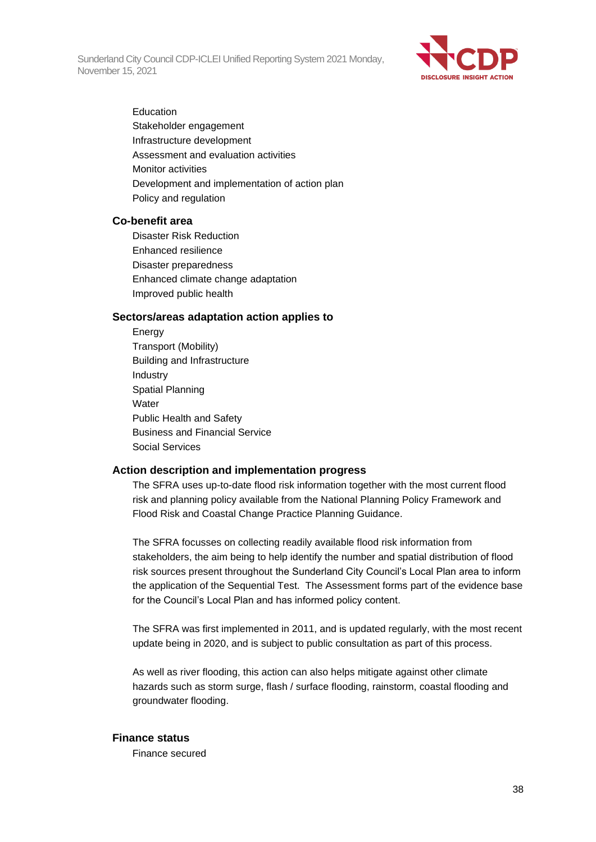

Education Stakeholder engagement Infrastructure development Assessment and evaluation activities Monitor activities Development and implementation of action plan Policy and regulation

#### **Co-benefit area**

Disaster Risk Reduction Enhanced resilience Disaster preparedness Enhanced climate change adaptation Improved public health

#### **Sectors/areas adaptation action applies to**

Energy Transport (Mobility) Building and Infrastructure Industry Spatial Planning **Water** Public Health and Safety Business and Financial Service Social Services

#### **Action description and implementation progress**

The SFRA uses up-to-date flood risk information together with the most current flood risk and planning policy available from the National Planning Policy Framework and Flood Risk and Coastal Change Practice Planning Guidance.

The SFRA focusses on collecting readily available flood risk information from stakeholders, the aim being to help identify the number and spatial distribution of flood risk sources present throughout the Sunderland City Council's Local Plan area to inform the application of the Sequential Test. The Assessment forms part of the evidence base for the Council's Local Plan and has informed policy content.

The SFRA was first implemented in 2011, and is updated regularly, with the most recent update being in 2020, and is subject to public consultation as part of this process.

As well as river flooding, this action can also helps mitigate against other climate hazards such as storm surge, flash / surface flooding, rainstorm, coastal flooding and groundwater flooding.

#### **Finance status**

Finance secured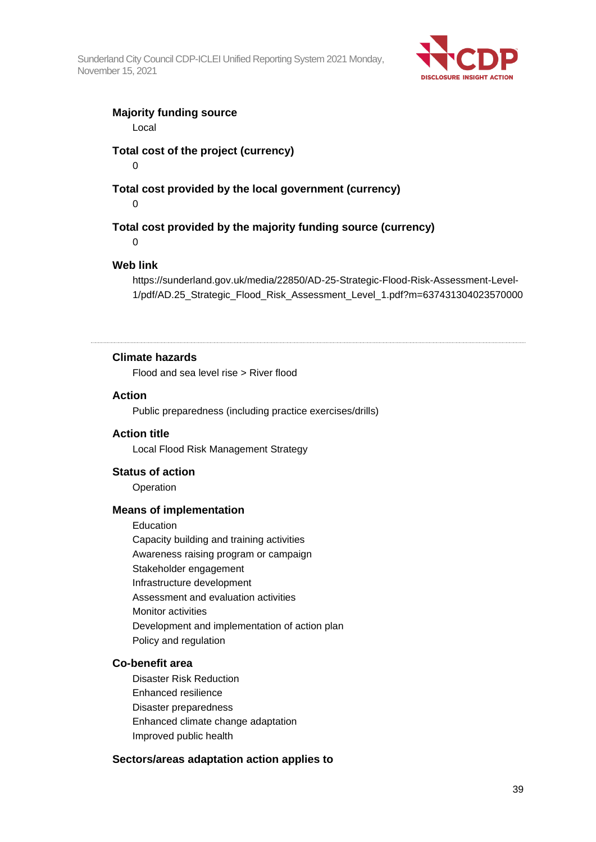

## **Majority funding source**

Local

## **Total cost of the project (currency)**

0

## **Total cost provided by the local government (currency)**

0

## **Total cost provided by the majority funding source (currency)**

 $\Omega$ 

## **Web link**

https://sunderland.gov.uk/media/22850/AD-25-Strategic-Flood-Risk-Assessment-Level-1/pdf/AD.25\_Strategic\_Flood\_Risk\_Assessment\_Level\_1.pdf?m=637431304023570000

**Climate hazards**

Flood and sea level rise > River flood

#### **Action**

Public preparedness (including practice exercises/drills)

#### **Action title**

Local Flood Risk Management Strategy

**Status of action** Operation

#### **Means of implementation**

Education Capacity building and training activities Awareness raising program or campaign Stakeholder engagement Infrastructure development Assessment and evaluation activities Monitor activities Development and implementation of action plan Policy and regulation

### **Co-benefit area**

Disaster Risk Reduction Enhanced resilience Disaster preparedness Enhanced climate change adaptation Improved public health

### **Sectors/areas adaptation action applies to**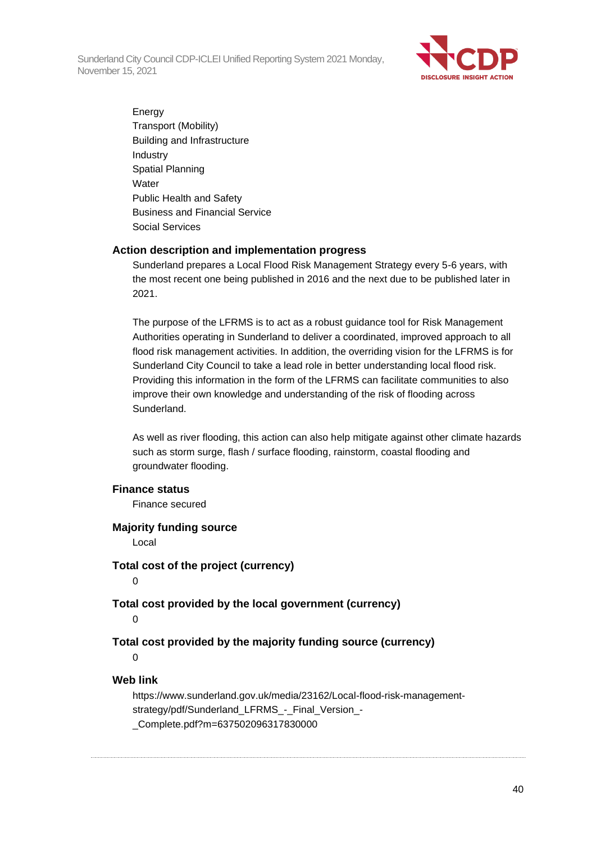

Energy Transport (Mobility) Building and Infrastructure Industry Spatial Planning **Water** Public Health and Safety Business and Financial Service Social Services

## **Action description and implementation progress**

Sunderland prepares a Local Flood Risk Management Strategy every 5-6 years, with the most recent one being published in 2016 and the next due to be published later in 2021.

The purpose of the LFRMS is to act as a robust guidance tool for Risk Management Authorities operating in Sunderland to deliver a coordinated, improved approach to all flood risk management activities. In addition, the overriding vision for the LFRMS is for Sunderland City Council to take a lead role in better understanding local flood risk. Providing this information in the form of the LFRMS can facilitate communities to also improve their own knowledge and understanding of the risk of flooding across Sunderland.

As well as river flooding, this action can also help mitigate against other climate hazards such as storm surge, flash / surface flooding, rainstorm, coastal flooding and groundwater flooding.

#### **Finance status**

Finance secured

#### **Majority funding source**

Local

**Total cost of the project (currency)**  $\Omega$ 

#### **Total cost provided by the local government (currency)**

 $\Omega$ 

### **Total cost provided by the majority funding source (currency)**

 $\Omega$ 

#### **Web link**

https://www.sunderland.gov.uk/media/23162/Local-flood-risk-managementstrategy/pdf/Sunderland LFRMS - Final Version -\_Complete.pdf?m=637502096317830000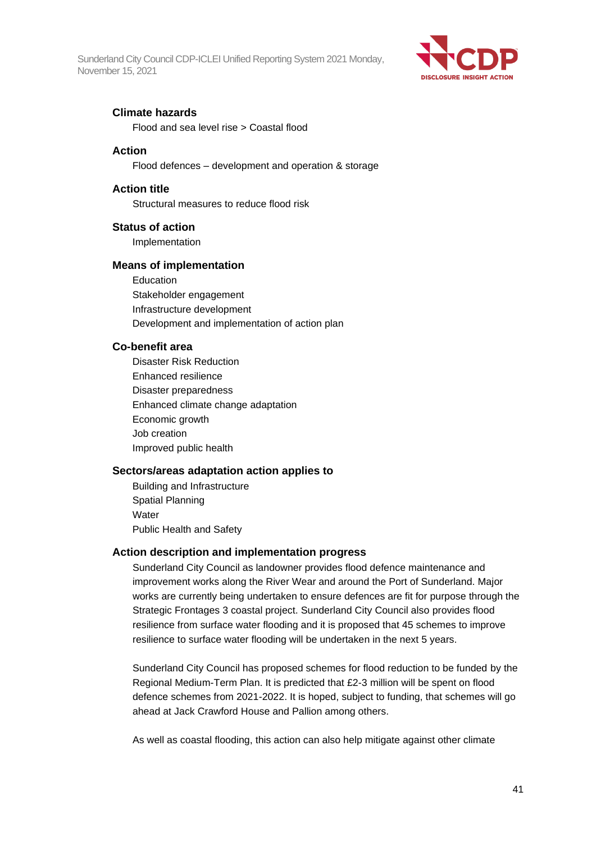

## **Climate hazards**

Flood and sea level rise > Coastal flood

#### **Action**

Flood defences – development and operation & storage

#### **Action title**

Structural measures to reduce flood risk

#### **Status of action**

Implementation

#### **Means of implementation**

Education Stakeholder engagement Infrastructure development Development and implementation of action plan

#### **Co-benefit area**

Disaster Risk Reduction Enhanced resilience Disaster preparedness Enhanced climate change adaptation Economic growth Job creation Improved public health

#### **Sectors/areas adaptation action applies to**

Building and Infrastructure Spatial Planning **Water** Public Health and Safety

### **Action description and implementation progress**

Sunderland City Council as landowner provides flood defence maintenance and improvement works along the River Wear and around the Port of Sunderland. Major works are currently being undertaken to ensure defences are fit for purpose through the Strategic Frontages 3 coastal project. Sunderland City Council also provides flood resilience from surface water flooding and it is proposed that 45 schemes to improve resilience to surface water flooding will be undertaken in the next 5 years.

Sunderland City Council has proposed schemes for flood reduction to be funded by the Regional Medium-Term Plan. It is predicted that £2-3 million will be spent on flood defence schemes from 2021-2022. It is hoped, subject to funding, that schemes will go ahead at Jack Crawford House and Pallion among others.

As well as coastal flooding, this action can also help mitigate against other climate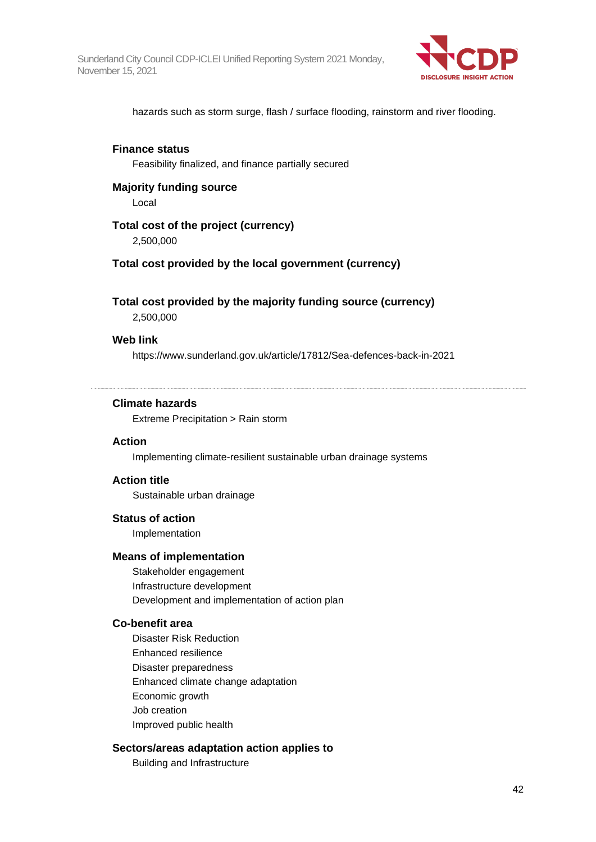

hazards such as storm surge, flash / surface flooding, rainstorm and river flooding.

### **Finance status**

Feasibility finalized, and finance partially secured

#### **Majority funding source** Local

**Total cost of the project (currency)**

2,500,000

## **Total cost provided by the local government (currency)**

## **Total cost provided by the majority funding source (currency)**

2,500,000

#### **Web link**

https://www.sunderland.gov.uk/article/17812/Sea-defences-back-in-2021

#### **Climate hazards**

Extreme Precipitation > Rain storm

#### **Action**

Implementing climate-resilient sustainable urban drainage systems

### **Action title**

Sustainable urban drainage

#### **Status of action**

Implementation

### **Means of implementation**

Stakeholder engagement Infrastructure development Development and implementation of action plan

#### **Co-benefit area**

Disaster Risk Reduction Enhanced resilience Disaster preparedness Enhanced climate change adaptation Economic growth Job creation Improved public health

## **Sectors/areas adaptation action applies to**

Building and Infrastructure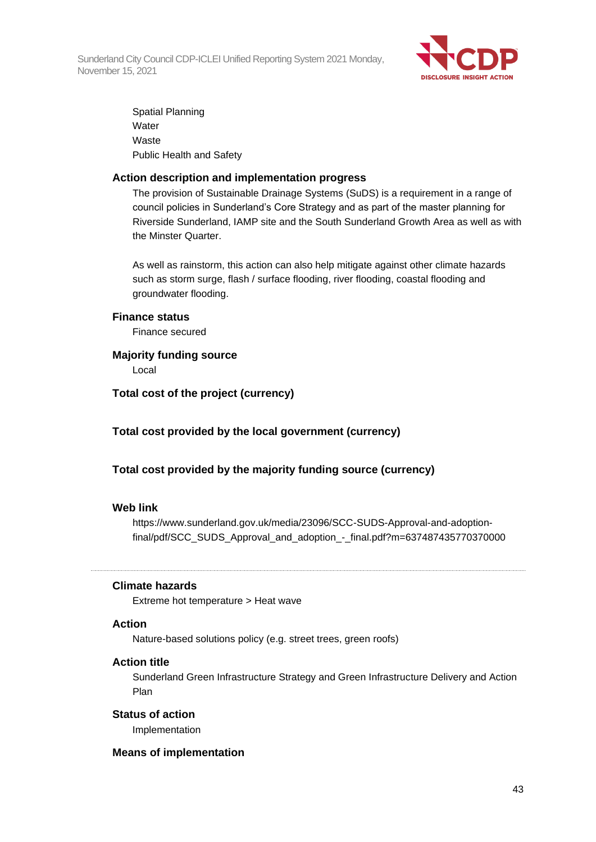

Spatial Planning **Water** Waste Public Health and Safety

### **Action description and implementation progress**

The provision of Sustainable Drainage Systems (SuDS) is a requirement in a range of council policies in Sunderland's Core Strategy and as part of the master planning for Riverside Sunderland, IAMP site and the South Sunderland Growth Area as well as with the Minster Quarter.

As well as rainstorm, this action can also help mitigate against other climate hazards such as storm surge, flash / surface flooding, river flooding, coastal flooding and groundwater flooding.

## **Finance status**

Finance secured

## **Majority funding source**

Local

**Total cost of the project (currency)**

**Total cost provided by the local government (currency)**

## **Total cost provided by the majority funding source (currency)**

#### **Web link**

https://www.sunderland.gov.uk/media/23096/SCC-SUDS-Approval-and-adoptionfinal/pdf/SCC\_SUDS\_Approval\_and\_adoption\_-\_final.pdf?m=637487435770370000

## **Climate hazards**

Extreme hot temperature > Heat wave

## **Action**

Nature-based solutions policy (e.g. street trees, green roofs)

### **Action title**

Sunderland Green Infrastructure Strategy and Green Infrastructure Delivery and Action Plan

#### **Status of action**

Implementation

#### **Means of implementation**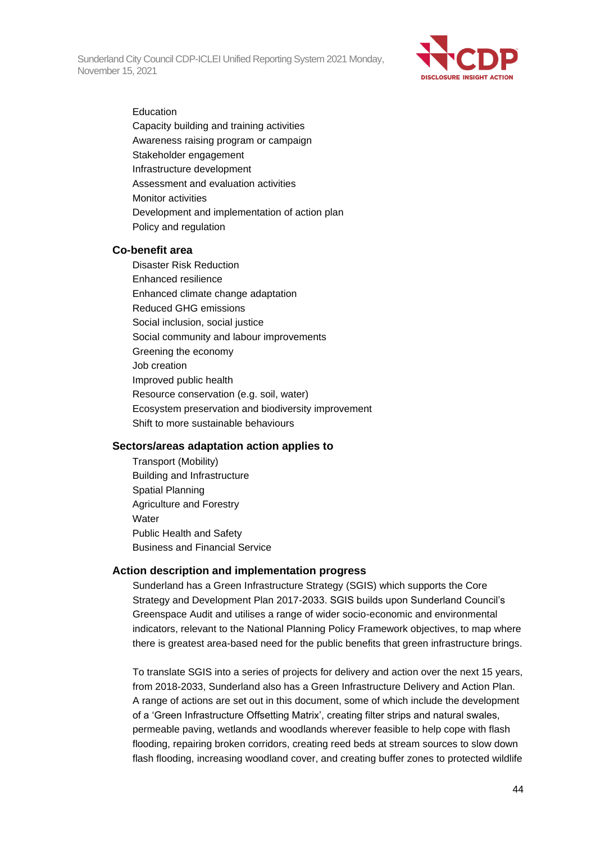

Education Capacity building and training activities Awareness raising program or campaign Stakeholder engagement Infrastructure development Assessment and evaluation activities Monitor activities Development and implementation of action plan Policy and regulation

#### **Co-benefit area**

Disaster Risk Reduction Enhanced resilience Enhanced climate change adaptation Reduced GHG emissions Social inclusion, social justice Social community and labour improvements Greening the economy Job creation Improved public health Resource conservation (e.g. soil, water) Ecosystem preservation and biodiversity improvement Shift to more sustainable behaviours

#### **Sectors/areas adaptation action applies to**

Transport (Mobility) Building and Infrastructure Spatial Planning Agriculture and Forestry **Water** Public Health and Safety Business and Financial Service

#### **Action description and implementation progress**

Sunderland has a Green Infrastructure Strategy (SGIS) which supports the Core Strategy and Development Plan 2017-2033. SGIS builds upon Sunderland Council's Greenspace Audit and utilises a range of wider socio-economic and environmental indicators, relevant to the National Planning Policy Framework objectives, to map where there is greatest area-based need for the public benefits that green infrastructure brings.

To translate SGIS into a series of projects for delivery and action over the next 15 years, from 2018-2033, Sunderland also has a Green Infrastructure Delivery and Action Plan. A range of actions are set out in this document, some of which include the development of a 'Green Infrastructure Offsetting Matrix', creating filter strips and natural swales, permeable paving, wetlands and woodlands wherever feasible to help cope with flash flooding, repairing broken corridors, creating reed beds at stream sources to slow down flash flooding, increasing woodland cover, and creating buffer zones to protected wildlife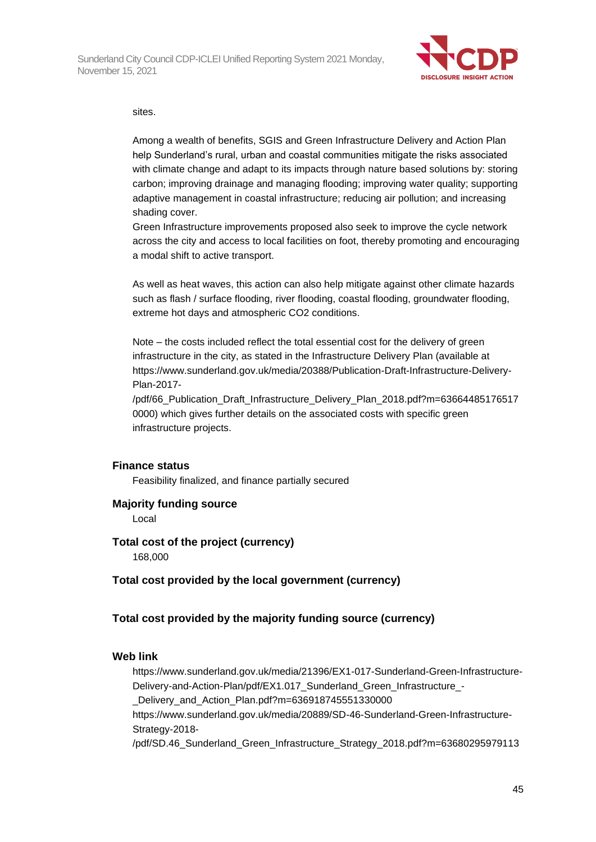

#### sites.

Among a wealth of benefits, SGIS and Green Infrastructure Delivery and Action Plan help Sunderland's rural, urban and coastal communities mitigate the risks associated with climate change and adapt to its impacts through nature based solutions by: storing carbon; improving drainage and managing flooding; improving water quality; supporting adaptive management in coastal infrastructure; reducing air pollution; and increasing shading cover.

Green Infrastructure improvements proposed also seek to improve the cycle network across the city and access to local facilities on foot, thereby promoting and encouraging a modal shift to active transport.

As well as heat waves, this action can also help mitigate against other climate hazards such as flash / surface flooding, river flooding, coastal flooding, groundwater flooding, extreme hot days and atmospheric CO2 conditions.

Note – the costs included reflect the total essential cost for the delivery of green infrastructure in the city, as stated in the Infrastructure Delivery Plan (available at https://www.sunderland.gov.uk/media/20388/Publication-Draft-Infrastructure-Delivery-Plan-2017-

/pdf/66\_Publication\_Draft\_Infrastructure\_Delivery\_Plan\_2018.pdf?m=63664485176517 0000) which gives further details on the associated costs with specific green infrastructure projects.

#### **Finance status**

Feasibility finalized, and finance partially secured

## **Majority funding source**

Local

## **Total cost of the project (currency)** 168,000

**Total cost provided by the local government (currency)**

## **Total cost provided by the majority funding source (currency)**

#### **Web link**

https://www.sunderland.gov.uk/media/21396/EX1-017-Sunderland-Green-Infrastructure-Delivery-and-Action-Plan/pdf/EX1.017 Sunderland Green Infrastructure -\_Delivery\_and\_Action\_Plan.pdf?m=636918745551330000 https://www.sunderland.gov.uk/media/20889/SD-46-Sunderland-Green-Infrastructure-Strategy-2018- /pdf/SD.46\_Sunderland\_Green\_Infrastructure\_Strategy\_2018.pdf?m=63680295979113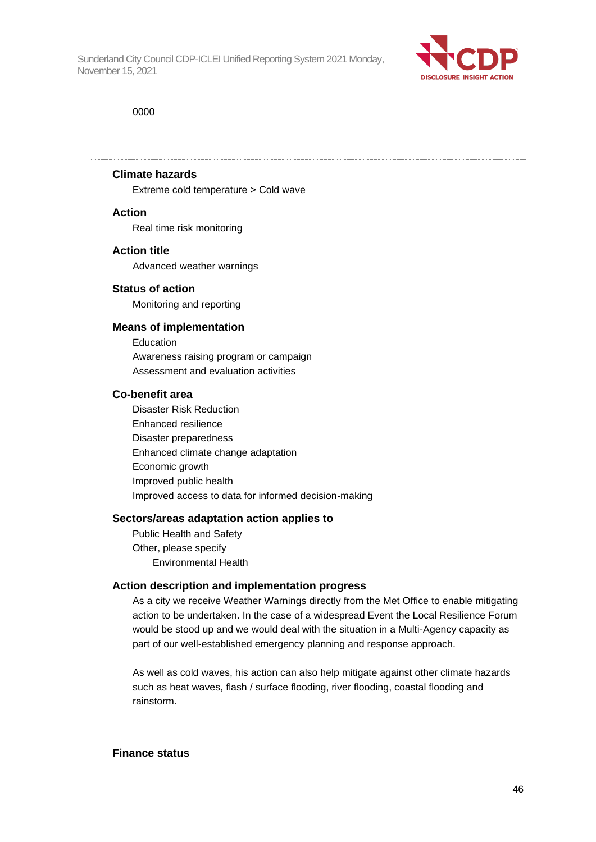

0000

#### **Climate hazards**

Extreme cold temperature > Cold wave

#### **Action**

Real time risk monitoring

#### **Action title**

Advanced weather warnings

## **Status of action**

Monitoring and reporting

#### **Means of implementation**

Education Awareness raising program or campaign Assessment and evaluation activities

#### **Co-benefit area**

Disaster Risk Reduction Enhanced resilience Disaster preparedness Enhanced climate change adaptation Economic growth Improved public health Improved access to data for informed decision-making

#### **Sectors/areas adaptation action applies to**

Public Health and Safety Other, please specify Environmental Health

### **Action description and implementation progress**

As a city we receive Weather Warnings directly from the Met Office to enable mitigating action to be undertaken. In the case of a widespread Event the Local Resilience Forum would be stood up and we would deal with the situation in a Multi-Agency capacity as part of our well-established emergency planning and response approach.

As well as cold waves, his action can also help mitigate against other climate hazards such as heat waves, flash / surface flooding, river flooding, coastal flooding and rainstorm.

#### **Finance status**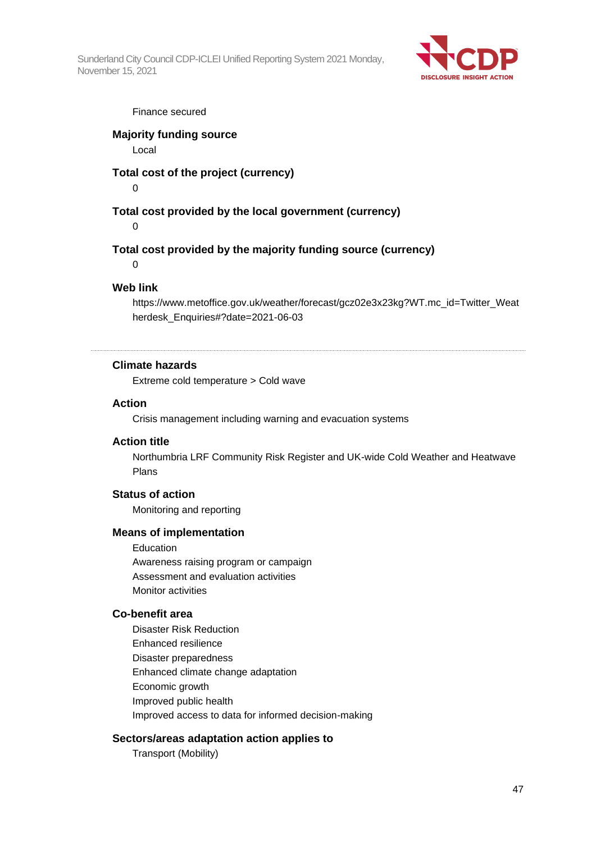

#### Finance secured

## **Majority funding source**

Local

## **Total cost of the project (currency)**

0

**Total cost provided by the local government (currency)**

 $\Omega$ 

**Total cost provided by the majority funding source (currency)**

 $\Omega$ 

## **Web link**

https://www.metoffice.gov.uk/weather/forecast/gcz02e3x23kg?WT.mc\_id=Twitter\_Weat herdesk\_Enquiries#?date=2021-06-03

## **Climate hazards**

Extreme cold temperature > Cold wave

#### **Action**

Crisis management including warning and evacuation systems

#### **Action title**

Northumbria LRF Community Risk Register and UK-wide Cold Weather and Heatwave Plans

## **Status of action**

Monitoring and reporting

#### **Means of implementation**

Education

Awareness raising program or campaign Assessment and evaluation activities Monitor activities

## **Co-benefit area**

Disaster Risk Reduction Enhanced resilience Disaster preparedness Enhanced climate change adaptation Economic growth Improved public health Improved access to data for informed decision-making

## **Sectors/areas adaptation action applies to**

Transport (Mobility)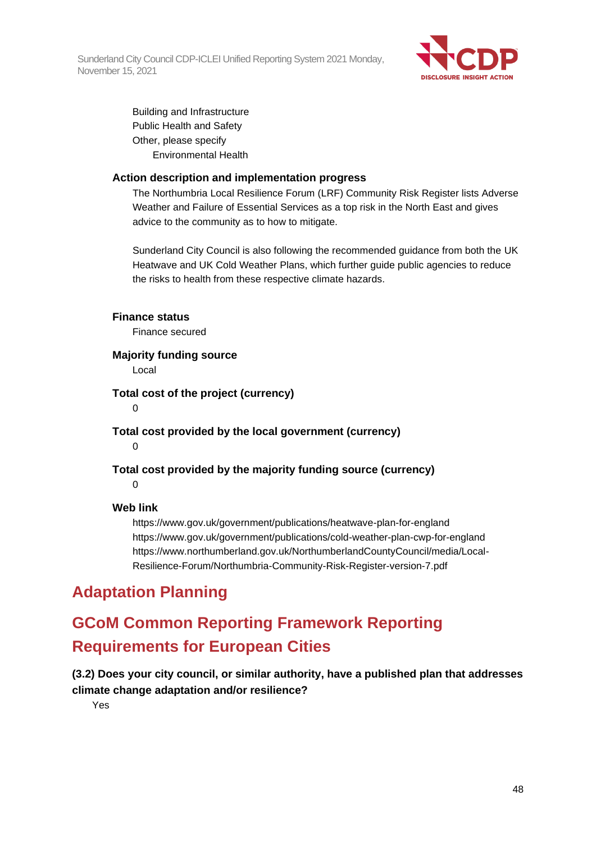

Building and Infrastructure Public Health and Safety Other, please specify Environmental Health

## **Action description and implementation progress**

The Northumbria Local Resilience Forum (LRF) Community Risk Register lists Adverse Weather and Failure of Essential Services as a top risk in the North East and gives advice to the community as to how to mitigate.

Sunderland City Council is also following the recommended guidance from both the UK Heatwave and UK Cold Weather Plans, which further guide public agencies to reduce the risks to health from these respective climate hazards.

## **Finance status**

Finance secured

## **Majority funding source**

Local

**Total cost of the project (currency)**

 $\Omega$ 

**Total cost provided by the local government (currency)**

 $\Omega$ 

## **Total cost provided by the majority funding source (currency)**  $\Omega$

## **Web link**

https://www.gov.uk/government/publications/heatwave-plan-for-england https://www.gov.uk/government/publications/cold-weather-plan-cwp-for-england https://www.northumberland.gov.uk/NorthumberlandCountyCouncil/media/Local-Resilience-Forum/Northumbria-Community-Risk-Register-version-7.pdf

## **Adaptation Planning**

# **GCoM Common Reporting Framework Reporting Requirements for European Cities**

**(3.2) Does your city council, or similar authority, have a published plan that addresses climate change adaptation and/or resilience?**

Yes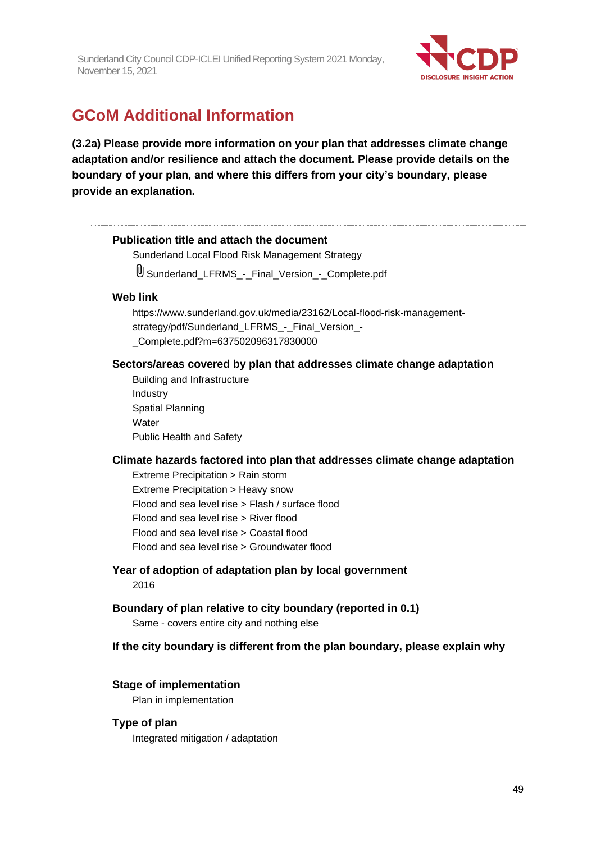

# **GCoM Additional Information**

**(3.2a) Please provide more information on your plan that addresses climate change adaptation and/or resilience and attach the document. Please provide details on the boundary of your plan, and where this differs from your city's boundary, please provide an explanation.**

| <b>Publication title and attach the document</b><br>Sunderland Local Flood Risk Management Strategy<br>U Sunderland_LFRMS_-_Final_Version_-_Complete.pdf                                                                                                                                                                                          |
|---------------------------------------------------------------------------------------------------------------------------------------------------------------------------------------------------------------------------------------------------------------------------------------------------------------------------------------------------|
|                                                                                                                                                                                                                                                                                                                                                   |
| <b>Web link</b><br>https://www.sunderland.gov.uk/media/23162/Local-flood-risk-management-<br>strategy/pdf/Sunderland_LFRMS_-_Final_Version_-<br>Complete.pdf?m=637502096317830000                                                                                                                                                                 |
| Sectors/areas covered by plan that addresses climate change adaptation<br>Building and Infrastructure<br>Industry<br>Spatial Planning<br>Water<br><b>Public Health and Safety</b>                                                                                                                                                                 |
| Climate hazards factored into plan that addresses climate change adaptation<br>Extreme Precipitation > Rain storm<br>Extreme Precipitation > Heavy snow<br>Flood and sea level rise > Flash / surface flood<br>Flood and sea level rise > River flood<br>Flood and sea level rise > Coastal flood<br>Flood and sea level rise > Groundwater flood |
| Year of adoption of adaptation plan by local government<br>2016                                                                                                                                                                                                                                                                                   |
| Boundary of plan relative to city boundary (reported in 0.1)<br>Same - covers entire city and nothing else                                                                                                                                                                                                                                        |
| If the city boundary is different from the plan boundary, please explain why                                                                                                                                                                                                                                                                      |
| <b>Stage of implementation</b><br>Plan in implementation                                                                                                                                                                                                                                                                                          |
| Type of plan<br>Integrated mitigation / adaptation                                                                                                                                                                                                                                                                                                |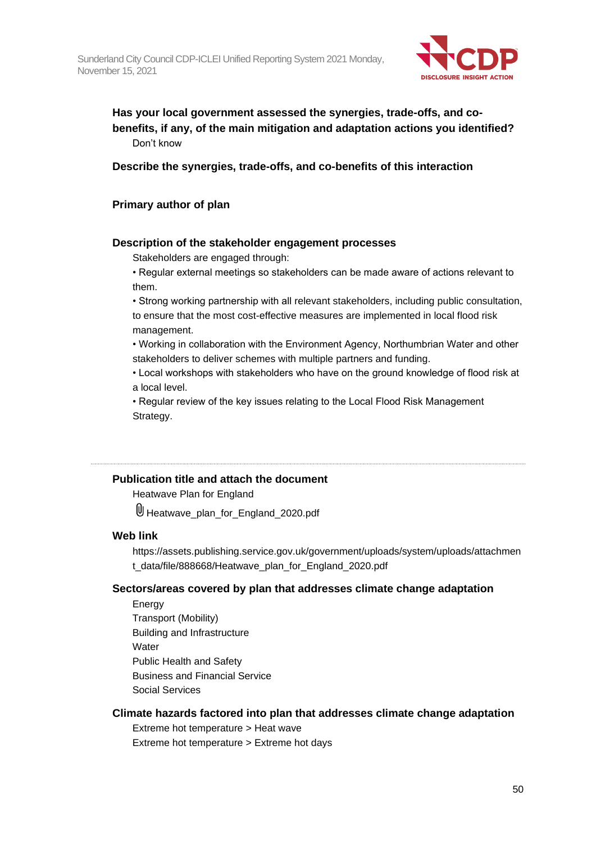

**Has your local government assessed the synergies, trade-offs, and cobenefits, if any, of the main mitigation and adaptation actions you identified?** Don't know

**Describe the synergies, trade-offs, and co-benefits of this interaction**

## **Primary author of plan**

## **Description of the stakeholder engagement processes**

Stakeholders are engaged through:

• Regular external meetings so stakeholders can be made aware of actions relevant to them.

• Strong working partnership with all relevant stakeholders, including public consultation, to ensure that the most cost-effective measures are implemented in local flood risk management.

• Working in collaboration with the Environment Agency, Northumbrian Water and other stakeholders to deliver schemes with multiple partners and funding.

• Local workshops with stakeholders who have on the ground knowledge of flood risk at a local level.

• Regular review of the key issues relating to the Local Flood Risk Management Strategy.

## **Publication title and attach the document**

Heatwave Plan for England

UHeatwave plan for England 2020.pdf

#### **Web link**

https://assets.publishing.service.gov.uk/government/uploads/system/uploads/attachmen t\_data/file/888668/Heatwave\_plan\_for\_England\_2020.pdf

## **Sectors/areas covered by plan that addresses climate change adaptation**

Energy Transport (Mobility) Building and Infrastructure **Water** Public Health and Safety Business and Financial Service Social Services

## **Climate hazards factored into plan that addresses climate change adaptation**

Extreme hot temperature > Heat wave Extreme hot temperature > Extreme hot days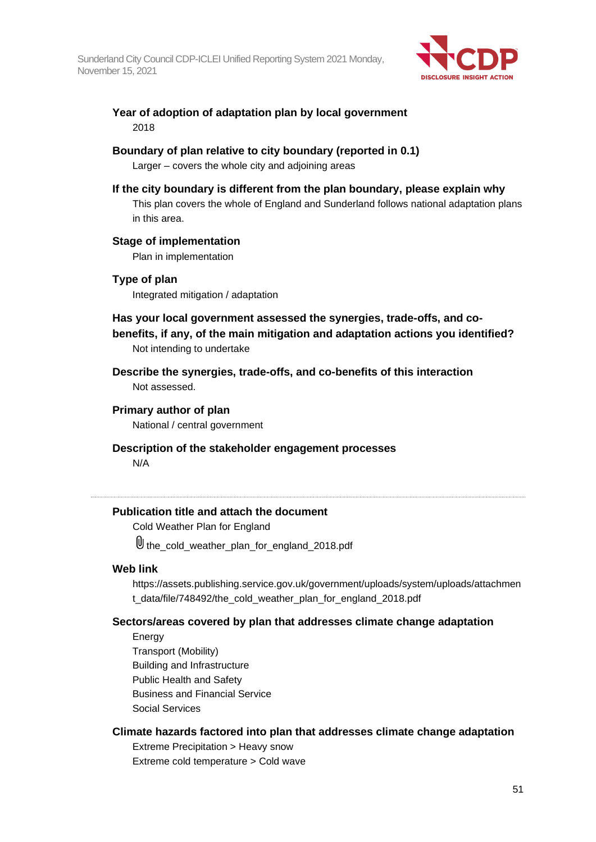

## **Year of adoption of adaptation plan by local government** 2018

### **Boundary of plan relative to city boundary (reported in 0.1)**

Larger – covers the whole city and adjoining areas

## **If the city boundary is different from the plan boundary, please explain why**

This plan covers the whole of England and Sunderland follows national adaptation plans in this area.

## **Stage of implementation**

Plan in implementation

## **Type of plan**

Integrated mitigation / adaptation

## **Has your local government assessed the synergies, trade-offs, and cobenefits, if any, of the main mitigation and adaptation actions you identified?** Not intending to undertake

**Describe the synergies, trade-offs, and co-benefits of this interaction** Not assessed.

## **Primary author of plan**

National / central government

#### **Description of the stakeholder engagement processes**

N/A

## **Publication title and attach the document**

Cold Weather Plan for England

the\_cold\_weather\_plan\_for\_england\_2018.pdf

## **Web link**

https://assets.publishing.service.gov.uk/government/uploads/system/uploads/attachmen t\_data/file/748492/the\_cold\_weather\_plan\_for\_england\_2018.pdf

## **Sectors/areas covered by plan that addresses climate change adaptation**

Energy Transport (Mobility) Building and Infrastructure Public Health and Safety Business and Financial Service Social Services

## **Climate hazards factored into plan that addresses climate change adaptation**

Extreme Precipitation > Heavy snow Extreme cold temperature > Cold wave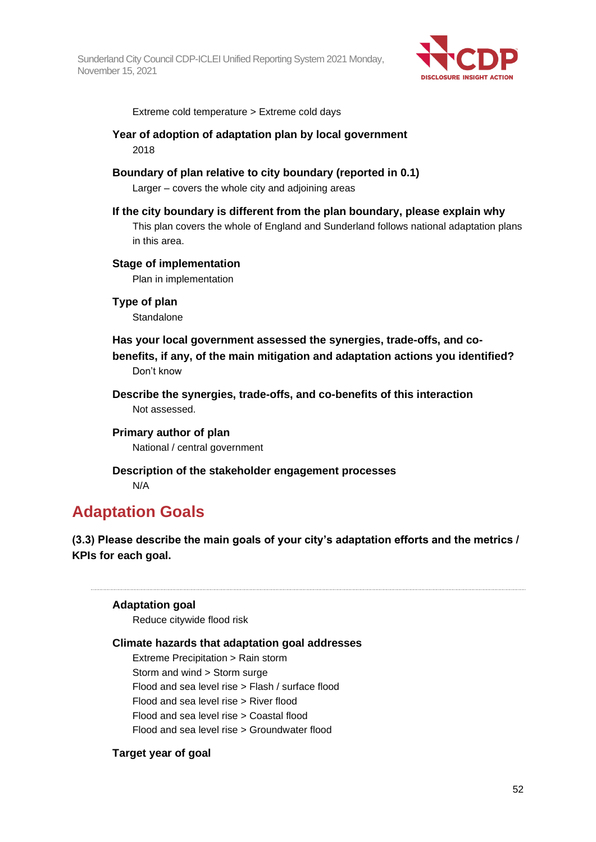

Extreme cold temperature > Extreme cold days

- **Year of adoption of adaptation plan by local government** 2018
- **Boundary of plan relative to city boundary (reported in 0.1)** Larger – covers the whole city and adjoining areas

**If the city boundary is different from the plan boundary, please explain why** This plan covers the whole of England and Sunderland follows national adaptation plans in this area.

#### **Stage of implementation**

Plan in implementation

**Type of plan**

**Standalone** 

- **Has your local government assessed the synergies, trade-offs, and cobenefits, if any, of the main mitigation and adaptation actions you identified?** Don't know
- **Describe the synergies, trade-offs, and co-benefits of this interaction** Not assessed.
- **Primary author of plan** National / central government
- **Description of the stakeholder engagement processes** N/A

## **Adaptation Goals**

**(3.3) Please describe the main goals of your city's adaptation efforts and the metrics / KPIs for each goal.**

#### **Adaptation goal**

Reduce citywide flood risk

## **Climate hazards that adaptation goal addresses**

Extreme Precipitation > Rain storm Storm and wind > Storm surge Flood and sea level rise > Flash / surface flood Flood and sea level rise > River flood Flood and sea level rise > Coastal flood Flood and sea level rise > Groundwater flood

#### **Target year of goal**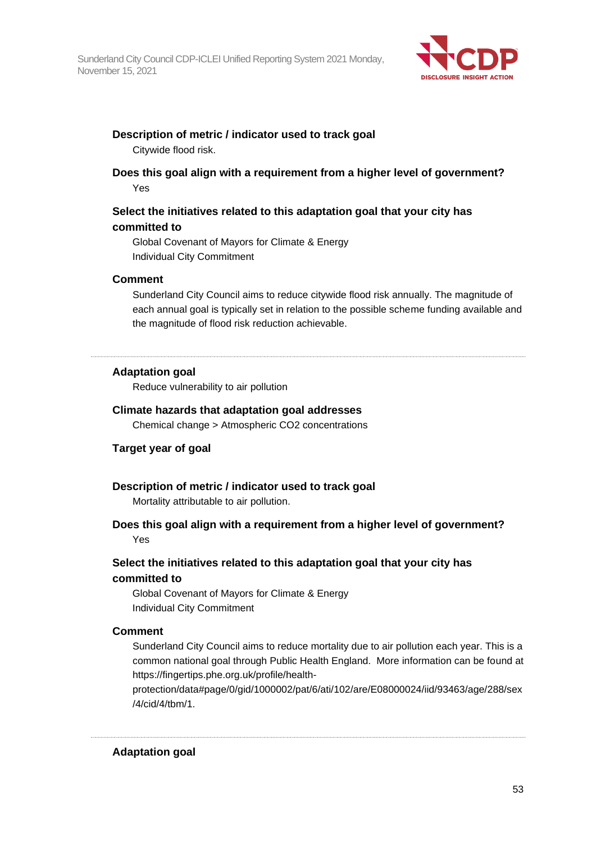

## **Description of metric / indicator used to track goal**

Citywide flood risk.

**Does this goal align with a requirement from a higher level of government?** Yes

## **Select the initiatives related to this adaptation goal that your city has committed to**

Global Covenant of Mayors for Climate & Energy Individual City Commitment

## **Comment**

Sunderland City Council aims to reduce citywide flood risk annually. The magnitude of each annual goal is typically set in relation to the possible scheme funding available and the magnitude of flood risk reduction achievable.

## **Adaptation goal**

Reduce vulnerability to air pollution

### **Climate hazards that adaptation goal addresses**

Chemical change > Atmospheric CO2 concentrations

## **Target year of goal**

#### **Description of metric / indicator used to track goal**

Mortality attributable to air pollution.

## **Does this goal align with a requirement from a higher level of government?** Yes

## **Select the initiatives related to this adaptation goal that your city has committed to**

Global Covenant of Mayors for Climate & Energy Individual City Commitment

#### **Comment**

Sunderland City Council aims to reduce mortality due to air pollution each year. This is a common national goal through Public Health England. More information can be found at https://fingertips.phe.org.uk/profile/health-

protection/data#page/0/gid/1000002/pat/6/ati/102/are/E08000024/iid/93463/age/288/sex /4/cid/4/tbm/1.

**Adaptation goal**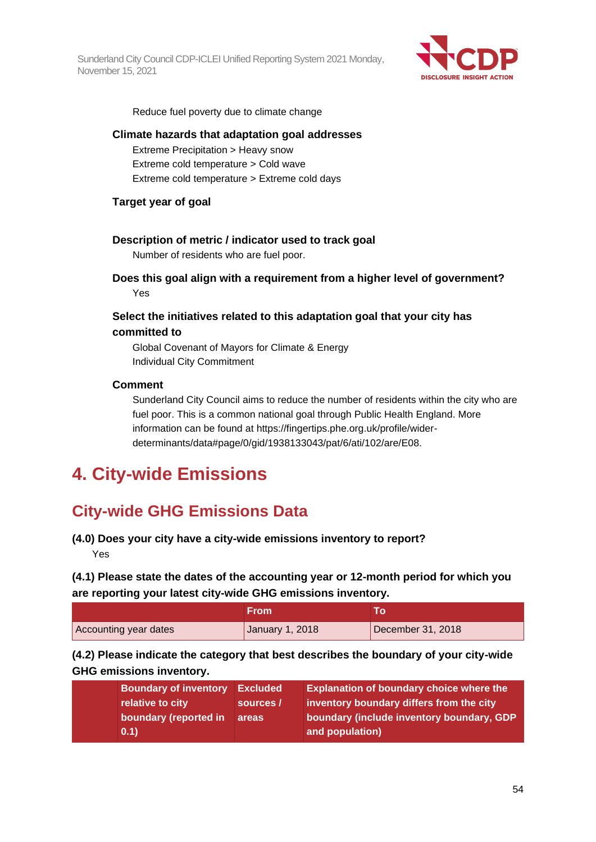

Reduce fuel poverty due to climate change

#### **Climate hazards that adaptation goal addresses**

Extreme Precipitation > Heavy snow Extreme cold temperature > Cold wave Extreme cold temperature > Extreme cold days

- **Target year of goal**
- **Description of metric / indicator used to track goal**

Number of residents who are fuel poor.

**Does this goal align with a requirement from a higher level of government?** Yes

## **Select the initiatives related to this adaptation goal that your city has committed to**

Global Covenant of Mayors for Climate & Energy Individual City Commitment

#### **Comment**

Sunderland City Council aims to reduce the number of residents within the city who are fuel poor. This is a common national goal through Public Health England. More information can be found at https://fingertips.phe.org.uk/profile/widerdeterminants/data#page/0/gid/1938133043/pat/6/ati/102/are/E08.

# **4. City-wide Emissions**

## **City-wide GHG Emissions Data**

#### **(4.0) Does your city have a city-wide emissions inventory to report?**

Yes

**(4.1) Please state the dates of the accounting year or 12-month period for which you are reporting your latest city-wide GHG emissions inventory.**

|                       | From            |                   |
|-----------------------|-----------------|-------------------|
| Accounting year dates | January 1, 2018 | December 31, 2018 |

**(4.2) Please indicate the category that best describes the boundary of your city-wide GHG emissions inventory.**

| <b>Boundary of inventory</b> | Excluded  | <b>Explanation of boundary choice where the</b> |
|------------------------------|-----------|-------------------------------------------------|
| relative to city             | sources / | inventory boundary differs from the city        |
| boundary (reported in        | areas     | boundary (include inventory boundary, GDP       |
| 0.1)                         |           | and population)                                 |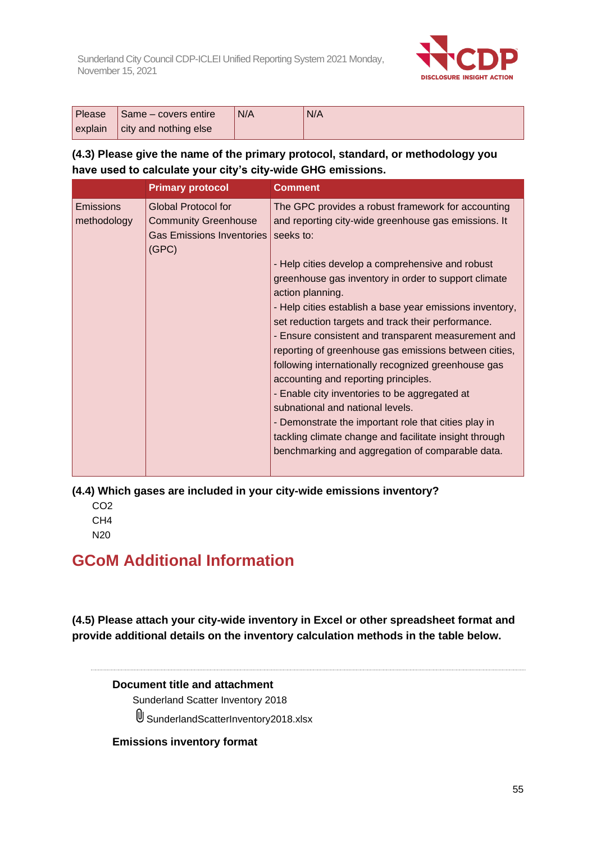

| l Please | Same – covers entire          | N/A | N/A |
|----------|-------------------------------|-----|-----|
| explain  | $\vert$ city and nothing else |     |     |

## **(4.3) Please give the name of the primary protocol, standard, or methodology you have used to calculate your city's city-wide GHG emissions.**

|                                 | <b>Primary protocol</b>                                                                                | <b>Comment</b>                                                                                                                                                                                                                                                                                                                                                                                                                                                                                                                                                                                                                                                                                                                                                                                                                                      |
|---------------------------------|--------------------------------------------------------------------------------------------------------|-----------------------------------------------------------------------------------------------------------------------------------------------------------------------------------------------------------------------------------------------------------------------------------------------------------------------------------------------------------------------------------------------------------------------------------------------------------------------------------------------------------------------------------------------------------------------------------------------------------------------------------------------------------------------------------------------------------------------------------------------------------------------------------------------------------------------------------------------------|
| <b>Emissions</b><br>methodology | <b>Global Protocol for</b><br><b>Community Greenhouse</b><br><b>Gas Emissions Inventories</b><br>(GPC) | The GPC provides a robust framework for accounting<br>and reporting city-wide greenhouse gas emissions. It<br>seeks to:<br>- Help cities develop a comprehensive and robust<br>greenhouse gas inventory in order to support climate<br>action planning.<br>- Help cities establish a base year emissions inventory,<br>set reduction targets and track their performance.<br>- Ensure consistent and transparent measurement and<br>reporting of greenhouse gas emissions between cities,<br>following internationally recognized greenhouse gas<br>accounting and reporting principles.<br>- Enable city inventories to be aggregated at<br>subnational and national levels.<br>- Demonstrate the important role that cities play in<br>tackling climate change and facilitate insight through<br>benchmarking and aggregation of comparable data. |

**(4.4) Which gases are included in your city-wide emissions inventory?**

CO2 CH4

N20

# **GCoM Additional Information**

**(4.5) Please attach your city-wide inventory in Excel or other spreadsheet format and provide additional details on the inventory calculation methods in the table below.**

## **Document title and attachment**

Sunderland Scatter Inventory 2018

SunderlandScatterInventory2018.xlsx

## **Emissions inventory format**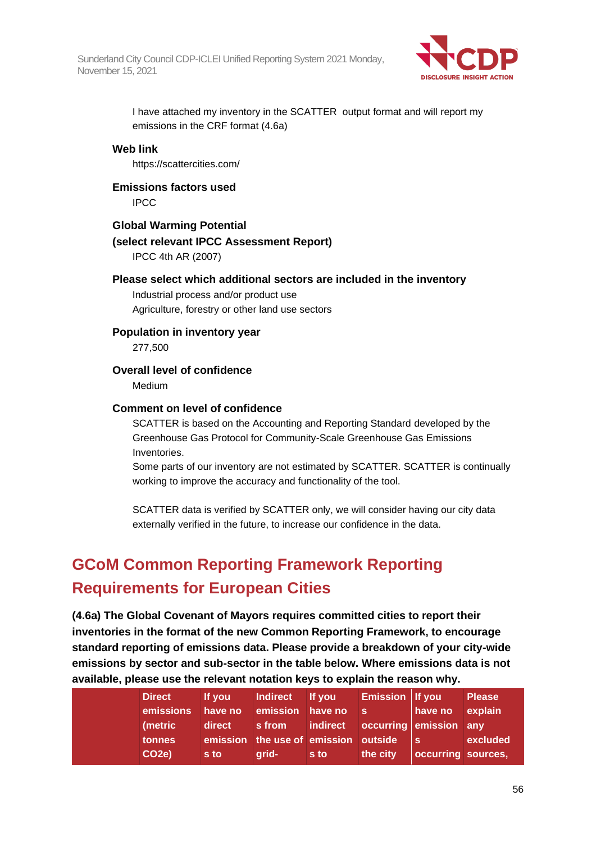

I have attached my inventory in the SCATTER output format and will report my emissions in the CRF format (4.6a)

## **Web link**

https://scattercities.com/

**Emissions factors used** IPCC

## **Global Warming Potential (select relevant IPCC Assessment Report)**

IPCC 4th AR (2007)

## **Please select which additional sectors are included in the inventory**

Industrial process and/or product use Agriculture, forestry or other land use sectors

## **Population in inventory year**

277,500

## **Overall level of confidence**

Medium

## **Comment on level of confidence**

SCATTER is based on the Accounting and Reporting Standard developed by the Greenhouse Gas Protocol for Community-Scale Greenhouse Gas Emissions Inventories.

Some parts of our inventory are not estimated by SCATTER. SCATTER is continually working to improve the accuracy and functionality of the tool.

SCATTER data is verified by SCATTER only, we will consider having our city data externally verified in the future, to increase our confidence in the data.

# **GCoM Common Reporting Framework Reporting Requirements for European Cities**

**(4.6a) The Global Covenant of Mayors requires committed cities to report their inventories in the format of the new Common Reporting Framework, to encourage standard reporting of emissions data. Please provide a breakdown of your city-wide emissions by sector and sub-sector in the table below. Where emissions data is not available, please use the relevant notation keys to explain the reason why.**

| <b>Direct</b>      | If you  | Indirect If you  |      | <b>Emission If you</b>                 |                    | <b>Please</b> |
|--------------------|---------|------------------|------|----------------------------------------|--------------------|---------------|
| <b>emissions</b>   | have no | emission have no |      | <b>S</b> 5                             | have no            | explain       |
| (metric            | direct  | s from           |      | indirect occurring emission any        |                    |               |
| tonnes             |         |                  |      | emission the use of emission outside s |                    | excluded      |
| CO <sub>2</sub> e) | s to    | arid-            | s to | the city                               | occurring sources, |               |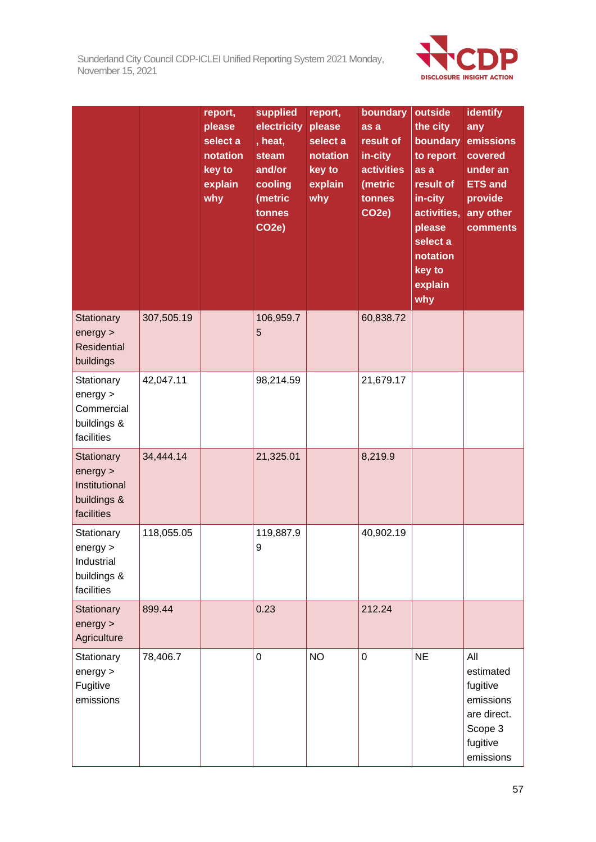

|                                                                      |            | report,<br>please<br>select a<br>notation<br>key to<br>explain<br>why | supplied<br>electricity<br>, heat,<br>steam<br>and/or<br>cooling<br>(metric<br>tonnes<br>CO <sub>2</sub> e) | report,<br>please<br>select a<br>notation<br>key to<br>explain<br>why | boundary<br>as a<br>result of<br>in-city<br><b>activities</b><br>(metric<br>tonnes<br>CO <sub>2</sub> e) | outside<br>the city<br>boundary<br>to report<br>as a<br>result of<br>in-city<br>activities,<br>please<br>select a<br>notation<br>key to<br>explain<br>why | identify<br>any<br>emissions<br>covered<br>under an<br><b>ETS and</b><br>provide<br>any other<br><b>comments</b> |
|----------------------------------------------------------------------|------------|-----------------------------------------------------------------------|-------------------------------------------------------------------------------------------------------------|-----------------------------------------------------------------------|----------------------------------------------------------------------------------------------------------|-----------------------------------------------------------------------------------------------------------------------------------------------------------|------------------------------------------------------------------------------------------------------------------|
| Stationary<br>energy ><br><b>Residential</b><br>buildings            | 307,505.19 |                                                                       | 106,959.7<br>5                                                                                              |                                                                       | 60,838.72                                                                                                |                                                                                                                                                           |                                                                                                                  |
| Stationary<br>energy<br>Commercial<br>buildings &<br>facilities      | 42,047.11  |                                                                       | 98,214.59                                                                                                   |                                                                       | 21,679.17                                                                                                |                                                                                                                                                           |                                                                                                                  |
| Stationary<br>energy ><br>Institutional<br>buildings &<br>facilities | 34,444.14  |                                                                       | 21,325.01                                                                                                   |                                                                       | 8,219.9                                                                                                  |                                                                                                                                                           |                                                                                                                  |
| Stationary<br>energy ><br>Industrial<br>buildings &<br>facilities    | 118,055.05 |                                                                       | 119,887.9<br>9                                                                                              |                                                                       | 40,902.19                                                                                                |                                                                                                                                                           |                                                                                                                  |
| Stationary<br>energy<br>Agriculture                                  | 899.44     |                                                                       | 0.23                                                                                                        |                                                                       | 212.24                                                                                                   |                                                                                                                                                           |                                                                                                                  |
| Stationary<br>energy<br>Fugitive<br>emissions                        | 78,406.7   |                                                                       | $\mathbf 0$                                                                                                 | <b>NO</b>                                                             | $\mathsf 0$                                                                                              | NE                                                                                                                                                        | All<br>estimated<br>fugitive<br>emissions<br>are direct.<br>Scope 3<br>fugitive<br>emissions                     |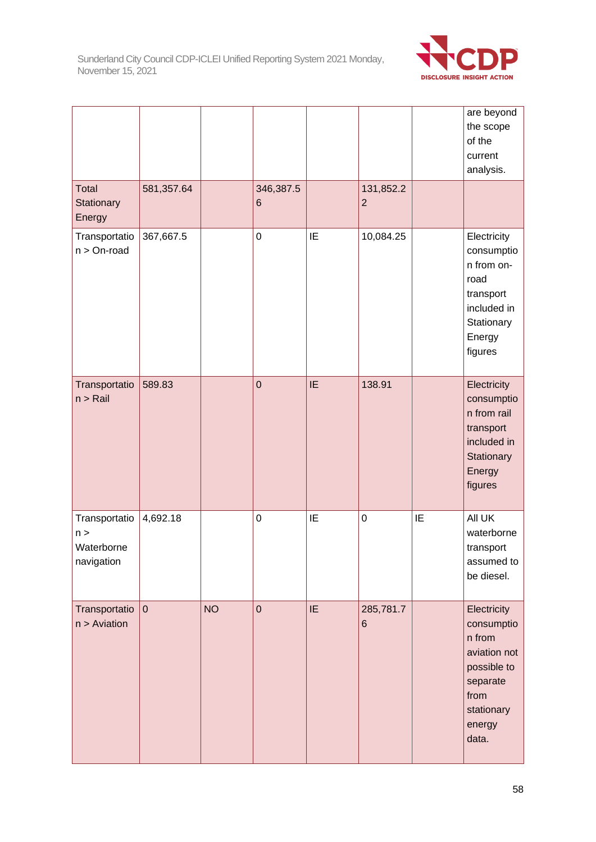

|                                                  |             |           |                  |    |                              |    | are beyond<br>the scope<br>of the<br>current<br>analysis.                                                               |
|--------------------------------------------------|-------------|-----------|------------------|----|------------------------------|----|-------------------------------------------------------------------------------------------------------------------------|
| <b>Total</b><br>Stationary<br>Energy             | 581,357.64  |           | 346,387.5<br>6   |    | 131,852.2<br>$\overline{2}$  |    |                                                                                                                         |
| Transportatio<br>$n >$ On-road                   | 367,667.5   |           | $\mathbf 0$      | IE | 10,084.25                    |    | Electricity<br>consumptio<br>n from on-<br>road<br>transport<br>included in<br>Stationary<br>Energy<br>figures          |
| Transportatio<br>$n >$ Rail                      | 589.83      |           | $\overline{0}$   | IE | 138.91                       |    | Electricity<br>consumptio<br>n from rail<br>transport<br>included in<br>Stationary<br>Energy<br>figures                 |
| Transportatio<br>n ><br>Waterborne<br>navigation | 4,692.18    |           | $\boldsymbol{0}$ | IE | $\mathbf 0$                  | IE | All UK<br>waterborne<br>transport<br>assumed to<br>be diesel.                                                           |
| Transportatio<br>$n >$ Aviation                  | $\mathbf 0$ | <b>NO</b> | $\overline{0}$   | IE | 285,781.7<br>$6\phantom{1}6$ |    | Electricity<br>consumptio<br>n from<br>aviation not<br>possible to<br>separate<br>from<br>stationary<br>energy<br>data. |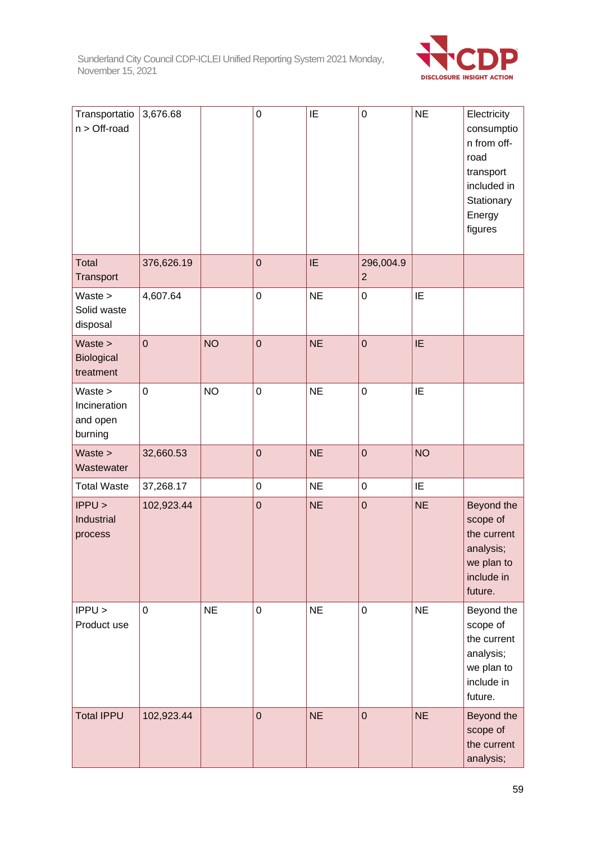

| Transportatio<br>$n >$ Off-road              | 3,676.68    |           | $\mathbf 0$    | IE        | $\pmb{0}$                   | <b>NE</b> | Electricity<br>consumptio<br>n from off-<br>road<br>transport<br>included in<br>Stationary<br>Energy<br>figures |
|----------------------------------------------|-------------|-----------|----------------|-----------|-----------------------------|-----------|-----------------------------------------------------------------------------------------------------------------|
| Total<br>Transport                           | 376,626.19  |           | $\mathbf 0$    | IE        | 296,004.9<br>$\overline{2}$ |           |                                                                                                                 |
| Waste<br>Solid waste<br>disposal             | 4,607.64    |           | $\mathbf 0$    | <b>NE</b> | $\mathbf 0$                 | IE        |                                                                                                                 |
| Waste ><br>Biological<br>treatment           | $\mathbf 0$ | <b>NO</b> | $\overline{0}$ | <b>NE</b> | $\mathbf 0$                 | IE        |                                                                                                                 |
| Waste<br>Incineration<br>and open<br>burning | $\mathbf 0$ | <b>NO</b> | $\overline{0}$ | <b>NE</b> | $\mathbf 0$                 | IE        |                                                                                                                 |
| Waste ><br>Wastewater                        | 32,660.53   |           | $\mathbf 0$    | <b>NE</b> | $\overline{0}$              | <b>NO</b> |                                                                                                                 |
| <b>Total Waste</b>                           | 37,268.17   |           | $\mathsf 0$    | <b>NE</b> | $\mathbf 0$                 | IE        |                                                                                                                 |
| IPPU ><br>Industrial<br>process              | 102,923.44  |           | $\overline{0}$ | <b>NE</b> | $\mathbf 0$                 | <b>NE</b> | Beyond the<br>scope of<br>the current<br>analysis;<br>we plan to<br>include in<br>future.                       |
| IPPU ><br>Product use                        | $\mathbf 0$ | <b>NE</b> | $\pmb{0}$      | <b>NE</b> | $\mathbf 0$                 | <b>NE</b> | Beyond the<br>scope of<br>the current<br>analysis;<br>we plan to<br>include in<br>future.                       |
| <b>Total IPPU</b>                            | 102,923.44  |           | $\overline{0}$ | <b>NE</b> | $\mathbf 0$                 | <b>NE</b> | Beyond the<br>scope of<br>the current<br>analysis;                                                              |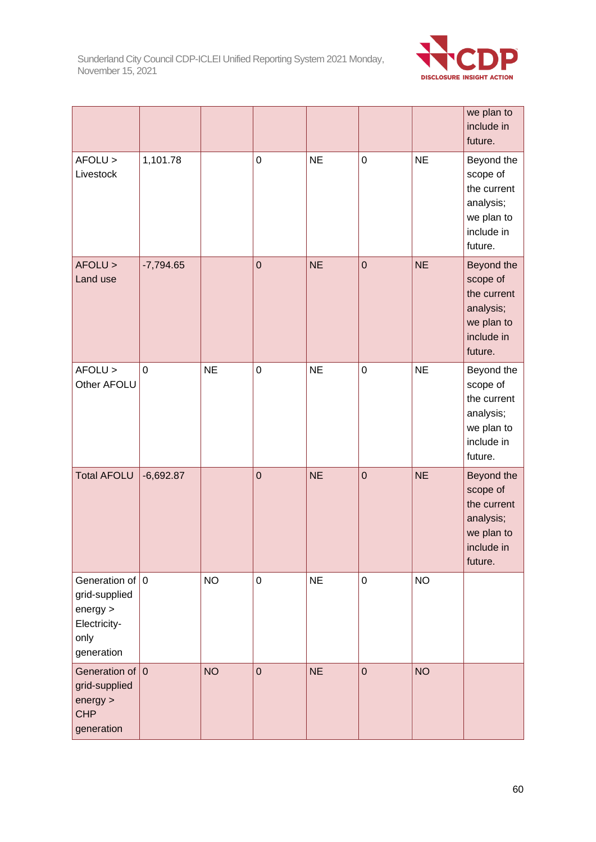

|                                                                                        |             |           |                |           |             |           | we plan to<br>include in<br>future.                                                       |
|----------------------------------------------------------------------------------------|-------------|-----------|----------------|-----------|-------------|-----------|-------------------------------------------------------------------------------------------|
| AFOLU ><br>Livestock                                                                   | 1,101.78    |           | $\mathsf 0$    | <b>NE</b> | $\mathbf 0$ | <b>NE</b> | Beyond the<br>scope of<br>the current<br>analysis;<br>we plan to<br>include in<br>future. |
| AFOLU ><br>Land use                                                                    | $-7,794.65$ |           | $\overline{0}$ | <b>NE</b> | $\mathbf 0$ | <b>NE</b> | Beyond the<br>scope of<br>the current<br>analysis;<br>we plan to<br>include in<br>future. |
| AFOLU ><br>Other AFOLU                                                                 | $\mathbf 0$ | <b>NE</b> | $\mathbf 0$    | <b>NE</b> | $\mathbf 0$ | <b>NE</b> | Beyond the<br>scope of<br>the current<br>analysis;<br>we plan to<br>include in<br>future. |
| <b>Total AFOLU</b>                                                                     | $-6,692.87$ |           | $\mathbf 0$    | <b>NE</b> | $\mathbf 0$ | <b>NE</b> | Beyond the<br>scope of<br>the current<br>analysis;<br>we plan to<br>include in<br>future. |
| Generation of $ 0 $<br>grid-supplied<br>energy ><br>Electricity-<br>only<br>generation |             | <b>NO</b> | $\mathbf 0$    | <b>NE</b> | $\mathbf 0$ | <b>NO</b> |                                                                                           |
| Generation of $ 0 $<br>grid-supplied<br>energy<br><b>CHP</b><br>generation             |             | <b>NO</b> | $\mathbf 0$    | <b>NE</b> | $\mathbf 0$ | <b>NO</b> |                                                                                           |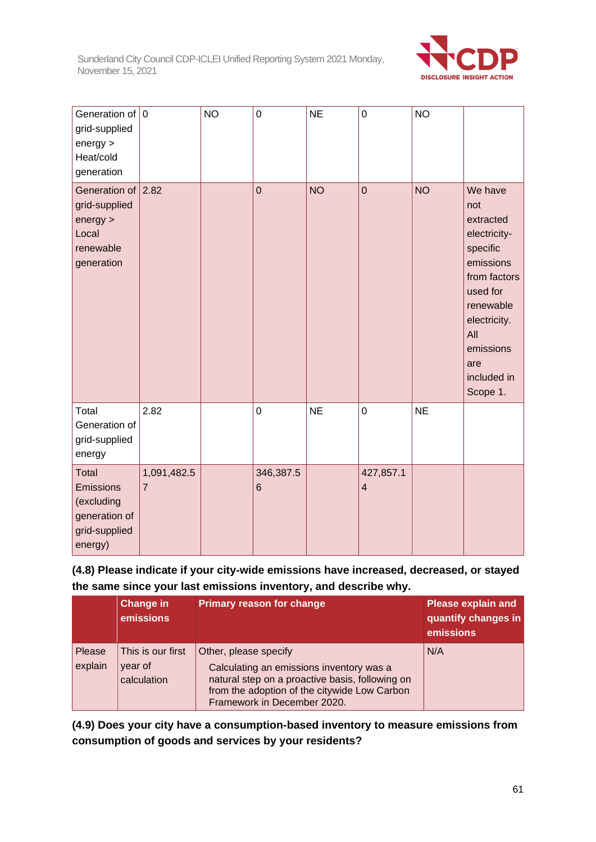

| Generation of $ 0 $<br>grid-supplied<br>energy<br>Heat/cold<br>generation         |                               | <b>NO</b> | $\mathbf 0$                  | <b>NE</b> | $\mathbf 0$                          | <b>NO</b> |                                                                                                                                                                                     |
|-----------------------------------------------------------------------------------|-------------------------------|-----------|------------------------------|-----------|--------------------------------------|-----------|-------------------------------------------------------------------------------------------------------------------------------------------------------------------------------------|
| Generation of 2.82<br>grid-supplied<br>energy<br>Local<br>renewable<br>generation |                               |           | $\overline{0}$               | <b>NO</b> | $\overline{0}$                       | <b>NO</b> | We have<br>not<br>extracted<br>electricity-<br>specific<br>emissions<br>from factors<br>used for<br>renewable<br>electricity.<br>All<br>emissions<br>are<br>included in<br>Scope 1. |
| Total<br>Generation of<br>grid-supplied<br>energy                                 | 2.82                          |           | $\overline{0}$               | <b>NE</b> | $\overline{0}$                       | <b>NE</b> |                                                                                                                                                                                     |
| Total<br>Emissions<br>(excluding<br>generation of<br>grid-supplied<br>energy)     | 1,091,482.5<br>$\overline{7}$ |           | 346,387.5<br>$6\phantom{1}6$ |           | 427,857.1<br>$\overline{\mathbf{4}}$ |           |                                                                                                                                                                                     |

## **(4.8) Please indicate if your city-wide emissions have increased, decreased, or stayed the same since your last emissions inventory, and describe why.**

|                   | <b>Change in</b><br>emissions               | <b>Primary reason for change</b>                                                                                                                                                                    | <b>Please explain and</b><br>quantify changes in<br>emissions |
|-------------------|---------------------------------------------|-----------------------------------------------------------------------------------------------------------------------------------------------------------------------------------------------------|---------------------------------------------------------------|
| Please<br>explain | This is our first<br>year of<br>calculation | Other, please specify<br>Calculating an emissions inventory was a<br>natural step on a proactive basis, following on<br>from the adoption of the citywide Low Carbon<br>Framework in December 2020. | N/A                                                           |

**(4.9) Does your city have a consumption-based inventory to measure emissions from consumption of goods and services by your residents?**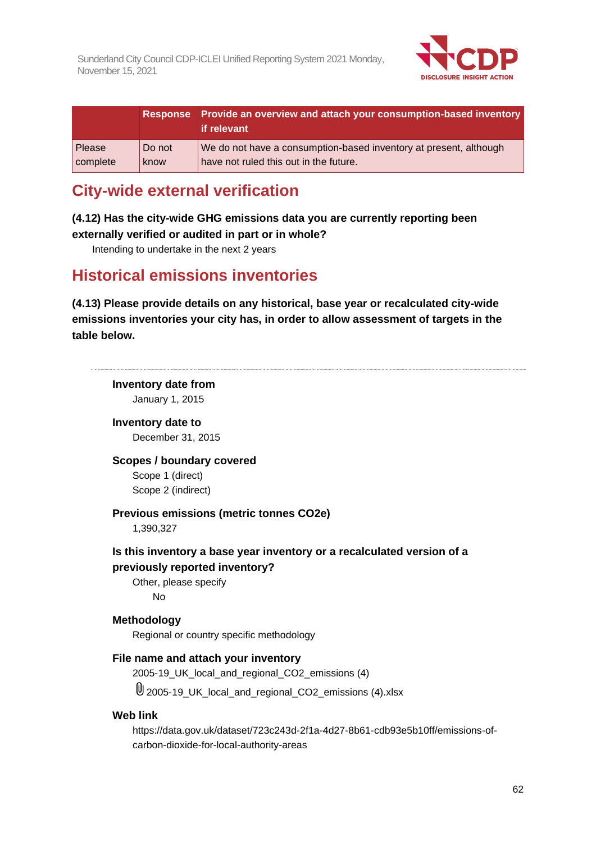

|          |        | Response Provide an overview and attach your consumption-based inventory<br>if relevant |
|----------|--------|-----------------------------------------------------------------------------------------|
| Please   | Do not | We do not have a consumption-based inventory at present, although                       |
| complete | know   | have not ruled this out in the future.                                                  |

## **City-wide external verification**

## **(4.12) Has the city-wide GHG emissions data you are currently reporting been externally verified or audited in part or in whole?**

Intending to undertake in the next 2 years

## **Historical emissions inventories**

**(4.13) Please provide details on any historical, base year or recalculated city-wide emissions inventories your city has, in order to allow assessment of targets in the table below.**

**Inventory date from** January 1, 2015

**Inventory date to** December 31, 2015

## **Scopes / boundary covered** Scope 1 (direct)

Scope 2 (indirect)

**Previous emissions (metric tonnes CO2e)** 1,390,327

## **Is this inventory a base year inventory or a recalculated version of a previously reported inventory?**

Other, please specify No

## **Methodology**

Regional or country specific methodology

## **File name and attach your inventory**

2005-19 UK local and regional CO2 emissions (4)

2005-19\_UK\_local\_and\_regional\_CO2\_emissions (4).xlsx

## **Web link**

https://data.gov.uk/dataset/723c243d-2f1a-4d27-8b61-cdb93e5b10ff/emissions-ofcarbon-dioxide-for-local-authority-areas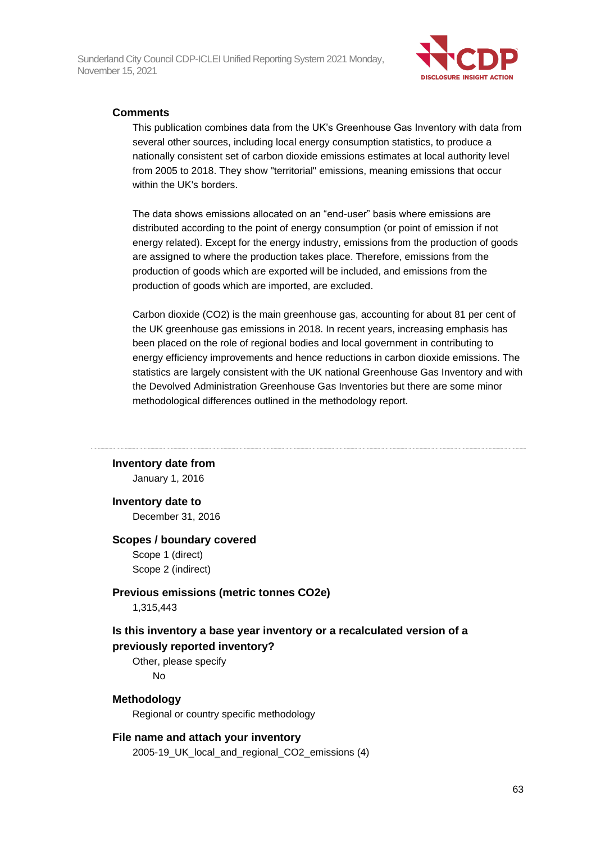

## **Comments**

This publication combines data from the UK's Greenhouse Gas Inventory with data from several other sources, including local energy consumption statistics, to produce a nationally consistent set of carbon dioxide emissions estimates at local authority level from 2005 to 2018. They show "territorial" emissions, meaning emissions that occur within the UK's borders.

The data shows emissions allocated on an "end-user" basis where emissions are distributed according to the point of energy consumption (or point of emission if not energy related). Except for the energy industry, emissions from the production of goods are assigned to where the production takes place. Therefore, emissions from the production of goods which are exported will be included, and emissions from the production of goods which are imported, are excluded.

Carbon dioxide (CO2) is the main greenhouse gas, accounting for about 81 per cent of the UK greenhouse gas emissions in 2018. In recent years, increasing emphasis has been placed on the role of regional bodies and local government in contributing to energy efficiency improvements and hence reductions in carbon dioxide emissions. The statistics are largely consistent with the UK national Greenhouse Gas Inventory and with the Devolved Administration Greenhouse Gas Inventories but there are some minor methodological differences outlined in the methodology report.

#### **Inventory date from**

January 1, 2016

#### **Inventory date to**

December 31, 2016

#### **Scopes / boundary covered**

Scope 1 (direct) Scope 2 (indirect)

## **Previous emissions (metric tonnes CO2e)**

1,315,443

## **Is this inventory a base year inventory or a recalculated version of a previously reported inventory?**

Other, please specify No

#### **Methodology**

Regional or country specific methodology

#### **File name and attach your inventory**

2005-19 UK local and regional CO2 emissions (4)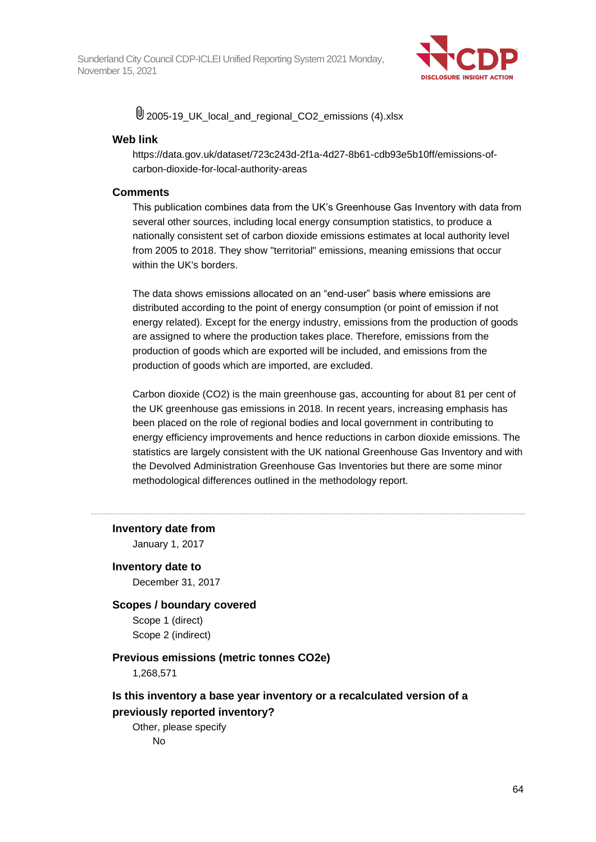

 $\textcircled{\scriptsize{12005-19}}$  UK\_local\_and\_regional\_CO2\_emissions (4).xlsx

## **Web link**

https://data.gov.uk/dataset/723c243d-2f1a-4d27-8b61-cdb93e5b10ff/emissions-ofcarbon-dioxide-for-local-authority-areas

### **Comments**

This publication combines data from the UK's Greenhouse Gas Inventory with data from several other sources, including local energy consumption statistics, to produce a nationally consistent set of carbon dioxide emissions estimates at local authority level from 2005 to 2018. They show "territorial" emissions, meaning emissions that occur within the UK's borders.

The data shows emissions allocated on an "end-user" basis where emissions are distributed according to the point of energy consumption (or point of emission if not energy related). Except for the energy industry, emissions from the production of goods are assigned to where the production takes place. Therefore, emissions from the production of goods which are exported will be included, and emissions from the production of goods which are imported, are excluded.

Carbon dioxide (CO2) is the main greenhouse gas, accounting for about 81 per cent of the UK greenhouse gas emissions in 2018. In recent years, increasing emphasis has been placed on the role of regional bodies and local government in contributing to energy efficiency improvements and hence reductions in carbon dioxide emissions. The statistics are largely consistent with the UK national Greenhouse Gas Inventory and with the Devolved Administration Greenhouse Gas Inventories but there are some minor methodological differences outlined in the methodology report.

**Inventory date from**

January 1, 2017

**Inventory date to** December 31, 2017

#### **Scopes / boundary covered**

Scope 1 (direct) Scope 2 (indirect)

### **Previous emissions (metric tonnes CO2e)**

1,268,571

## **Is this inventory a base year inventory or a recalculated version of a previously reported inventory?**

Other, please specify No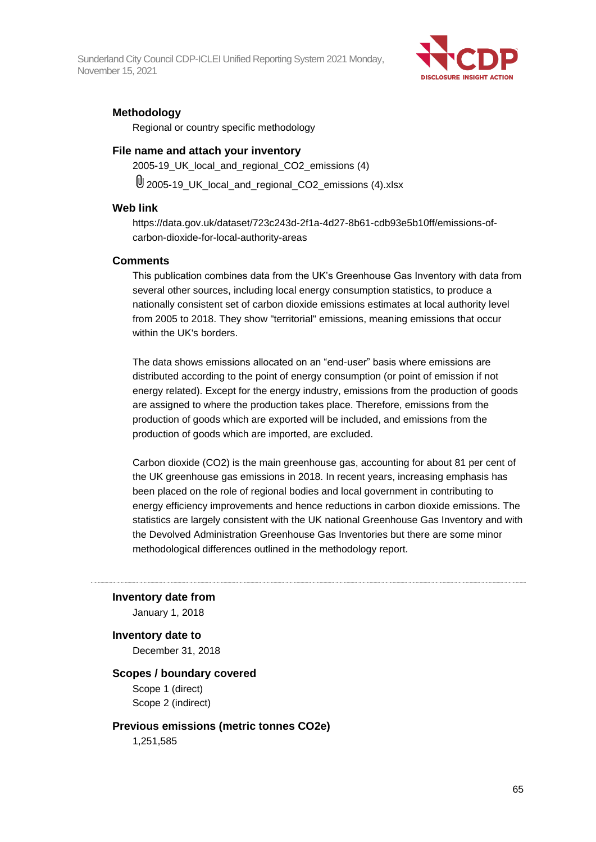

## **Methodology**

Regional or country specific methodology

#### **File name and attach your inventory**

2005-19\_UK\_local\_and\_regional\_CO2\_emissions (4)

 $\mathbb U$  2005-19 UK local and regional\_CO2\_emissions (4).xlsx

#### **Web link**

https://data.gov.uk/dataset/723c243d-2f1a-4d27-8b61-cdb93e5b10ff/emissions-ofcarbon-dioxide-for-local-authority-areas

#### **Comments**

This publication combines data from the UK's Greenhouse Gas Inventory with data from several other sources, including local energy consumption statistics, to produce a nationally consistent set of carbon dioxide emissions estimates at local authority level from 2005 to 2018. They show "territorial" emissions, meaning emissions that occur within the UK's borders.

The data shows emissions allocated on an "end-user" basis where emissions are distributed according to the point of energy consumption (or point of emission if not energy related). Except for the energy industry, emissions from the production of goods are assigned to where the production takes place. Therefore, emissions from the production of goods which are exported will be included, and emissions from the production of goods which are imported, are excluded.

Carbon dioxide (CO2) is the main greenhouse gas, accounting for about 81 per cent of the UK greenhouse gas emissions in 2018. In recent years, increasing emphasis has been placed on the role of regional bodies and local government in contributing to energy efficiency improvements and hence reductions in carbon dioxide emissions. The statistics are largely consistent with the UK national Greenhouse Gas Inventory and with the Devolved Administration Greenhouse Gas Inventories but there are some minor methodological differences outlined in the methodology report.

## **Inventory date from** January 1, 2018

#### **Inventory date to**

December 31, 2018

#### **Scopes / boundary covered**

Scope 1 (direct) Scope 2 (indirect)

**Previous emissions (metric tonnes CO2e)** 1,251,585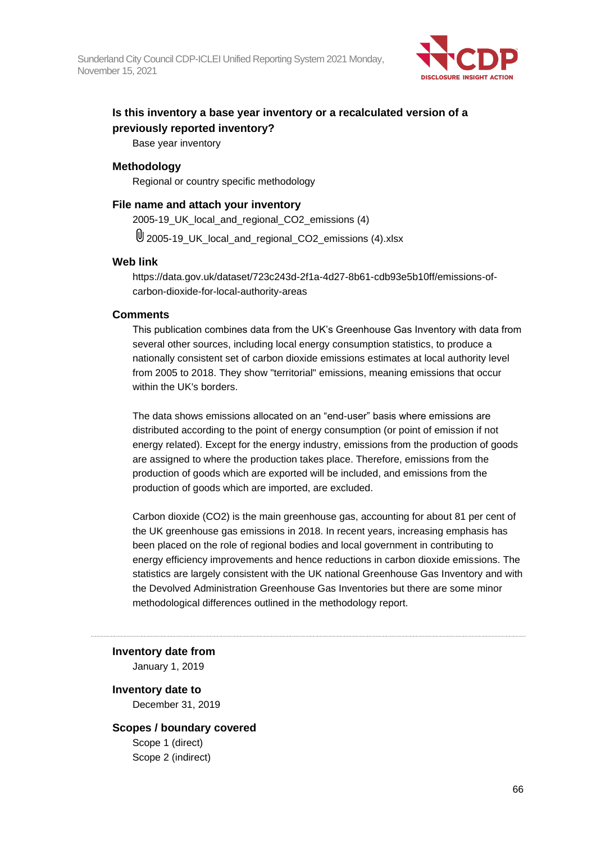

## **Is this inventory a base year inventory or a recalculated version of a previously reported inventory?**

Base year inventory

## **Methodology**

Regional or country specific methodology

## **File name and attach your inventory**

2005-19\_UK\_local\_and\_regional\_CO2\_emissions (4)

 $\overline{y}$  2005-19 UK local and regional CO2 emissions (4).xlsx

## **Web link**

https://data.gov.uk/dataset/723c243d-2f1a-4d27-8b61-cdb93e5b10ff/emissions-ofcarbon-dioxide-for-local-authority-areas

## **Comments**

This publication combines data from the UK's Greenhouse Gas Inventory with data from several other sources, including local energy consumption statistics, to produce a nationally consistent set of carbon dioxide emissions estimates at local authority level from 2005 to 2018. They show "territorial" emissions, meaning emissions that occur within the UK's borders.

The data shows emissions allocated on an "end-user" basis where emissions are distributed according to the point of energy consumption (or point of emission if not energy related). Except for the energy industry, emissions from the production of goods are assigned to where the production takes place. Therefore, emissions from the production of goods which are exported will be included, and emissions from the production of goods which are imported, are excluded.

Carbon dioxide (CO2) is the main greenhouse gas, accounting for about 81 per cent of the UK greenhouse gas emissions in 2018. In recent years, increasing emphasis has been placed on the role of regional bodies and local government in contributing to energy efficiency improvements and hence reductions in carbon dioxide emissions. The statistics are largely consistent with the UK national Greenhouse Gas Inventory and with the Devolved Administration Greenhouse Gas Inventories but there are some minor methodological differences outlined in the methodology report.

#### **Inventory date from**

January 1, 2019

## **Inventory date to** December 31, 2019

#### **Scopes / boundary covered**

Scope 1 (direct) Scope 2 (indirect)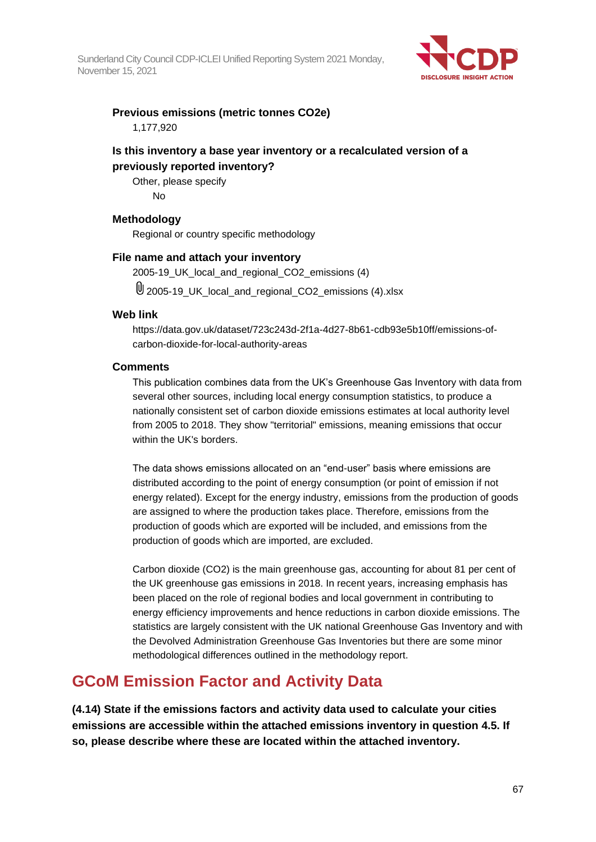

## **Previous emissions (metric tonnes CO2e)** 1,177,920

## **Is this inventory a base year inventory or a recalculated version of a previously reported inventory?**

Other, please specify No

## **Methodology**

Regional or country specific methodology

## **File name and attach your inventory**

2005-19\_UK\_local\_and\_regional\_CO2\_emissions (4)

2005-19\_UK\_local\_and\_regional\_CO2\_emissions (4).xlsx

## **Web link**

https://data.gov.uk/dataset/723c243d-2f1a-4d27-8b61-cdb93e5b10ff/emissions-ofcarbon-dioxide-for-local-authority-areas

## **Comments**

This publication combines data from the UK's Greenhouse Gas Inventory with data from several other sources, including local energy consumption statistics, to produce a nationally consistent set of carbon dioxide emissions estimates at local authority level from 2005 to 2018. They show "territorial" emissions, meaning emissions that occur within the UK's borders.

The data shows emissions allocated on an "end-user" basis where emissions are distributed according to the point of energy consumption (or point of emission if not energy related). Except for the energy industry, emissions from the production of goods are assigned to where the production takes place. Therefore, emissions from the production of goods which are exported will be included, and emissions from the production of goods which are imported, are excluded.

Carbon dioxide (CO2) is the main greenhouse gas, accounting for about 81 per cent of the UK greenhouse gas emissions in 2018. In recent years, increasing emphasis has been placed on the role of regional bodies and local government in contributing to energy efficiency improvements and hence reductions in carbon dioxide emissions. The statistics are largely consistent with the UK national Greenhouse Gas Inventory and with the Devolved Administration Greenhouse Gas Inventories but there are some minor methodological differences outlined in the methodology report.

## **GCoM Emission Factor and Activity Data**

**(4.14) State if the emissions factors and activity data used to calculate your cities emissions are accessible within the attached emissions inventory in question 4.5. If so, please describe where these are located within the attached inventory.**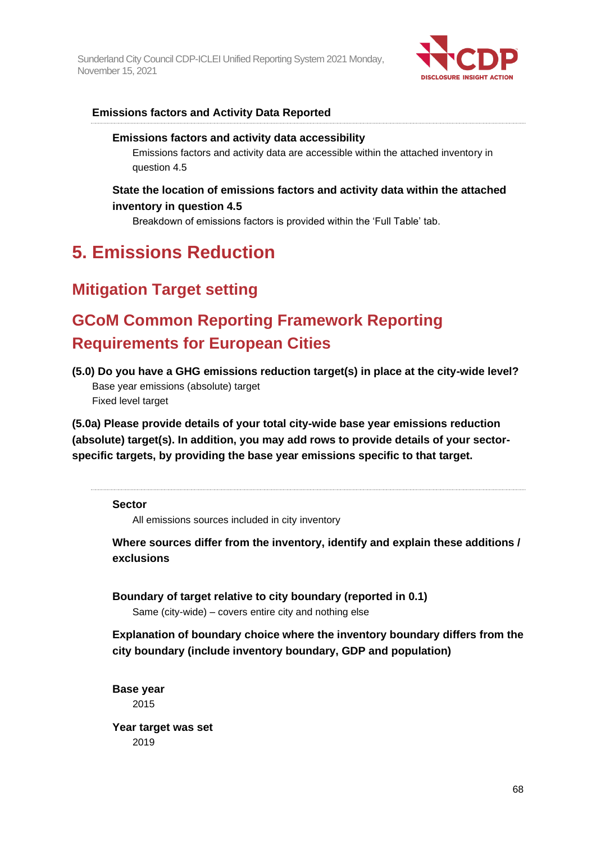

## **Emissions factors and Activity Data Reported**

#### **Emissions factors and activity data accessibility**

Emissions factors and activity data are accessible within the attached inventory in question 4.5

## **State the location of emissions factors and activity data within the attached inventory in question 4.5**

Breakdown of emissions factors is provided within the 'Full Table' tab.

# **5. Emissions Reduction**

## **Mitigation Target setting**

# **GCoM Common Reporting Framework Reporting Requirements for European Cities**

**(5.0) Do you have a GHG emissions reduction target(s) in place at the city-wide level?** Base year emissions (absolute) target Fixed level target

**(5.0a) Please provide details of your total city-wide base year emissions reduction (absolute) target(s). In addition, you may add rows to provide details of your sectorspecific targets, by providing the base year emissions specific to that target.**

**Sector**

All emissions sources included in city inventory

**Where sources differ from the inventory, identify and explain these additions / exclusions**

**Boundary of target relative to city boundary (reported in 0.1)**

Same (city-wide) – covers entire city and nothing else

**Explanation of boundary choice where the inventory boundary differs from the city boundary (include inventory boundary, GDP and population)**

**Base year** 2015

**Year target was set** 2019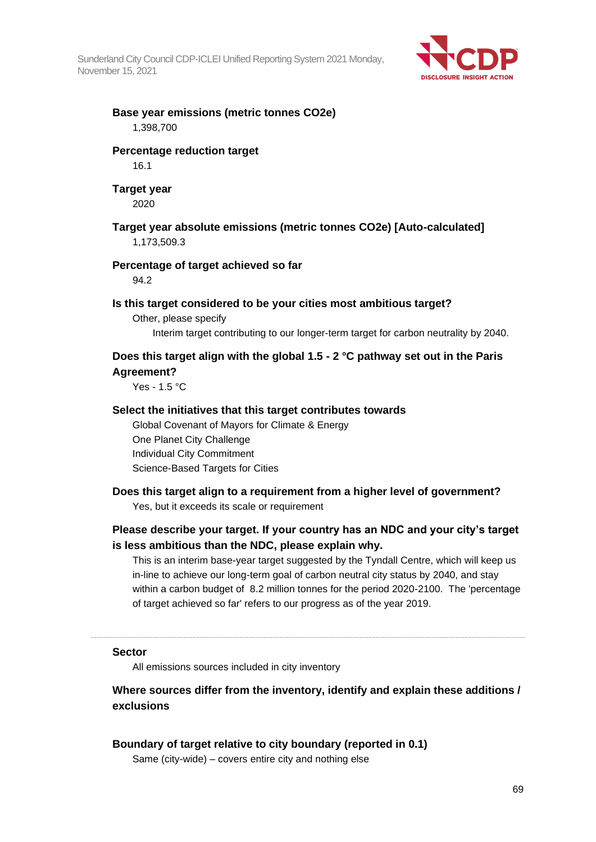

## **Base year emissions (metric tonnes CO2e)** 1,398,700

#### **Percentage reduction target**

16.1

## **Target year**

2020

**Target year absolute emissions (metric tonnes CO2e) [Auto-calculated]** 1,173,509.3

#### **Percentage of target achieved so far**

94.2

## **Is this target considered to be your cities most ambitious target?**

Other, please specify Interim target contributing to our longer-term target for carbon neutrality by 2040.

## **Does this target align with the global 1.5 - 2 °C pathway set out in the Paris Agreement?**

Yes - 1.5 °C

## **Select the initiatives that this target contributes towards**

Global Covenant of Mayors for Climate & Energy One Planet City Challenge Individual City Commitment Science-Based Targets for Cities

**Does this target align to a requirement from a higher level of government?**

Yes, but it exceeds its scale or requirement

## **Please describe your target. If your country has an NDC and your city's target is less ambitious than the NDC, please explain why.**

This is an interim base-year target suggested by the Tyndall Centre, which will keep us in-line to achieve our long-term goal of carbon neutral city status by 2040, and stay within a carbon budget of 8.2 million tonnes for the period 2020-2100. The 'percentage of target achieved so far' refers to our progress as of the year 2019.

#### **Sector**

All emissions sources included in city inventory

**Where sources differ from the inventory, identify and explain these additions / exclusions**

## **Boundary of target relative to city boundary (reported in 0.1)**

Same (city-wide) – covers entire city and nothing else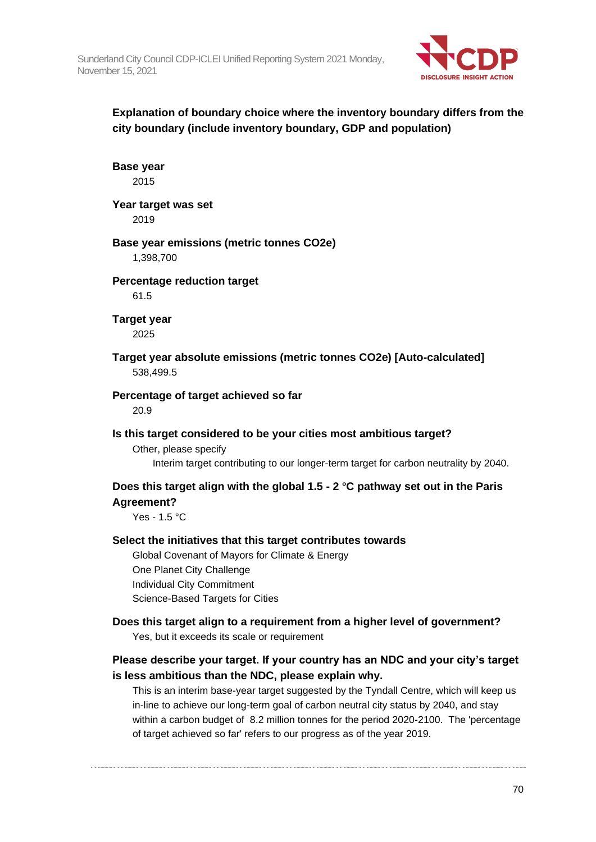

## **Explanation of boundary choice where the inventory boundary differs from the city boundary (include inventory boundary, GDP and population)**

## **Base year**

2015

# **Year target was set**

2019

## **Base year emissions (metric tonnes CO2e)**

1,398,700

## **Percentage reduction target**

61.5

**Target year**

2025

## **Target year absolute emissions (metric tonnes CO2e) [Auto-calculated]** 538,499.5

## **Percentage of target achieved so far**

20.9

## **Is this target considered to be your cities most ambitious target?**

Other, please specify

Interim target contributing to our longer-term target for carbon neutrality by 2040.

## **Does this target align with the global 1.5 - 2 °C pathway set out in the Paris Agreement?**

Yes - 1.5 °C

## **Select the initiatives that this target contributes towards**

Global Covenant of Mayors for Climate & Energy One Planet City Challenge Individual City Commitment Science-Based Targets for Cities

## **Does this target align to a requirement from a higher level of government?** Yes, but it exceeds its scale or requirement

## **Please describe your target. If your country has an NDC and your city's target is less ambitious than the NDC, please explain why.**

This is an interim base-year target suggested by the Tyndall Centre, which will keep us in-line to achieve our long-term goal of carbon neutral city status by 2040, and stay within a carbon budget of 8.2 million tonnes for the period 2020-2100. The 'percentage of target achieved so far' refers to our progress as of the year 2019.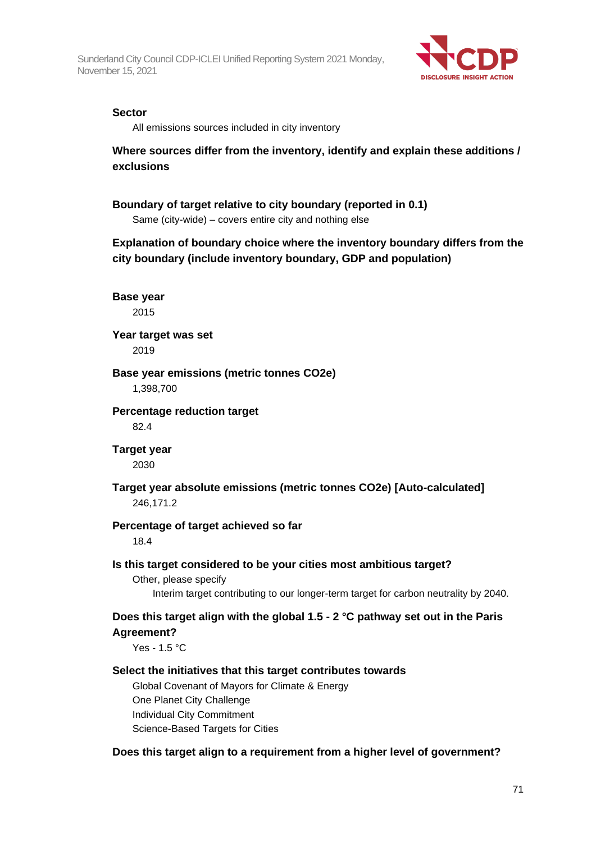

### **Sector**

All emissions sources included in city inventory

## **Where sources differ from the inventory, identify and explain these additions / exclusions**

**Boundary of target relative to city boundary (reported in 0.1)** Same (city-wide) – covers entire city and nothing else **Explanation of boundary choice where the inventory boundary differs from the city boundary (include inventory boundary, GDP and population) Base year** 2015 **Year target was set** 2019 **Base year emissions (metric tonnes CO2e)** 1,398,700 **Percentage reduction target** 82.4 **Target year** 2030 **Target year absolute emissions (metric tonnes CO2e) [Auto-calculated]** 246,171.2 **Percentage of target achieved so far** 18.4 **Is this target considered to be your cities most ambitious target?** Other, please specify Interim target contributing to our longer-term target for carbon neutrality by 2040. **Does this target align with the global 1.5 - 2 °C pathway set out in the Paris Agreement?** Yes - 1.5 °C **Select the initiatives that this target contributes towards**

Global Covenant of Mayors for Climate & Energy One Planet City Challenge Individual City Commitment Science-Based Targets for Cities

**Does this target align to a requirement from a higher level of government?**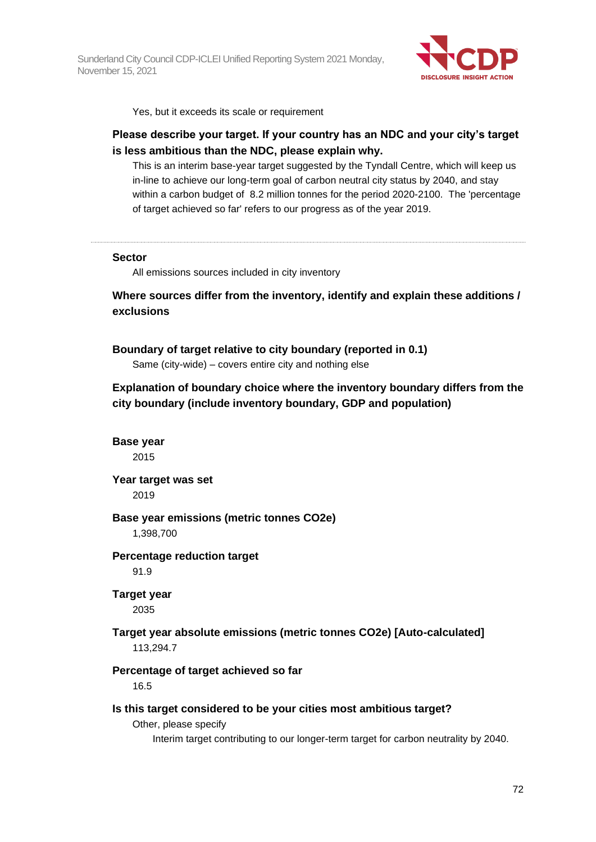

Yes, but it exceeds its scale or requirement

## **Please describe your target. If your country has an NDC and your city's target is less ambitious than the NDC, please explain why.**

This is an interim base-year target suggested by the Tyndall Centre, which will keep us in-line to achieve our long-term goal of carbon neutral city status by 2040, and stay within a carbon budget of 8.2 million tonnes for the period 2020-2100. The 'percentage of target achieved so far' refers to our progress as of the year 2019.

## **Sector**

All emissions sources included in city inventory

**Where sources differ from the inventory, identify and explain these additions / exclusions**

**Boundary of target relative to city boundary (reported in 0.1)** Same (city-wide) – covers entire city and nothing else

**Explanation of boundary choice where the inventory boundary differs from the city boundary (include inventory boundary, GDP and population)**

## **Base year**

2015

**Year target was set**

2019

## **Base year emissions (metric tonnes CO2e)**

1,398,700

## **Percentage reduction target**

91.9

#### **Target year** 2035

**Target year absolute emissions (metric tonnes CO2e) [Auto-calculated]** 113,294.7

#### **Percentage of target achieved so far**

16.5

#### **Is this target considered to be your cities most ambitious target?**

Other, please specify

Interim target contributing to our longer-term target for carbon neutrality by 2040.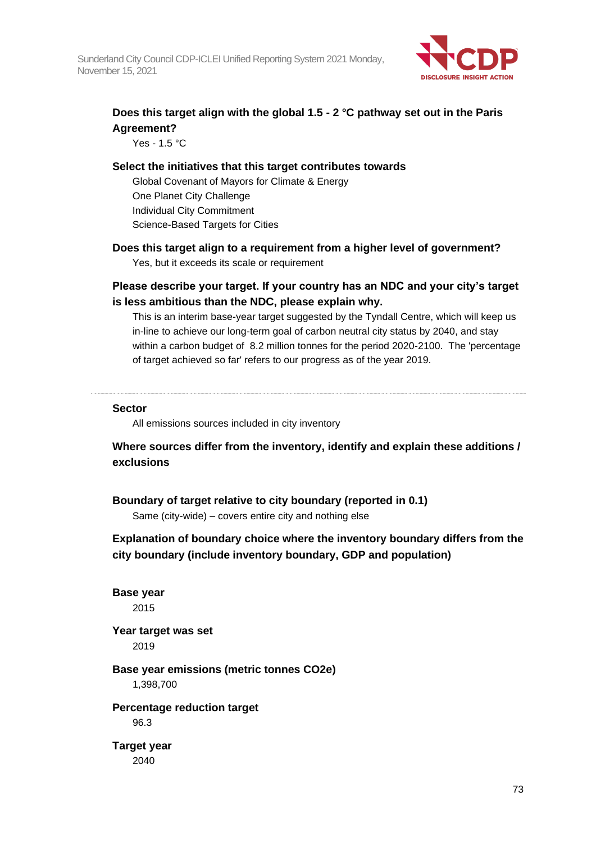

# **Does this target align with the global 1.5 - 2 °C pathway set out in the Paris Agreement?**

Yes - 1.5 °C

#### **Select the initiatives that this target contributes towards**

Global Covenant of Mayors for Climate & Energy One Planet City Challenge Individual City Commitment Science-Based Targets for Cities

# **Does this target align to a requirement from a higher level of government?**

Yes, but it exceeds its scale or requirement

# **Please describe your target. If your country has an NDC and your city's target is less ambitious than the NDC, please explain why.**

This is an interim base-year target suggested by the Tyndall Centre, which will keep us in-line to achieve our long-term goal of carbon neutral city status by 2040, and stay within a carbon budget of 8.2 million tonnes for the period 2020-2100. The 'percentage of target achieved so far' refers to our progress as of the year 2019.

#### **Sector**

All emissions sources included in city inventory

**Where sources differ from the inventory, identify and explain these additions / exclusions**

**Boundary of target relative to city boundary (reported in 0.1)**

Same (city-wide) – covers entire city and nothing else

**Explanation of boundary choice where the inventory boundary differs from the city boundary (include inventory boundary, GDP and population)**

**Base year** 2015

**Year target was set** 2019

**Base year emissions (metric tonnes CO2e)** 1,398,700

**Percentage reduction target** 96.3

**Target year** 2040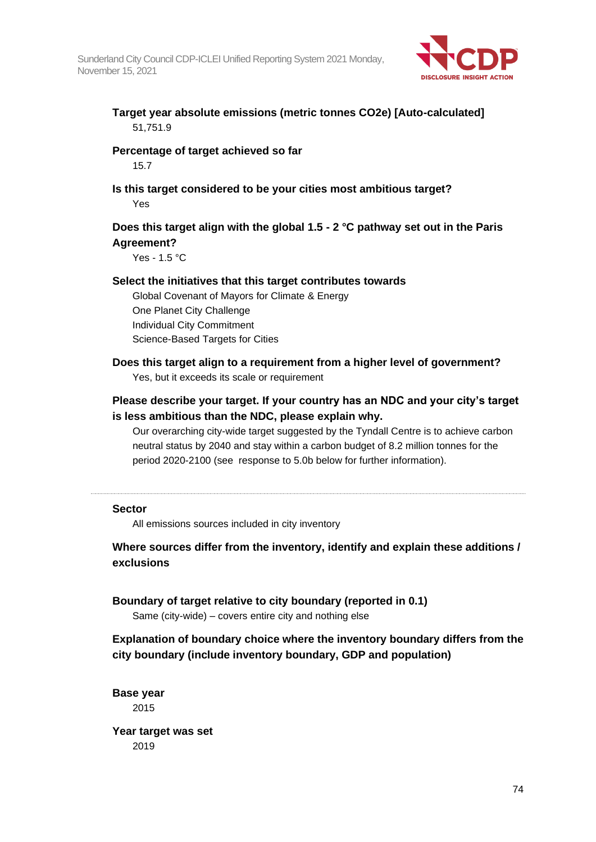

**Target year absolute emissions (metric tonnes CO2e) [Auto-calculated]** 51,751.9

# **Percentage of target achieved so far**

15.7

**Is this target considered to be your cities most ambitious target?** Yes

# **Does this target align with the global 1.5 - 2 °C pathway set out in the Paris Agreement?**

Yes - 1.5 °C

#### **Select the initiatives that this target contributes towards**

Global Covenant of Mayors for Climate & Energy One Planet City Challenge Individual City Commitment Science-Based Targets for Cities

# **Does this target align to a requirement from a higher level of government?**

Yes, but it exceeds its scale or requirement

# **Please describe your target. If your country has an NDC and your city's target is less ambitious than the NDC, please explain why.**

Our overarching city-wide target suggested by the Tyndall Centre is to achieve carbon neutral status by 2040 and stay within a carbon budget of 8.2 million tonnes for the period 2020-2100 (see response to 5.0b below for further information).

#### **Sector**

All emissions sources included in city inventory

# **Where sources differ from the inventory, identify and explain these additions / exclusions**

**Boundary of target relative to city boundary (reported in 0.1)**

Same (city-wide) – covers entire city and nothing else

# **Explanation of boundary choice where the inventory boundary differs from the city boundary (include inventory boundary, GDP and population)**

**Base year** 2015

**Year target was set** 2019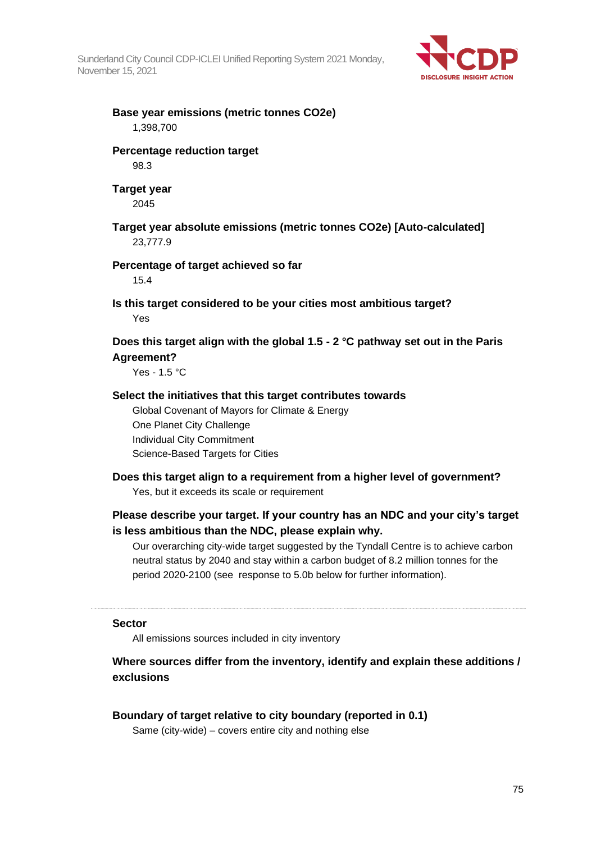

**Base year emissions (metric tonnes CO2e)** 1,398,700

# **Percentage reduction target**

98.3

# **Target year**

2045

**Target year absolute emissions (metric tonnes CO2e) [Auto-calculated]** 23,777.9

# **Percentage of target achieved so far**

15.4

**Is this target considered to be your cities most ambitious target?** Yes

# **Does this target align with the global 1.5 - 2 °C pathway set out in the Paris Agreement?**

Yes - 1.5 °C

# **Select the initiatives that this target contributes towards**

Global Covenant of Mayors for Climate & Energy One Planet City Challenge Individual City Commitment Science-Based Targets for Cities

# **Does this target align to a requirement from a higher level of government?** Yes, but it exceeds its scale or requirement

# **Please describe your target. If your country has an NDC and your city's target is less ambitious than the NDC, please explain why.**

Our overarching city-wide target suggested by the Tyndall Centre is to achieve carbon neutral status by 2040 and stay within a carbon budget of 8.2 million tonnes for the period 2020-2100 (see response to 5.0b below for further information).

# **Sector**

All emissions sources included in city inventory

# **Where sources differ from the inventory, identify and explain these additions / exclusions**

# **Boundary of target relative to city boundary (reported in 0.1)**

Same (city-wide) – covers entire city and nothing else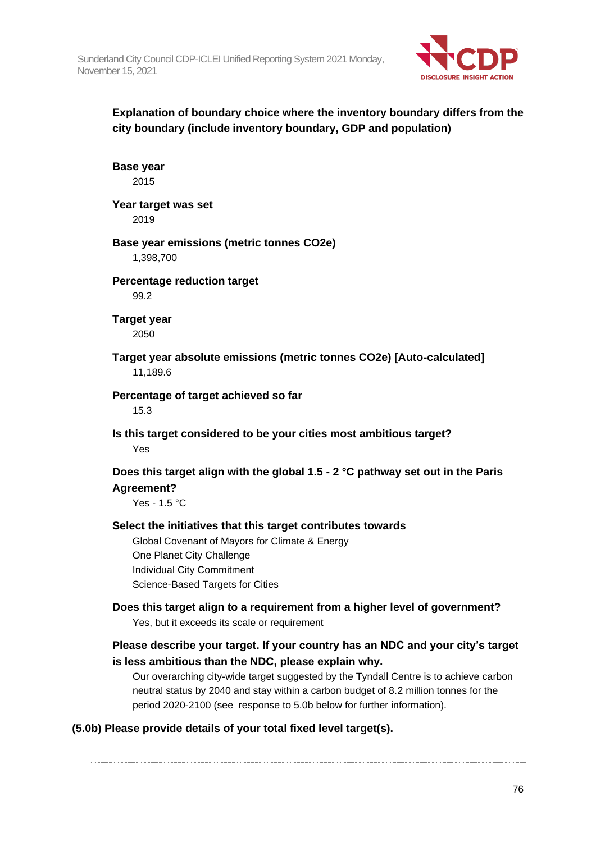

# **Explanation of boundary choice where the inventory boundary differs from the city boundary (include inventory boundary, GDP and population)**

# **Base year**

2015

#### **Year target was set** 2019

**Base year emissions (metric tonnes CO2e)**

1,398,700

# **Percentage reduction target**

99.2

**Target year** 2050

**Target year absolute emissions (metric tonnes CO2e) [Auto-calculated]** 11,189.6

#### **Percentage of target achieved so far** 15.3

**Is this target considered to be your cities most ambitious target?** Yes

**Does this target align with the global 1.5 - 2 °C pathway set out in the Paris Agreement?**

Yes - 1.5 °C

# **Select the initiatives that this target contributes towards**

Global Covenant of Mayors for Climate & Energy One Planet City Challenge Individual City Commitment Science-Based Targets for Cities

# **Does this target align to a requirement from a higher level of government?** Yes, but it exceeds its scale or requirement

# **Please describe your target. If your country has an NDC and your city's target is less ambitious than the NDC, please explain why.**

Our overarching city-wide target suggested by the Tyndall Centre is to achieve carbon neutral status by 2040 and stay within a carbon budget of 8.2 million tonnes for the period 2020-2100 (see response to 5.0b below for further information).

# **(5.0b) Please provide details of your total fixed level target(s).**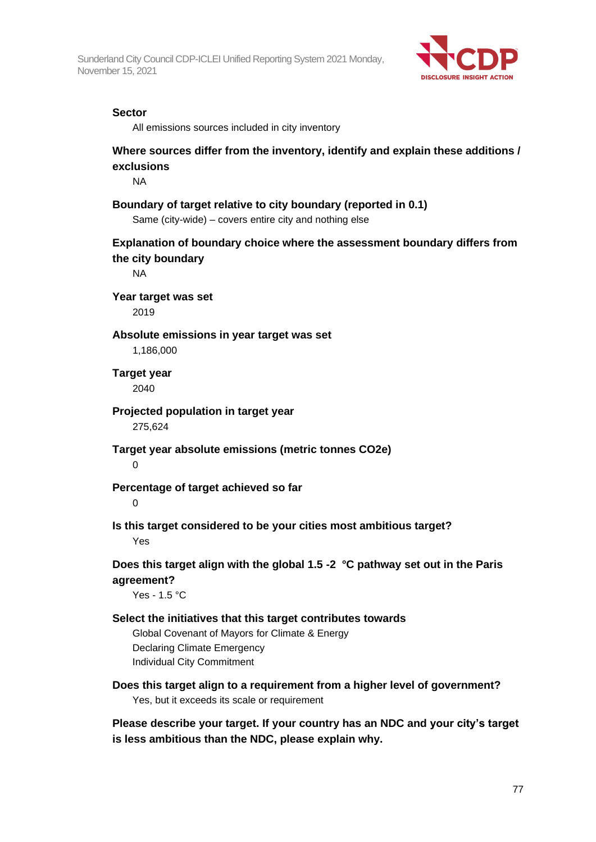

#### **Sector**

All emissions sources included in city inventory

# **Where sources differ from the inventory, identify and explain these additions / exclusions**

NA

# **Boundary of target relative to city boundary (reported in 0.1)**

Same (city-wide) – covers entire city and nothing else

**Explanation of boundary choice where the assessment boundary differs from the city boundary**

NA

**Year target was set**

2019

#### **Absolute emissions in year target was set**

1,186,000

**Target year**

2040

# **Projected population in target year**

275,624

# **Target year absolute emissions (metric tonnes CO2e)**

 $\Omega$ 

# **Percentage of target achieved so far**

#### $\Omega$

**Is this target considered to be your cities most ambitious target?** Yes

# **Does this target align with the global 1.5 -2 °C pathway set out in the Paris agreement?**

Yes - 1.5 °C

# **Select the initiatives that this target contributes towards**

Global Covenant of Mayors for Climate & Energy Declaring Climate Emergency Individual City Commitment

**Does this target align to a requirement from a higher level of government?** Yes, but it exceeds its scale or requirement

**Please describe your target. If your country has an NDC and your city's target is less ambitious than the NDC, please explain why.**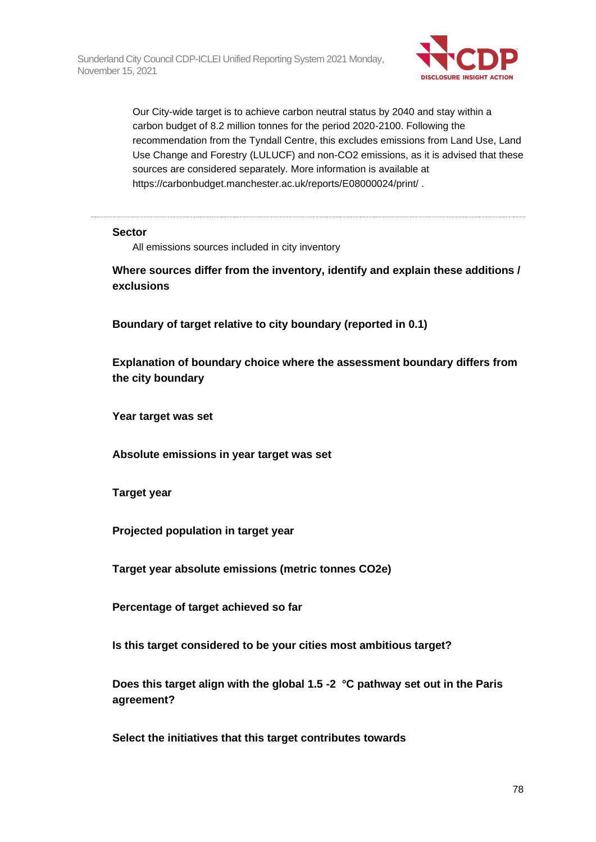

Our City-wide target is to achieve carbon neutral status by 2040 and stay within a carbon budget of 8.2 million tonnes for the period 2020-2100. Following the recommendation from the Tyndall Centre, this excludes emissions from Land Use, Land Use Change and Forestry (LULUCF) and non-CO2 emissions, as it is advised that these sources are considered separately. More information is available at https://carbonbudget.manchester.ac.uk/reports/E08000024/print/ .

#### **Sector**

All emissions sources included in city inventory

**Where sources differ from the inventory, identify and explain these additions / exclusions**

**Boundary of target relative to city boundary (reported in 0.1)**

**Explanation of boundary choice where the assessment boundary differs from the city boundary**

**Year target was set**

**Absolute emissions in year target was set**

**Target year**

**Projected population in target year**

**Target year absolute emissions (metric tonnes CO2e)**

**Percentage of target achieved so far**

**Is this target considered to be your cities most ambitious target?**

**Does this target align with the global 1.5 -2 °C pathway set out in the Paris agreement?**

**Select the initiatives that this target contributes towards**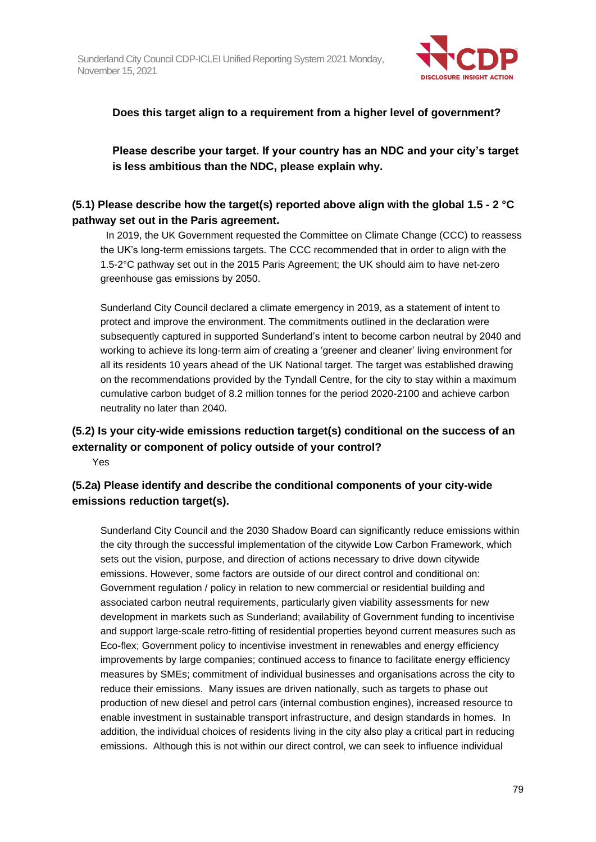

# **Does this target align to a requirement from a higher level of government?**

**Please describe your target. If your country has an NDC and your city's target is less ambitious than the NDC, please explain why.**

# **(5.1) Please describe how the target(s) reported above align with the global 1.5 - 2 °C pathway set out in the Paris agreement.**

 In 2019, the UK Government requested the Committee on Climate Change (CCC) to reassess the UK's long-term emissions targets. The CCC recommended that in order to align with the 1.5-2°C pathway set out in the 2015 Paris Agreement; the UK should aim to have net-zero greenhouse gas emissions by 2050.

Sunderland City Council declared a climate emergency in 2019, as a statement of intent to protect and improve the environment. The commitments outlined in the declaration were subsequently captured in supported Sunderland's intent to become carbon neutral by 2040 and working to achieve its long-term aim of creating a 'greener and cleaner' living environment for all its residents 10 years ahead of the UK National target. The target was established drawing on the recommendations provided by the Tyndall Centre, for the city to stay within a maximum cumulative carbon budget of 8.2 million tonnes for the period 2020-2100 and achieve carbon neutrality no later than 2040.

# **(5.2) Is your city-wide emissions reduction target(s) conditional on the success of an externality or component of policy outside of your control?**

Yes

# **(5.2a) Please identify and describe the conditional components of your city-wide emissions reduction target(s).**

Sunderland City Council and the 2030 Shadow Board can significantly reduce emissions within the city through the successful implementation of the citywide Low Carbon Framework, which sets out the vision, purpose, and direction of actions necessary to drive down citywide emissions. However, some factors are outside of our direct control and conditional on: Government regulation / policy in relation to new commercial or residential building and associated carbon neutral requirements, particularly given viability assessments for new development in markets such as Sunderland; availability of Government funding to incentivise and support large-scale retro-fitting of residential properties beyond current measures such as Eco-flex; Government policy to incentivise investment in renewables and energy efficiency improvements by large companies; continued access to finance to facilitate energy efficiency measures by SMEs; commitment of individual businesses and organisations across the city to reduce their emissions. Many issues are driven nationally, such as targets to phase out production of new diesel and petrol cars (internal combustion engines), increased resource to enable investment in sustainable transport infrastructure, and design standards in homes. In addition, the individual choices of residents living in the city also play a critical part in reducing emissions. Although this is not within our direct control, we can seek to influence individual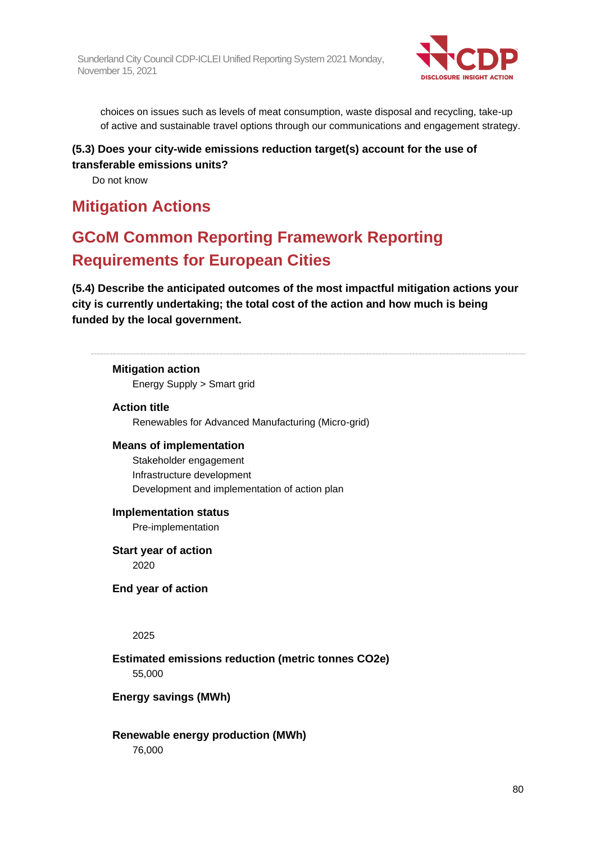

choices on issues such as levels of meat consumption, waste disposal and recycling, take-up of active and sustainable travel options through our communications and engagement strategy.

# **(5.3) Does your city-wide emissions reduction target(s) account for the use of transferable emissions units?**

Do not know

# **Mitigation Actions**

# **GCoM Common Reporting Framework Reporting Requirements for European Cities**

**(5.4) Describe the anticipated outcomes of the most impactful mitigation actions your city is currently undertaking; the total cost of the action and how much is being funded by the local government.**

#### **Mitigation action**

Energy Supply > Smart grid

#### **Action title**

Renewables for Advanced Manufacturing (Micro-grid)

#### **Means of implementation**

Stakeholder engagement Infrastructure development Development and implementation of action plan

#### **Implementation status**

Pre-implementation

**Start year of action** 2020

**End year of action**

2025

**Estimated emissions reduction (metric tonnes CO2e)** 55,000

#### **Energy savings (MWh)**

# **Renewable energy production (MWh)**

76,000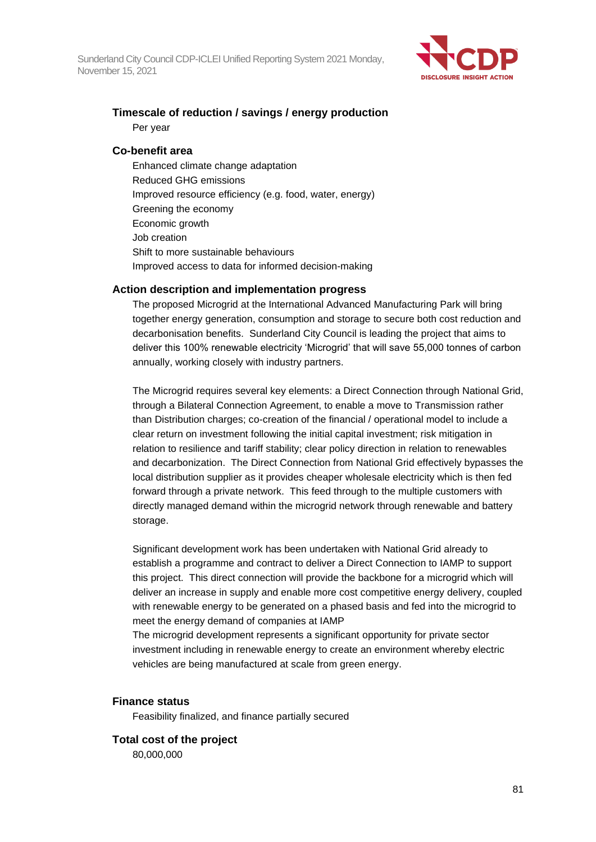

# **Timescale of reduction / savings / energy production** Per year

#### **Co-benefit area**

Enhanced climate change adaptation Reduced GHG emissions Improved resource efficiency (e.g. food, water, energy) Greening the economy Economic growth Job creation Shift to more sustainable behaviours Improved access to data for informed decision-making

#### **Action description and implementation progress**

The proposed Microgrid at the International Advanced Manufacturing Park will bring together energy generation, consumption and storage to secure both cost reduction and decarbonisation benefits. Sunderland City Council is leading the project that aims to deliver this 100% renewable electricity 'Microgrid' that will save 55,000 tonnes of carbon annually, working closely with industry partners.

The Microgrid requires several key elements: a Direct Connection through National Grid, through a Bilateral Connection Agreement, to enable a move to Transmission rather than Distribution charges; co-creation of the financial / operational model to include a clear return on investment following the initial capital investment; risk mitigation in relation to resilience and tariff stability; clear policy direction in relation to renewables and decarbonization. The Direct Connection from National Grid effectively bypasses the local distribution supplier as it provides cheaper wholesale electricity which is then fed forward through a private network. This feed through to the multiple customers with directly managed demand within the microgrid network through renewable and battery storage.

Significant development work has been undertaken with National Grid already to establish a programme and contract to deliver a Direct Connection to IAMP to support this project. This direct connection will provide the backbone for a microgrid which will deliver an increase in supply and enable more cost competitive energy delivery, coupled with renewable energy to be generated on a phased basis and fed into the microgrid to meet the energy demand of companies at IAMP

The microgrid development represents a significant opportunity for private sector investment including in renewable energy to create an environment whereby electric vehicles are being manufactured at scale from green energy.

#### **Finance status**

Feasibility finalized, and finance partially secured

#### **Total cost of the project**

80,000,000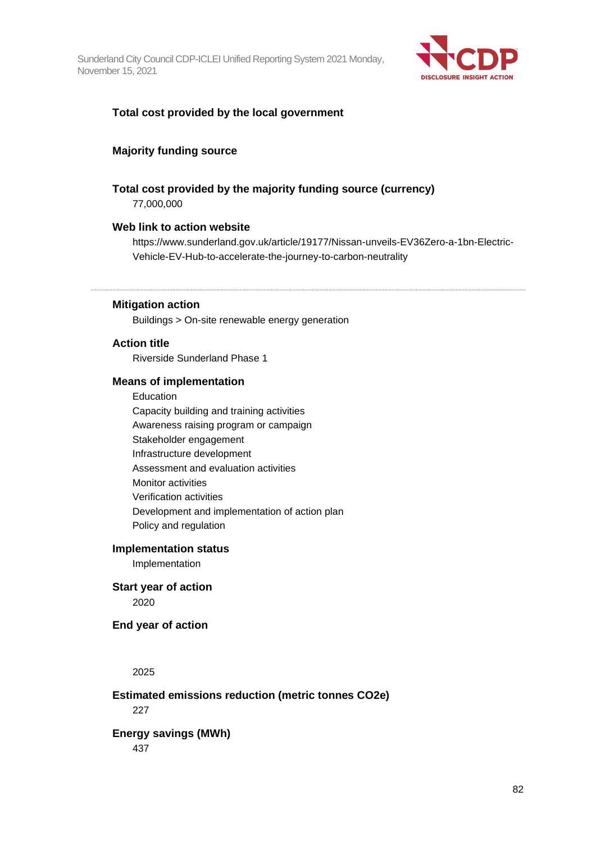

#### **Total cost provided by the local government**

### **Majority funding source**

#### **Total cost provided by the majority funding source (currency)**

77,000,000

#### **Web link to action website**

https://www.sunderland.gov.uk/article/19177/Nissan-unveils-EV36Zero-a-1bn-Electric-Vehicle-EV-Hub-to-accelerate-the-journey-to-carbon-neutrality

#### **Mitigation action**

Buildings > On-site renewable energy generation

#### **Action title**

Riverside Sunderland Phase 1

#### **Means of implementation**

Education Capacity building and training activities Awareness raising program or campaign Stakeholder engagement Infrastructure development Assessment and evaluation activities Monitor activities Verification activities Development and implementation of action plan Policy and regulation

#### **Implementation status**

Implementation

**Start year of action** 2020

#### **End year of action**

2025

#### **Estimated emissions reduction (metric tonnes CO2e)** 227

**Energy savings (MWh)** 437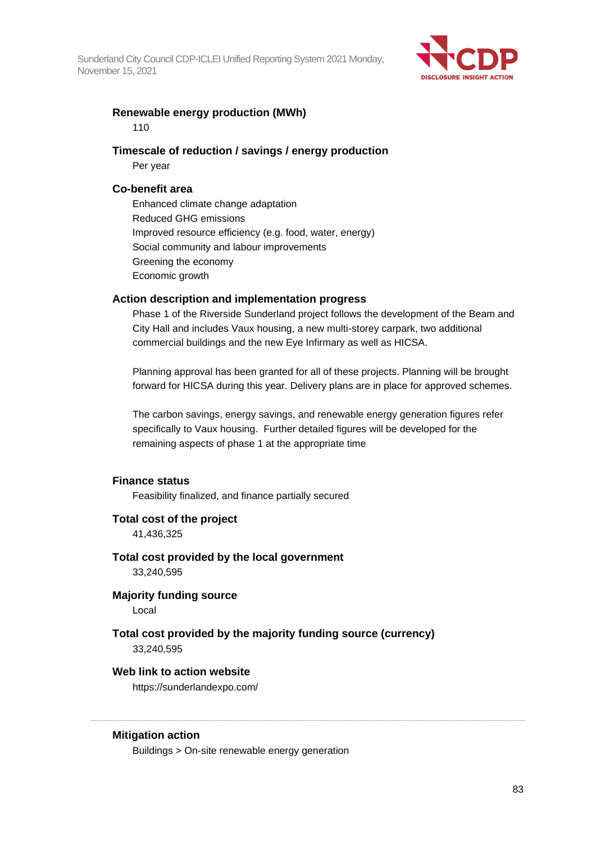

#### **Renewable energy production (MWh)**

110

#### **Timescale of reduction / savings / energy production**

Per year

### **Co-benefit area**

Enhanced climate change adaptation Reduced GHG emissions Improved resource efficiency (e.g. food, water, energy) Social community and labour improvements Greening the economy Economic growth

#### **Action description and implementation progress**

Phase 1 of the Riverside Sunderland project follows the development of the Beam and City Hall and includes Vaux housing, a new multi-storey carpark, two additional commercial buildings and the new Eye Infirmary as well as HICSA.

Planning approval has been granted for all of these projects. Planning will be brought forward for HICSA during this year. Delivery plans are in place for approved schemes.

The carbon savings, energy savings, and renewable energy generation figures refer specifically to Vaux housing. Further detailed figures will be developed for the remaining aspects of phase 1 at the appropriate time

# **Finance status**

Feasibility finalized, and finance partially secured

#### **Total cost of the project**

41,436,325

# **Total cost provided by the local government**

33,240,595

# **Majority funding source**

Local

# **Total cost provided by the majority funding source (currency)** 33,240,595

#### **Web link to action website**

https://sunderlandexpo.com/

#### **Mitigation action**

Buildings > On-site renewable energy generation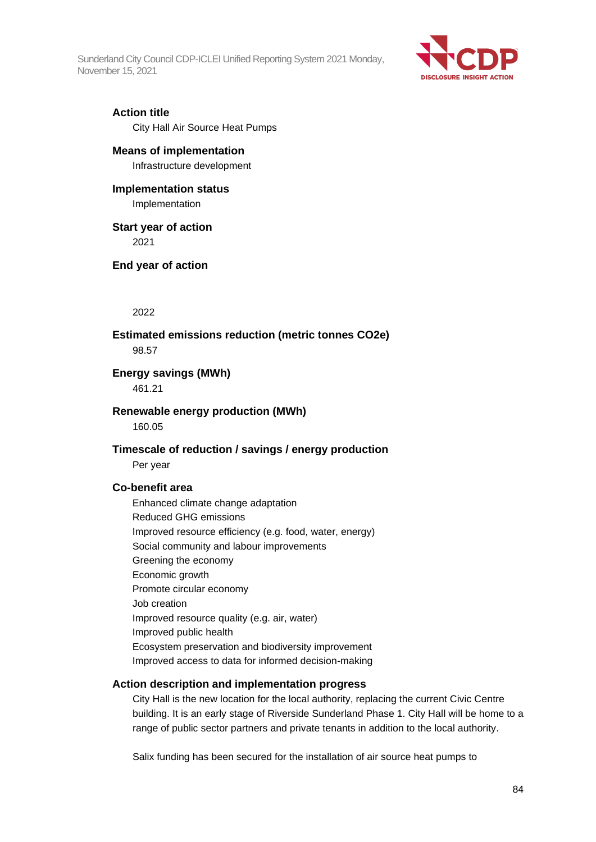

#### **Action title**

City Hall Air Source Heat Pumps

#### **Means of implementation**

Infrastructure development

#### **Implementation status**

Implementation

#### **Start year of action**

2021

#### **End year of action**

2022

**Estimated emissions reduction (metric tonnes CO2e)** 98.57

**Energy savings (MWh)**

461.21

# **Renewable energy production (MWh)**

160.05

### **Timescale of reduction / savings / energy production** Per year

#### **Co-benefit area**

Enhanced climate change adaptation Reduced GHG emissions Improved resource efficiency (e.g. food, water, energy) Social community and labour improvements Greening the economy Economic growth Promote circular economy Job creation Improved resource quality (e.g. air, water) Improved public health Ecosystem preservation and biodiversity improvement Improved access to data for informed decision-making

### **Action description and implementation progress**

City Hall is the new location for the local authority, replacing the current Civic Centre building. It is an early stage of Riverside Sunderland Phase 1. City Hall will be home to a range of public sector partners and private tenants in addition to the local authority.

Salix funding has been secured for the installation of air source heat pumps to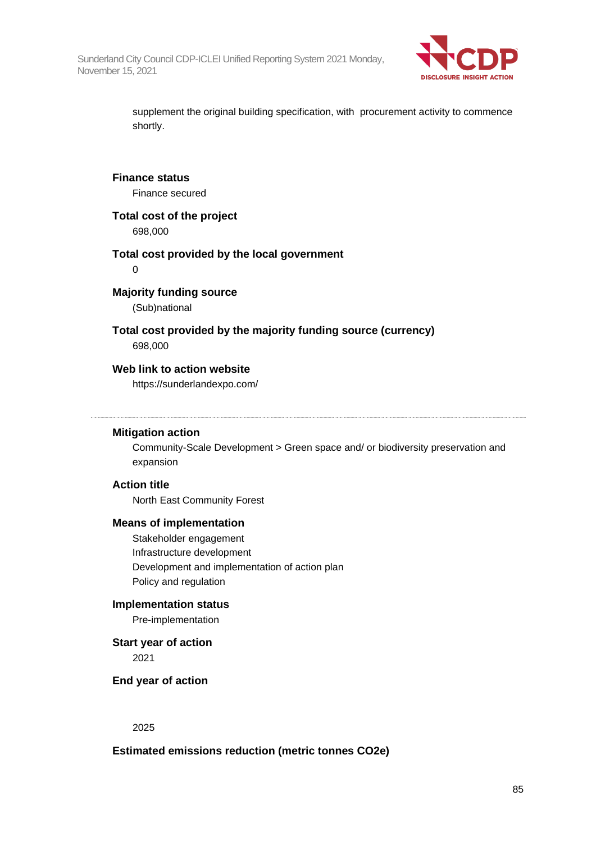

supplement the original building specification, with procurement activity to commence shortly.

**Finance status** Finance secured

**Total cost of the project** 698,000

**Total cost provided by the local government** 0

**Majority funding source**

(Sub)national

**Total cost provided by the majority funding source (currency)** 698,000

# **Web link to action website**

https://sunderlandexpo.com/

### **Mitigation action**

Community-Scale Development > Green space and/ or biodiversity preservation and expansion

#### **Action title**

North East Community Forest

#### **Means of implementation**

Stakeholder engagement Infrastructure development Development and implementation of action plan Policy and regulation

#### **Implementation status**

Pre-implementation

**Start year of action** 2021

**End year of action**

#### 2025

# **Estimated emissions reduction (metric tonnes CO2e)**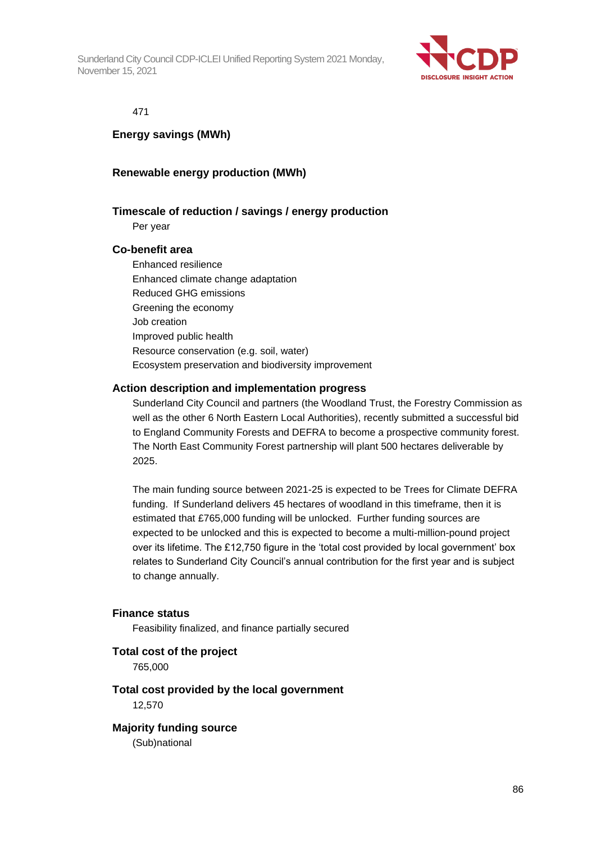

#### 471

#### **Energy savings (MWh)**

#### **Renewable energy production (MWh)**

#### **Timescale of reduction / savings / energy production**

Per year

#### **Co-benefit area**

Enhanced resilience Enhanced climate change adaptation Reduced GHG emissions Greening the economy Job creation Improved public health Resource conservation (e.g. soil, water) Ecosystem preservation and biodiversity improvement

#### **Action description and implementation progress**

Sunderland City Council and partners (the Woodland Trust, the Forestry Commission as well as the other 6 North Eastern Local Authorities), recently submitted a successful bid to England Community Forests and DEFRA to become a prospective community forest. The North East Community Forest partnership will plant 500 hectares deliverable by 2025.

The main funding source between 2021-25 is expected to be Trees for Climate DEFRA funding. If Sunderland delivers 45 hectares of woodland in this timeframe, then it is estimated that £765,000 funding will be unlocked. Further funding sources are expected to be unlocked and this is expected to become a multi-million-pound project over its lifetime. The £12,750 figure in the 'total cost provided by local government' box relates to Sunderland City Council's annual contribution for the first year and is subject to change annually.

#### **Finance status**

Feasibility finalized, and finance partially secured

#### **Total cost of the project**

765,000

#### **Total cost provided by the local government** 12,570

#### **Majority funding source**

(Sub)national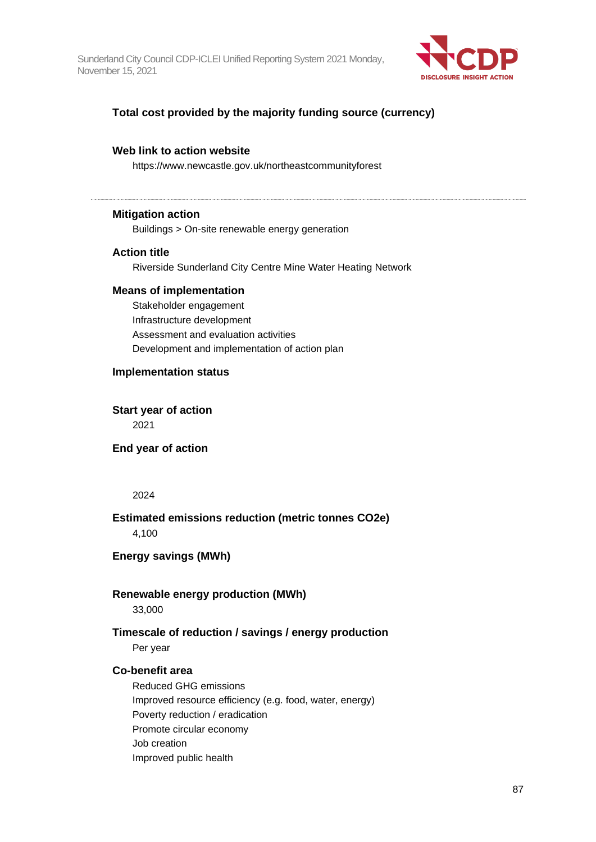

# **Total cost provided by the majority funding source (currency)**

#### **Web link to action website**

https://www.newcastle.gov.uk/northeastcommunityforest

#### **Mitigation action**

Buildings > On-site renewable energy generation

#### **Action title**

Riverside Sunderland City Centre Mine Water Heating Network

#### **Means of implementation**

Stakeholder engagement Infrastructure development Assessment and evaluation activities Development and implementation of action plan

#### **Implementation status**

**Start year of action** 2021

**End year of action**

#### 2024

**Estimated emissions reduction (metric tonnes CO2e)** 4,100

#### **Energy savings (MWh)**

#### **Renewable energy production (MWh)**

33,000

# **Timescale of reduction / savings / energy production**

Per year

#### **Co-benefit area**

Reduced GHG emissions Improved resource efficiency (e.g. food, water, energy) Poverty reduction / eradication Promote circular economy Job creation Improved public health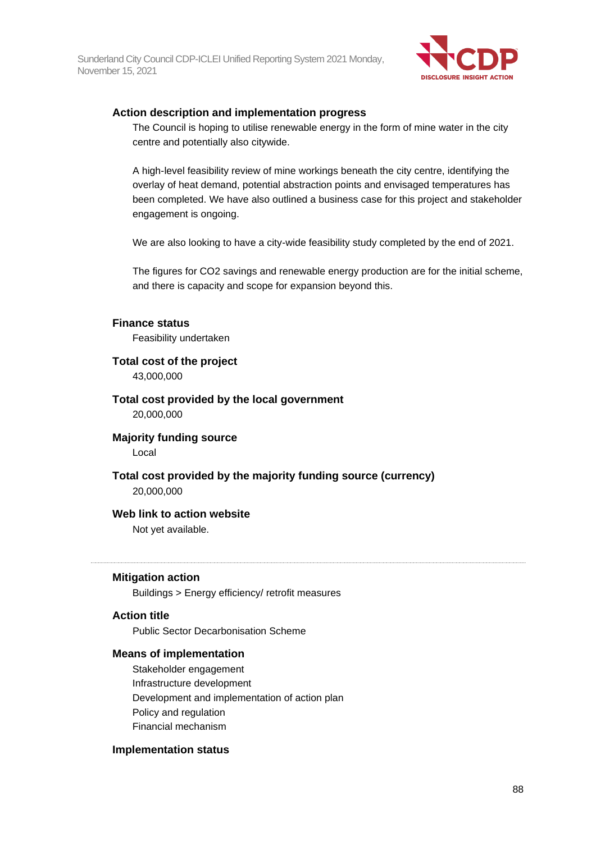

#### **Action description and implementation progress**

The Council is hoping to utilise renewable energy in the form of mine water in the city centre and potentially also citywide.

A high-level feasibility review of mine workings beneath the city centre, identifying the overlay of heat demand, potential abstraction points and envisaged temperatures has been completed. We have also outlined a business case for this project and stakeholder engagement is ongoing.

We are also looking to have a city-wide feasibility study completed by the end of 2021.

The figures for CO2 savings and renewable energy production are for the initial scheme, and there is capacity and scope for expansion beyond this.

#### **Finance status**

Feasibility undertaken

#### **Total cost of the project**

43,000,000

#### **Total cost provided by the local government** 20,000,000

#### **Majority funding source**

Local

#### **Total cost provided by the majority funding source (currency)** 20,000,000

#### **Web link to action website**

Not yet available.

#### **Mitigation action**

Buildings > Energy efficiency/ retrofit measures

#### **Action title**

Public Sector Decarbonisation Scheme

#### **Means of implementation**

Stakeholder engagement Infrastructure development Development and implementation of action plan Policy and regulation Financial mechanism

#### **Implementation status**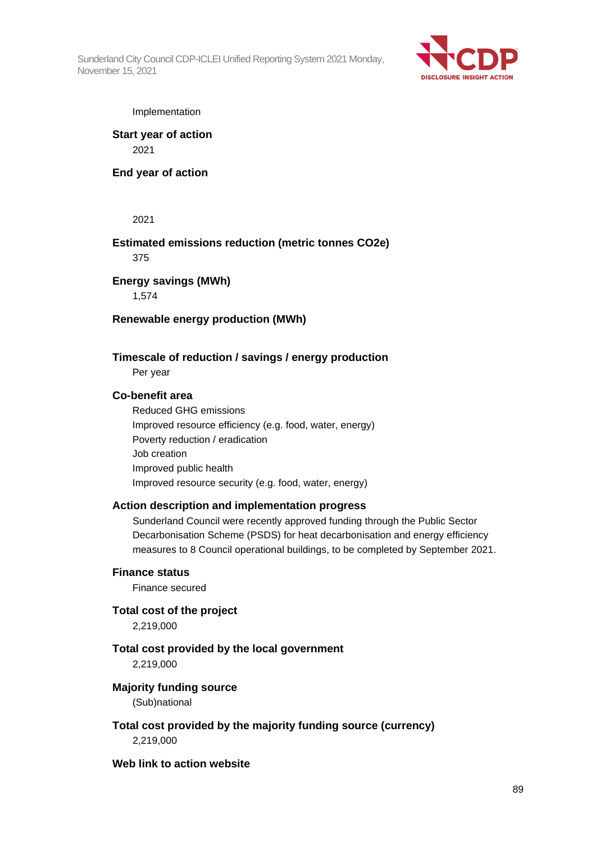

#### Implementation

**Start year of action** 2021

**End year of action**

2021

#### **Estimated emissions reduction (metric tonnes CO2e)**

375

**Energy savings (MWh)**

1,574

#### **Renewable energy production (MWh)**

**Timescale of reduction / savings / energy production**

Per year

#### **Co-benefit area**

Reduced GHG emissions Improved resource efficiency (e.g. food, water, energy) Poverty reduction / eradication Job creation Improved public health Improved resource security (e.g. food, water, energy)

#### **Action description and implementation progress**

Sunderland Council were recently approved funding through the Public Sector Decarbonisation Scheme (PSDS) for heat decarbonisation and energy efficiency measures to 8 Council operational buildings, to be completed by September 2021.

#### **Finance status**

Finance secured

**Total cost of the project**

2,219,000

# **Total cost provided by the local government**

2,219,000

# **Majority funding source**

(Sub)national

# **Total cost provided by the majority funding source (currency)** 2,219,000

**Web link to action website**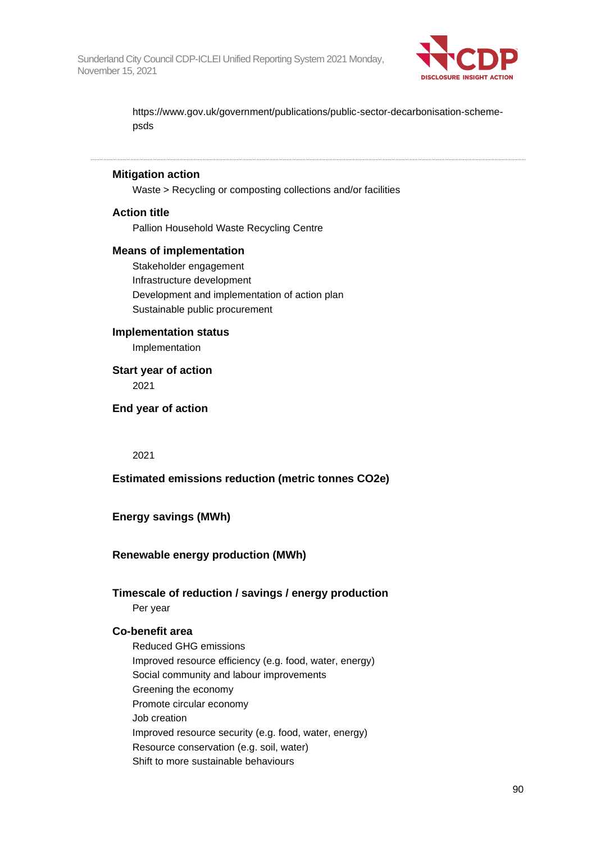

https://www.gov.uk/government/publications/public-sector-decarbonisation-schemepsds

#### **Mitigation action**

Waste > Recycling or composting collections and/or facilities

#### **Action title**

Pallion Household Waste Recycling Centre

#### **Means of implementation**

Stakeholder engagement Infrastructure development Development and implementation of action plan Sustainable public procurement

# **Implementation status**

Implementation

# **Start year of action**

2021

**End year of action**

#### 2021

#### **Estimated emissions reduction (metric tonnes CO2e)**

#### **Energy savings (MWh)**

#### **Renewable energy production (MWh)**

### **Timescale of reduction / savings / energy production** Per year

#### **Co-benefit area**

Reduced GHG emissions Improved resource efficiency (e.g. food, water, energy) Social community and labour improvements Greening the economy Promote circular economy Job creation Improved resource security (e.g. food, water, energy) Resource conservation (e.g. soil, water) Shift to more sustainable behaviours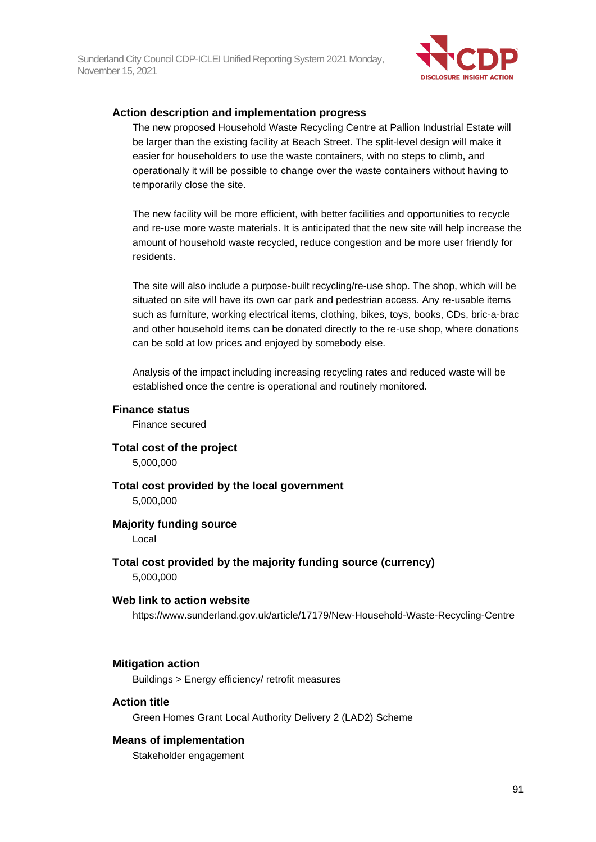

#### **Action description and implementation progress**

The new proposed Household Waste Recycling Centre at Pallion Industrial Estate will be larger than the existing facility at Beach Street. The split-level design will make it easier for householders to use the waste containers, with no steps to climb, and operationally it will be possible to change over the waste containers without having to temporarily close the site.

The new facility will be more efficient, with better facilities and opportunities to recycle and re-use more waste materials. It is anticipated that the new site will help increase the amount of household waste recycled, reduce congestion and be more user friendly for residents.

The site will also include a purpose-built recycling/re-use shop. The shop, which will be situated on site will have its own car park and pedestrian access. Any re-usable items such as furniture, working electrical items, clothing, bikes, toys, books, CDs, bric-a-brac and other household items can be donated directly to the re-use shop, where donations can be sold at low prices and enjoyed by somebody else.

Analysis of the impact including increasing recycling rates and reduced waste will be established once the centre is operational and routinely monitored.

#### **Finance status**

Finance secured

#### **Total cost of the project**

5,000,000

#### **Total cost provided by the local government**

5,000,000

#### **Majority funding source**

Local

# **Total cost provided by the majority funding source (currency)**

5,000,000

#### **Web link to action website**

https://www.sunderland.gov.uk/article/17179/New-Household-Waste-Recycling-Centre

#### **Mitigation action**

Buildings > Energy efficiency/ retrofit measures

#### **Action title**

Green Homes Grant Local Authority Delivery 2 (LAD2) Scheme

#### **Means of implementation**

Stakeholder engagement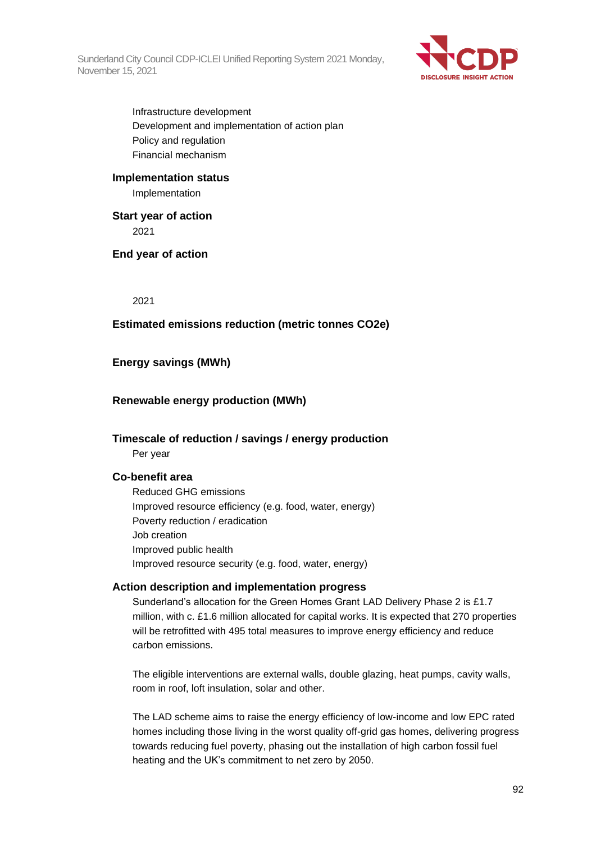

Infrastructure development Development and implementation of action plan Policy and regulation Financial mechanism

#### **Implementation status**

Implementation

**Start year of action** 2021

**End year of action**

2021

#### **Estimated emissions reduction (metric tonnes CO2e)**

#### **Energy savings (MWh)**

#### **Renewable energy production (MWh)**

# **Timescale of reduction / savings / energy production**

Per year

#### **Co-benefit area**

Reduced GHG emissions Improved resource efficiency (e.g. food, water, energy) Poverty reduction / eradication Job creation Improved public health Improved resource security (e.g. food, water, energy)

#### **Action description and implementation progress**

Sunderland's allocation for the Green Homes Grant LAD Delivery Phase 2 is £1.7 million, with c. £1.6 million allocated for capital works. It is expected that 270 properties will be retrofitted with 495 total measures to improve energy efficiency and reduce carbon emissions.

The eligible interventions are external walls, double glazing, heat pumps, cavity walls, room in roof, loft insulation, solar and other.

The LAD scheme aims to raise the energy efficiency of low-income and low EPC rated homes including those living in the worst quality off-grid gas homes, delivering progress towards reducing fuel poverty, phasing out the installation of high carbon fossil fuel heating and the UK's commitment to net zero by 2050.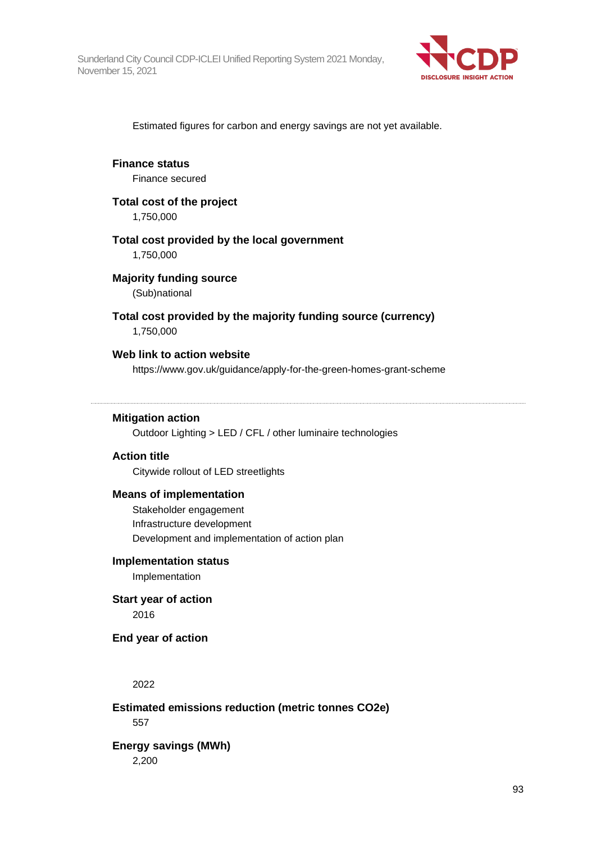

Estimated figures for carbon and energy savings are not yet available.

# **Finance status**

Finance secured

# **Total cost of the project**

1,750,000

#### **Total cost provided by the local government**

1,750,000

# **Majority funding source**

(Sub)national

#### **Total cost provided by the majority funding source (currency)**

1,750,000

#### **Web link to action website**

https://www.gov.uk/guidance/apply-for-the-green-homes-grant-scheme

#### **Mitigation action**

Outdoor Lighting > LED / CFL / other luminaire technologies

#### **Action title**

Citywide rollout of LED streetlights

#### **Means of implementation**

Stakeholder engagement Infrastructure development Development and implementation of action plan

#### **Implementation status**

Implementation

# **Start year of action**

2016

#### **End year of action**

2022

#### **Estimated emissions reduction (metric tonnes CO2e)**

557

# **Energy savings (MWh)**

2,200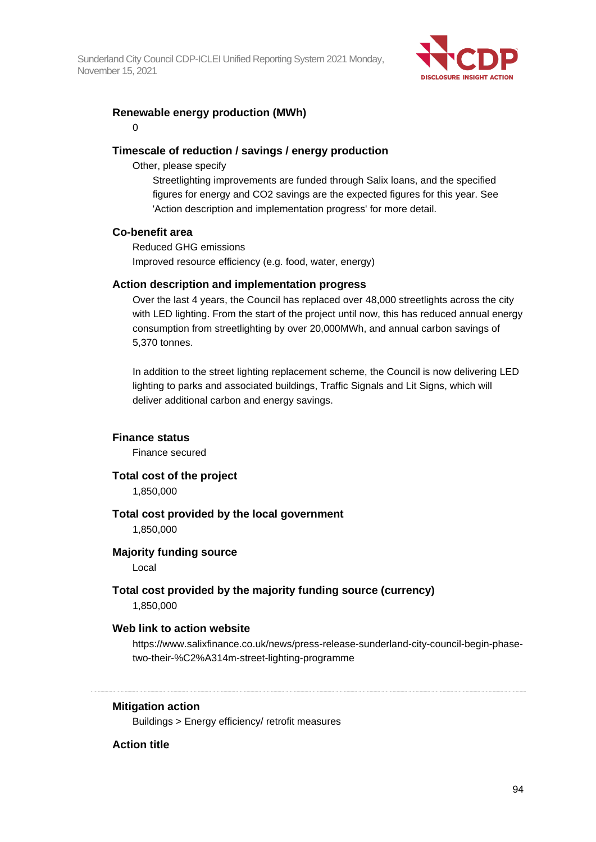

#### **Renewable energy production (MWh)**

#### 0

#### **Timescale of reduction / savings / energy production**

Other, please specify

Streetlighting improvements are funded through Salix loans, and the specified figures for energy and CO2 savings are the expected figures for this year. See 'Action description and implementation progress' for more detail.

#### **Co-benefit area**

Reduced GHG emissions Improved resource efficiency (e.g. food, water, energy)

#### **Action description and implementation progress**

Over the last 4 years, the Council has replaced over 48,000 streetlights across the city with LED lighting. From the start of the project until now, this has reduced annual energy consumption from streetlighting by over 20,000MWh, and annual carbon savings of 5,370 tonnes.

In addition to the street lighting replacement scheme, the Council is now delivering LED lighting to parks and associated buildings, Traffic Signals and Lit Signs, which will deliver additional carbon and energy savings.

# **Finance status**

Finance secured

**Total cost of the project**

1,850,000

# **Total cost provided by the local government**

1,850,000

# **Majority funding source**

Local

#### **Total cost provided by the majority funding source (currency)** 1,850,000

#### **Web link to action website**

https://www.salixfinance.co.uk/news/press-release-sunderland-city-council-begin-phasetwo-their-%C2%A314m-street-lighting-programme

**Mitigation action**

Buildings > Energy efficiency/ retrofit measures

#### **Action title**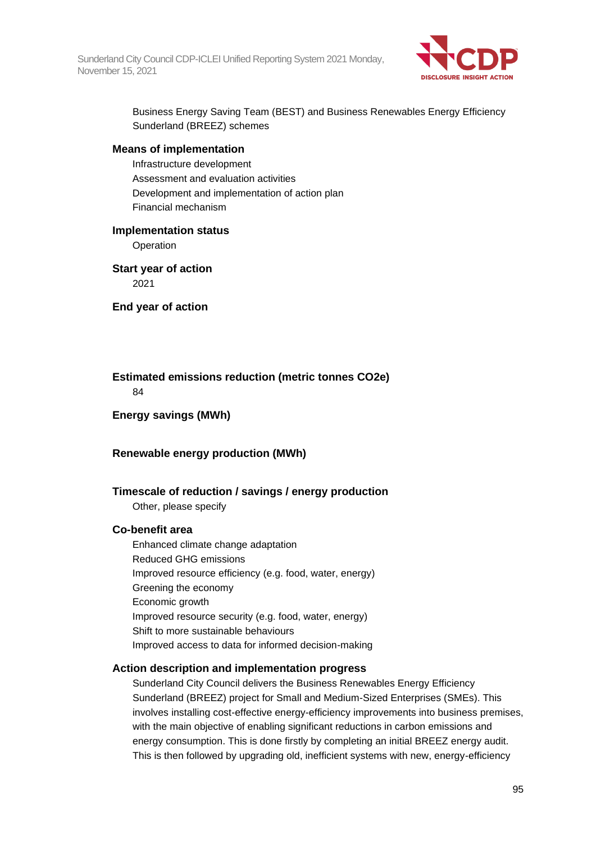

Business Energy Saving Team (BEST) and Business Renewables Energy Efficiency Sunderland (BREEZ) schemes

#### **Means of implementation**

Infrastructure development Assessment and evaluation activities Development and implementation of action plan Financial mechanism

#### **Implementation status**

Operation

**Start year of action** 2021

**End year of action**

**Estimated emissions reduction (metric tonnes CO2e)** 84

**Energy savings (MWh)**

#### **Renewable energy production (MWh)**

#### **Timescale of reduction / savings / energy production**

Other, please specify

#### **Co-benefit area**

Enhanced climate change adaptation Reduced GHG emissions Improved resource efficiency (e.g. food, water, energy) Greening the economy Economic growth Improved resource security (e.g. food, water, energy) Shift to more sustainable behaviours Improved access to data for informed decision-making

#### **Action description and implementation progress**

Sunderland City Council delivers the Business Renewables Energy Efficiency Sunderland (BREEZ) project for Small and Medium-Sized Enterprises (SMEs). This involves installing cost-effective energy-efficiency improvements into business premises, with the main objective of enabling significant reductions in carbon emissions and energy consumption. This is done firstly by completing an initial BREEZ energy audit. This is then followed by upgrading old, inefficient systems with new, energy-efficiency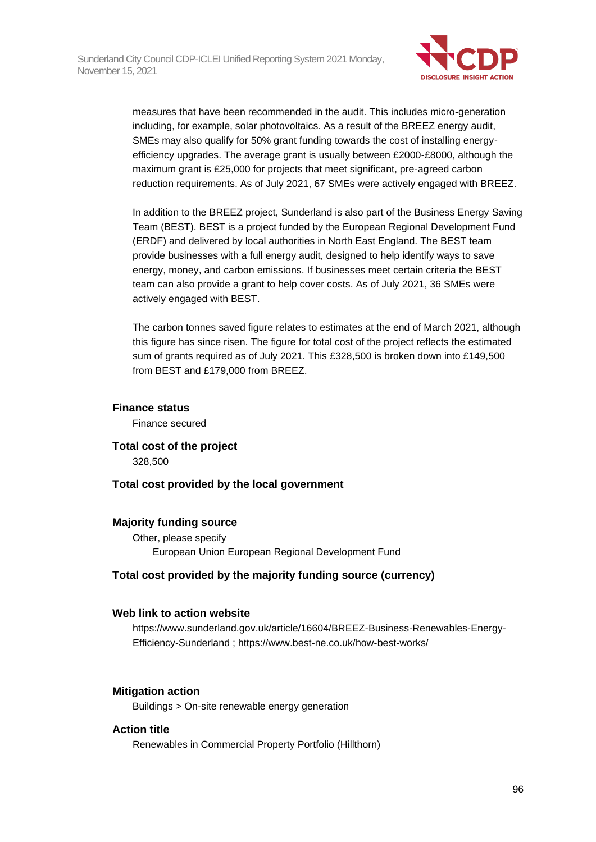

measures that have been recommended in the audit. This includes micro-generation including, for example, solar photovoltaics. As a result of the BREEZ energy audit, SMEs may also qualify for 50% grant funding towards the cost of installing energyefficiency upgrades. The average grant is usually between £2000-£8000, although the maximum grant is £25,000 for projects that meet significant, pre-agreed carbon reduction requirements. As of July 2021, 67 SMEs were actively engaged with BREEZ.

In addition to the BREEZ project, Sunderland is also part of the Business Energy Saving Team (BEST). BEST is a project funded by the European Regional Development Fund (ERDF) and delivered by local authorities in North East England. The BEST team provide businesses with a full energy audit, designed to help identify ways to save energy, money, and carbon emissions. If businesses meet certain criteria the BEST team can also provide a grant to help cover costs. As of July 2021, 36 SMEs were actively engaged with BEST.

The carbon tonnes saved figure relates to estimates at the end of March 2021, although this figure has since risen. The figure for total cost of the project reflects the estimated sum of grants required as of July 2021. This £328,500 is broken down into £149,500 from BEST and £179,000 from BREEZ.

#### **Finance status**

Finance secured

**Total cost of the project** 328,500

# **Total cost provided by the local government**

#### **Majority funding source**

Other, please specify European Union European Regional Development Fund

# **Total cost provided by the majority funding source (currency)**

#### **Web link to action website**

https://www.sunderland.gov.uk/article/16604/BREEZ-Business-Renewables-Energy-Efficiency-Sunderland ; https://www.best-ne.co.uk/how-best-works/

#### **Mitigation action**

Buildings > On-site renewable energy generation

#### **Action title**

Renewables in Commercial Property Portfolio (Hillthorn)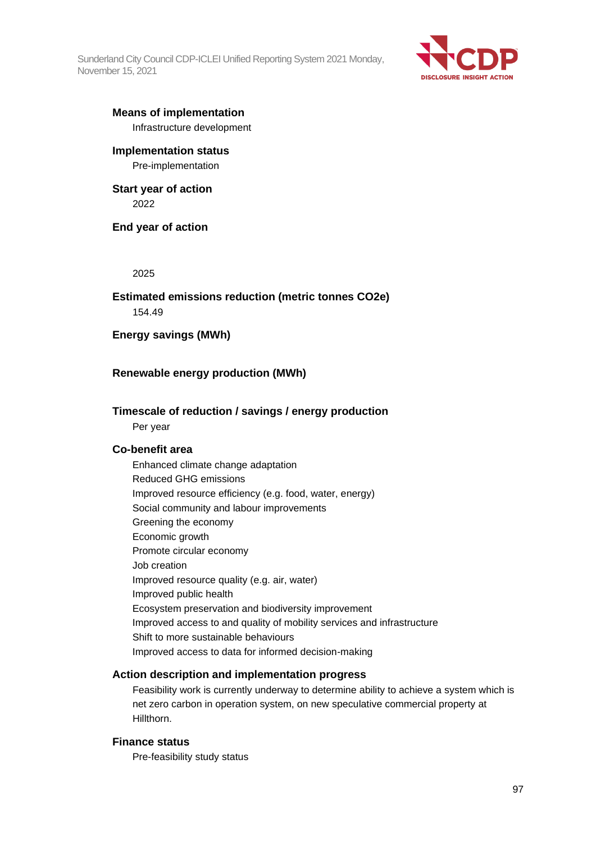

# **Means of implementation** Infrastructure development

# **Implementation status** Pre-implementation

# **Start year of action** 2022

#### **End year of action**

#### 2025

# **Estimated emissions reduction (metric tonnes CO2e)** 154.49

# **Energy savings (MWh)**

# **Renewable energy production (MWh)**

# **Timescale of reduction / savings / energy production**

Per year

# **Co-benefit area**

Enhanced climate change adaptation Reduced GHG emissions Improved resource efficiency (e.g. food, water, energy) Social community and labour improvements Greening the economy Economic growth Promote circular economy Job creation Improved resource quality (e.g. air, water) Improved public health Ecosystem preservation and biodiversity improvement Improved access to and quality of mobility services and infrastructure Shift to more sustainable behaviours Improved access to data for informed decision-making

# **Action description and implementation progress**

Feasibility work is currently underway to determine ability to achieve a system which is net zero carbon in operation system, on new speculative commercial property at Hillthorn.

# **Finance status**

Pre-feasibility study status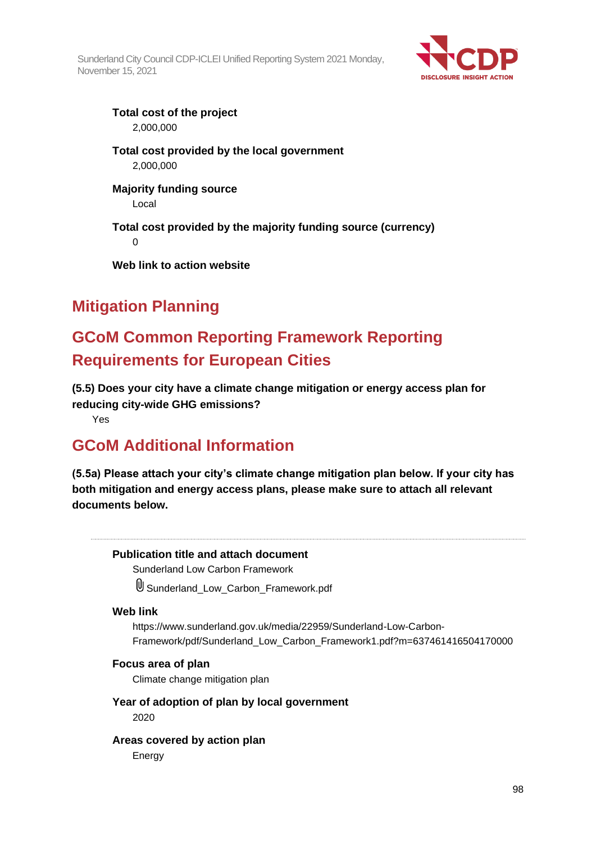

**Total cost of the project** 2,000,000

# **Total cost provided by the local government** 2,000,000

# **Majority funding source** Local

**Total cost provided by the majority funding source (currency)**  $\Omega$ 

**Web link to action website**

# **Mitigation Planning**

# **GCoM Common Reporting Framework Reporting Requirements for European Cities**

**(5.5) Does your city have a climate change mitigation or energy access plan for reducing city-wide GHG emissions?**

Yes

# **GCoM Additional Information**

**(5.5a) Please attach your city's climate change mitigation plan below. If your city has both mitigation and energy access plans, please make sure to attach all relevant documents below.**

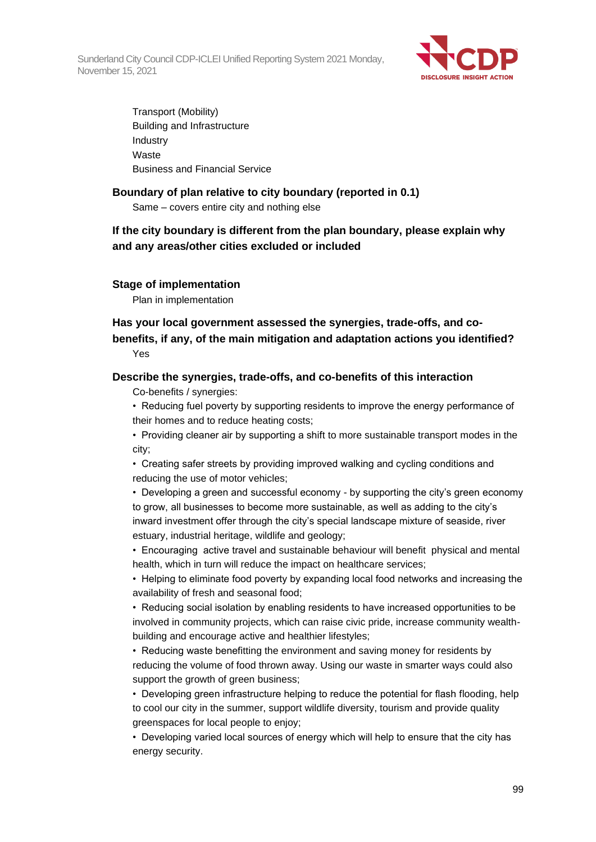

Transport (Mobility) Building and Infrastructure Industry Waste Business and Financial Service

#### **Boundary of plan relative to city boundary (reported in 0.1)**

Same – covers entire city and nothing else

**If the city boundary is different from the plan boundary, please explain why and any areas/other cities excluded or included**

#### **Stage of implementation**

Plan in implementation

# **Has your local government assessed the synergies, trade-offs, and cobenefits, if any, of the main mitigation and adaptation actions you identified?** Yes

# **Describe the synergies, trade-offs, and co-benefits of this interaction**

Co-benefits / synergies:

• Reducing fuel poverty by supporting residents to improve the energy performance of their homes and to reduce heating costs;

• Providing cleaner air by supporting a shift to more sustainable transport modes in the city;

• Creating safer streets by providing improved walking and cycling conditions and reducing the use of motor vehicles;

• Developing a green and successful economy - by supporting the city's green economy to grow, all businesses to become more sustainable, as well as adding to the city's inward investment offer through the city's special landscape mixture of seaside, river estuary, industrial heritage, wildlife and geology;

• Encouraging active travel and sustainable behaviour will benefit physical and mental health, which in turn will reduce the impact on healthcare services;

• Helping to eliminate food poverty by expanding local food networks and increasing the availability of fresh and seasonal food;

• Reducing social isolation by enabling residents to have increased opportunities to be involved in community projects, which can raise civic pride, increase community wealthbuilding and encourage active and healthier lifestyles;

• Reducing waste benefitting the environment and saving money for residents by reducing the volume of food thrown away. Using our waste in smarter ways could also support the growth of green business;

• Developing green infrastructure helping to reduce the potential for flash flooding, help to cool our city in the summer, support wildlife diversity, tourism and provide quality greenspaces for local people to enjoy;

• Developing varied local sources of energy which will help to ensure that the city has energy security.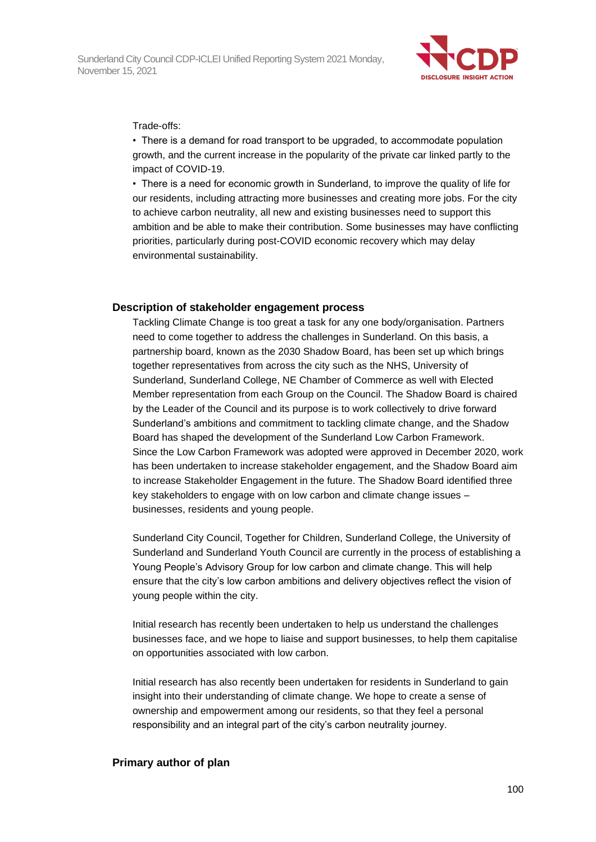

#### Trade-offs:

• There is a demand for road transport to be upgraded, to accommodate population growth, and the current increase in the popularity of the private car linked partly to the impact of COVID-19.

• There is a need for economic growth in Sunderland, to improve the quality of life for our residents, including attracting more businesses and creating more jobs. For the city to achieve carbon neutrality, all new and existing businesses need to support this ambition and be able to make their contribution. Some businesses may have conflicting priorities, particularly during post-COVID economic recovery which may delay environmental sustainability.

# **Description of stakeholder engagement process**

Tackling Climate Change is too great a task for any one body/organisation. Partners need to come together to address the challenges in Sunderland. On this basis, a partnership board, known as the 2030 Shadow Board, has been set up which brings together representatives from across the city such as the NHS, University of Sunderland, Sunderland College, NE Chamber of Commerce as well with Elected Member representation from each Group on the Council. The Shadow Board is chaired by the Leader of the Council and its purpose is to work collectively to drive forward Sunderland's ambitions and commitment to tackling climate change, and the Shadow Board has shaped the development of the Sunderland Low Carbon Framework. Since the Low Carbon Framework was adopted were approved in December 2020, work has been undertaken to increase stakeholder engagement, and the Shadow Board aim to increase Stakeholder Engagement in the future. The Shadow Board identified three key stakeholders to engage with on low carbon and climate change issues – businesses, residents and young people.

Sunderland City Council, Together for Children, Sunderland College, the University of Sunderland and Sunderland Youth Council are currently in the process of establishing a Young People's Advisory Group for low carbon and climate change. This will help ensure that the city's low carbon ambitions and delivery objectives reflect the vision of young people within the city.

Initial research has recently been undertaken to help us understand the challenges businesses face, and we hope to liaise and support businesses, to help them capitalise on opportunities associated with low carbon.

Initial research has also recently been undertaken for residents in Sunderland to gain insight into their understanding of climate change. We hope to create a sense of ownership and empowerment among our residents, so that they feel a personal responsibility and an integral part of the city's carbon neutrality journey.

# **Primary author of plan**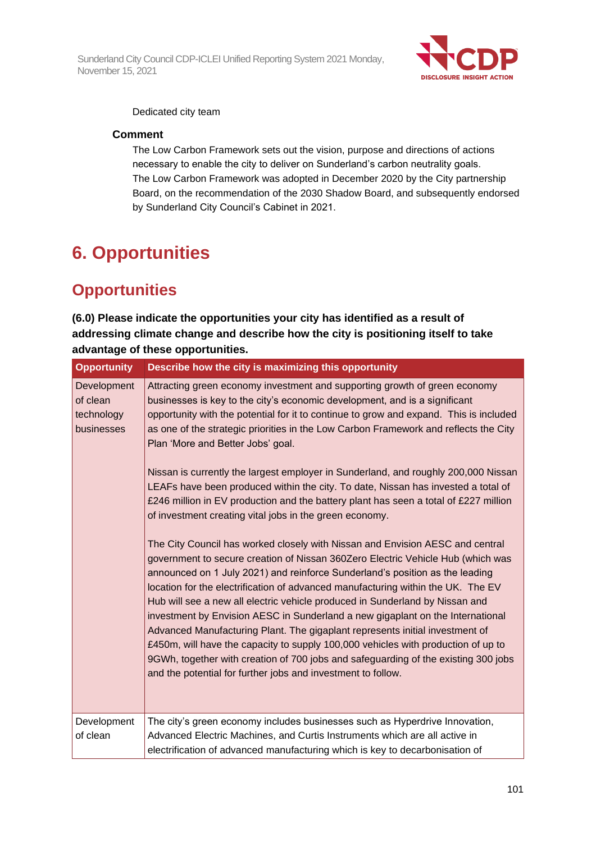

Dedicated city team

### **Comment**

The Low Carbon Framework sets out the vision, purpose and directions of actions necessary to enable the city to deliver on Sunderland's carbon neutrality goals. The Low Carbon Framework was adopted in December 2020 by the City partnership Board, on the recommendation of the 2030 Shadow Board, and subsequently endorsed by Sunderland City Council's Cabinet in 2021.

# **6. Opportunities**

# **Opportunities**

# **(6.0) Please indicate the opportunities your city has identified as a result of addressing climate change and describe how the city is positioning itself to take advantage of these opportunities.**

| <b>Opportunity</b>                                  | Describe how the city is maximizing this opportunity                                                                                                                                                                                                                                                                                                                                                                                                                                                                                                                                                                                                                                                                                                                                                                              |
|-----------------------------------------------------|-----------------------------------------------------------------------------------------------------------------------------------------------------------------------------------------------------------------------------------------------------------------------------------------------------------------------------------------------------------------------------------------------------------------------------------------------------------------------------------------------------------------------------------------------------------------------------------------------------------------------------------------------------------------------------------------------------------------------------------------------------------------------------------------------------------------------------------|
| Development<br>of clean<br>technology<br>businesses | Attracting green economy investment and supporting growth of green economy<br>businesses is key to the city's economic development, and is a significant<br>opportunity with the potential for it to continue to grow and expand. This is included<br>as one of the strategic priorities in the Low Carbon Framework and reflects the City<br>Plan 'More and Better Jobs' goal.                                                                                                                                                                                                                                                                                                                                                                                                                                                   |
|                                                     | Nissan is currently the largest employer in Sunderland, and roughly 200,000 Nissan<br>LEAFs have been produced within the city. To date, Nissan has invested a total of<br>£246 million in EV production and the battery plant has seen a total of £227 million<br>of investment creating vital jobs in the green economy.                                                                                                                                                                                                                                                                                                                                                                                                                                                                                                        |
|                                                     | The City Council has worked closely with Nissan and Envision AESC and central<br>government to secure creation of Nissan 360Zero Electric Vehicle Hub (which was<br>announced on 1 July 2021) and reinforce Sunderland's position as the leading<br>location for the electrification of advanced manufacturing within the UK. The EV<br>Hub will see a new all electric vehicle produced in Sunderland by Nissan and<br>investment by Envision AESC in Sunderland a new gigaplant on the International<br>Advanced Manufacturing Plant. The gigaplant represents initial investment of<br>£450m, will have the capacity to supply 100,000 vehicles with production of up to<br>9GWh, together with creation of 700 jobs and safeguarding of the existing 300 jobs<br>and the potential for further jobs and investment to follow. |
| Development<br>of clean                             | The city's green economy includes businesses such as Hyperdrive Innovation,<br>Advanced Electric Machines, and Curtis Instruments which are all active in                                                                                                                                                                                                                                                                                                                                                                                                                                                                                                                                                                                                                                                                         |
|                                                     | electrification of advanced manufacturing which is key to decarbonisation of                                                                                                                                                                                                                                                                                                                                                                                                                                                                                                                                                                                                                                                                                                                                                      |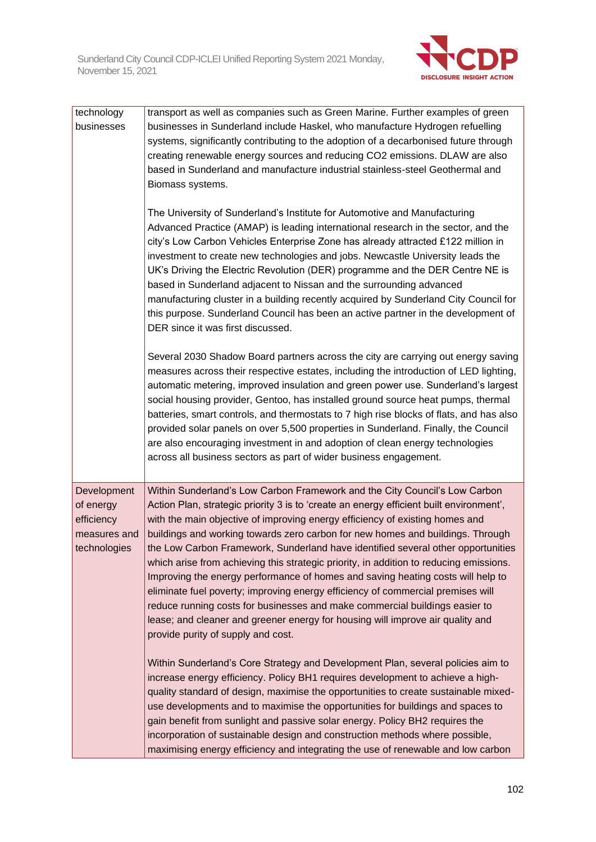

| technology   | transport as well as companies such as Green Marine. Further examples of green                                                                                                                                                                      |
|--------------|-----------------------------------------------------------------------------------------------------------------------------------------------------------------------------------------------------------------------------------------------------|
| businesses   | businesses in Sunderland include Haskel, who manufacture Hydrogen refuelling                                                                                                                                                                        |
|              | systems, significantly contributing to the adoption of a decarbonised future through                                                                                                                                                                |
|              | creating renewable energy sources and reducing CO2 emissions. DLAW are also                                                                                                                                                                         |
|              | based in Sunderland and manufacture industrial stainless-steel Geothermal and                                                                                                                                                                       |
|              | Biomass systems.                                                                                                                                                                                                                                    |
|              | The University of Sunderland's Institute for Automotive and Manufacturing<br>Advanced Practice (AMAP) is leading international research in the sector, and the                                                                                      |
|              | city's Low Carbon Vehicles Enterprise Zone has already attracted £122 million in<br>investment to create new technologies and jobs. Newcastle University leads the<br>UK's Driving the Electric Revolution (DER) programme and the DER Centre NE is |
|              | based in Sunderland adjacent to Nissan and the surrounding advanced                                                                                                                                                                                 |
|              | manufacturing cluster in a building recently acquired by Sunderland City Council for                                                                                                                                                                |
|              | this purpose. Sunderland Council has been an active partner in the development of<br>DER since it was first discussed.                                                                                                                              |
|              | Several 2030 Shadow Board partners across the city are carrying out energy saving<br>measures across their respective estates, including the introduction of LED lighting,                                                                          |
|              | automatic metering, improved insulation and green power use. Sunderland's largest                                                                                                                                                                   |
|              | social housing provider, Gentoo, has installed ground source heat pumps, thermal                                                                                                                                                                    |
|              | batteries, smart controls, and thermostats to 7 high rise blocks of flats, and has also                                                                                                                                                             |
|              | provided solar panels on over 5,500 properties in Sunderland. Finally, the Council                                                                                                                                                                  |
|              | are also encouraging investment in and adoption of clean energy technologies                                                                                                                                                                        |
|              | across all business sectors as part of wider business engagement.                                                                                                                                                                                   |
| Development  | Within Sunderland's Low Carbon Framework and the City Council's Low Carbon                                                                                                                                                                          |
| of energy    | Action Plan, strategic priority 3 is to 'create an energy efficient built environment',                                                                                                                                                             |
| efficiency   | with the main objective of improving energy efficiency of existing homes and                                                                                                                                                                        |
| measures and | buildings and working towards zero carbon for new homes and buildings. Through                                                                                                                                                                      |
| technologies | the Low Carbon Framework, Sunderland have identified several other opportunities                                                                                                                                                                    |
|              | which arise from achieving this strategic priority, in addition to reducing emissions.                                                                                                                                                              |
|              | Improving the energy performance of homes and saving heating costs will help to                                                                                                                                                                     |
|              | eliminate fuel poverty; improving energy efficiency of commercial premises will                                                                                                                                                                     |
|              | reduce running costs for businesses and make commercial buildings easier to                                                                                                                                                                         |
|              | lease; and cleaner and greener energy for housing will improve air quality and                                                                                                                                                                      |
|              | provide purity of supply and cost.                                                                                                                                                                                                                  |
|              | Within Sunderland's Core Strategy and Development Plan, several policies aim to                                                                                                                                                                     |
|              | increase energy efficiency. Policy BH1 requires development to achieve a high-                                                                                                                                                                      |
|              | quality standard of design, maximise the opportunities to create sustainable mixed-                                                                                                                                                                 |
|              | use developments and to maximise the opportunities for buildings and spaces to                                                                                                                                                                      |
|              | gain benefit from sunlight and passive solar energy. Policy BH2 requires the                                                                                                                                                                        |
|              | incorporation of sustainable design and construction methods where possible,                                                                                                                                                                        |
|              | maximising energy efficiency and integrating the use of renewable and low carbon                                                                                                                                                                    |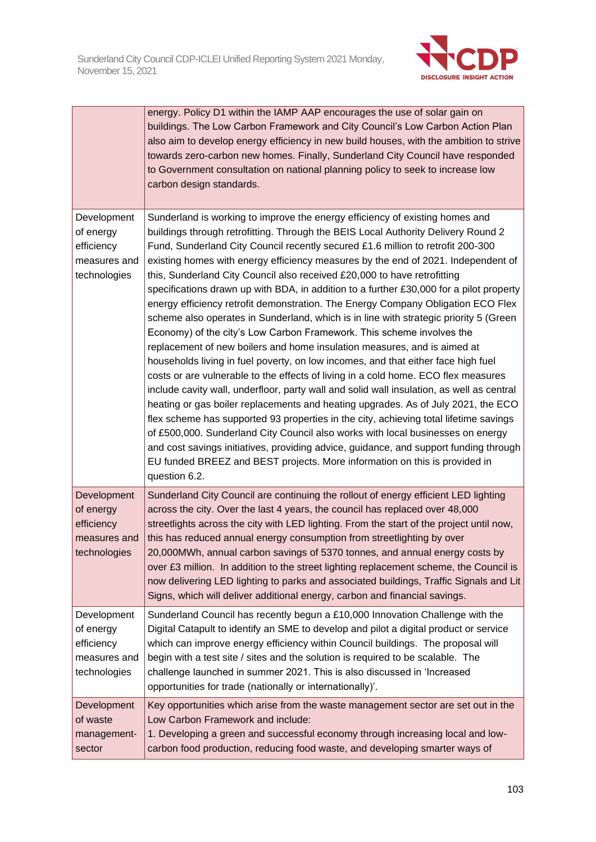

|                                                                        | energy. Policy D1 within the IAMP AAP encourages the use of solar gain on<br>buildings. The Low Carbon Framework and City Council's Low Carbon Action Plan<br>also aim to develop energy efficiency in new build houses, with the ambition to strive<br>towards zero-carbon new homes. Finally, Sunderland City Council have responded<br>to Government consultation on national planning policy to seek to increase low<br>carbon design standards.                                                                                                                                                                                                                                                                                                                                                                                                                                                                                                                                                                                                                                                                                                                                                                                                                                                                                                                                                                                                                                                                                                                                |
|------------------------------------------------------------------------|-------------------------------------------------------------------------------------------------------------------------------------------------------------------------------------------------------------------------------------------------------------------------------------------------------------------------------------------------------------------------------------------------------------------------------------------------------------------------------------------------------------------------------------------------------------------------------------------------------------------------------------------------------------------------------------------------------------------------------------------------------------------------------------------------------------------------------------------------------------------------------------------------------------------------------------------------------------------------------------------------------------------------------------------------------------------------------------------------------------------------------------------------------------------------------------------------------------------------------------------------------------------------------------------------------------------------------------------------------------------------------------------------------------------------------------------------------------------------------------------------------------------------------------------------------------------------------------|
| Development<br>of energy<br>efficiency<br>measures and<br>technologies | Sunderland is working to improve the energy efficiency of existing homes and<br>buildings through retrofitting. Through the BEIS Local Authority Delivery Round 2<br>Fund, Sunderland City Council recently secured £1.6 million to retrofit 200-300<br>existing homes with energy efficiency measures by the end of 2021. Independent of<br>this, Sunderland City Council also received £20,000 to have retrofitting<br>specifications drawn up with BDA, in addition to a further £30,000 for a pilot property<br>energy efficiency retrofit demonstration. The Energy Company Obligation ECO Flex<br>scheme also operates in Sunderland, which is in line with strategic priority 5 (Green<br>Economy) of the city's Low Carbon Framework. This scheme involves the<br>replacement of new boilers and home insulation measures, and is aimed at<br>households living in fuel poverty, on low incomes, and that either face high fuel<br>costs or are vulnerable to the effects of living in a cold home. ECO flex measures<br>include cavity wall, underfloor, party wall and solid wall insulation, as well as central<br>heating or gas boiler replacements and heating upgrades. As of July 2021, the ECO<br>flex scheme has supported 93 properties in the city, achieving total lifetime savings<br>of £500,000. Sunderland City Council also works with local businesses on energy<br>and cost savings initiatives, providing advice, guidance, and support funding through<br>EU funded BREEZ and BEST projects. More information on this is provided in<br>question 6.2. |
| Development<br>of energy<br>efficiency<br>measures and<br>technologies | Sunderland City Council are continuing the rollout of energy efficient LED lighting<br>across the city. Over the last 4 years, the council has replaced over 48,000<br>streetlights across the city with LED lighting. From the start of the project until now,<br>this has reduced annual energy consumption from streetlighting by over<br>20,000MWh, annual carbon savings of 5370 tonnes, and annual energy costs by<br>over £3 million. In addition to the street lighting replacement scheme, the Council is<br>now delivering LED lighting to parks and associated buildings, Traffic Signals and Lit<br>Signs, which will deliver additional energy, carbon and financial savings.                                                                                                                                                                                                                                                                                                                                                                                                                                                                                                                                                                                                                                                                                                                                                                                                                                                                                          |
| Development<br>of energy<br>efficiency<br>measures and<br>technologies | Sunderland Council has recently begun a £10,000 Innovation Challenge with the<br>Digital Catapult to identify an SME to develop and pilot a digital product or service<br>which can improve energy efficiency within Council buildings. The proposal will<br>begin with a test site / sites and the solution is required to be scalable. The<br>challenge launched in summer 2021. This is also discussed in 'Increased<br>opportunities for trade (nationally or internationally)'.                                                                                                                                                                                                                                                                                                                                                                                                                                                                                                                                                                                                                                                                                                                                                                                                                                                                                                                                                                                                                                                                                                |
| Development<br>of waste<br>management-<br>sector                       | Key opportunities which arise from the waste management sector are set out in the<br>Low Carbon Framework and include:<br>1. Developing a green and successful economy through increasing local and low-<br>carbon food production, reducing food waste, and developing smarter ways of                                                                                                                                                                                                                                                                                                                                                                                                                                                                                                                                                                                                                                                                                                                                                                                                                                                                                                                                                                                                                                                                                                                                                                                                                                                                                             |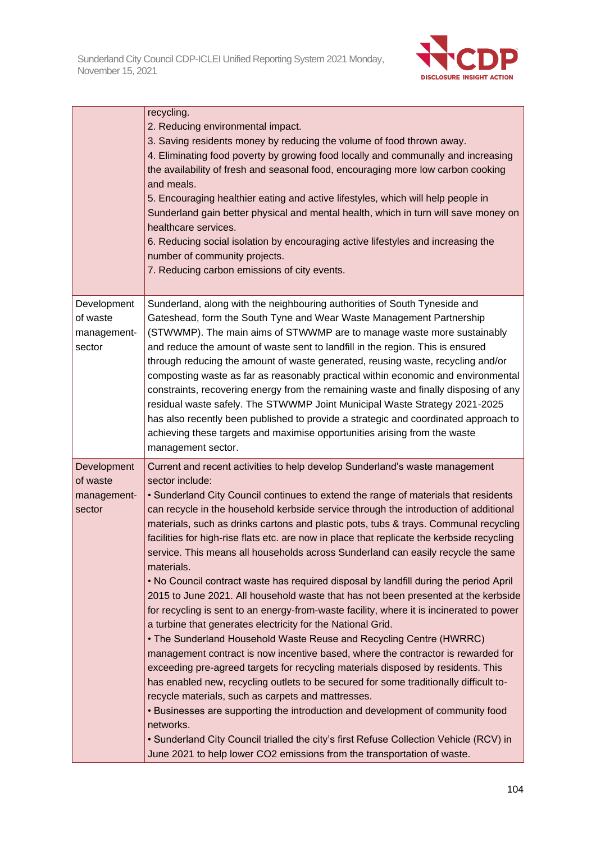

|                                                  | recycling.<br>2. Reducing environmental impact.<br>3. Saving residents money by reducing the volume of food thrown away.<br>4. Eliminating food poverty by growing food locally and communally and increasing<br>the availability of fresh and seasonal food, encouraging more low carbon cooking<br>and meals.<br>5. Encouraging healthier eating and active lifestyles, which will help people in<br>Sunderland gain better physical and mental health, which in turn will save money on<br>healthcare services.<br>6. Reducing social isolation by encouraging active lifestyles and increasing the<br>number of community projects.<br>7. Reducing carbon emissions of city events.                                                                                                                                                                                                                                                                                                                                                                                                                                                                                                                                                                                                                                                                                                                                                                                                                                                                                           |
|--------------------------------------------------|-----------------------------------------------------------------------------------------------------------------------------------------------------------------------------------------------------------------------------------------------------------------------------------------------------------------------------------------------------------------------------------------------------------------------------------------------------------------------------------------------------------------------------------------------------------------------------------------------------------------------------------------------------------------------------------------------------------------------------------------------------------------------------------------------------------------------------------------------------------------------------------------------------------------------------------------------------------------------------------------------------------------------------------------------------------------------------------------------------------------------------------------------------------------------------------------------------------------------------------------------------------------------------------------------------------------------------------------------------------------------------------------------------------------------------------------------------------------------------------------------------------------------------------------------------------------------------------|
| Development<br>of waste<br>management-<br>sector | Sunderland, along with the neighbouring authorities of South Tyneside and<br>Gateshead, form the South Tyne and Wear Waste Management Partnership<br>(STWWMP). The main aims of STWWMP are to manage waste more sustainably<br>and reduce the amount of waste sent to landfill in the region. This is ensured<br>through reducing the amount of waste generated, reusing waste, recycling and/or<br>composting waste as far as reasonably practical within economic and environmental<br>constraints, recovering energy from the remaining waste and finally disposing of any<br>residual waste safely. The STWWMP Joint Municipal Waste Strategy 2021-2025<br>has also recently been published to provide a strategic and coordinated approach to<br>achieving these targets and maximise opportunities arising from the waste<br>management sector.                                                                                                                                                                                                                                                                                                                                                                                                                                                                                                                                                                                                                                                                                                                             |
| Development<br>of waste<br>management-<br>sector | Current and recent activities to help develop Sunderland's waste management<br>sector include:<br>• Sunderland City Council continues to extend the range of materials that residents<br>can recycle in the household kerbside service through the introduction of additional<br>materials, such as drinks cartons and plastic pots, tubs & trays. Communal recycling<br>facilities for high-rise flats etc. are now in place that replicate the kerbside recycling<br>service. This means all households across Sunderland can easily recycle the same<br>materials.<br>. No Council contract waste has required disposal by landfill during the period April<br>2015 to June 2021. All household waste that has not been presented at the kerbside<br>for recycling is sent to an energy-from-waste facility, where it is incinerated to power<br>a turbine that generates electricity for the National Grid.<br>• The Sunderland Household Waste Reuse and Recycling Centre (HWRRC)<br>management contract is now incentive based, where the contractor is rewarded for<br>exceeding pre-agreed targets for recycling materials disposed by residents. This<br>has enabled new, recycling outlets to be secured for some traditionally difficult to-<br>recycle materials, such as carpets and mattresses.<br>. Businesses are supporting the introduction and development of community food<br>networks.<br>• Sunderland City Council trialled the city's first Refuse Collection Vehicle (RCV) in<br>June 2021 to help lower CO2 emissions from the transportation of waste. |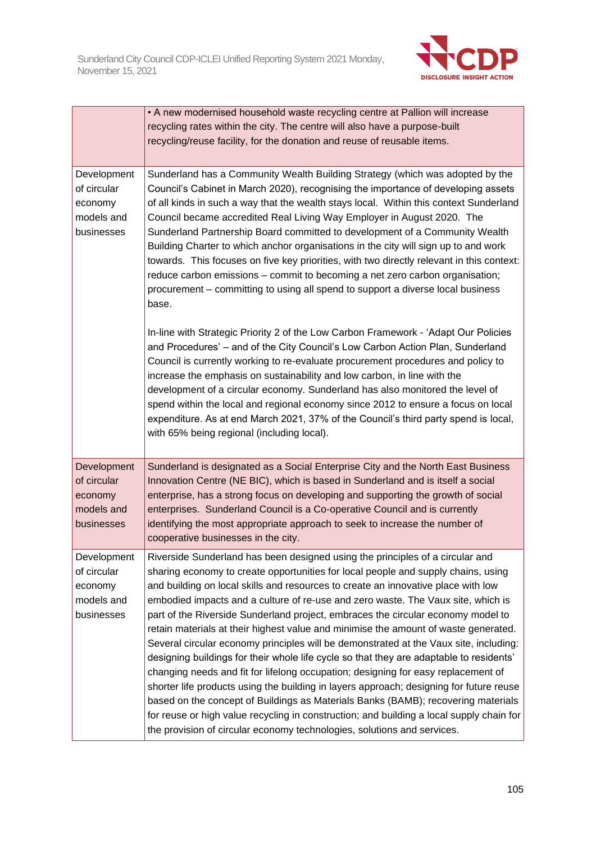

|                                                                   | • A new modernised household waste recycling centre at Pallion will increase<br>recycling rates within the city. The centre will also have a purpose-built<br>recycling/reuse facility, for the donation and reuse of reusable items.                                                                                                                                                                                                                                                                                                                                                                                                                                                                                                                                                                                                                                                                                                                                                                                                                                                                                                                  |
|-------------------------------------------------------------------|--------------------------------------------------------------------------------------------------------------------------------------------------------------------------------------------------------------------------------------------------------------------------------------------------------------------------------------------------------------------------------------------------------------------------------------------------------------------------------------------------------------------------------------------------------------------------------------------------------------------------------------------------------------------------------------------------------------------------------------------------------------------------------------------------------------------------------------------------------------------------------------------------------------------------------------------------------------------------------------------------------------------------------------------------------------------------------------------------------------------------------------------------------|
| Development<br>of circular<br>economy<br>models and<br>businesses | Sunderland has a Community Wealth Building Strategy (which was adopted by the<br>Council's Cabinet in March 2020), recognising the importance of developing assets<br>of all kinds in such a way that the wealth stays local. Within this context Sunderland<br>Council became accredited Real Living Way Employer in August 2020. The<br>Sunderland Partnership Board committed to development of a Community Wealth<br>Building Charter to which anchor organisations in the city will sign up to and work<br>towards. This focuses on five key priorities, with two directly relevant in this context:<br>reduce carbon emissions - commit to becoming a net zero carbon organisation;<br>procurement – committing to using all spend to support a diverse local business<br>base.                                                                                                                                                                                                                                                                                                                                                                  |
|                                                                   | In-line with Strategic Priority 2 of the Low Carbon Framework - 'Adapt Our Policies<br>and Procedures' - and of the City Council's Low Carbon Action Plan, Sunderland<br>Council is currently working to re-evaluate procurement procedures and policy to<br>increase the emphasis on sustainability and low carbon, in line with the<br>development of a circular economy. Sunderland has also monitored the level of<br>spend within the local and regional economy since 2012 to ensure a focus on local<br>expenditure. As at end March 2021, 37% of the Council's third party spend is local,<br>with 65% being regional (including local).                                                                                                                                                                                                                                                                                                                                                                                                                                                                                                       |
| Development<br>of circular<br>economy<br>models and<br>businesses | Sunderland is designated as a Social Enterprise City and the North East Business<br>Innovation Centre (NE BIC), which is based in Sunderland and is itself a social<br>enterprise, has a strong focus on developing and supporting the growth of social<br>enterprises. Sunderland Council is a Co-operative Council and is currently<br>identifying the most appropriate approach to seek to increase the number of<br>cooperative businesses in the city.                                                                                                                                                                                                                                                                                                                                                                                                                                                                                                                                                                                                                                                                                            |
| Development<br>of circular<br>economy<br>models and<br>businesses | Riverside Sunderland has been designed using the principles of a circular and<br>sharing economy to create opportunities for local people and supply chains, using<br>and building on local skills and resources to create an innovative place with low<br>embodied impacts and a culture of re-use and zero waste. The Vaux site, which is<br>part of the Riverside Sunderland project, embraces the circular economy model to<br>retain materials at their highest value and minimise the amount of waste generated.<br>Several circular economy principles will be demonstrated at the Vaux site, including:<br>designing buildings for their whole life cycle so that they are adaptable to residents'<br>changing needs and fit for lifelong occupation; designing for easy replacement of<br>shorter life products using the building in layers approach; designing for future reuse<br>based on the concept of Buildings as Materials Banks (BAMB); recovering materials<br>for reuse or high value recycling in construction; and building a local supply chain for<br>the provision of circular economy technologies, solutions and services. |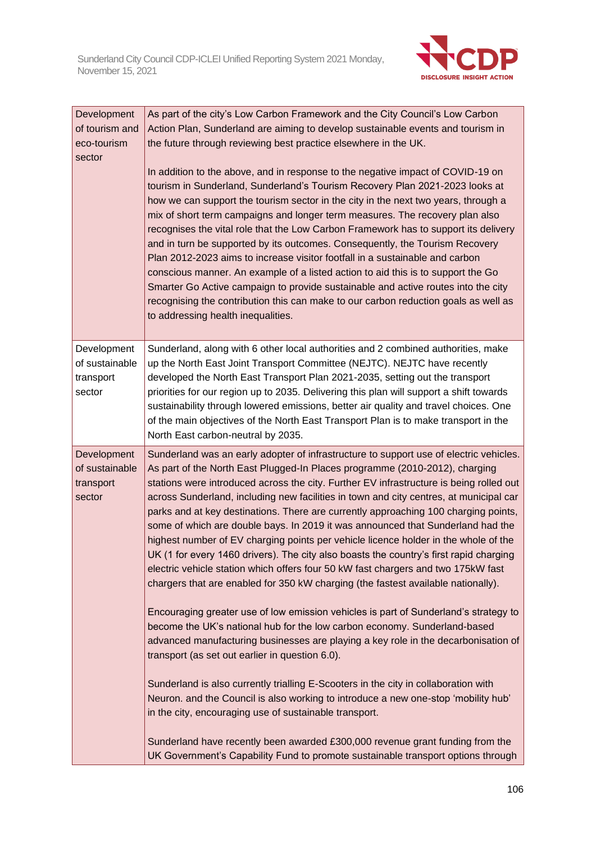

| Development<br>of tourism and<br>eco-tourism<br>sector | As part of the city's Low Carbon Framework and the City Council's Low Carbon<br>Action Plan, Sunderland are aiming to develop sustainable events and tourism in<br>the future through reviewing best practice elsewhere in the UK.<br>In addition to the above, and in response to the negative impact of COVID-19 on<br>tourism in Sunderland, Sunderland's Tourism Recovery Plan 2021-2023 looks at<br>how we can support the tourism sector in the city in the next two years, through a<br>mix of short term campaigns and longer term measures. The recovery plan also<br>recognises the vital role that the Low Carbon Framework has to support its delivery<br>and in turn be supported by its outcomes. Consequently, the Tourism Recovery<br>Plan 2012-2023 aims to increase visitor footfall in a sustainable and carbon<br>conscious manner. An example of a listed action to aid this is to support the Go<br>Smarter Go Active campaign to provide sustainable and active routes into the city<br>recognising the contribution this can make to our carbon reduction goals as well as<br>to addressing health inequalities.                                                                                                                                                                                                                                                                                                                                                                                                                                                                                  |
|--------------------------------------------------------|---------------------------------------------------------------------------------------------------------------------------------------------------------------------------------------------------------------------------------------------------------------------------------------------------------------------------------------------------------------------------------------------------------------------------------------------------------------------------------------------------------------------------------------------------------------------------------------------------------------------------------------------------------------------------------------------------------------------------------------------------------------------------------------------------------------------------------------------------------------------------------------------------------------------------------------------------------------------------------------------------------------------------------------------------------------------------------------------------------------------------------------------------------------------------------------------------------------------------------------------------------------------------------------------------------------------------------------------------------------------------------------------------------------------------------------------------------------------------------------------------------------------------------------------------------------------------------------------------------------------------|
| Development<br>of sustainable<br>transport<br>sector   | Sunderland, along with 6 other local authorities and 2 combined authorities, make<br>up the North East Joint Transport Committee (NEJTC). NEJTC have recently<br>developed the North East Transport Plan 2021-2035, setting out the transport<br>priorities for our region up to 2035. Delivering this plan will support a shift towards<br>sustainability through lowered emissions, better air quality and travel choices. One<br>of the main objectives of the North East Transport Plan is to make transport in the<br>North East carbon-neutral by 2035.                                                                                                                                                                                                                                                                                                                                                                                                                                                                                                                                                                                                                                                                                                                                                                                                                                                                                                                                                                                                                                                             |
| Development<br>of sustainable<br>transport<br>sector   | Sunderland was an early adopter of infrastructure to support use of electric vehicles.<br>As part of the North East Plugged-In Places programme (2010-2012), charging<br>stations were introduced across the city. Further EV infrastructure is being rolled out<br>across Sunderland, including new facilities in town and city centres, at municipal car<br>parks and at key destinations. There are currently approaching 100 charging points,<br>some of which are double bays. In 2019 it was announced that Sunderland had the<br>highest number of EV charging points per vehicle licence holder in the whole of the<br>UK (1 for every 1460 drivers). The city also boasts the country's first rapid charging<br>electric vehicle station which offers four 50 kW fast chargers and two 175kW fast<br>chargers that are enabled for 350 kW charging (the fastest available nationally).<br>Encouraging greater use of low emission vehicles is part of Sunderland's strategy to<br>become the UK's national hub for the low carbon economy. Sunderland-based<br>advanced manufacturing businesses are playing a key role in the decarbonisation of<br>transport (as set out earlier in question 6.0).<br>Sunderland is also currently trialling E-Scooters in the city in collaboration with<br>Neuron. and the Council is also working to introduce a new one-stop 'mobility hub'<br>in the city, encouraging use of sustainable transport.<br>Sunderland have recently been awarded £300,000 revenue grant funding from the<br>UK Government's Capability Fund to promote sustainable transport options through |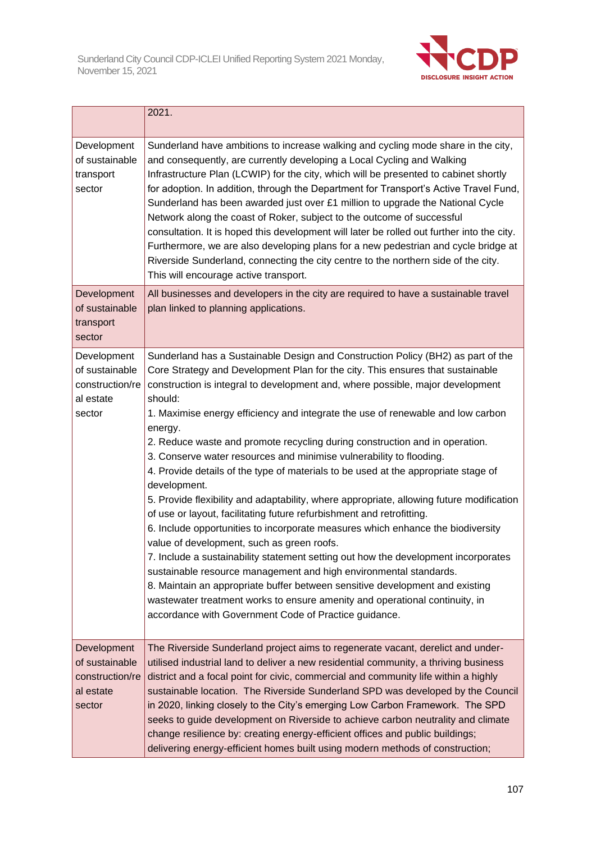

|                                                                         | 2021.                                                                                                                                                                                                                                                                                                                                                                                                                                                                                                                                                                                                                                                                                                                                                                                                                                                                                                                                                                                                                                                                                                                                                                                                                                                                                                              |
|-------------------------------------------------------------------------|--------------------------------------------------------------------------------------------------------------------------------------------------------------------------------------------------------------------------------------------------------------------------------------------------------------------------------------------------------------------------------------------------------------------------------------------------------------------------------------------------------------------------------------------------------------------------------------------------------------------------------------------------------------------------------------------------------------------------------------------------------------------------------------------------------------------------------------------------------------------------------------------------------------------------------------------------------------------------------------------------------------------------------------------------------------------------------------------------------------------------------------------------------------------------------------------------------------------------------------------------------------------------------------------------------------------|
| Development<br>of sustainable<br>transport<br>sector                    | Sunderland have ambitions to increase walking and cycling mode share in the city,<br>and consequently, are currently developing a Local Cycling and Walking<br>Infrastructure Plan (LCWIP) for the city, which will be presented to cabinet shortly<br>for adoption. In addition, through the Department for Transport's Active Travel Fund,<br>Sunderland has been awarded just over £1 million to upgrade the National Cycle<br>Network along the coast of Roker, subject to the outcome of successful<br>consultation. It is hoped this development will later be rolled out further into the city.<br>Furthermore, we are also developing plans for a new pedestrian and cycle bridge at<br>Riverside Sunderland, connecting the city centre to the northern side of the city.<br>This will encourage active transport.                                                                                                                                                                                                                                                                                                                                                                                                                                                                                        |
| Development<br>of sustainable<br>transport<br>sector                    | All businesses and developers in the city are required to have a sustainable travel<br>plan linked to planning applications.                                                                                                                                                                                                                                                                                                                                                                                                                                                                                                                                                                                                                                                                                                                                                                                                                                                                                                                                                                                                                                                                                                                                                                                       |
| Development<br>of sustainable<br>construction/re<br>al estate<br>sector | Sunderland has a Sustainable Design and Construction Policy (BH2) as part of the<br>Core Strategy and Development Plan for the city. This ensures that sustainable<br>construction is integral to development and, where possible, major development<br>should:<br>1. Maximise energy efficiency and integrate the use of renewable and low carbon<br>energy.<br>2. Reduce waste and promote recycling during construction and in operation.<br>3. Conserve water resources and minimise vulnerability to flooding.<br>4. Provide details of the type of materials to be used at the appropriate stage of<br>development.<br>5. Provide flexibility and adaptability, where appropriate, allowing future modification<br>of use or layout, facilitating future refurbishment and retrofitting.<br>6. Include opportunities to incorporate measures which enhance the biodiversity<br>value of development, such as green roofs.<br>7. Include a sustainability statement setting out how the development incorporates<br>sustainable resource management and high environmental standards.<br>8. Maintain an appropriate buffer between sensitive development and existing<br>wastewater treatment works to ensure amenity and operational continuity, in<br>accordance with Government Code of Practice guidance. |
| Development<br>of sustainable<br>construction/re<br>al estate<br>sector | The Riverside Sunderland project aims to regenerate vacant, derelict and under-<br>utilised industrial land to deliver a new residential community, a thriving business<br>district and a focal point for civic, commercial and community life within a highly<br>sustainable location. The Riverside Sunderland SPD was developed by the Council<br>in 2020, linking closely to the City's emerging Low Carbon Framework. The SPD<br>seeks to guide development on Riverside to achieve carbon neutrality and climate<br>change resilience by: creating energy-efficient offices and public buildings;<br>delivering energy-efficient homes built using modern methods of construction;                                                                                                                                                                                                                                                                                                                                                                                                                                                                                                                                                                                                                           |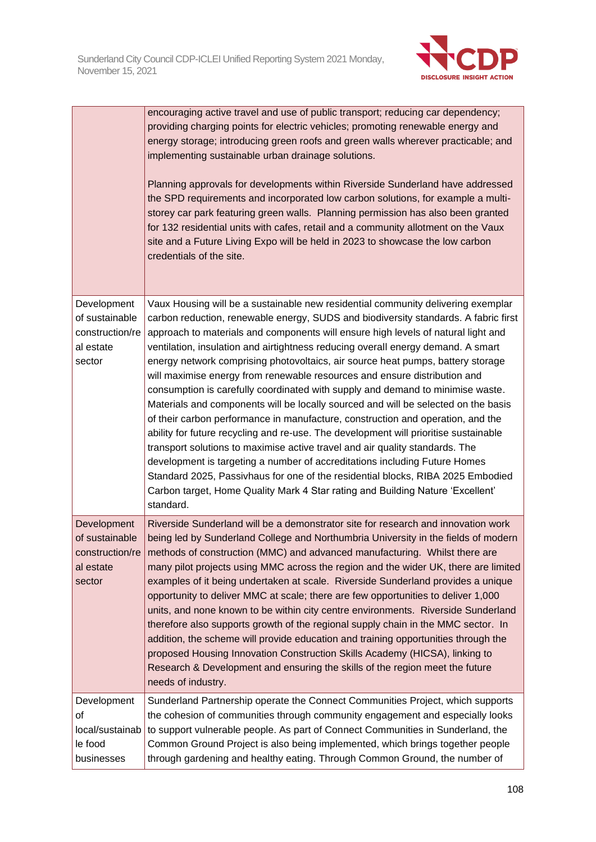

|                                                                           | encouraging active travel and use of public transport; reducing car dependency;<br>providing charging points for electric vehicles; promoting renewable energy and<br>energy storage; introducing green roofs and green walls wherever practicable; and<br>implementing sustainable urban drainage solutions.<br>Planning approvals for developments within Riverside Sunderland have addressed<br>the SPD requirements and incorporated low carbon solutions, for example a multi-<br>storey car park featuring green walls. Planning permission has also been granted<br>for 132 residential units with cafes, retail and a community allotment on the Vaux<br>site and a Future Living Expo will be held in 2023 to showcase the low carbon<br>credentials of the site.                                                                                                                                                                                                                                                                                                                                                                                                                                          |
|---------------------------------------------------------------------------|---------------------------------------------------------------------------------------------------------------------------------------------------------------------------------------------------------------------------------------------------------------------------------------------------------------------------------------------------------------------------------------------------------------------------------------------------------------------------------------------------------------------------------------------------------------------------------------------------------------------------------------------------------------------------------------------------------------------------------------------------------------------------------------------------------------------------------------------------------------------------------------------------------------------------------------------------------------------------------------------------------------------------------------------------------------------------------------------------------------------------------------------------------------------------------------------------------------------|
| Development<br>of sustainable<br>construction/re<br>al estate<br>sector   | Vaux Housing will be a sustainable new residential community delivering exemplar<br>carbon reduction, renewable energy, SUDS and biodiversity standards. A fabric first<br>approach to materials and components will ensure high levels of natural light and<br>ventilation, insulation and airtightness reducing overall energy demand. A smart<br>energy network comprising photovoltaics, air source heat pumps, battery storage<br>will maximise energy from renewable resources and ensure distribution and<br>consumption is carefully coordinated with supply and demand to minimise waste.<br>Materials and components will be locally sourced and will be selected on the basis<br>of their carbon performance in manufacture, construction and operation, and the<br>ability for future recycling and re-use. The development will prioritise sustainable<br>transport solutions to maximise active travel and air quality standards. The<br>development is targeting a number of accreditations including Future Homes<br>Standard 2025, Passivhaus for one of the residential blocks, RIBA 2025 Embodied<br>Carbon target, Home Quality Mark 4 Star rating and Building Nature 'Excellent'<br>standard. |
| Development<br>of sustainable<br>construction/re I<br>al estate<br>sector | Riverside Sunderland will be a demonstrator site for research and innovation work<br>being led by Sunderland College and Northumbria University in the fields of modern<br>methods of construction (MMC) and advanced manufacturing. Whilst there are<br>many pilot projects using MMC across the region and the wider UK, there are limited<br>examples of it being undertaken at scale. Riverside Sunderland provides a unique<br>opportunity to deliver MMC at scale; there are few opportunities to deliver 1,000<br>units, and none known to be within city centre environments. Riverside Sunderland<br>therefore also supports growth of the regional supply chain in the MMC sector. In<br>addition, the scheme will provide education and training opportunities through the<br>proposed Housing Innovation Construction Skills Academy (HICSA), linking to<br>Research & Development and ensuring the skills of the region meet the future<br>needs of industry.                                                                                                                                                                                                                                          |
| Development<br>οf<br>local/sustainab<br>le food<br>businesses             | Sunderland Partnership operate the Connect Communities Project, which supports<br>the cohesion of communities through community engagement and especially looks<br>to support vulnerable people. As part of Connect Communities in Sunderland, the<br>Common Ground Project is also being implemented, which brings together people<br>through gardening and healthy eating. Through Common Ground, the number of                                                                                                                                                                                                                                                                                                                                                                                                                                                                                                                                                                                                                                                                                                                                                                                                   |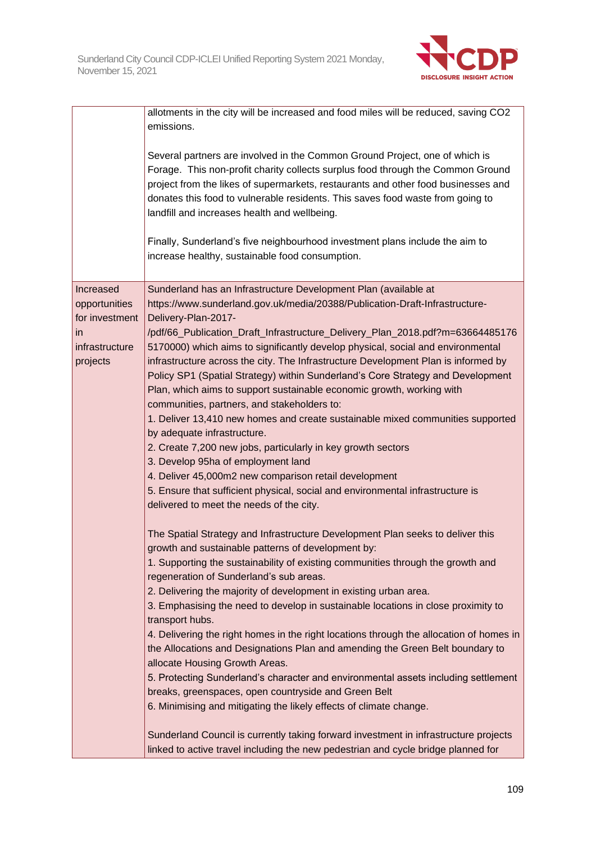

|                                              | allotments in the city will be increased and food miles will be reduced, saving CO2<br>emissions.<br>Several partners are involved in the Common Ground Project, one of which is<br>Forage. This non-profit charity collects surplus food through the Common Ground<br>project from the likes of supermarkets, restaurants and other food businesses and<br>donates this food to vulnerable residents. This saves food waste from going to<br>landfill and increases health and wellbeing.                                                                                                                                                                                                                                                                                                                                                                                                                                                                                |
|----------------------------------------------|---------------------------------------------------------------------------------------------------------------------------------------------------------------------------------------------------------------------------------------------------------------------------------------------------------------------------------------------------------------------------------------------------------------------------------------------------------------------------------------------------------------------------------------------------------------------------------------------------------------------------------------------------------------------------------------------------------------------------------------------------------------------------------------------------------------------------------------------------------------------------------------------------------------------------------------------------------------------------|
|                                              | Finally, Sunderland's five neighbourhood investment plans include the aim to<br>increase healthy, sustainable food consumption.                                                                                                                                                                                                                                                                                                                                                                                                                                                                                                                                                                                                                                                                                                                                                                                                                                           |
| Increased<br>opportunities<br>for investment | Sunderland has an Infrastructure Development Plan (available at<br>https://www.sunderland.gov.uk/media/20388/Publication-Draft-Infrastructure-<br>Delivery-Plan-2017-                                                                                                                                                                                                                                                                                                                                                                                                                                                                                                                                                                                                                                                                                                                                                                                                     |
| in<br>infrastructure<br>projects             | /pdf/66_Publication_Draft_Infrastructure_Delivery_Plan_2018.pdf?m=63664485176<br>5170000) which aims to significantly develop physical, social and environmental<br>infrastructure across the city. The Infrastructure Development Plan is informed by<br>Policy SP1 (Spatial Strategy) within Sunderland's Core Strategy and Development<br>Plan, which aims to support sustainable economic growth, working with<br>communities, partners, and stakeholders to:<br>1. Deliver 13,410 new homes and create sustainable mixed communities supported<br>by adequate infrastructure.<br>2. Create 7,200 new jobs, particularly in key growth sectors                                                                                                                                                                                                                                                                                                                        |
|                                              | 3. Develop 95ha of employment land<br>4. Deliver 45,000m2 new comparison retail development<br>5. Ensure that sufficient physical, social and environmental infrastructure is<br>delivered to meet the needs of the city.                                                                                                                                                                                                                                                                                                                                                                                                                                                                                                                                                                                                                                                                                                                                                 |
|                                              | The Spatial Strategy and Infrastructure Development Plan seeks to deliver this<br>growth and sustainable patterns of development by:<br>1. Supporting the sustainability of existing communities through the growth and<br>regeneration of Sunderland's sub areas.<br>2. Delivering the majority of development in existing urban area.<br>3. Emphasising the need to develop in sustainable locations in close proximity to<br>transport hubs.<br>4. Delivering the right homes in the right locations through the allocation of homes in<br>the Allocations and Designations Plan and amending the Green Belt boundary to<br>allocate Housing Growth Areas.<br>5. Protecting Sunderland's character and environmental assets including settlement<br>breaks, greenspaces, open countryside and Green Belt<br>6. Minimising and mitigating the likely effects of climate change.<br>Sunderland Council is currently taking forward investment in infrastructure projects |
|                                              | linked to active travel including the new pedestrian and cycle bridge planned for                                                                                                                                                                                                                                                                                                                                                                                                                                                                                                                                                                                                                                                                                                                                                                                                                                                                                         |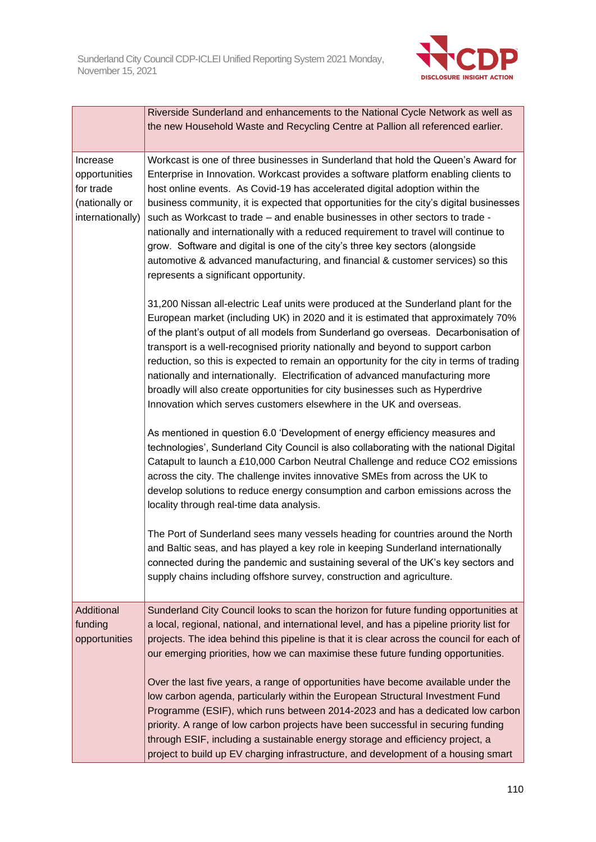

|                                                                              | Riverside Sunderland and enhancements to the National Cycle Network as well as<br>the new Household Waste and Recycling Centre at Pallion all referenced earlier.                                                                                                                                                                                                                                                                                                                                                                                                                                                                                                                                                                       |  |  |  |
|------------------------------------------------------------------------------|-----------------------------------------------------------------------------------------------------------------------------------------------------------------------------------------------------------------------------------------------------------------------------------------------------------------------------------------------------------------------------------------------------------------------------------------------------------------------------------------------------------------------------------------------------------------------------------------------------------------------------------------------------------------------------------------------------------------------------------------|--|--|--|
| Increase<br>opportunities<br>for trade<br>(nationally or<br>internationally) | Workcast is one of three businesses in Sunderland that hold the Queen's Award for<br>Enterprise in Innovation. Workcast provides a software platform enabling clients to<br>host online events. As Covid-19 has accelerated digital adoption within the<br>business community, it is expected that opportunities for the city's digital businesses<br>such as Workcast to trade - and enable businesses in other sectors to trade -<br>nationally and internationally with a reduced requirement to travel will continue to<br>grow. Software and digital is one of the city's three key sectors (alongside<br>automotive & advanced manufacturing, and financial & customer services) so this<br>represents a significant opportunity. |  |  |  |
|                                                                              | 31,200 Nissan all-electric Leaf units were produced at the Sunderland plant for the<br>European market (including UK) in 2020 and it is estimated that approximately 70%<br>of the plant's output of all models from Sunderland go overseas. Decarbonisation of<br>transport is a well-recognised priority nationally and beyond to support carbon<br>reduction, so this is expected to remain an opportunity for the city in terms of trading<br>nationally and internationally. Electrification of advanced manufacturing more<br>broadly will also create opportunities for city businesses such as Hyperdrive<br>Innovation which serves customers elsewhere in the UK and overseas.                                                |  |  |  |
|                                                                              | As mentioned in question 6.0 'Development of energy efficiency measures and<br>technologies', Sunderland City Council is also collaborating with the national Digital<br>Catapult to launch a £10,000 Carbon Neutral Challenge and reduce CO2 emissions<br>across the city. The challenge invites innovative SMEs from across the UK to<br>develop solutions to reduce energy consumption and carbon emissions across the<br>locality through real-time data analysis.                                                                                                                                                                                                                                                                  |  |  |  |
|                                                                              | The Port of Sunderland sees many vessels heading for countries around the North<br>and Baltic seas, and has played a key role in keeping Sunderland internationally<br>connected during the pandemic and sustaining several of the UK's key sectors and<br>supply chains including offshore survey, construction and agriculture.                                                                                                                                                                                                                                                                                                                                                                                                       |  |  |  |
| Additional<br>funding<br>opportunities                                       | Sunderland City Council looks to scan the horizon for future funding opportunities at<br>a local, regional, national, and international level, and has a pipeline priority list for<br>projects. The idea behind this pipeline is that it is clear across the council for each of<br>our emerging priorities, how we can maximise these future funding opportunities.                                                                                                                                                                                                                                                                                                                                                                   |  |  |  |
|                                                                              | Over the last five years, a range of opportunities have become available under the<br>low carbon agenda, particularly within the European Structural Investment Fund<br>Programme (ESIF), which runs between 2014-2023 and has a dedicated low carbon<br>priority. A range of low carbon projects have been successful in securing funding<br>through ESIF, including a sustainable energy storage and efficiency project, a<br>project to build up EV charging infrastructure, and development of a housing smart                                                                                                                                                                                                                      |  |  |  |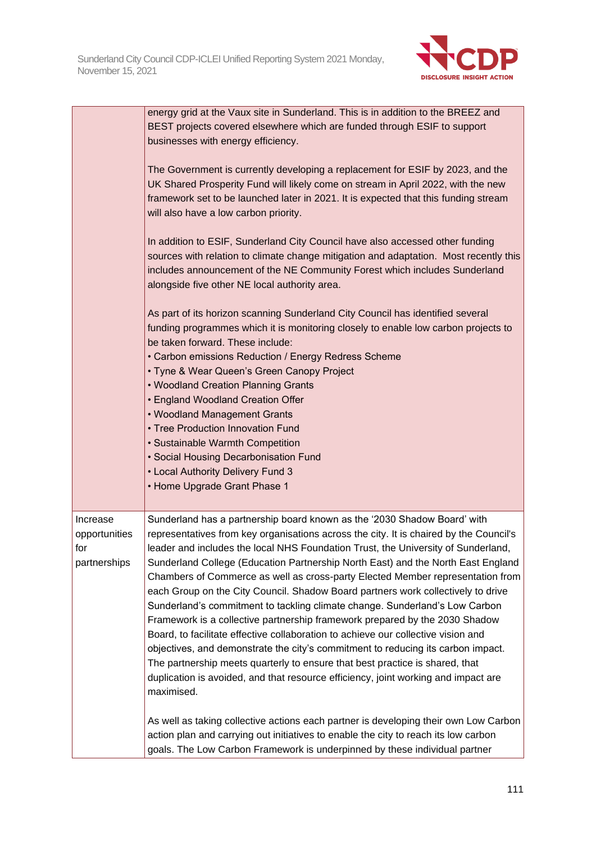

|                                                  | energy grid at the Vaux site in Sunderland. This is in addition to the BREEZ and<br>BEST projects covered elsewhere which are funded through ESIF to support<br>businesses with energy efficiency.<br>The Government is currently developing a replacement for ESIF by 2023, and the<br>UK Shared Prosperity Fund will likely come on stream in April 2022, with the new<br>framework set to be launched later in 2021. It is expected that this funding stream<br>will also have a low carbon priority.<br>In addition to ESIF, Sunderland City Council have also accessed other funding<br>sources with relation to climate change mitigation and adaptation. Most recently this<br>includes announcement of the NE Community Forest which includes Sunderland<br>alongside five other NE local authority area.<br>As part of its horizon scanning Sunderland City Council has identified several<br>funding programmes which it is monitoring closely to enable low carbon projects to<br>be taken forward. These include:<br>• Carbon emissions Reduction / Energy Redress Scheme<br>• Tyne & Wear Queen's Green Canopy Project<br>• Woodland Creation Planning Grants<br>• England Woodland Creation Offer<br>• Woodland Management Grants<br>• Tree Production Innovation Fund<br>· Sustainable Warmth Competition<br>• Social Housing Decarbonisation Fund<br>• Local Authority Delivery Fund 3<br>• Home Upgrade Grant Phase 1 |
|--------------------------------------------------|----------------------------------------------------------------------------------------------------------------------------------------------------------------------------------------------------------------------------------------------------------------------------------------------------------------------------------------------------------------------------------------------------------------------------------------------------------------------------------------------------------------------------------------------------------------------------------------------------------------------------------------------------------------------------------------------------------------------------------------------------------------------------------------------------------------------------------------------------------------------------------------------------------------------------------------------------------------------------------------------------------------------------------------------------------------------------------------------------------------------------------------------------------------------------------------------------------------------------------------------------------------------------------------------------------------------------------------------------------------------------------------------------------------------------------------|
| Increase<br>opportunities<br>tor<br>partnerships | Sunderland has a partnership board known as the '2030 Shadow Board' with<br>representatives from key organisations across the city. It is chaired by the Council's<br>leader and includes the local NHS Foundation Trust, the University of Sunderland,<br>Sunderland College (Education Partnership North East) and the North East England<br>Chambers of Commerce as well as cross-party Elected Member representation from<br>each Group on the City Council. Shadow Board partners work collectively to drive<br>Sunderland's commitment to tackling climate change. Sunderland's Low Carbon<br>Framework is a collective partnership framework prepared by the 2030 Shadow<br>Board, to facilitate effective collaboration to achieve our collective vision and<br>objectives, and demonstrate the city's commitment to reducing its carbon impact.<br>The partnership meets quarterly to ensure that best practice is shared, that<br>duplication is avoided, and that resource efficiency, joint working and impact are<br>maximised.<br>As well as taking collective actions each partner is developing their own Low Carbon                                                                                                                                                                                                                                                                                                   |
|                                                  | action plan and carrying out initiatives to enable the city to reach its low carbon<br>goals. The Low Carbon Framework is underpinned by these individual partner                                                                                                                                                                                                                                                                                                                                                                                                                                                                                                                                                                                                                                                                                                                                                                                                                                                                                                                                                                                                                                                                                                                                                                                                                                                                      |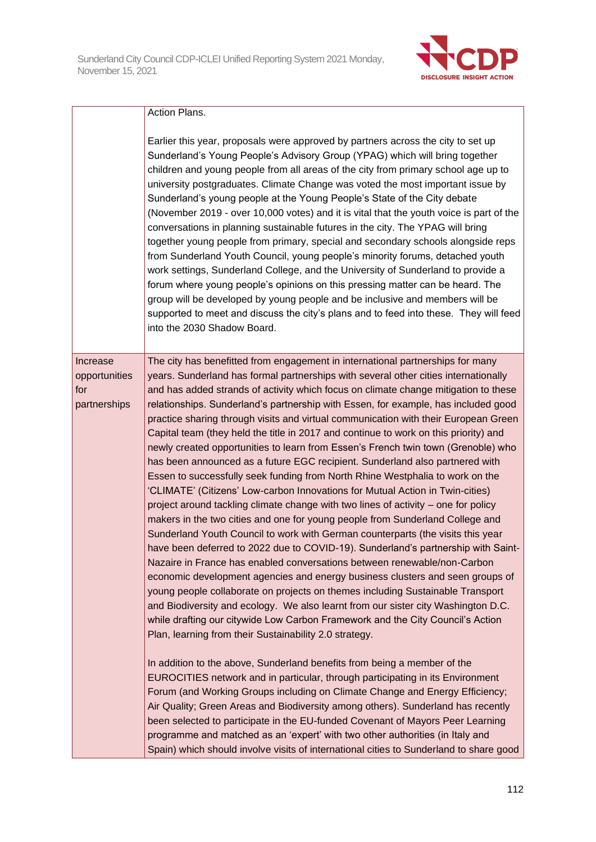

|                                                  | Earlier this year, proposals were approved by partners across the city to set up<br>Sunderland's Young People's Advisory Group (YPAG) which will bring together<br>children and young people from all areas of the city from primary school age up to<br>university postgraduates. Climate Change was voted the most important issue by<br>Sunderland's young people at the Young People's State of the City debate<br>(November 2019 - over 10,000 votes) and it is vital that the youth voice is part of the<br>conversations in planning sustainable futures in the city. The YPAG will bring<br>together young people from primary, special and secondary schools alongside reps<br>from Sunderland Youth Council, young people's minority forums, detached youth<br>work settings, Sunderland College, and the University of Sunderland to provide a<br>forum where young people's opinions on this pressing matter can be heard. The<br>group will be developed by young people and be inclusive and members will be<br>supported to meet and discuss the city's plans and to feed into these. They will feed<br>into the 2030 Shadow Board.                                                                                                                                                                                                                                                                                                                                                                                                                                                                                                                                                                                                                                                                                                                                                                                                                                                                                                                                                                                                                                                           |
|--------------------------------------------------|--------------------------------------------------------------------------------------------------------------------------------------------------------------------------------------------------------------------------------------------------------------------------------------------------------------------------------------------------------------------------------------------------------------------------------------------------------------------------------------------------------------------------------------------------------------------------------------------------------------------------------------------------------------------------------------------------------------------------------------------------------------------------------------------------------------------------------------------------------------------------------------------------------------------------------------------------------------------------------------------------------------------------------------------------------------------------------------------------------------------------------------------------------------------------------------------------------------------------------------------------------------------------------------------------------------------------------------------------------------------------------------------------------------------------------------------------------------------------------------------------------------------------------------------------------------------------------------------------------------------------------------------------------------------------------------------------------------------------------------------------------------------------------------------------------------------------------------------------------------------------------------------------------------------------------------------------------------------------------------------------------------------------------------------------------------------------------------------------------------------------------------------------------------------------------------------------------------|
| Increase<br>opportunities<br>for<br>partnerships | The city has benefitted from engagement in international partnerships for many<br>years. Sunderland has formal partnerships with several other cities internationally<br>and has added strands of activity which focus on climate change mitigation to these<br>relationships. Sunderland's partnership with Essen, for example, has included good<br>practice sharing through visits and virtual communication with their European Green<br>Capital team (they held the title in 2017 and continue to work on this priority) and<br>newly created opportunities to learn from Essen's French twin town (Grenoble) who<br>has been announced as a future EGC recipient. Sunderland also partnered with<br>Essen to successfully seek funding from North Rhine Westphalia to work on the<br>'CLIMATE' (Citizens' Low-carbon Innovations for Mutual Action in Twin-cities)<br>project around tackling climate change with two lines of activity – one for policy<br>makers in the two cities and one for young people from Sunderland College and<br>Sunderland Youth Council to work with German counterparts (the visits this year<br>have been deferred to 2022 due to COVID-19). Sunderland's partnership with Saint-<br>Nazaire in France has enabled conversations between renewable/non-Carbon<br>economic development agencies and energy business clusters and seen groups of<br>young people collaborate on projects on themes including Sustainable Transport<br>and Biodiversity and ecology. We also learnt from our sister city Washington D.C.<br>while drafting our citywide Low Carbon Framework and the City Council's Action<br>Plan, learning from their Sustainability 2.0 strategy.<br>In addition to the above, Sunderland benefits from being a member of the<br>EUROCITIES network and in particular, through participating in its Environment<br>Forum (and Working Groups including on Climate Change and Energy Efficiency;<br>Air Quality; Green Areas and Biodiversity among others). Sunderland has recently<br>been selected to participate in the EU-funded Covenant of Mayors Peer Learning<br>programme and matched as an 'expert' with two other authorities (in Italy and |

Spain) which should involve visits of international cities to Sunderland to share good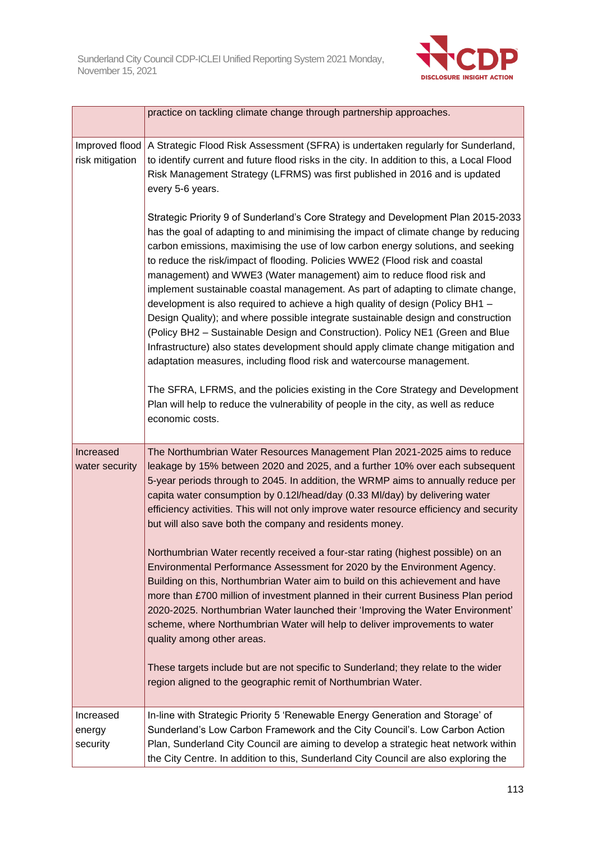

|                             | practice on tackling climate change through partnership approaches.                                                                                                                                                                                                                                                                                                                                                                                                                                                                                                                                                                                                                                                                                                                                                                                                                                                                                                                                                 |  |  |  |  |
|-----------------------------|---------------------------------------------------------------------------------------------------------------------------------------------------------------------------------------------------------------------------------------------------------------------------------------------------------------------------------------------------------------------------------------------------------------------------------------------------------------------------------------------------------------------------------------------------------------------------------------------------------------------------------------------------------------------------------------------------------------------------------------------------------------------------------------------------------------------------------------------------------------------------------------------------------------------------------------------------------------------------------------------------------------------|--|--|--|--|
| Improved flood              | A Strategic Flood Risk Assessment (SFRA) is undertaken regularly for Sunderland,                                                                                                                                                                                                                                                                                                                                                                                                                                                                                                                                                                                                                                                                                                                                                                                                                                                                                                                                    |  |  |  |  |
| risk mitigation             | to identify current and future flood risks in the city. In addition to this, a Local Flood<br>Risk Management Strategy (LFRMS) was first published in 2016 and is updated<br>every 5-6 years.                                                                                                                                                                                                                                                                                                                                                                                                                                                                                                                                                                                                                                                                                                                                                                                                                       |  |  |  |  |
|                             | Strategic Priority 9 of Sunderland's Core Strategy and Development Plan 2015-2033<br>has the goal of adapting to and minimising the impact of climate change by reducing<br>carbon emissions, maximising the use of low carbon energy solutions, and seeking<br>to reduce the risk/impact of flooding. Policies WWE2 (Flood risk and coastal<br>management) and WWE3 (Water management) aim to reduce flood risk and<br>implement sustainable coastal management. As part of adapting to climate change,<br>development is also required to achieve a high quality of design (Policy BH1 -<br>Design Quality); and where possible integrate sustainable design and construction<br>(Policy BH2 - Sustainable Design and Construction). Policy NE1 (Green and Blue<br>Infrastructure) also states development should apply climate change mitigation and<br>adaptation measures, including flood risk and watercourse management.<br>The SFRA, LFRMS, and the policies existing in the Core Strategy and Development |  |  |  |  |
|                             | Plan will help to reduce the vulnerability of people in the city, as well as reduce<br>economic costs.                                                                                                                                                                                                                                                                                                                                                                                                                                                                                                                                                                                                                                                                                                                                                                                                                                                                                                              |  |  |  |  |
| Increased<br>water security | The Northumbrian Water Resources Management Plan 2021-2025 aims to reduce<br>leakage by 15% between 2020 and 2025, and a further 10% over each subsequent<br>5-year periods through to 2045. In addition, the WRMP aims to annually reduce per<br>capita water consumption by 0.12l/head/day (0.33 MI/day) by delivering water<br>efficiency activities. This will not only improve water resource efficiency and security<br>but will also save both the company and residents money.                                                                                                                                                                                                                                                                                                                                                                                                                                                                                                                              |  |  |  |  |
|                             | Northumbrian Water recently received a four-star rating (highest possible) on an<br>Environmental Performance Assessment for 2020 by the Environment Agency.<br>Building on this, Northumbrian Water aim to build on this achievement and have<br>more than £700 million of investment planned in their current Business Plan period<br>2020-2025. Northumbrian Water launched their 'Improving the Water Environment'<br>scheme, where Northumbrian Water will help to deliver improvements to water<br>quality among other areas.                                                                                                                                                                                                                                                                                                                                                                                                                                                                                 |  |  |  |  |
|                             | These targets include but are not specific to Sunderland; they relate to the wider<br>region aligned to the geographic remit of Northumbrian Water.                                                                                                                                                                                                                                                                                                                                                                                                                                                                                                                                                                                                                                                                                                                                                                                                                                                                 |  |  |  |  |
| Increased                   | In-line with Strategic Priority 5 'Renewable Energy Generation and Storage' of                                                                                                                                                                                                                                                                                                                                                                                                                                                                                                                                                                                                                                                                                                                                                                                                                                                                                                                                      |  |  |  |  |
| energy<br>security          | Sunderland's Low Carbon Framework and the City Council's. Low Carbon Action<br>Plan, Sunderland City Council are aiming to develop a strategic heat network within<br>the City Centre. In addition to this, Sunderland City Council are also exploring the                                                                                                                                                                                                                                                                                                                                                                                                                                                                                                                                                                                                                                                                                                                                                          |  |  |  |  |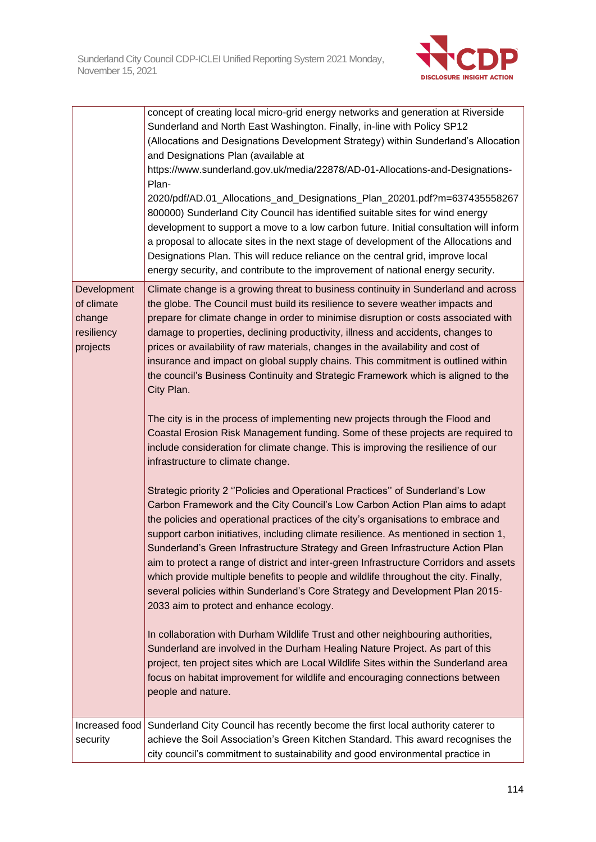

|                | Sunderland and North East Washington. Finally, in-line with Policy SP12<br>(Allocations and Designations Development Strategy) within Sunderland's Allocation                                                                                              |
|----------------|------------------------------------------------------------------------------------------------------------------------------------------------------------------------------------------------------------------------------------------------------------|
|                | and Designations Plan (available at                                                                                                                                                                                                                        |
|                | https://www.sunderland.gov.uk/media/22878/AD-01-Allocations-and-Designations-<br>Plan-                                                                                                                                                                     |
|                | 2020/pdf/AD.01_Allocations_and_Designations_Plan_20201.pdf?m=637435558267                                                                                                                                                                                  |
|                | 800000) Sunderland City Council has identified suitable sites for wind energy<br>development to support a move to a low carbon future. Initial consultation will inform                                                                                    |
|                | a proposal to allocate sites in the next stage of development of the Allocations and<br>Designations Plan. This will reduce reliance on the central grid, improve local<br>energy security, and contribute to the improvement of national energy security. |
| Development    | Climate change is a growing threat to business continuity in Sunderland and across                                                                                                                                                                         |
| of climate     | the globe. The Council must build its resilience to severe weather impacts and                                                                                                                                                                             |
| change         | prepare for climate change in order to minimise disruption or costs associated with                                                                                                                                                                        |
| resiliency     | damage to properties, declining productivity, illness and accidents, changes to<br>prices or availability of raw materials, changes in the availability and cost of                                                                                        |
| projects       | insurance and impact on global supply chains. This commitment is outlined within                                                                                                                                                                           |
|                | the council's Business Continuity and Strategic Framework which is aligned to the                                                                                                                                                                          |
|                | City Plan.                                                                                                                                                                                                                                                 |
|                | The city is in the process of implementing new projects through the Flood and                                                                                                                                                                              |
|                | Coastal Erosion Risk Management funding. Some of these projects are required to                                                                                                                                                                            |
|                | include consideration for climate change. This is improving the resilience of our<br>infrastructure to climate change.                                                                                                                                     |
|                | Strategic priority 2 "Policies and Operational Practices" of Sunderland's Low                                                                                                                                                                              |
|                | Carbon Framework and the City Council's Low Carbon Action Plan aims to adapt<br>the policies and operational practices of the city's organisations to embrace and                                                                                          |
|                | support carbon initiatives, including climate resilience. As mentioned in section 1,                                                                                                                                                                       |
|                | Sunderland's Green Infrastructure Strategy and Green Infrastructure Action Plan                                                                                                                                                                            |
|                | aim to protect a range of district and inter-green Infrastructure Corridors and assets                                                                                                                                                                     |
|                | which provide multiple benefits to people and wildlife throughout the city. Finally,                                                                                                                                                                       |
|                | several policies within Sunderland's Core Strategy and Development Plan 2015-                                                                                                                                                                              |
|                | 2033 aim to protect and enhance ecology.                                                                                                                                                                                                                   |
|                | In collaboration with Durham Wildlife Trust and other neighbouring authorities,                                                                                                                                                                            |
|                | Sunderland are involved in the Durham Healing Nature Project. As part of this                                                                                                                                                                              |
|                | project, ten project sites which are Local Wildlife Sites within the Sunderland area                                                                                                                                                                       |
|                | focus on habitat improvement for wildlife and encouraging connections between<br>people and nature.                                                                                                                                                        |
|                |                                                                                                                                                                                                                                                            |
| Increased food | Sunderland City Council has recently become the first local authority caterer to                                                                                                                                                                           |
| security       | achieve the Soil Association's Green Kitchen Standard. This award recognises the<br>city council's commitment to sustainability and good environmental practice in                                                                                         |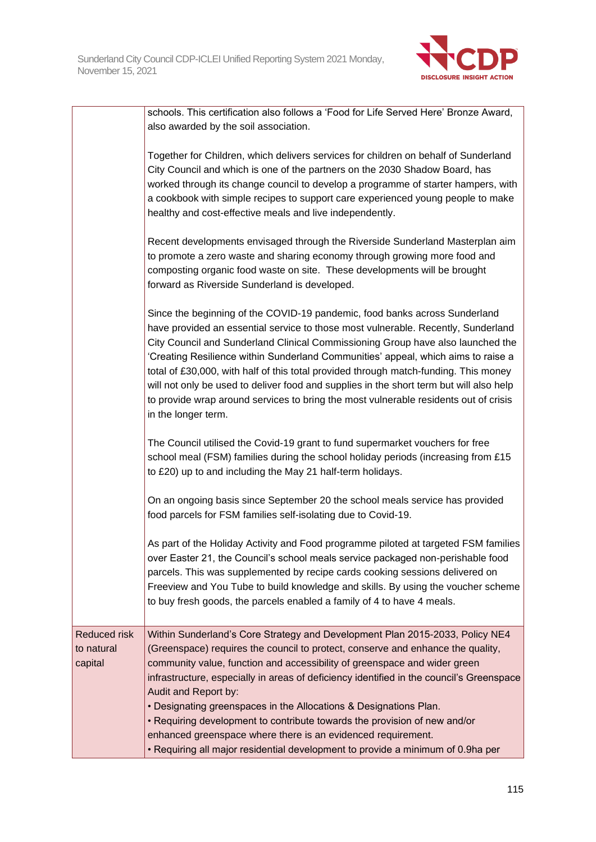

|                                       | schools. This certification also follows a 'Food for Life Served Here' Bronze Award,<br>also awarded by the soil association.                                                                                                                                                                                                                                                                                                                                                                                                                                                                                                                                         |
|---------------------------------------|-----------------------------------------------------------------------------------------------------------------------------------------------------------------------------------------------------------------------------------------------------------------------------------------------------------------------------------------------------------------------------------------------------------------------------------------------------------------------------------------------------------------------------------------------------------------------------------------------------------------------------------------------------------------------|
|                                       | Together for Children, which delivers services for children on behalf of Sunderland<br>City Council and which is one of the partners on the 2030 Shadow Board, has<br>worked through its change council to develop a programme of starter hampers, with<br>a cookbook with simple recipes to support care experienced young people to make<br>healthy and cost-effective meals and live independently.                                                                                                                                                                                                                                                                |
|                                       | Recent developments envisaged through the Riverside Sunderland Masterplan aim<br>to promote a zero waste and sharing economy through growing more food and<br>composting organic food waste on site. These developments will be brought<br>forward as Riverside Sunderland is developed.                                                                                                                                                                                                                                                                                                                                                                              |
|                                       | Since the beginning of the COVID-19 pandemic, food banks across Sunderland<br>have provided an essential service to those most vulnerable. Recently, Sunderland<br>City Council and Sunderland Clinical Commissioning Group have also launched the<br>'Creating Resilience within Sunderland Communities' appeal, which aims to raise a<br>total of £30,000, with half of this total provided through match-funding. This money<br>will not only be used to deliver food and supplies in the short term but will also help<br>to provide wrap around services to bring the most vulnerable residents out of crisis<br>in the longer term.                             |
|                                       | The Council utilised the Covid-19 grant to fund supermarket vouchers for free<br>school meal (FSM) families during the school holiday periods (increasing from £15<br>to £20) up to and including the May 21 half-term holidays.                                                                                                                                                                                                                                                                                                                                                                                                                                      |
|                                       | On an ongoing basis since September 20 the school meals service has provided<br>food parcels for FSM families self-isolating due to Covid-19.                                                                                                                                                                                                                                                                                                                                                                                                                                                                                                                         |
|                                       | As part of the Holiday Activity and Food programme piloted at targeted FSM families<br>over Easter 21, the Council's school meals service packaged non-perishable food<br>parcels. This was supplemented by recipe cards cooking sessions delivered on<br>Freeview and You Tube to build knowledge and skills. By using the voucher scheme<br>to buy fresh goods, the parcels enabled a family of 4 to have 4 meals.                                                                                                                                                                                                                                                  |
| Reduced risk<br>to natural<br>capital | Within Sunderland's Core Strategy and Development Plan 2015-2033, Policy NE4<br>(Greenspace) requires the council to protect, conserve and enhance the quality,<br>community value, function and accessibility of greenspace and wider green<br>infrastructure, especially in areas of deficiency identified in the council's Greenspace<br>Audit and Report by:<br>. Designating greenspaces in the Allocations & Designations Plan.<br>• Requiring development to contribute towards the provision of new and/or<br>enhanced greenspace where there is an evidenced requirement.<br>• Requiring all major residential development to provide a minimum of 0.9ha per |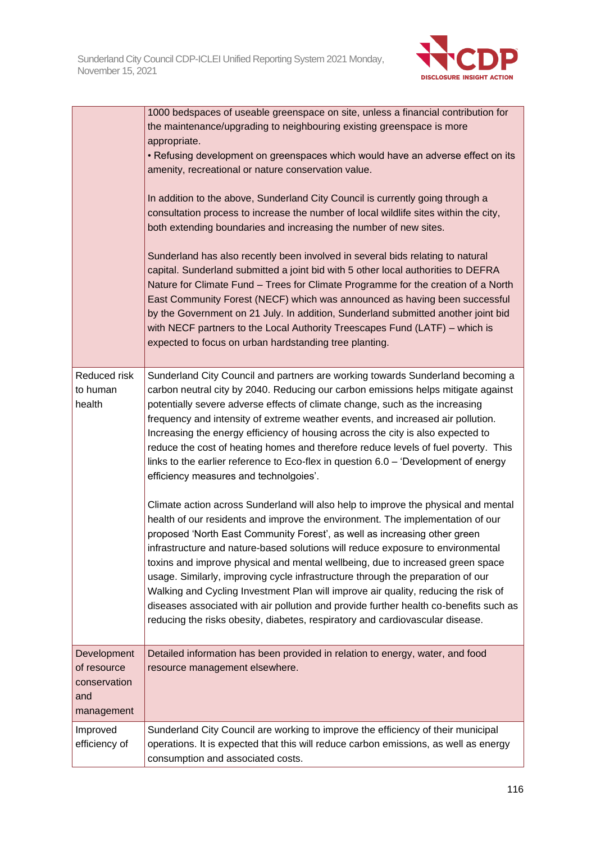

|                                                                 | 1000 bedspaces of useable greenspace on site, unless a financial contribution for<br>the maintenance/upgrading to neighbouring existing greenspace is more<br>appropriate.<br>• Refusing development on greenspaces which would have an adverse effect on its<br>amenity, recreational or nature conservation value.<br>In addition to the above, Sunderland City Council is currently going through a<br>consultation process to increase the number of local wildlife sites within the city,<br>both extending boundaries and increasing the number of new sites.<br>Sunderland has also recently been involved in several bids relating to natural<br>capital. Sunderland submitted a joint bid with 5 other local authorities to DEFRA<br>Nature for Climate Fund - Trees for Climate Programme for the creation of a North<br>East Community Forest (NECF) which was announced as having been successful |  |  |
|-----------------------------------------------------------------|---------------------------------------------------------------------------------------------------------------------------------------------------------------------------------------------------------------------------------------------------------------------------------------------------------------------------------------------------------------------------------------------------------------------------------------------------------------------------------------------------------------------------------------------------------------------------------------------------------------------------------------------------------------------------------------------------------------------------------------------------------------------------------------------------------------------------------------------------------------------------------------------------------------|--|--|
|                                                                 | by the Government on 21 July. In addition, Sunderland submitted another joint bid<br>with NECF partners to the Local Authority Treescapes Fund (LATF) – which is<br>expected to focus on urban hardstanding tree planting.                                                                                                                                                                                                                                                                                                                                                                                                                                                                                                                                                                                                                                                                                    |  |  |
| Reduced risk<br>to human<br>health                              | Sunderland City Council and partners are working towards Sunderland becoming a<br>carbon neutral city by 2040. Reducing our carbon emissions helps mitigate against<br>potentially severe adverse effects of climate change, such as the increasing<br>frequency and intensity of extreme weather events, and increased air pollution.<br>Increasing the energy efficiency of housing across the city is also expected to<br>reduce the cost of heating homes and therefore reduce levels of fuel poverty. This<br>links to the earlier reference to Eco-flex in question $6.0 - 1$ Development of energy<br>efficiency measures and technolgoies'.                                                                                                                                                                                                                                                           |  |  |
|                                                                 | Climate action across Sunderland will also help to improve the physical and mental<br>health of our residents and improve the environment. The implementation of our<br>proposed 'North East Community Forest', as well as increasing other green<br>infrastructure and nature-based solutions will reduce exposure to environmental<br>toxins and improve physical and mental wellbeing, due to increased green space<br>usage. Similarly, improving cycle infrastructure through the preparation of our<br>Walking and Cycling Investment Plan will improve air quality, reducing the risk of<br>diseases associated with air pollution and provide further health co-benefits such as<br>reducing the risks obesity, diabetes, respiratory and cardiovascular disease.                                                                                                                                     |  |  |
| Development<br>of resource<br>conservation<br>and<br>management | Detailed information has been provided in relation to energy, water, and food<br>resource management elsewhere.                                                                                                                                                                                                                                                                                                                                                                                                                                                                                                                                                                                                                                                                                                                                                                                               |  |  |
| Improved<br>efficiency of                                       | Sunderland City Council are working to improve the efficiency of their municipal<br>operations. It is expected that this will reduce carbon emissions, as well as energy<br>consumption and associated costs.                                                                                                                                                                                                                                                                                                                                                                                                                                                                                                                                                                                                                                                                                                 |  |  |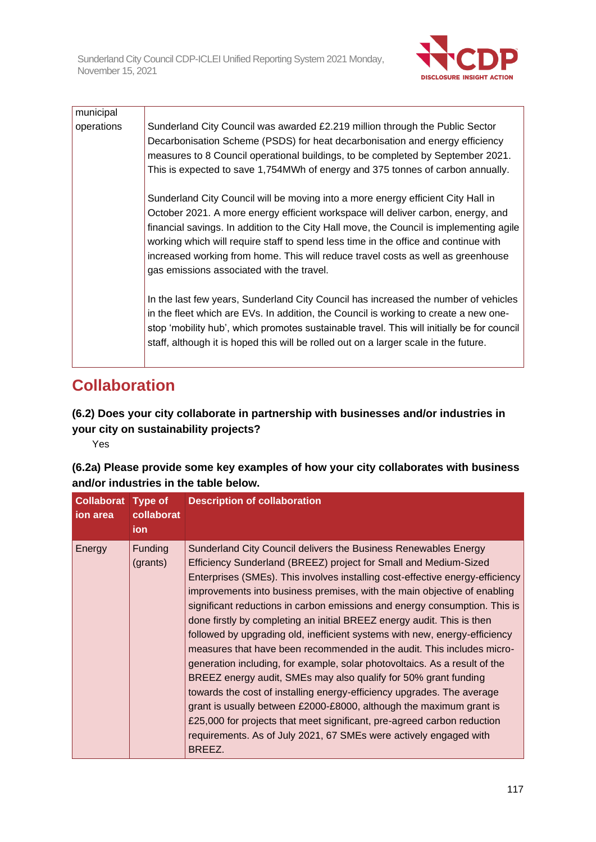

| municipal  |                                                                                            |
|------------|--------------------------------------------------------------------------------------------|
| operations | Sunderland City Council was awarded £2.219 million through the Public Sector               |
|            | Decarbonisation Scheme (PSDS) for heat decarbonisation and energy efficiency               |
|            | measures to 8 Council operational buildings, to be completed by September 2021.            |
|            | This is expected to save 1,754MWh of energy and 375 tonnes of carbon annually.             |
|            | Sunderland City Council will be moving into a more energy efficient City Hall in           |
|            | October 2021. A more energy efficient workspace will deliver carbon, energy, and           |
|            | financial savings. In addition to the City Hall move, the Council is implementing agile    |
|            | working which will require staff to spend less time in the office and continue with        |
|            | increased working from home. This will reduce travel costs as well as greenhouse           |
|            | gas emissions associated with the travel.                                                  |
|            |                                                                                            |
|            | In the last few years, Sunderland City Council has increased the number of vehicles        |
|            | in the fleet which are EVs. In addition, the Council is working to create a new one-       |
|            | stop 'mobility hub', which promotes sustainable travel. This will initially be for council |
|            | staff, although it is hoped this will be rolled out on a larger scale in the future.       |
|            |                                                                                            |

# **Collaboration**

**(6.2) Does your city collaborate in partnership with businesses and/or industries in your city on sustainability projects?**

Yes

# **(6.2a) Please provide some key examples of how your city collaborates with business and/or industries in the table below.**

| <b>Collaborat</b><br>ion area | <b>Type of</b><br>collaborat<br><b>ion</b> | <b>Description of collaboration</b>                                                                                                                                                                                                                                                                                                                                                                                                                                                                                                                                                                                                                                                                                                                                                                                                                                                                                                                                                                                                                                          |
|-------------------------------|--------------------------------------------|------------------------------------------------------------------------------------------------------------------------------------------------------------------------------------------------------------------------------------------------------------------------------------------------------------------------------------------------------------------------------------------------------------------------------------------------------------------------------------------------------------------------------------------------------------------------------------------------------------------------------------------------------------------------------------------------------------------------------------------------------------------------------------------------------------------------------------------------------------------------------------------------------------------------------------------------------------------------------------------------------------------------------------------------------------------------------|
| Energy                        | Funding<br>(grants)                        | Sunderland City Council delivers the Business Renewables Energy<br>Efficiency Sunderland (BREEZ) project for Small and Medium-Sized<br>Enterprises (SMEs). This involves installing cost-effective energy-efficiency<br>improvements into business premises, with the main objective of enabling<br>significant reductions in carbon emissions and energy consumption. This is<br>done firstly by completing an initial BREEZ energy audit. This is then<br>followed by upgrading old, inefficient systems with new, energy-efficiency<br>measures that have been recommended in the audit. This includes micro-<br>generation including, for example, solar photovoltaics. As a result of the<br>BREEZ energy audit, SMEs may also qualify for 50% grant funding<br>towards the cost of installing energy-efficiency upgrades. The average<br>grant is usually between £2000-£8000, although the maximum grant is<br>£25,000 for projects that meet significant, pre-agreed carbon reduction<br>requirements. As of July 2021, 67 SMEs were actively engaged with<br>BREEZ. |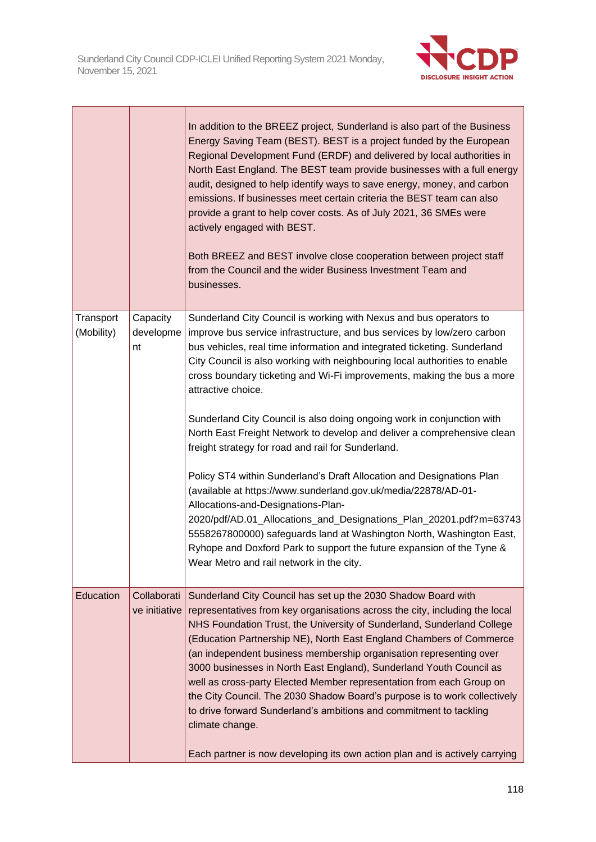

|                         |                              | In addition to the BREEZ project, Sunderland is also part of the Business<br>Energy Saving Team (BEST). BEST is a project funded by the European<br>Regional Development Fund (ERDF) and delivered by local authorities in<br>North East England. The BEST team provide businesses with a full energy<br>audit, designed to help identify ways to save energy, money, and carbon<br>emissions. If businesses meet certain criteria the BEST team can also<br>provide a grant to help cover costs. As of July 2021, 36 SMEs were<br>actively engaged with BEST.                                                                                                                           |
|-------------------------|------------------------------|------------------------------------------------------------------------------------------------------------------------------------------------------------------------------------------------------------------------------------------------------------------------------------------------------------------------------------------------------------------------------------------------------------------------------------------------------------------------------------------------------------------------------------------------------------------------------------------------------------------------------------------------------------------------------------------|
|                         |                              | Both BREEZ and BEST involve close cooperation between project staff<br>from the Council and the wider Business Investment Team and<br>businesses.                                                                                                                                                                                                                                                                                                                                                                                                                                                                                                                                        |
| Transport<br>(Mobility) | Capacity<br>developme<br>nt  | Sunderland City Council is working with Nexus and bus operators to<br>improve bus service infrastructure, and bus services by low/zero carbon<br>bus vehicles, real time information and integrated ticketing. Sunderland<br>City Council is also working with neighbouring local authorities to enable<br>cross boundary ticketing and Wi-Fi improvements, making the bus a more<br>attractive choice.                                                                                                                                                                                                                                                                                  |
|                         |                              | Sunderland City Council is also doing ongoing work in conjunction with<br>North East Freight Network to develop and deliver a comprehensive clean<br>freight strategy for road and rail for Sunderland.                                                                                                                                                                                                                                                                                                                                                                                                                                                                                  |
|                         |                              | Policy ST4 within Sunderland's Draft Allocation and Designations Plan<br>(available at https://www.sunderland.gov.uk/media/22878/AD-01-<br>Allocations-and-Designations-Plan-                                                                                                                                                                                                                                                                                                                                                                                                                                                                                                            |
|                         |                              | 2020/pdf/AD.01_Allocations_and_Designations_Plan_20201.pdf?m=63743<br>5558267800000) safeguards land at Washington North, Washington East,<br>Ryhope and Doxford Park to support the future expansion of the Tyne &<br>Wear Metro and rail network in the city.                                                                                                                                                                                                                                                                                                                                                                                                                          |
| Education               | Collaborati<br>ve initiative | Sunderland City Council has set up the 2030 Shadow Board with<br>representatives from key organisations across the city, including the local<br>NHS Foundation Trust, the University of Sunderland, Sunderland College<br>(Education Partnership NE), North East England Chambers of Commerce<br>(an independent business membership organisation representing over<br>3000 businesses in North East England), Sunderland Youth Council as<br>well as cross-party Elected Member representation from each Group on<br>the City Council. The 2030 Shadow Board's purpose is to work collectively<br>to drive forward Sunderland's ambitions and commitment to tackling<br>climate change. |
|                         |                              | Each partner is now developing its own action plan and is actively carrying                                                                                                                                                                                                                                                                                                                                                                                                                                                                                                                                                                                                              |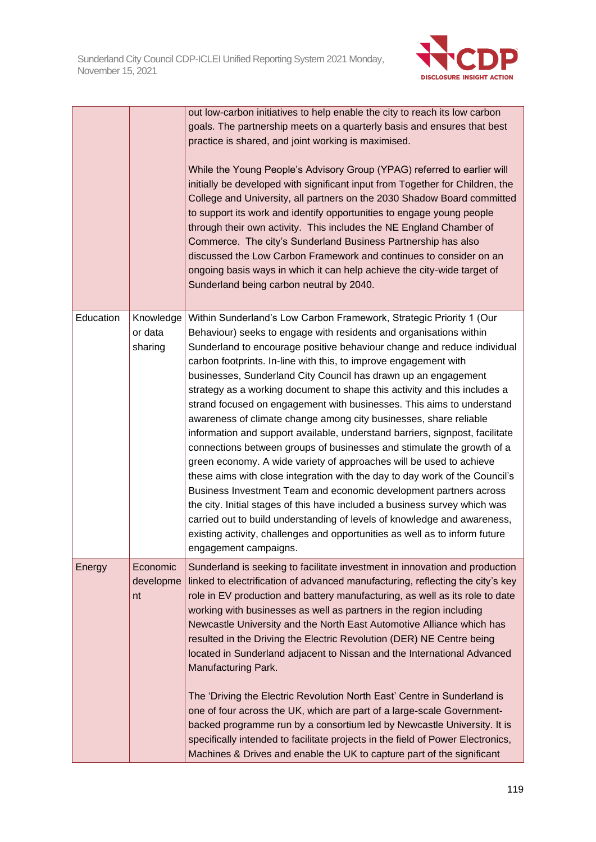

|           |                                 | out low-carbon initiatives to help enable the city to reach its low carbon<br>goals. The partnership meets on a quarterly basis and ensures that best<br>practice is shared, and joint working is maximised.<br>While the Young People's Advisory Group (YPAG) referred to earlier will<br>initially be developed with significant input from Together for Children, the<br>College and University, all partners on the 2030 Shadow Board committed<br>to support its work and identify opportunities to engage young people<br>through their own activity. This includes the NE England Chamber of<br>Commerce. The city's Sunderland Business Partnership has also<br>discussed the Low Carbon Framework and continues to consider on an<br>ongoing basis ways in which it can help achieve the city-wide target of<br>Sunderland being carbon neutral by 2040.                                                                                                                                                                                                                                                                                                                                                                            |
|-----------|---------------------------------|----------------------------------------------------------------------------------------------------------------------------------------------------------------------------------------------------------------------------------------------------------------------------------------------------------------------------------------------------------------------------------------------------------------------------------------------------------------------------------------------------------------------------------------------------------------------------------------------------------------------------------------------------------------------------------------------------------------------------------------------------------------------------------------------------------------------------------------------------------------------------------------------------------------------------------------------------------------------------------------------------------------------------------------------------------------------------------------------------------------------------------------------------------------------------------------------------------------------------------------------|
| Education | Knowledge<br>or data<br>sharing | Within Sunderland's Low Carbon Framework, Strategic Priority 1 (Our<br>Behaviour) seeks to engage with residents and organisations within<br>Sunderland to encourage positive behaviour change and reduce individual<br>carbon footprints. In-line with this, to improve engagement with<br>businesses, Sunderland City Council has drawn up an engagement<br>strategy as a working document to shape this activity and this includes a<br>strand focused on engagement with businesses. This aims to understand<br>awareness of climate change among city businesses, share reliable<br>information and support available, understand barriers, signpost, facilitate<br>connections between groups of businesses and stimulate the growth of a<br>green economy. A wide variety of approaches will be used to achieve<br>these aims with close integration with the day to day work of the Council's<br>Business Investment Team and economic development partners across<br>the city. Initial stages of this have included a business survey which was<br>carried out to build understanding of levels of knowledge and awareness,<br>existing activity, challenges and opportunities as well as to inform future<br>engagement campaigns. |
| Energy    | Economic<br>developme<br>nt     | Sunderland is seeking to facilitate investment in innovation and production<br>linked to electrification of advanced manufacturing, reflecting the city's key<br>role in EV production and battery manufacturing, as well as its role to date<br>working with businesses as well as partners in the region including<br>Newcastle University and the North East Automotive Alliance which has<br>resulted in the Driving the Electric Revolution (DER) NE Centre being<br>located in Sunderland adjacent to Nissan and the International Advanced<br><b>Manufacturing Park.</b><br>The 'Driving the Electric Revolution North East' Centre in Sunderland is<br>one of four across the UK, which are part of a large-scale Government-<br>backed programme run by a consortium led by Newcastle University. It is<br>specifically intended to facilitate projects in the field of Power Electronics,<br>Machines & Drives and enable the UK to capture part of the significant                                                                                                                                                                                                                                                                |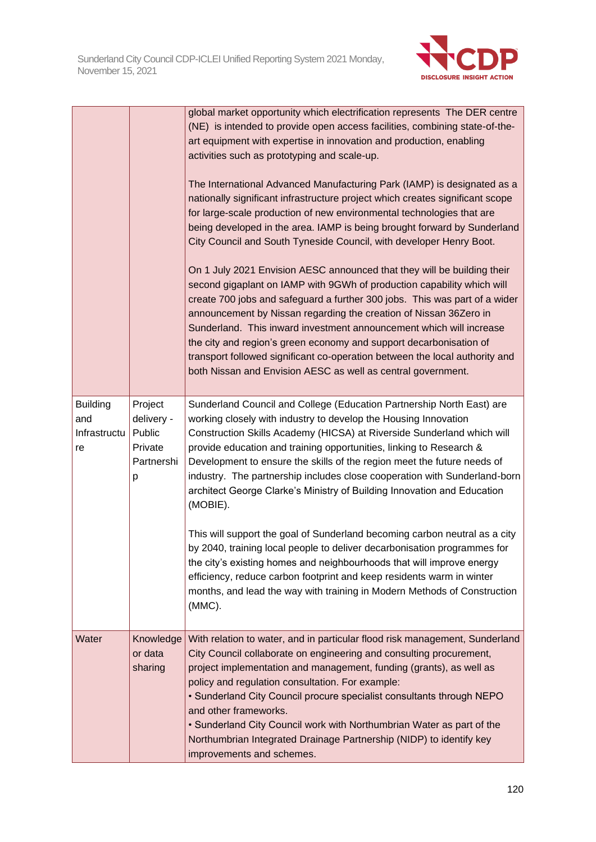

|                                              |                                                               | global market opportunity which electrification represents The DER centre<br>(NE) is intended to provide open access facilities, combining state-of-the-<br>art equipment with expertise in innovation and production, enabling<br>activities such as prototyping and scale-up.<br>The International Advanced Manufacturing Park (IAMP) is designated as a<br>nationally significant infrastructure project which creates significant scope<br>for large-scale production of new environmental technologies that are<br>being developed in the area. IAMP is being brought forward by Sunderland<br>City Council and South Tyneside Council, with developer Henry Boot.<br>On 1 July 2021 Envision AESC announced that they will be building their<br>second gigaplant on IAMP with 9GWh of production capability which will<br>create 700 jobs and safeguard a further 300 jobs. This was part of a wider<br>announcement by Nissan regarding the creation of Nissan 36Zero in<br>Sunderland. This inward investment announcement which will increase<br>the city and region's green economy and support decarbonisation of<br>transport followed significant co-operation between the local authority and<br>both Nissan and Envision AESC as well as central government. |
|----------------------------------------------|---------------------------------------------------------------|-----------------------------------------------------------------------------------------------------------------------------------------------------------------------------------------------------------------------------------------------------------------------------------------------------------------------------------------------------------------------------------------------------------------------------------------------------------------------------------------------------------------------------------------------------------------------------------------------------------------------------------------------------------------------------------------------------------------------------------------------------------------------------------------------------------------------------------------------------------------------------------------------------------------------------------------------------------------------------------------------------------------------------------------------------------------------------------------------------------------------------------------------------------------------------------------------------------------------------------------------------------------------------|
| <b>Building</b><br>and<br>Infrastructu<br>re | Project<br>delivery -<br>Public<br>Private<br>Partnershi<br>p | Sunderland Council and College (Education Partnership North East) are<br>working closely with industry to develop the Housing Innovation<br>Construction Skills Academy (HICSA) at Riverside Sunderland which will<br>provide education and training opportunities, linking to Research &<br>Development to ensure the skills of the region meet the future needs of<br>industry. The partnership includes close cooperation with Sunderland-born<br>architect George Clarke's Ministry of Building Innovation and Education<br>(MOBIE).<br>This will support the goal of Sunderland becoming carbon neutral as a city<br>by 2040, training local people to deliver decarbonisation programmes for<br>the city's existing homes and neighbourhoods that will improve energy<br>efficiency, reduce carbon footprint and keep residents warm in winter<br>months, and lead the way with training in Modern Methods of Construction<br>(MMC).                                                                                                                                                                                                                                                                                                                                  |
| Water                                        | Knowledge<br>or data<br>sharing                               | With relation to water, and in particular flood risk management, Sunderland<br>City Council collaborate on engineering and consulting procurement,<br>project implementation and management, funding (grants), as well as<br>policy and regulation consultation. For example:<br>• Sunderland City Council procure specialist consultants through NEPO<br>and other frameworks.<br>• Sunderland City Council work with Northumbrian Water as part of the<br>Northumbrian Integrated Drainage Partnership (NIDP) to identify key<br>improvements and schemes.                                                                                                                                                                                                                                                                                                                                                                                                                                                                                                                                                                                                                                                                                                                |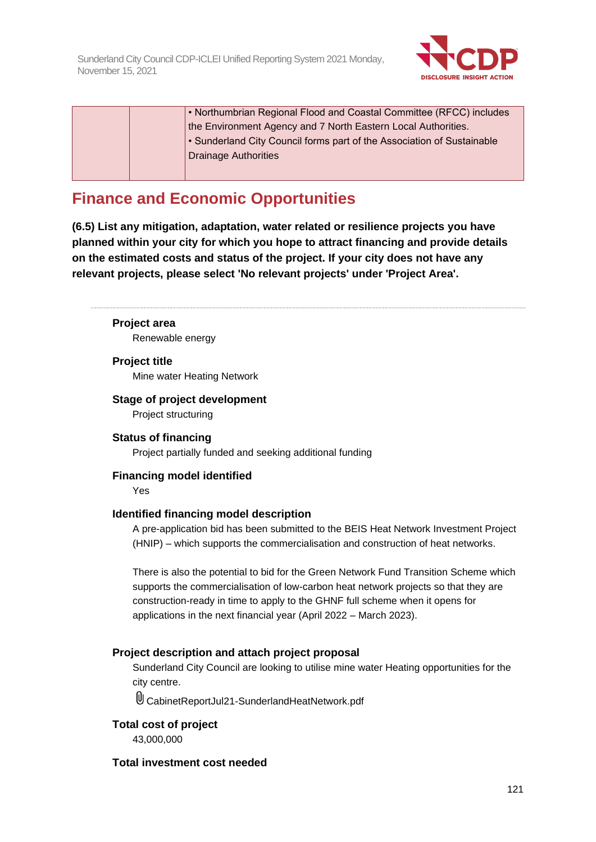

|  | • Northumbrian Regional Flood and Coastal Committee (RFCC) includes    |
|--|------------------------------------------------------------------------|
|  | the Environment Agency and 7 North Eastern Local Authorities.          |
|  | • Sunderland City Council forms part of the Association of Sustainable |
|  | <b>Drainage Authorities</b>                                            |
|  |                                                                        |

# **Finance and Economic Opportunities**

**(6.5) List any mitigation, adaptation, water related or resilience projects you have planned within your city for which you hope to attract financing and provide details on the estimated costs and status of the project. If your city does not have any relevant projects, please select 'No relevant projects' under 'Project Area'.**

**Project area**

Renewable energy

# **Project title**

Mine water Heating Network

## **Stage of project development** Project structuring

**Status of financing** Project partially funded and seeking additional funding

# **Financing model identified**

Yes

# **Identified financing model description**

A pre-application bid has been submitted to the BEIS Heat Network Investment Project (HNIP) – which supports the commercialisation and construction of heat networks.

There is also the potential to bid for the Green Network Fund Transition Scheme which supports the commercialisation of low-carbon heat network projects so that they are construction-ready in time to apply to the GHNF full scheme when it opens for applications in the next financial year (April 2022 – March 2023).

# **Project description and attach project proposal**

Sunderland City Council are looking to utilise mine water Heating opportunities for the city centre.

CabinetReportJul21-SunderlandHeatNetwork.pdf

# **Total cost of project**

43,000,000

# **Total investment cost needed**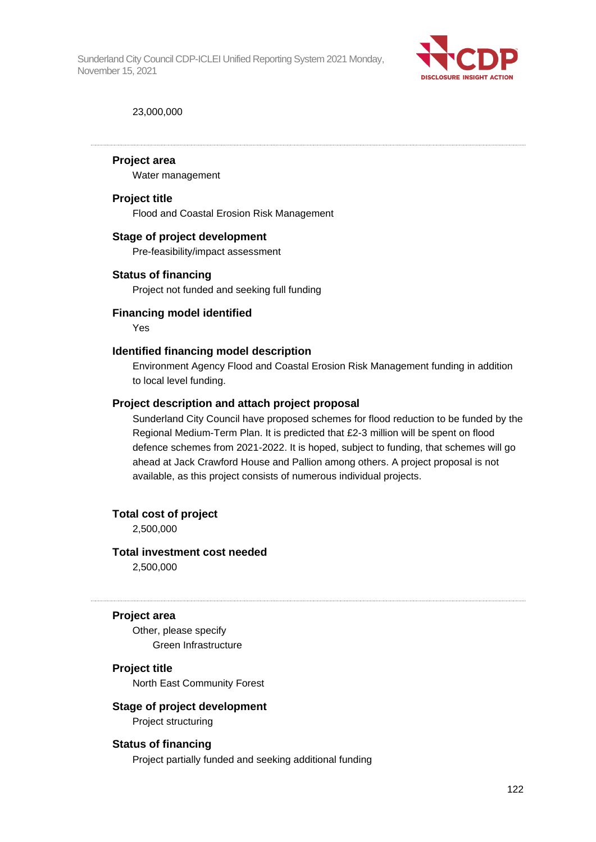

#### 23,000,000

# **Project area**

Water management

#### **Project title**

Flood and Coastal Erosion Risk Management

#### **Stage of project development**

Pre-feasibility/impact assessment

#### **Status of financing**

Project not funded and seeking full funding

#### **Financing model identified**

Yes

#### **Identified financing model description**

Environment Agency Flood and Coastal Erosion Risk Management funding in addition to local level funding.

#### **Project description and attach project proposal**

Sunderland City Council have proposed schemes for flood reduction to be funded by the Regional Medium-Term Plan. It is predicted that £2-3 million will be spent on flood defence schemes from 2021-2022. It is hoped, subject to funding, that schemes will go ahead at Jack Crawford House and Pallion among others. A project proposal is not available, as this project consists of numerous individual projects.

#### **Total cost of project**

2,500,000

#### **Total investment cost needed**

2,500,000

#### **Project area**

Other, please specify Green Infrastructure

#### **Project title**

North East Community Forest

#### **Stage of project development**

Project structuring

#### **Status of financing**

Project partially funded and seeking additional funding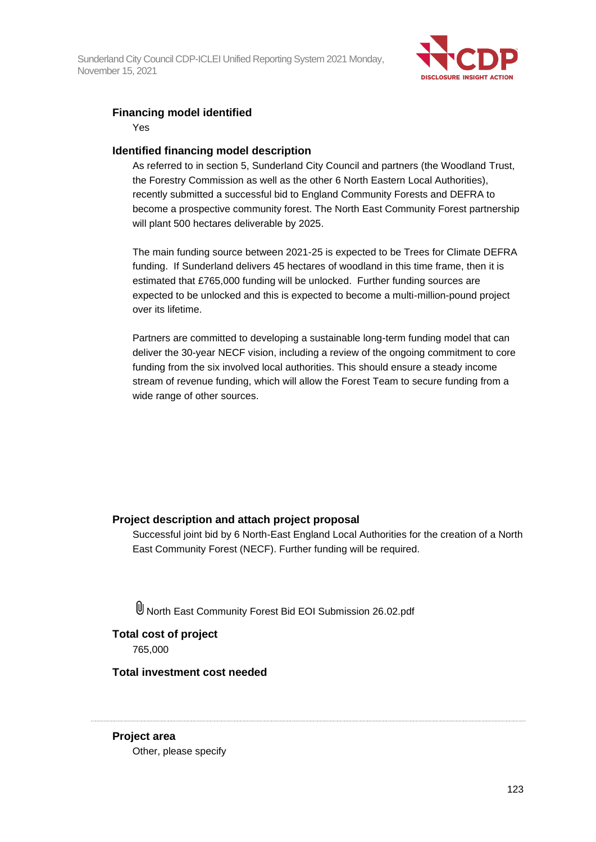

# **Financing model identified**

Yes

## **Identified financing model description**

As referred to in section 5, Sunderland City Council and partners (the Woodland Trust, the Forestry Commission as well as the other 6 North Eastern Local Authorities), recently submitted a successful bid to England Community Forests and DEFRA to become a prospective community forest. The North East Community Forest partnership will plant 500 hectares deliverable by 2025.

The main funding source between 2021-25 is expected to be Trees for Climate DEFRA funding. If Sunderland delivers 45 hectares of woodland in this time frame, then it is estimated that £765,000 funding will be unlocked. Further funding sources are expected to be unlocked and this is expected to become a multi-million-pound project over its lifetime.

Partners are committed to developing a sustainable long-term funding model that can deliver the 30-year NECF vision, including a review of the ongoing commitment to core funding from the six involved local authorities. This should ensure a steady income stream of revenue funding, which will allow the Forest Team to secure funding from a wide range of other sources.

# **Project description and attach project proposal**

Successful joint bid by 6 North-East England Local Authorities for the creation of a North East Community Forest (NECF). Further funding will be required.

North East Community Forest Bid EOI Submission 26.02.pdf

# **Total cost of project** 765,000

**Total investment cost needed**

**Project area**

Other, please specify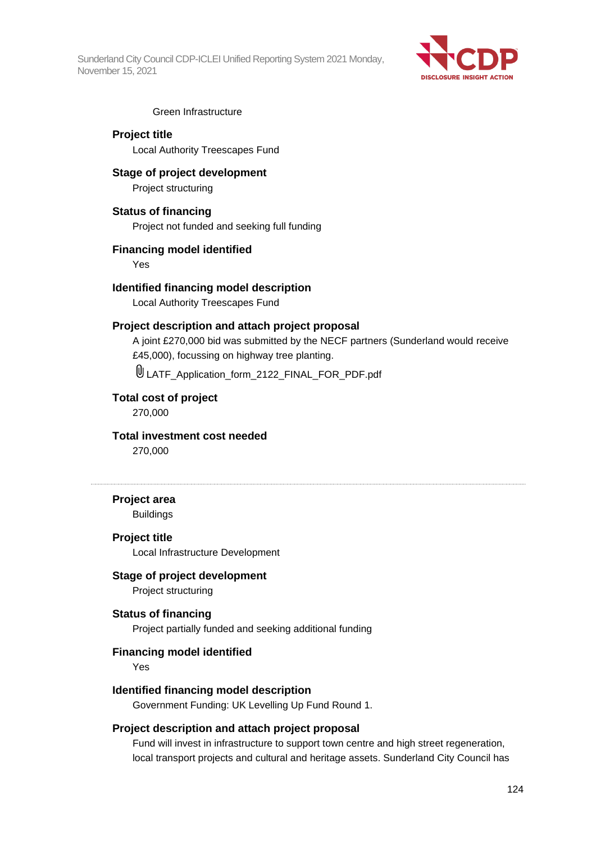

Green Infrastructure

**Project title** Local Authority Treescapes Fund

#### **Stage of project development**

Project structuring

#### **Status of financing**

Project not funded and seeking full funding

#### **Financing model identified**

Yes

#### **Identified financing model description**

Local Authority Treescapes Fund

## **Project description and attach project proposal**

A joint £270,000 bid was submitted by the NECF partners (Sunderland would receive £45,000), focussing on highway tree planting.

LATF\_Application\_form\_2122\_FINAL\_FOR\_PDF.pdf

### **Total cost of project**

270,000

#### **Total investment cost needed**

270,000

**Project area**

Buildings

#### **Project title**

Local Infrastructure Development

### **Stage of project development**

Project structuring

# **Status of financing**

Project partially funded and seeking additional funding

#### **Financing model identified**

Yes

#### **Identified financing model description**

Government Funding: UK Levelling Up Fund Round 1.

#### **Project description and attach project proposal**

Fund will invest in infrastructure to support town centre and high street regeneration, local transport projects and cultural and heritage assets. Sunderland City Council has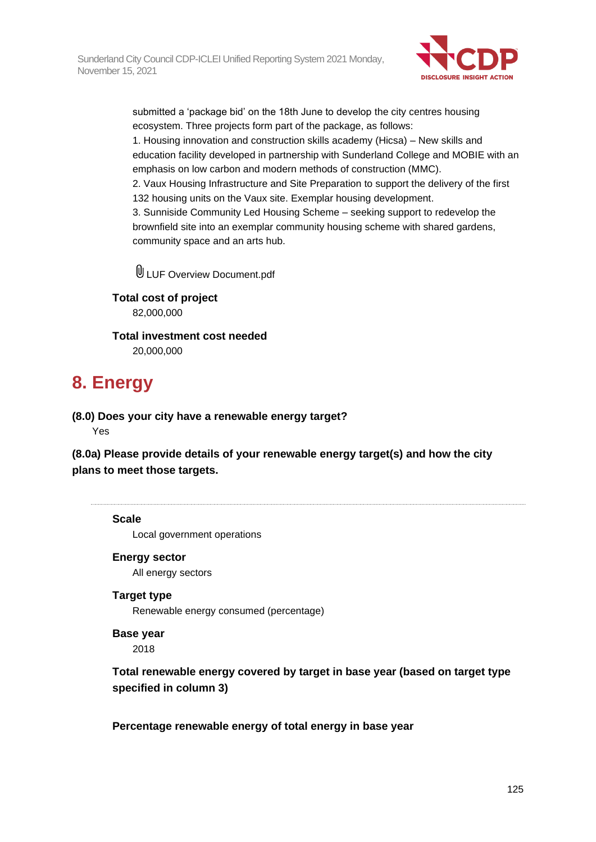

submitted a 'package bid' on the 18th June to develop the city centres housing ecosystem. Three projects form part of the package, as follows:

1. Housing innovation and construction skills academy (Hicsa) – New skills and education facility developed in partnership with Sunderland College and MOBIE with an emphasis on low carbon and modern methods of construction (MMC).

2. Vaux Housing Infrastructure and Site Preparation to support the delivery of the first 132 housing units on the Vaux site. Exemplar housing development.

3. Sunniside Community Led Housing Scheme – seeking support to redevelop the brownfield site into an exemplar community housing scheme with shared gardens, community space and an arts hub.

**ULUF Overview Document.pdf** 

**Total cost of project**

82,000,000

**Total investment cost needed** 20,000,000

# **8. Energy**

**(8.0) Does your city have a renewable energy target?**

Yes

**(8.0a) Please provide details of your renewable energy target(s) and how the city plans to meet those targets.**

# **Scale**

Local government operations

# **Energy sector**

All energy sectors

**Target type** Renewable energy consumed (percentage)

**Base year** 2018

**Total renewable energy covered by target in base year (based on target type specified in column 3)**

**Percentage renewable energy of total energy in base year**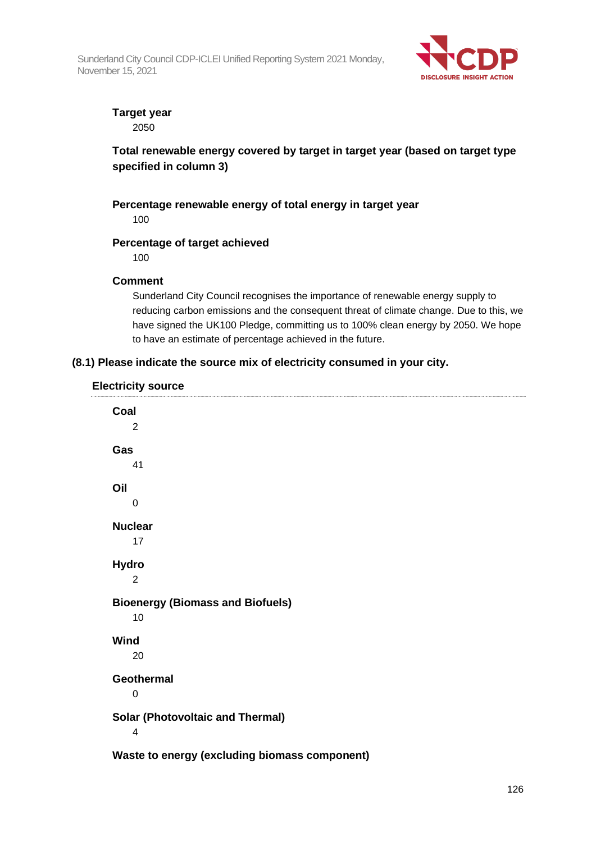

## **Target year** 2050

**Total renewable energy covered by target in target year (based on target type specified in column 3)**

# **Percentage renewable energy of total energy in target year**

100

# **Percentage of target achieved**

100

# **Comment**

Sunderland City Council recognises the importance of renewable energy supply to reducing carbon emissions and the consequent threat of climate change. Due to this, we have signed the UK100 Pledge, committing us to 100% clean energy by 2050. We hope to have an estimate of percentage achieved in the future.

# **(8.1) Please indicate the source mix of electricity consumed in your city.**

### **Electricity source**

| Coal<br>$\overline{2}$                                             |
|--------------------------------------------------------------------|
| Gas<br>41                                                          |
| Oil<br>$\mathbf 0$                                                 |
| <b>Nuclear</b><br>17                                               |
| <b>Hydro</b><br>$\overline{2}$                                     |
| <b>Bioenergy (Biomass and Biofuels)</b><br>10                      |
| Wind<br>20                                                         |
| <b>Geothermal</b><br>$\mathbf 0$                                   |
| <b>Solar (Photovoltaic and Thermal)</b><br>$\overline{\mathbf{4}}$ |
| Waste to energy (excluding biomass component)                      |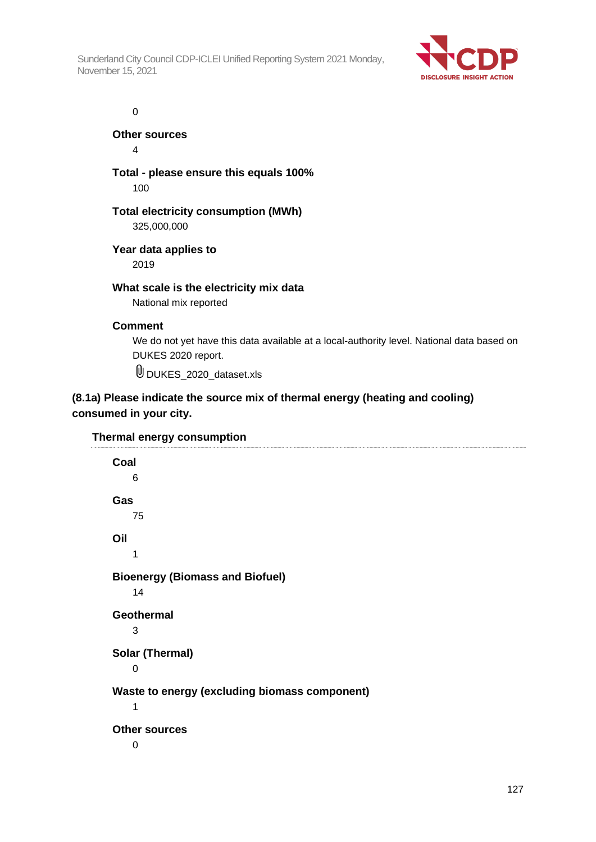

0

**Other sources**

4

**Total - please ensure this equals 100%**

100

# **Total electricity consumption (MWh)**

325,000,000

# **Year data applies to**

2019

# **What scale is the electricity mix data**

National mix reported

# **Comment**

We do not yet have this data available at a local-authority level. National data based on DUKES 2020 report.

DUKES\_2020\_dataset.xls

# **(8.1a) Please indicate the source mix of thermal energy (heating and cooling) consumed in your city.**

# **Thermal energy consumption**

| Coal<br>6                                          |
|----------------------------------------------------|
| Gas<br>75                                          |
| Oil<br>1                                           |
| <b>Bioenergy (Biomass and Biofuel)</b><br>14       |
| <b>Geothermal</b><br>3                             |
| <b>Solar (Thermal)</b><br>0                        |
| Waste to energy (excluding biomass component)<br>1 |
| <b>Other sources</b><br>0                          |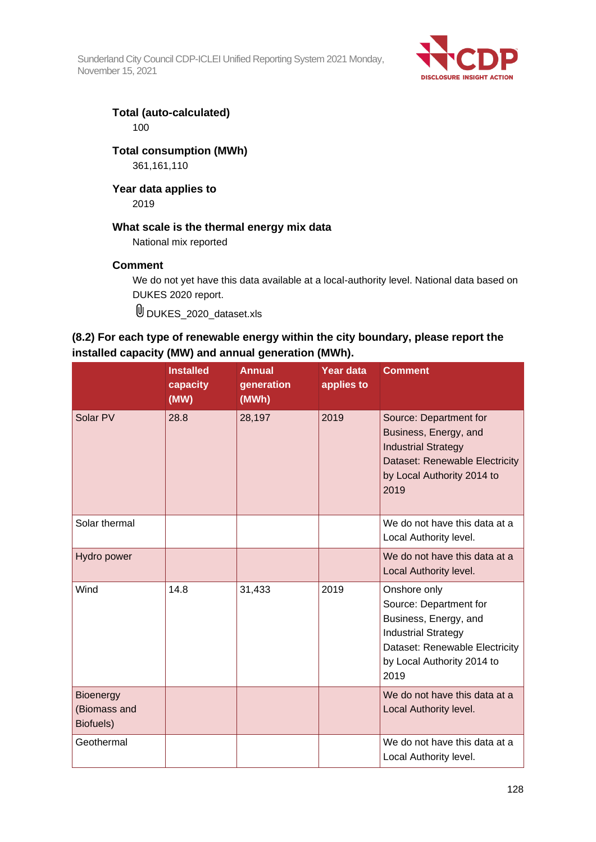

# **Total (auto-calculated)** 100

# **Total consumption (MWh)**

361,161,110

# **Year data applies to**

2019

# **What scale is the thermal energy mix data**

National mix reported

# **Comment**

We do not yet have this data available at a local-authority level. National data based on DUKES 2020 report.

DUKES\_2020\_dataset.xls

# **(8.2) For each type of renewable energy within the city boundary, please report the installed capacity (MW) and annual generation (MWh).**

|                                               | <b>Installed</b><br>capacity<br>(MW) | <b>Annual</b><br>generation<br>(MWh) | Year data<br>applies to | <b>Comment</b>                                                                                                                                                        |
|-----------------------------------------------|--------------------------------------|--------------------------------------|-------------------------|-----------------------------------------------------------------------------------------------------------------------------------------------------------------------|
| Solar PV                                      | 28.8                                 | 28,197                               | 2019                    | Source: Department for<br>Business, Energy, and<br><b>Industrial Strategy</b><br>Dataset: Renewable Electricity<br>by Local Authority 2014 to<br>2019                 |
| Solar thermal                                 |                                      |                                      |                         | We do not have this data at a<br>Local Authority level.                                                                                                               |
| Hydro power                                   |                                      |                                      |                         | We do not have this data at a<br>Local Authority level.                                                                                                               |
| Wind                                          | 14.8                                 | 31,433                               | 2019                    | Onshore only<br>Source: Department for<br>Business, Energy, and<br><b>Industrial Strategy</b><br>Dataset: Renewable Electricity<br>by Local Authority 2014 to<br>2019 |
| <b>Bioenergy</b><br>(Biomass and<br>Biofuels) |                                      |                                      |                         | We do not have this data at a<br>Local Authority level.                                                                                                               |
| Geothermal                                    |                                      |                                      |                         | We do not have this data at a<br>Local Authority level.                                                                                                               |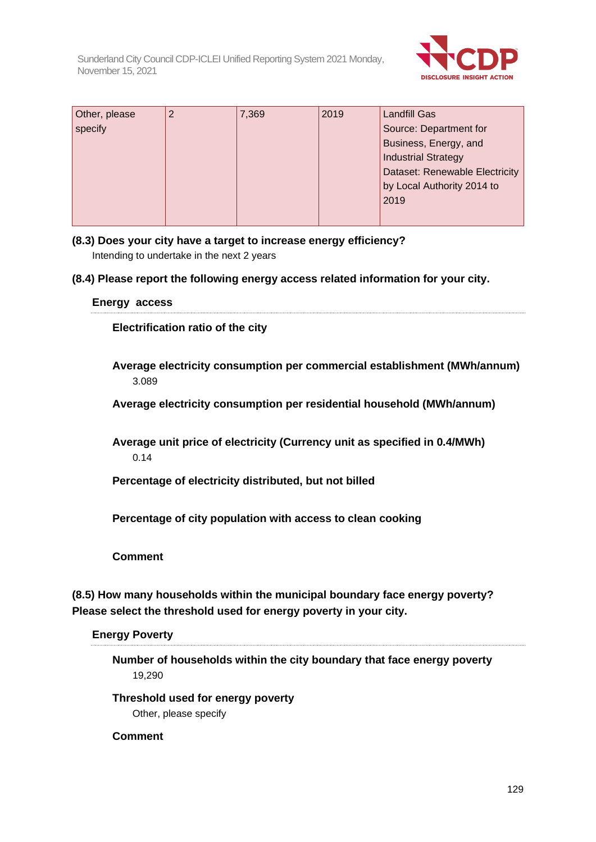

| Other, please | 2 | 7,369 | 2019 | <b>Landfill Gas</b>                   |
|---------------|---|-------|------|---------------------------------------|
| specify       |   |       |      | Source: Department for                |
|               |   |       |      | Business, Energy, and                 |
|               |   |       |      | <b>Industrial Strategy</b>            |
|               |   |       |      | <b>Dataset: Renewable Electricity</b> |
|               |   |       |      | by Local Authority 2014 to            |
|               |   |       |      | 2019                                  |
|               |   |       |      |                                       |

# **(8.3) Does your city have a target to increase energy efficiency?**

Intending to undertake in the next 2 years

# **(8.4) Please report the following energy access related information for your city.**

# **Energy access**

**Electrification ratio of the city**

**Average electricity consumption per commercial establishment (MWh/annum)** 3.089

**Average electricity consumption per residential household (MWh/annum)**

**Average unit price of electricity (Currency unit as specified in 0.4/MWh)** 0.14

**Percentage of electricity distributed, but not billed**

**Percentage of city population with access to clean cooking**

**Comment**

**(8.5) How many households within the municipal boundary face energy poverty? Please select the threshold used for energy poverty in your city.**

# **Energy Poverty**

**Number of households within the city boundary that face energy poverty** 19,290

**Threshold used for energy poverty** Other, please specify

**Comment**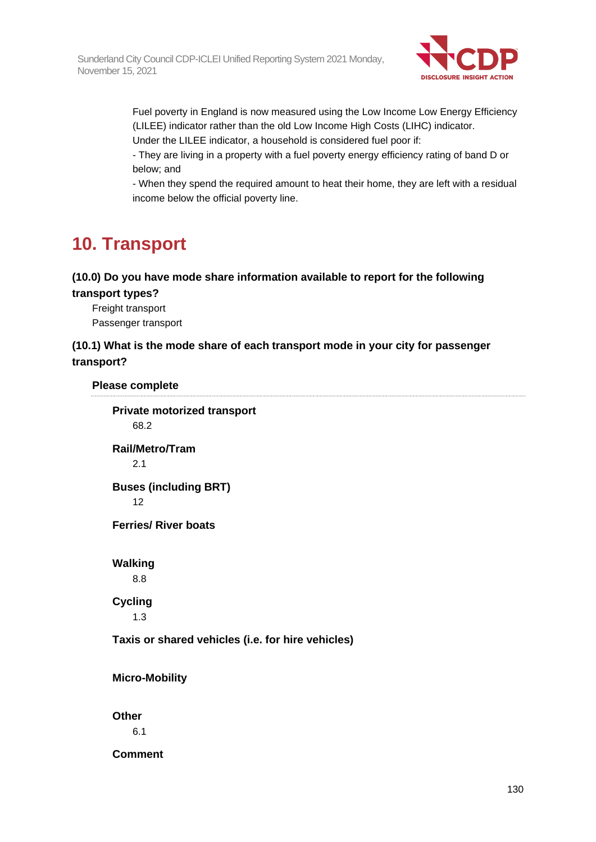

Fuel poverty in England is now measured using the Low Income Low Energy Efficiency (LILEE) indicator rather than the old Low Income High Costs (LIHC) indicator.

Under the LILEE indicator, a household is considered fuel poor if:

- They are living in a property with a fuel poverty energy efficiency rating of band D or below; and

- When they spend the required amount to heat their home, they are left with a residual income below the official poverty line.

# **10. Transport**

# **(10.0) Do you have mode share information available to report for the following**

**transport types?** Freight transport

Passenger transport

# **(10.1) What is the mode share of each transport mode in your city for passenger transport?**

**Please complete Private motorized transport** 68.2 **Rail/Metro/Tram**

2.1 **Buses (including BRT)**

12

**Ferries/ River boats**

**Walking** 8.8

# **Cycling** 1.3

**Taxis or shared vehicles (i.e. for hire vehicles)**

# **Micro-Mobility**

**Other**

6.1

**Comment**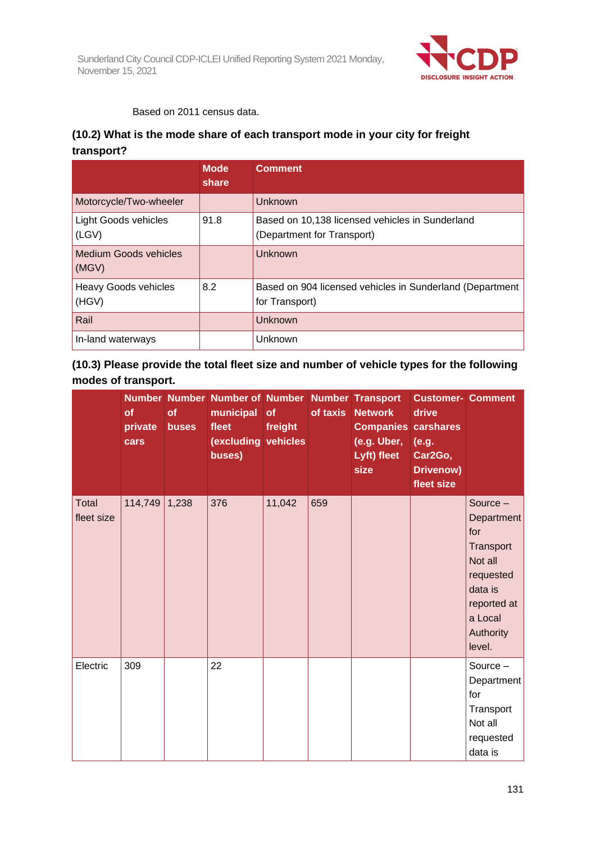

#### Based on 2011 census data.

# **(10.2) What is the mode share of each transport mode in your city for freight transport?**

|                                       | <b>Mode</b><br>share | <b>Comment</b>                                                                |
|---------------------------------------|----------------------|-------------------------------------------------------------------------------|
| Motorcycle/Two-wheeler                |                      | Unknown                                                                       |
| <b>Light Goods vehicles</b><br>(LGV)  | 91.8                 | Based on 10,138 licensed vehicles in Sunderland<br>(Department for Transport) |
| <b>Medium Goods vehicles</b><br>(MGV) |                      | Unknown                                                                       |
| <b>Heavy Goods vehicles</b><br>(HGV)  | 8.2                  | Based on 904 licensed vehicles in Sunderland (Department<br>for Transport)    |
| Rail                                  |                      | <b>Unknown</b>                                                                |
| In-land waterways                     |                      | Unknown                                                                       |

# **(10.3) Please provide the total fleet size and number of vehicle types for the following modes of transport.**

|                            | of<br>private<br>cars | of<br><b>buses</b> | Number Number Number of Number Number Transport<br>municipal of<br>fleet<br>(excluding vehicles<br>buses) | freight | of taxis | <b>Network</b><br><b>Companies carshares</b><br>(e.g. Uber,<br>Lyft) fleet<br>size | <b>Customer- Comment</b><br>drive<br>(e.g.<br>Car2Go,<br>Drivenow)<br>fleet size |                                                                                                                                         |
|----------------------------|-----------------------|--------------------|-----------------------------------------------------------------------------------------------------------|---------|----------|------------------------------------------------------------------------------------|----------------------------------------------------------------------------------|-----------------------------------------------------------------------------------------------------------------------------------------|
| <b>Total</b><br>fleet size | 114,749               | 1,238              | 376                                                                                                       | 11,042  | 659      |                                                                                    |                                                                                  | Source $-$<br>Department<br>for<br>Transport<br>Not all<br>requested<br>data is<br>reported at<br>a Local<br><b>Authority</b><br>level. |
| Electric                   | 309                   |                    | 22                                                                                                        |         |          |                                                                                    |                                                                                  | Source -<br>Department<br>for<br>Transport<br>Not all<br>requested<br>data is                                                           |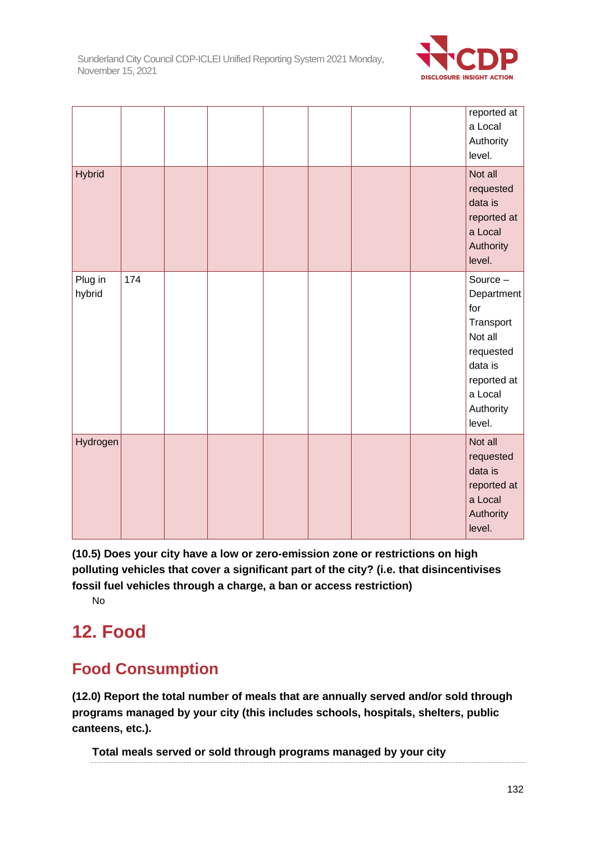

|                   |     |  |  |  | reported at<br>a Local<br>Authority<br>level.                                                                                  |
|-------------------|-----|--|--|--|--------------------------------------------------------------------------------------------------------------------------------|
| <b>Hybrid</b>     |     |  |  |  | Not all<br>requested<br>data is<br>reported at<br>a Local<br>Authority<br>level.                                               |
| Plug in<br>hybrid | 174 |  |  |  | Source -<br>Department<br>for<br>Transport<br>Not all<br>requested<br>data is<br>reported at<br>a Local<br>Authority<br>level. |
| Hydrogen          |     |  |  |  | Not all<br>requested<br>data is<br>reported at<br>a Local<br>Authority<br>level.                                               |

**(10.5) Does your city have a low or zero-emission zone or restrictions on high polluting vehicles that cover a significant part of the city? (i.e. that disincentivises fossil fuel vehicles through a charge, a ban or access restriction)**

No

# **12. Food**

# **Food Consumption**

**(12.0) Report the total number of meals that are annually served and/or sold through programs managed by your city (this includes schools, hospitals, shelters, public canteens, etc.).**

**Total meals served or sold through programs managed by your city**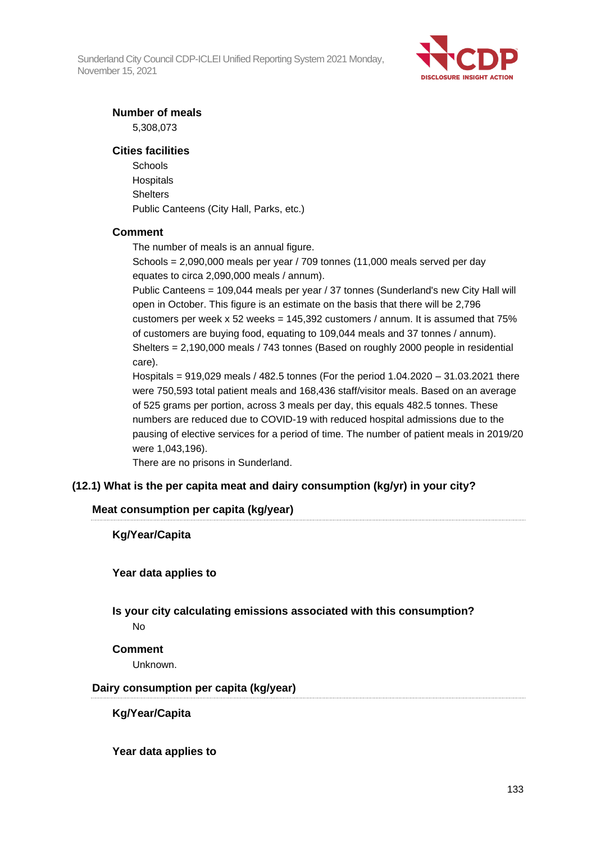

# **Number of meals**

5,308,073

# **Cities facilities**

**Schools** Hospitals **Shelters** Public Canteens (City Hall, Parks, etc.)

### **Comment**

The number of meals is an annual figure.

Schools = 2,090,000 meals per year / 709 tonnes (11,000 meals served per day equates to circa 2,090,000 meals / annum).

Public Canteens = 109,044 meals per year / 37 tonnes (Sunderland's new City Hall will open in October. This figure is an estimate on the basis that there will be 2,796 customers per week x 52 weeks = 145,392 customers / annum. It is assumed that 75% of customers are buying food, equating to 109,044 meals and 37 tonnes / annum). Shelters = 2,190,000 meals / 743 tonnes (Based on roughly 2000 people in residential care).

Hospitals = 919,029 meals / 482.5 tonnes (For the period 1.04.2020 – 31.03.2021 there were 750,593 total patient meals and 168,436 staff/visitor meals. Based on an average of 525 grams per portion, across 3 meals per day, this equals 482.5 tonnes. These numbers are reduced due to COVID-19 with reduced hospital admissions due to the pausing of elective services for a period of time. The number of patient meals in 2019/20 were 1,043,196).

There are no prisons in Sunderland.

# **(12.1) What is the per capita meat and dairy consumption (kg/yr) in your city?**

# **Meat consumption per capita (kg/year)**

# **Kg/Year/Capita**

# **Year data applies to**

# **Is your city calculating emissions associated with this consumption?** No

#### **Comment**

Unknown.

# **Dairy consumption per capita (kg/year)**

**Kg/Year/Capita**

**Year data applies to**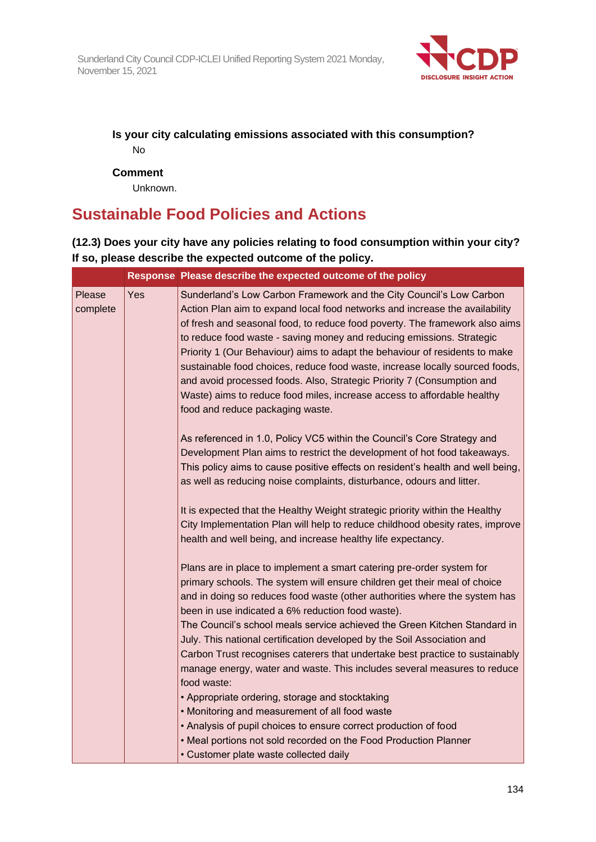

# **Is your city calculating emissions associated with this consumption?** No

**Comment**

Unknown.

# **Sustainable Food Policies and Actions**

# **(12.3) Does your city have any policies relating to food consumption within your city? If so, please describe the expected outcome of the policy.**

|                    |     | Response Please describe the expected outcome of the policy                                                                                                                                                                                                                                                                                                                                                                                                                                                                                                                                                                                                        |
|--------------------|-----|--------------------------------------------------------------------------------------------------------------------------------------------------------------------------------------------------------------------------------------------------------------------------------------------------------------------------------------------------------------------------------------------------------------------------------------------------------------------------------------------------------------------------------------------------------------------------------------------------------------------------------------------------------------------|
| Please<br>complete | Yes | Sunderland's Low Carbon Framework and the City Council's Low Carbon<br>Action Plan aim to expand local food networks and increase the availability<br>of fresh and seasonal food, to reduce food poverty. The framework also aims<br>to reduce food waste - saving money and reducing emissions. Strategic<br>Priority 1 (Our Behaviour) aims to adapt the behaviour of residents to make<br>sustainable food choices, reduce food waste, increase locally sourced foods,<br>and avoid processed foods. Also, Strategic Priority 7 (Consumption and<br>Waste) aims to reduce food miles, increase access to affordable healthy<br>food and reduce packaging waste. |
|                    |     | As referenced in 1.0, Policy VC5 within the Council's Core Strategy and<br>Development Plan aims to restrict the development of hot food takeaways.<br>This policy aims to cause positive effects on resident's health and well being,<br>as well as reducing noise complaints, disturbance, odours and litter.                                                                                                                                                                                                                                                                                                                                                    |
|                    |     | It is expected that the Healthy Weight strategic priority within the Healthy<br>City Implementation Plan will help to reduce childhood obesity rates, improve<br>health and well being, and increase healthy life expectancy.                                                                                                                                                                                                                                                                                                                                                                                                                                      |
|                    |     | Plans are in place to implement a smart catering pre-order system for<br>primary schools. The system will ensure children get their meal of choice<br>and in doing so reduces food waste (other authorities where the system has<br>been in use indicated a 6% reduction food waste).                                                                                                                                                                                                                                                                                                                                                                              |
|                    |     | The Council's school meals service achieved the Green Kitchen Standard in<br>July. This national certification developed by the Soil Association and<br>Carbon Trust recognises caterers that undertake best practice to sustainably<br>manage energy, water and waste. This includes several measures to reduce<br>food waste:                                                                                                                                                                                                                                                                                                                                    |
|                    |     | • Appropriate ordering, storage and stocktaking<br>• Monitoring and measurement of all food waste                                                                                                                                                                                                                                                                                                                                                                                                                                                                                                                                                                  |
|                    |     | • Analysis of pupil choices to ensure correct production of food<br>• Meal portions not sold recorded on the Food Production Planner<br>• Customer plate waste collected daily                                                                                                                                                                                                                                                                                                                                                                                                                                                                                     |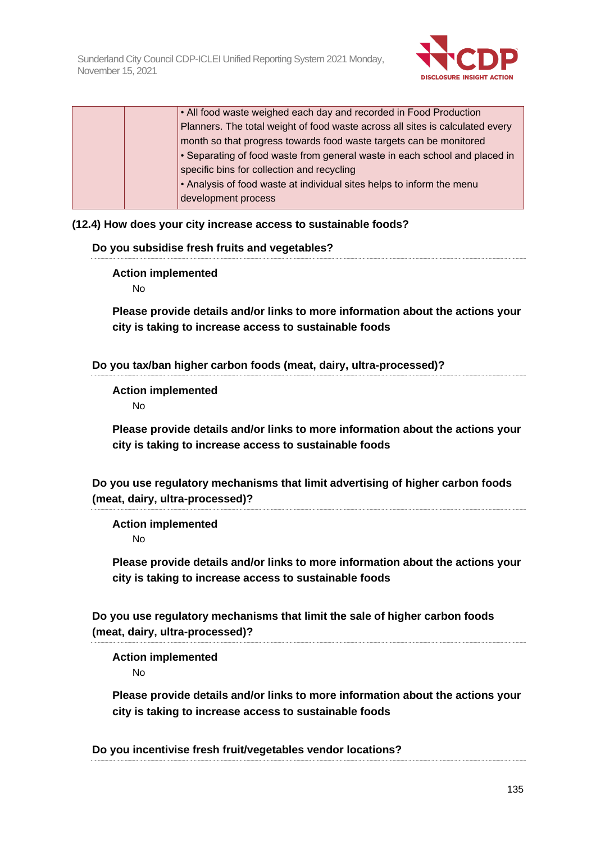

|  | • All food waste weighed each day and recorded in Food Production             |
|--|-------------------------------------------------------------------------------|
|  | Planners. The total weight of food waste across all sites is calculated every |
|  | month so that progress towards food waste targets can be monitored            |
|  | • Separating of food waste from general waste in each school and placed in    |
|  | specific bins for collection and recycling                                    |
|  | . Analysis of food waste at individual sites helps to inform the menu         |
|  | development process                                                           |
|  |                                                                               |

# **(12.4) How does your city increase access to sustainable foods?**

# **Do you subsidise fresh fruits and vegetables?**

**Action implemented**

No

**Please provide details and/or links to more information about the actions your city is taking to increase access to sustainable foods**

**Do you tax/ban higher carbon foods (meat, dairy, ultra-processed)?**

**Action implemented** No

**Please provide details and/or links to more information about the actions your city is taking to increase access to sustainable foods**

**Do you use regulatory mechanisms that limit advertising of higher carbon foods (meat, dairy, ultra-processed)?**

**Action implemented**

No

**Please provide details and/or links to more information about the actions your city is taking to increase access to sustainable foods**

**Do you use regulatory mechanisms that limit the sale of higher carbon foods (meat, dairy, ultra-processed)?**

**Action implemented**

No

**Please provide details and/or links to more information about the actions your city is taking to increase access to sustainable foods**

**Do you incentivise fresh fruit/vegetables vendor locations?**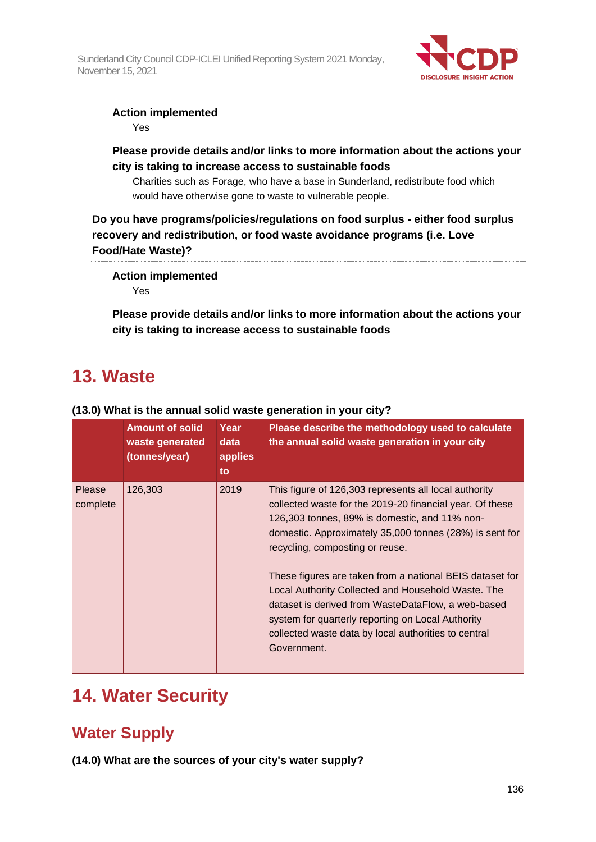

# **Action implemented**

Yes

# **Please provide details and/or links to more information about the actions your city is taking to increase access to sustainable foods**

Charities such as Forage, who have a base in Sunderland, redistribute food which would have otherwise gone to waste to vulnerable people.

**Do you have programs/policies/regulations on food surplus - either food surplus recovery and redistribution, or food waste avoidance programs (i.e. Love Food/Hate Waste)?**

# **Action implemented**

Yes

**Please provide details and/or links to more information about the actions your city is taking to increase access to sustainable foods**

# **13. Waste**

|                    | <b>Amount of solid</b><br>waste generated<br>(tonnes/year) | Year<br>data<br>applies<br>to | Please describe the methodology used to calculate<br>the annual solid waste generation in your city                                                                                                                                                                                                                                                                                                                                                                                                                                                                  |
|--------------------|------------------------------------------------------------|-------------------------------|----------------------------------------------------------------------------------------------------------------------------------------------------------------------------------------------------------------------------------------------------------------------------------------------------------------------------------------------------------------------------------------------------------------------------------------------------------------------------------------------------------------------------------------------------------------------|
| Please<br>complete | 126,303                                                    | 2019                          | This figure of 126,303 represents all local authority<br>collected waste for the 2019-20 financial year. Of these<br>126,303 tonnes, 89% is domestic, and 11% non-<br>domestic. Approximately 35,000 tonnes (28%) is sent for<br>recycling, composting or reuse.<br>These figures are taken from a national BEIS dataset for<br>Local Authority Collected and Household Waste. The<br>dataset is derived from WasteDataFlow, a web-based<br>system for quarterly reporting on Local Authority<br>collected waste data by local authorities to central<br>Government. |

**(13.0) What is the annual solid waste generation in your city?**

# **14. Water Security**

# **Water Supply**

**(14.0) What are the sources of your city's water supply?**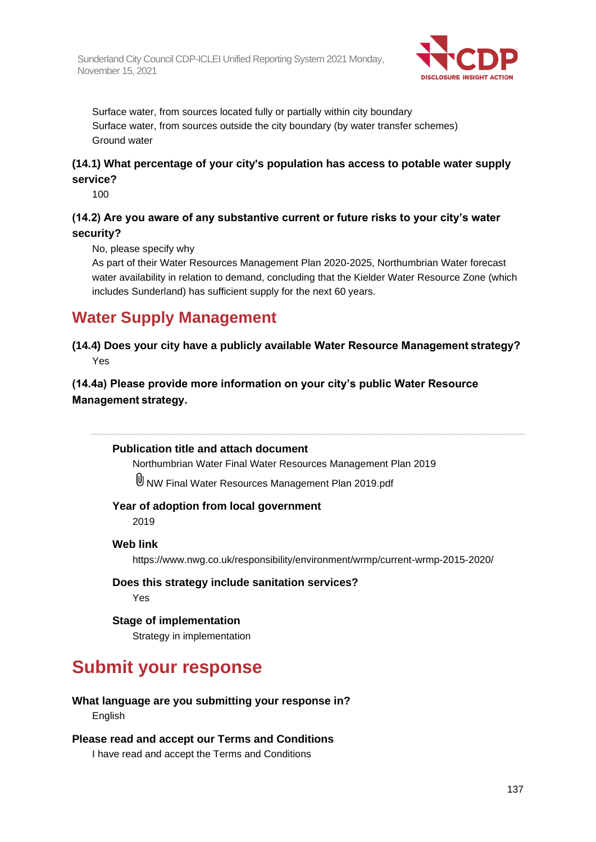

Surface water, from sources located fully or partially within city boundary Surface water, from sources outside the city boundary (by water transfer schemes) Ground water

# **(14.1) What percentage of your city's population has access to potable water supply service?**

100

# **(14.2) Are you aware of any substantive current or future risks to your city's water security?**

No, please specify why

As part of their Water Resources Management Plan 2020-2025, Northumbrian Water forecast water availability in relation to demand, concluding that the Kielder Water Resource Zone (which includes Sunderland) has sufficient supply for the next 60 years.

# **Water Supply Management**

**(14.4) Does your city have a publicly available Water Resource Management strategy?** Yes

**(14.4a) Please provide more information on your city's public Water Resource Management strategy.**

# **Publication title and attach document**

Northumbrian Water Final Water Resources Management Plan 2019

NW Final Water Resources Management Plan 2019.pdf

# **Year of adoption from local government**

2019

# **Web link**

https://www.nwg.co.uk/responsibility/environment/wrmp/current-wrmp-2015-2020/

## **Does this strategy include sanitation services?** Yes

# **Stage of implementation**

Strategy in implementation

# **Submit your response**

# **What language are you submitting your response in?**

English

# **Please read and accept our Terms and Conditions**

I have read and accept the Terms and Conditions